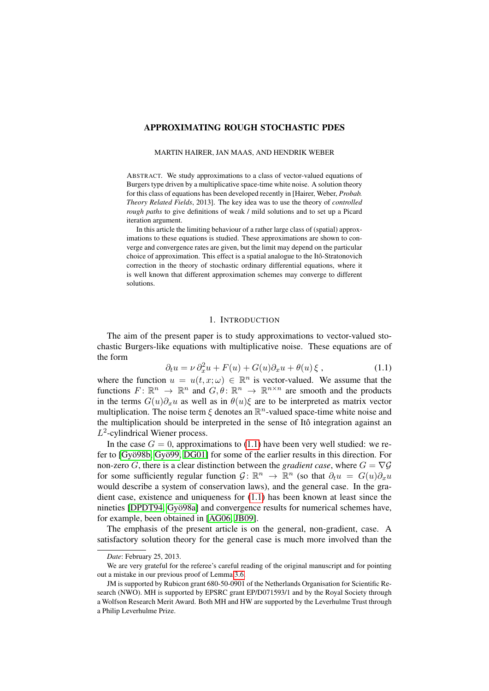# APPROXIMATING ROUGH STOCHASTIC PDES

#### MARTIN HAIRER, JAN MAAS, AND HENDRIK WEBER

ABSTRACT. We study approximations to a class of vector-valued equations of Burgers type driven by a multiplicative space-time white noise. A solution theory for this class of equations has been developed recently in [Hairer, Weber, *Probab. Theory Related Fields*, 2013]. The key idea was to use the theory of *controlled rough paths* to give definitions of weak / mild solutions and to set up a Picard iteration argument.

In this article the limiting behaviour of a rather large class of (spatial) approximations to these equations is studied. These approximations are shown to converge and convergence rates are given, but the limit may depend on the particular choice of approximation. This effect is a spatial analogue to the Itô-Stratonovich correction in the theory of stochastic ordinary differential equations, where it is well known that different approximation schemes may converge to different solutions.

# <span id="page-0-0"></span>1. INTRODUCTION

The aim of the present paper is to study approximations to vector-valued stochastic Burgers-like equations with multiplicative noise. These equations are of the form

$$
\partial_t u = \nu \partial_x^2 u + F(u) + G(u)\partial_x u + \theta(u)\xi , \qquad (1.1)
$$

where the function  $u = u(t, x; \omega) \in \mathbb{R}^n$  is vector-valued. We assume that the functions  $F: \mathbb{R}^n \to \mathbb{R}^n$  and  $G, \theta \colon \mathbb{R}^n \to \mathbb{R}^{n \times n}$  are smooth and the products in the terms  $G(u)\partial_x u$  as well as in  $\theta(u)\xi$  are to be interpreted as matrix vector multiplication. The noise term  $\xi$  denotes an  $\mathbb{R}^n$ -valued space-time white noise and the multiplication should be interpreted in the sense of Itô integration against an  $L^2$ -cylindrical Wiener process.

In the case  $G = 0$ , approximations to [\(1.1\)](#page-0-0) have been very well studied: we refer to  $[Gy\ddot{o}98b, Gy\ddot{o}99, DG01]$  $[Gy\ddot{o}98b, Gy\ddot{o}99, DG01]$  for some of the earlier results in this direction. For non-zero G, there is a clear distinction between the *gradient case*, where  $G = \nabla G$ for some sufficiently regular function  $\mathcal{G} \colon \mathbb{R}^n \to \mathbb{R}^n$  (so that  $\partial_t u = G(u)\partial_x u$ would describe a system of conservation laws), and the general case. In the gradient case, existence and uniqueness for [\(1.1\)](#page-0-0) has been known at least since the nineties [\[DPDT94,](#page-77-2) Gyö98a] and convergence results for numerical schemes have, for example, been obtained in [\[AG06,](#page-77-4) [JB09\]](#page-78-1).

The emphasis of the present article is on the general, non-gradient, case. A satisfactory solution theory for the general case is much more involved than the

*Date*: February 25, 2013.

We are very grateful for the referee's careful reading of the original manuscript and for pointing out a mistake in our previous proof of Lemma [3.6.](#page-33-0)

JM is supported by Rubicon grant 680-50-0901 of the Netherlands Organisation for Scientific Research (NWO). MH is supported by EPSRC grant EP/D071593/1 and by the Royal Society through a Wolfson Research Merit Award. Both MH and HW are supported by the Leverhulme Trust through a Philip Leverhulme Prize.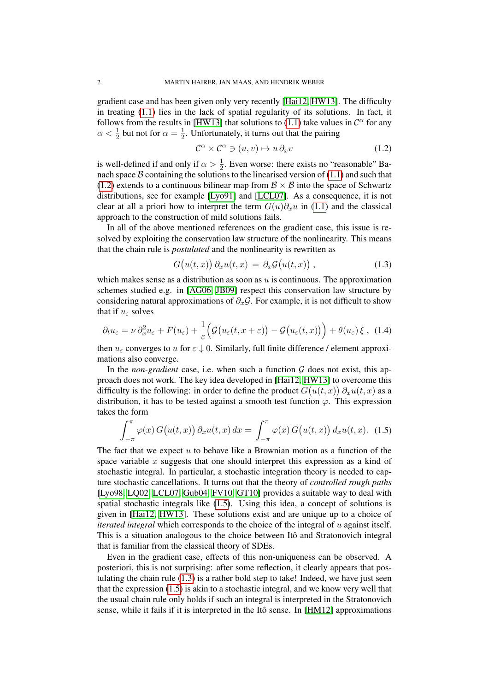gradient case and has been given only very recently [\[Hai12,](#page-78-2) [HW13\]](#page-78-3). The difficulty in treating [\(1.1\)](#page-0-0) lies in the lack of spatial regularity of its solutions. In fact, it follows from the results in [\[HW13\]](#page-78-3) that solutions to [\(1.1\)](#page-0-0) take values in  $\mathcal{C}^{\alpha}$  for any  $\alpha < \frac{1}{2}$  but not for  $\alpha = \frac{1}{2}$  $\frac{1}{2}$ . Unfortunately, it turns out that the pairing

<span id="page-1-0"></span>
$$
\mathcal{C}^{\alpha} \times \mathcal{C}^{\alpha} \ni (u, v) \mapsto u \, \partial_x v \tag{1.2}
$$

is well-defined if and only if  $\alpha > \frac{1}{2}$ . Even worse: there exists no "reasonable" Banach space  $B$  containing the solutions to the linearised version of  $(1.1)$  and such that [\(1.2\)](#page-1-0) extends to a continuous bilinear map from  $\mathcal{B} \times \mathcal{B}$  into the space of Schwartz distributions, see for example [\[Lyo91\]](#page-78-4) and [\[LCL07\]](#page-78-5). As a consequence, it is not clear at all a priori how to interpret the term  $G(u)\partial_x u$  in [\(1.1\)](#page-0-0) and the classical approach to the construction of mild solutions fails.

In all of the above mentioned references on the gradient case, this issue is resolved by exploiting the conservation law structure of the nonlinearity. This means that the chain rule is *postulated* and the nonlinearity is rewritten as

<span id="page-1-3"></span><span id="page-1-2"></span>
$$
G(u(t,x)) \partial_x u(t,x) = \partial_x \mathcal{G}(u(t,x)), \qquad (1.3)
$$

which makes sense as a distribution as soon as  $u$  is continuous. The approximation schemes studied e.g. in [\[AG06,](#page-77-4) [JB09\]](#page-78-1) respect this conservation law structure by considering natural approximations of  $\partial_{x}G$ . For example, it is not difficult to show that if  $u_{\varepsilon}$  solves

$$
\partial_t u_{\varepsilon} = \nu \, \partial_x^2 u_{\varepsilon} + F(u_{\varepsilon}) + \frac{1}{\varepsilon} \Big( \mathcal{G} \big( u_{\varepsilon}(t, x + \varepsilon) \big) - \mathcal{G} \big( u_{\varepsilon}(t, x) \big) \Big) + \theta(u_{\varepsilon}) \, \xi \;, \tag{1.4}
$$

then  $u_{\varepsilon}$  converges to u for  $\varepsilon \downarrow 0$ . Similarly, full finite difference / element approximations also converge.

In the *non-gradient* case, i.e. when such a function  $G$  does not exist, this approach does not work. The key idea developed in [\[Hai12,](#page-78-2) [HW13\]](#page-78-3) to overcome this difficulty is the following: in order to define the product  $G(u(t, x)) \partial_x u(t, x)$  as a distribution, it has to be tested against a smooth test function  $\varphi$ . This expression takes the form

<span id="page-1-1"></span>
$$
\int_{-\pi}^{\pi} \varphi(x) G(u(t,x)) \partial_x u(t,x) dx = \int_{-\pi}^{\pi} \varphi(x) G(u(t,x)) d_x u(t,x). \quad (1.5)
$$

The fact that we expect  $u$  to behave like a Brownian motion as a function of the space variable  $x$  suggests that one should interpret this expression as a kind of stochastic integral. In particular, a stochastic integration theory is needed to capture stochastic cancellations. It turns out that the theory of *controlled rough paths* [\[Lyo98,](#page-78-6) [LQ02,](#page-78-7) [LCL07,](#page-78-5) [Gub04,](#page-77-5) [FV10,](#page-77-6) [GT10\]](#page-77-7) provides a suitable way to deal with spatial stochastic integrals like [\(1.5\)](#page-1-1). Using this idea, a concept of solutions is given in [\[Hai12,](#page-78-2) [HW13\]](#page-78-3). These solutions exist and are unique up to a choice of *iterated integral* which corresponds to the choice of the integral of u against itself. This is a situation analogous to the choice between Itô and Stratonovich integral that is familiar from the classical theory of SDEs.

Even in the gradient case, effects of this non-uniqueness can be observed. A posteriori, this is not surprising: after some reflection, it clearly appears that postulating the chain rule [\(1.3\)](#page-1-2) is a rather bold step to take! Indeed, we have just seen that the expression [\(1.5\)](#page-1-1) is akin to a stochastic integral, and we know very well that the usual chain rule only holds if such an integral is interpreted in the Stratonovich sense, while it fails if it is interpreted in the Itô sense. In  $[HM12]$  approximations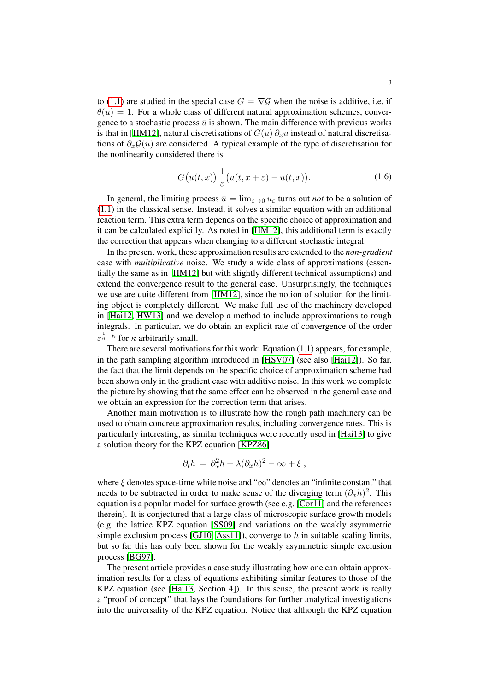to [\(1.1\)](#page-0-0) are studied in the special case  $G = \nabla \mathcal{G}$  when the noise is additive, i.e. if  $\theta(u) = 1$ . For a whole class of different natural approximation schemes, convergence to a stochastic process  $\bar{u}$  is shown. The main difference with previous works is that in [\[HM12\]](#page-78-8), natural discretisations of  $G(u) \partial<sub>x</sub>u$  instead of natural discretisations of  $\partial_{x}G(u)$  are considered. A typical example of the type of discretisation for the nonlinearity considered there is

<span id="page-2-0"></span>
$$
G(u(t,x))\frac{1}{\varepsilon}(u(t,x+\varepsilon)-u(t,x)).
$$
\n(1.6)

In general, the limiting process  $\bar{u} = \lim_{\varepsilon \to 0} u_{\varepsilon}$  turns out *not* to be a solution of [\(1.1\)](#page-0-0) in the classical sense. Instead, it solves a similar equation with an additional reaction term. This extra term depends on the specific choice of approximation and it can be calculated explicitly. As noted in [\[HM12\]](#page-78-8), this additional term is exactly the correction that appears when changing to a different stochastic integral.

In the present work, these approximation results are extended to the *non-gradient* case with *multiplicative* noise. We study a wide class of approximations (essentially the same as in [\[HM12\]](#page-78-8) but with slightly different technical assumptions) and extend the convergence result to the general case. Unsurprisingly, the techniques we use are quite different from [\[HM12\]](#page-78-8), since the notion of solution for the limiting object is completely different. We make full use of the machinery developed in [\[Hai12,](#page-78-2) [HW13\]](#page-78-3) and we develop a method to include approximations to rough integrals. In particular, we do obtain an explicit rate of convergence of the order  $\varepsilon^{\frac{1}{6}-\kappa}$  for  $\kappa$  arbitrarily small.

There are several motivations for this work: Equation [\(1.1\)](#page-0-0) appears, for example, in the path sampling algorithm introduced in [\[HSV07\]](#page-78-9) (see also [\[Hai12\]](#page-78-2)). So far, the fact that the limit depends on the specific choice of approximation scheme had been shown only in the gradient case with additive noise. In this work we complete the picture by showing that the same effect can be observed in the general case and we obtain an expression for the correction term that arises.

Another main motivation is to illustrate how the rough path machinery can be used to obtain concrete approximation results, including convergence rates. This is particularly interesting, as similar techniques were recently used in [\[Hai13\]](#page-78-10) to give a solution theory for the KPZ equation [\[KPZ86\]](#page-78-11)

$$
\partial_t h = \partial_x^2 h + \lambda (\partial_x h)^2 - \infty + \xi ,
$$

where  $\xi$  denotes space-time white noise and " $\infty$ " denotes an "infinite constant" that needs to be subtracted in order to make sense of the diverging term  $(\partial_x h)^2$ . This equation is a popular model for surface growth (see e.g. [\[Cor11\]](#page-77-8) and the references therein). It is conjectured that a large class of microscopic surface growth models (e.g. the lattice KPZ equation [\[SS09\]](#page-78-12) and variations on the weakly asymmetric simple exclusion process  $[GJ10, Ass11]$  $[GJ10, Ass11]$ , converge to h in suitable scaling limits, but so far this has only been shown for the weakly asymmetric simple exclusion process [\[BG97\]](#page-77-11).

The present article provides a case study illustrating how one can obtain approximation results for a class of equations exhibiting similar features to those of the KPZ equation (see [\[Hai13,](#page-78-10) Section 4]). In this sense, the present work is really a "proof of concept" that lays the foundations for further analytical investigations into the universality of the KPZ equation. Notice that although the KPZ equation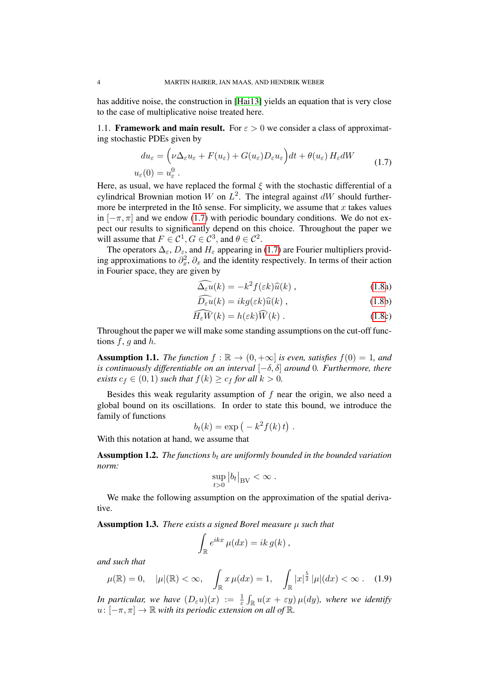has additive noise, the construction in [\[Hai13\]](#page-78-10) yields an equation that is very close to the case of multiplicative noise treated here.

1.1. **Framework and main result.** For  $\varepsilon > 0$  we consider a class of approximating stochastic PDEs given by

$$
du_{\varepsilon} = \left(\nu\Delta_{\varepsilon}u_{\varepsilon} + F(u_{\varepsilon}) + G(u_{\varepsilon})D_{\varepsilon}u_{\varepsilon}\right)dt + \theta(u_{\varepsilon})H_{\varepsilon}dW
$$
  

$$
u_{\varepsilon}(0) = u_{\varepsilon}^{0}.
$$
 (1.7)

Here, as usual, we have replaced the formal  $\xi$  with the stochastic differential of a cylindrical Brownian motion W on  $L^2$ . The integral against  $dW$  should furthermore be interpreted in the Itô sense. For simplicity, we assume that  $x$  takes values in  $[-\pi, \pi]$  and we endow [\(1.7\)](#page-3-0) with periodic boundary conditions. We do not expect our results to significantly depend on this choice. Throughout the paper we will assume that  $F \in \mathcal{C}^1, G \in \mathcal{C}^3$ , and  $\theta \in \mathcal{C}^2$ .

The operators  $\Delta_{\varepsilon}$ ,  $D_{\varepsilon}$ , and  $H_{\varepsilon}$  appearing in [\(1.7\)](#page-3-0) are Fourier multipliers providing approximations to  $\partial_x^2$ ,  $\partial_x$  and the identity respectively. In terms of their action in Fourier space, they are given by

<span id="page-3-3"></span><span id="page-3-0"></span>
$$
\widehat{\Delta_{\varepsilon}u}(k) = -k^2 f(\varepsilon k)\widehat{u}(k) , \qquad (1.8a)
$$

<span id="page-3-5"></span><span id="page-3-4"></span>
$$
\widehat{D_{\varepsilon}u}(k) = ikg(\varepsilon k)\widehat{u}(k) , \qquad (1.8b)
$$

$$
\widehat{H_{\varepsilon}W}(k) = h(\varepsilon k)\widehat{W}(k) .
$$
 (1.8c)

Throughout the paper we will make some standing assumptions on the cut-off functions  $f$ , q and  $h$ .

<span id="page-3-1"></span>**Assumption 1.1.** *The function*  $f : \mathbb{R} \to (0, +\infty]$  *is even, satisfies*  $f(0) = 1$ *, and is continuously differentiable on an interval* [−δ, δ] *around* 0*. Furthermore, there exists*  $c_f \in (0, 1)$  *such that*  $f(k) \geq c_f$  *for all*  $k > 0$ *.* 

Besides this weak regularity assumption of  $f$  near the origin, we also need a global bound on its oscillations. In order to state this bound, we introduce the family of functions

$$
b_t(k) = \exp(-k^2 f(k)t).
$$

With this notation at hand, we assume that

<span id="page-3-2"></span>**Assumption 1.2.** *The functions*  $b_t$  *are uniformly bounded in the bounded variation norm:*

$$
\sup_{t>0} |b_t|_{\rm BV} < \infty.
$$

We make the following assumption on the approximation of the spatial derivative.

Assumption 1.3. *There exists a signed Borel measure* µ *such that*

$$
\int_{\mathbb{R}} e^{ikx} \mu(dx) = ik \, g(k) \, ,
$$

*and such that*

$$
\mu(\mathbb{R}) = 0, \quad |\mu|(\mathbb{R}) < \infty, \quad \int_{\mathbb{R}} x \,\mu(dx) = 1, \quad \int_{\mathbb{R}} |x|^{\frac{5}{2}} \, |\mu|(dx) < \infty \quad (1.9)
$$

In particular, we have  $(D_\varepsilon u)(x) := \frac{1}{\varepsilon} \int_{\mathbb{R}} u(x + \varepsilon y) \mu(dy)$ , where we identify  $u: [-\pi, \pi] \to \mathbb{R}$  *with its periodic extension on all of*  $\mathbb{R}$ *.*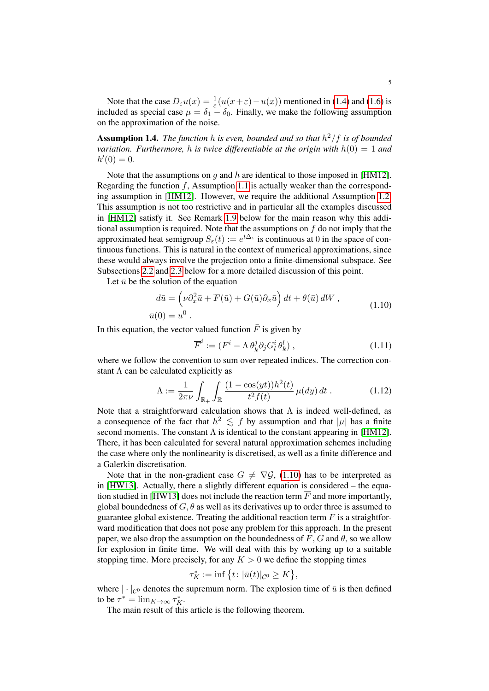Note that the case  $D_{\varepsilon}u(x) = \frac{1}{\varepsilon}(u(x+\varepsilon)-u(x))$  mentioned in [\(1.4\)](#page-1-3) and [\(1.6\)](#page-2-0) is included as special case  $\mu = \delta_1 - \delta_0$ . Finally, we make the following assumption on the approximation of the noise.

<span id="page-4-3"></span>Assumption 1.4. *The function* h *is even, bounded and so that* h <sup>2</sup>/f *is of bounded variation. Furthermore,* h *is twice differentiable at the origin with* h(0) = 1 *and*  $h'(0) = 0.$ 

Note that the assumptions on q and h are identical to those imposed in [\[HM12\]](#page-78-8). Regarding the function  $f$ , Assumption [1.1](#page-3-1) is actually weaker than the corresponding assumption in [\[HM12\]](#page-78-8). However, we require the additional Assumption [1.2.](#page-3-2) This assumption is not too restrictive and in particular all the examples discussed in [\[HM12\]](#page-78-8) satisfy it. See Remark [1.9](#page-5-0) below for the main reason why this additional assumption is required. Note that the assumptions on  $f$  do not imply that the approximated heat semigroup  $S_{\varepsilon}(t) := e^{t\Delta_{\varepsilon}}$  is continuous at 0 in the space of continuous functions. This is natural in the context of numerical approximations, since these would always involve the projection onto a finite-dimensional subspace. See Subsections [2.2](#page-11-0) and [2.3](#page-13-0) below for a more detailed discussion of this point.

Let  $\bar{u}$  be the solution of the equation

$$
d\bar{u} = \left(\nu \partial_x^2 \bar{u} + \overline{F}(\bar{u}) + G(\bar{u})\partial_x \bar{u}\right)dt + \theta(\bar{u})dW,
$$
  
\n
$$
\bar{u}(0) = u^0.
$$
\n(1.10)

In this equation, the vector valued function  $\bar{F}$  is given by

<span id="page-4-2"></span><span id="page-4-1"></span><span id="page-4-0"></span>
$$
\overline{F}^i := (F^i - \Lambda \theta_k^j \partial_j G^i_l \theta_k^l) , \qquad (1.11)
$$

where we follow the convention to sum over repeated indices. The correction constant  $\Lambda$  can be calculated explicitly as

$$
\Lambda := \frac{1}{2\pi\nu} \int_{\mathbb{R}_+} \int_{\mathbb{R}} \frac{(1 - \cos(yt))h^2(t)}{t^2 f(t)} \,\mu(dy) \, dt \,. \tag{1.12}
$$

Note that a straightforward calculation shows that  $\Lambda$  is indeed well-defined, as a consequence of the fact that  $h^2 \leq f$  by assumption and that  $|\mu|$  has a finite second moments. The constant  $\Lambda$  is identical to the constant appearing in [\[HM12\]](#page-78-8). There, it has been calculated for several natural approximation schemes including the case where only the nonlinearity is discretised, as well as a finite difference and a Galerkin discretisation.

Note that in the non-gradient case  $G \neq \nabla \mathcal{G}$ , [\(1.10\)](#page-4-0) has to be interpreted as in [\[HW13\]](#page-78-3). Actually, there a slightly different equation is considered – the equa-tion studied in [\[HW13\]](#page-78-3) does not include the reaction term  $\overline{F}$  and more importantly, global boundedness of  $G, \theta$  as well as its derivatives up to order three is assumed to guarantee global existence. Treating the additional reaction term  $\overline{F}$  is a straightforward modification that does not pose any problem for this approach. In the present paper, we also drop the assumption on the boundedness of F, G and  $\theta$ , so we allow for explosion in finite time. We will deal with this by working up to a suitable stopping time. More precisely, for any  $K > 0$  we define the stopping times

$$
\tau_K^*:=\inf\big\{t\colon |\bar u(t)|_{\mathcal{C}^0}\geq K\big\},
$$

where  $|\cdot|_{\mathcal{C}^0}$  denotes the supremum norm. The explosion time of  $\bar{u}$  is then defined to be  $\tau^* = \lim_{K \to \infty} \tau_K^*$ .

The main result of this article is the following theorem.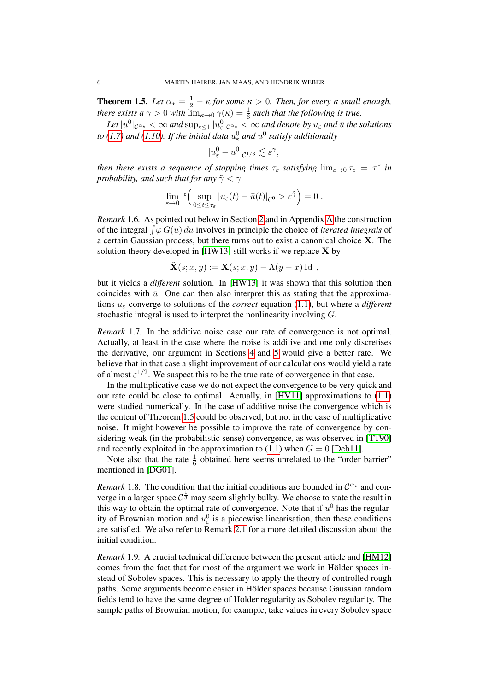<span id="page-5-1"></span>**Theorem 1.5.** Let  $\alpha_{\star} = \frac{1}{2} - \kappa$  for some  $\kappa > 0$ . Then, for every  $\kappa$  small enough, *there exists a*  $\gamma > 0$  *with*  $\lim_{\kappa \to 0} \gamma(\kappa) = \frac{1}{6}$  *such that the following is true.* 

 $L$ et  $|u^0|_{\mathcal{C}^{\alpha_*}}<\infty$  and  $\sup_{\varepsilon\leq 1}|u^0_\varepsilon|_{\mathcal{C}^{\alpha_*}}<\infty$  and denote by  $u_\varepsilon$  and  $\bar u$  the solutions to [\(1.7\)](#page-3-0) and [\(1.10\)](#page-4-0). If the initial data  $u_{\varepsilon}^0$  and  $u^0$  satisfy additionally

$$
|u_{\varepsilon}^0 - u^0|_{\mathcal{C}^{1/3}} \lesssim \varepsilon^{\gamma},
$$

*then there exists a sequence of stopping times*  $\tau_{\varepsilon}$  *satisfying*  $\lim_{\varepsilon \to 0} \tau_{\varepsilon} = \tau^*$  *in probability, and such that for any*  $\tilde{\gamma} < \gamma$ 

$$
\lim_{\varepsilon \to 0} \mathbb{P}\Big( \sup_{0 \le t \le \tau_{\varepsilon}} |u_{\varepsilon}(t) - \bar{u}(t)|_{\mathcal{C}^{0}} > \varepsilon^{\tilde{\gamma}} \Big) = 0.
$$

*Remark* 1.6*.* As pointed out below in Section [2](#page-7-0) and in Appendix [A](#page-72-0) the construction of the integral  $\int \varphi G(u) du$  involves in principle the choice of *iterated integrals* of a certain Gaussian process, but there turns out to exist a canonical choice X. The solution theory developed in [\[HW13\]](#page-78-3) still works if we replace X by

$$
\tilde{\mathbf{X}}(s; x, y) := \mathbf{X}(s; x, y) - \Lambda(y - x) \operatorname{Id} ,
$$

but it yields a *different* solution. In [\[HW13\]](#page-78-3) it was shown that this solution then coincides with  $\bar{u}$ . One can then also interpret this as stating that the approximations u<sup>ε</sup> converge to solutions of the *correct* equation [\(1.1\)](#page-0-0), but where a *different* stochastic integral is used to interpret the nonlinearity involving G.

*Remark* 1.7*.* In the additive noise case our rate of convergence is not optimal. Actually, at least in the case where the noise is additive and one only discretises the derivative, our argument in Sections [4](#page-43-0) and [5](#page-54-0) would give a better rate. We believe that in that case a slight improvement of our calculations would yield a rate of almost  $\varepsilon^{1/2}$ . We suspect this to be the true rate of convergence in that case.

In the multiplicative case we do not expect the convergence to be very quick and our rate could be close to optimal. Actually, in  $[HV11]$  approximations to  $(1.1)$ were studied numerically. In the case of additive noise the convergence which is the content of Theorem [1.5](#page-5-1) could be observed, but not in the case of multiplicative noise. It might however be possible to improve the rate of convergence by considering weak (in the probabilistic sense) convergence, as was observed in [\[TT90\]](#page-78-14) and recently exploited in the approximation to  $(1.1)$  when  $G = 0$  [\[Deb11\]](#page-77-12).

Note also that the rate  $\frac{1}{6}$  obtained here seems unrelated to the "order barrier" mentioned in [\[DG01\]](#page-77-1).

*Remark* 1.8. The condition that the initial conditions are bounded in  $C^{\alpha_{\star}}$  and converge in a larger space  $C^{\frac{1}{3}}$  may seem slightly bulky. We choose to state the result in this way to obtain the optimal rate of convergence. Note that if  $u^0$  has the regularity of Brownian motion and  $u_{\varepsilon}^0$  is a piecewise linearisation, then these conditions are satisfied. We also refer to Remark [2.1](#page-10-0) for a more detailed discussion about the initial condition.

<span id="page-5-0"></span>*Remark* 1.9*.* A crucial technical difference between the present article and [\[HM12\]](#page-78-8) comes from the fact that for most of the argument we work in Hölder spaces instead of Sobolev spaces. This is necessary to apply the theory of controlled rough paths. Some arguments become easier in Holder spaces because Gaussian random ¨ fields tend to have the same degree of Hölder regularity as Sobolev regularity. The sample paths of Brownian motion, for example, take values in every Sobolev space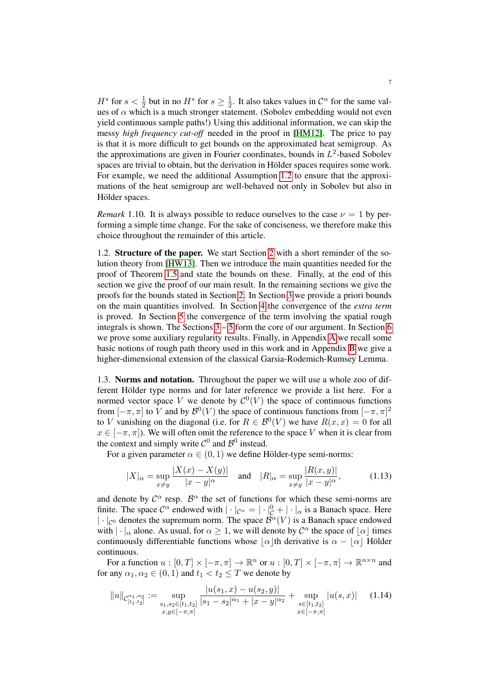$H^s$  for  $s < \frac{1}{2}$  but in no  $H^s$  for  $s \geq \frac{1}{2}$  $\frac{1}{2}$ . It also takes values in  $\mathcal{C}^{\alpha}$  for the same values of  $\alpha$  which is a much stronger statement. (Sobolev embedding would not even yield continuous sample paths!) Using this additional information, we can skip the messy *high frequency cut-off* needed in the proof in [\[HM12\]](#page-78-8). The price to pay is that it is more difficult to get bounds on the approximated heat semigroup. As the approximations are given in Fourier coordinates, bounds in  $L^2$ -based Sobolev spaces are trivial to obtain, but the derivation in Hölder spaces requires some work. For example, we need the additional Assumption [1.2](#page-3-2) to ensure that the approximations of the heat semigroup are well-behaved not only in Sobolev but also in Hölder spaces.

*Remark* 1.10. It is always possible to reduce ourselves to the case  $\nu = 1$  by performing a simple time change. For the sake of conciseness, we therefore make this choice throughout the remainder of this article.

1.2. **Structure of the paper.** We start Section [2](#page-7-0) with a short reminder of the solution theory from [\[HW13\]](#page-78-3). Then we introduce the main quantities needed for the proof of Theorem [1.5](#page-5-1) and state the bounds on these. Finally, at the end of this section we give the proof of our main result. In the remaining sections we give the proofs for the bounds stated in Section [2.](#page-7-0) In Section [3](#page-21-0) we provide a priori bounds on the main quantities involved. In Section [4](#page-43-0) the convergence of the *extra term* is proved. In Section [5](#page-54-0) the convergence of the term involving the spatial rough integrals is shown. The Sections [3](#page-21-0) – [5](#page-54-0) form the core of our argument. In Section [6](#page-61-0) we prove some auxiliary regularity results. Finally, in Appendix [A](#page-72-0) we recall some basic notions of rough path theory used in this work and in Appendix [B](#page-73-0) we give a higher-dimensional extension of the classical Garsia-Rodemich-Rumsey Lemma.

1.3. Norms and notation. Throughout the paper we will use a whole zoo of different Hölder type norms and for later reference we provide a list here. For a normed vector space V we denote by  $\mathcal{C}^0(V)$  the space of continuous functions from  $[-\pi, \pi]$  to V and by  $\mathcal{B}^0(V)$  the space of continuous functions from  $[-\pi, \pi]^2$ to V vanishing on the diagonal (i.e. for  $R \in \mathcal{B}^0(V)$  we have  $R(x, x) = 0$  for all  $x \in [-\pi, \pi]$ . We will often omit the reference to the space V when it is clear from the context and simply write  $C^0$  and  $B^0$  instead.

For a given parameter  $\alpha \in (0, 1)$  we define Hölder-type semi-norms:

$$
|X|_{\alpha} = \sup_{x \neq y} \frac{|X(x) - X(y)|}{|x - y|^{\alpha}} \quad \text{and} \quad |R|_{\alpha} = \sup_{x \neq y} \frac{|R(x, y)|}{|x - y|^{\alpha}}, \tag{1.13}
$$

and denote by  $\mathcal{C}^{\alpha}$  resp.  $\mathcal{B}^{\alpha}$  the set of functions for which these semi-norms are finite. The space  $C^{\alpha}$  endowed with  $|\cdot|_{C^{\alpha}} = |\cdot|_{C}^{0} + |\cdot|_{\alpha}$  is a Banach space. Here  $|\cdot|_{\mathcal{C}^0}$  denotes the supremum norm. The space  $\mathcal{B}^{\alpha}(V)$  is a Banach space endowed with  $|\cdot|_{\alpha}$  alone. As usual, for  $\alpha \geq 1$ , we will denote by  $\mathcal{C}^{\alpha}$  the space of  $[\alpha]$  times continuously differentiable functions whose  $\alpha$  th derivative is  $\alpha - |\alpha|$  Hölder continuous.

For a function  $u : [0, T] \times [-\pi, \pi] \to \mathbb{R}^n$  or  $u : [0, T] \times [-\pi, \pi] \to \mathbb{R}^{n \times n}$  and for any  $\alpha_1, \alpha_2 \in (0, 1)$  and  $t_1 < t_2 \leq T$  we denote by

<span id="page-6-0"></span>
$$
||u||_{\mathcal{C}_{[t_1,t_2]}^{\alpha_1,\alpha_2}} := \sup_{\substack{s_1,s_2 \in [t_1,t_2] \\ x,y \in [-\pi,\pi]}} \frac{|u(s_1,x) - u(s_2,y)|}{|s_1 - s_2|^{\alpha_1} + |x - y|^{\alpha_2}} + \sup_{\substack{s \in [t_1,t_2] \\ x \in [-\pi,\pi]}} |u(s,x)| \tag{1.14}
$$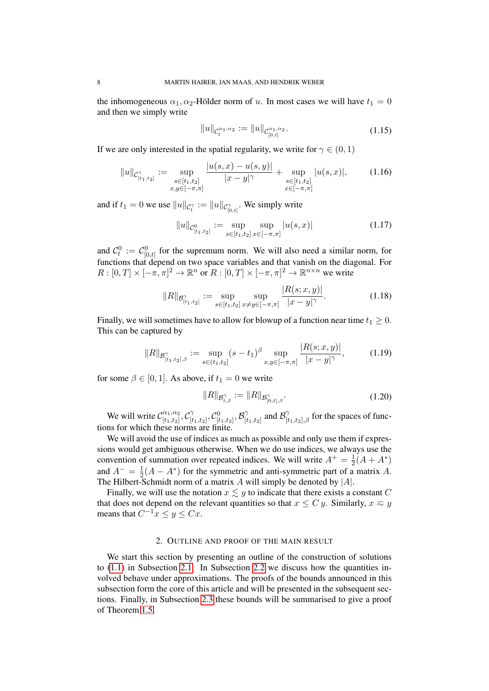the inhomogeneous  $\alpha_1, \alpha_2$ -Hölder norm of u. In most cases we will have  $t_1 = 0$ and then we simply write

<span id="page-7-2"></span><span id="page-7-1"></span>
$$
||u||_{\mathcal{C}_t^{\alpha_1,\alpha_2}} := ||u||_{\mathcal{C}_{[0,t]}^{\alpha_1,\alpha_2}}.
$$
\n(1.15)

If we are only interested in the spatial regularity, we write for  $\gamma \in (0, 1)$ 

$$
||u||_{\mathcal{C}^{\gamma}_{[t_1,t_2]}} := \sup_{\substack{s \in [t_1,t_2] \\ x,y \in [-\pi,\pi]}} \frac{|u(s,x) - u(s,y)|}{|x-y|^{\gamma}} + \sup_{\substack{s \in [t_1,t_2] \\ x \in [-\pi,\pi]}} |u(s,x)|, \quad (1.16)
$$

and if  $t_1 = 0$  we use  $||u||_{\mathcal{C}_t^{\gamma}} := ||u||_{\mathcal{C}_{[0,t]}^{\gamma}}$ . We simply write

$$
||u||_{\mathcal{C}^0_{[t_1,t_2]}} := \sup_{s \in [t_1,t_2]} \sup_{x \in [-\pi,\pi]} |u(s,x)| \tag{1.17}
$$

and  $C_t^0 := C_{[0,t]}^0$  for the supremum norm. We will also need a similar norm, for functions that depend on two space variables and that vanish on the diagonal. For  $R: [0, T] \times [-\pi, \pi]^2 \to \mathbb{R}^n$  or  $R: [0, T] \times [-\pi, \pi]^2 \to \mathbb{R}^{n \times n}$  we write

$$
||R||_{\mathcal{B}_{[t_1,t_2]}^{\gamma}} := \sup_{s \in [t_1,t_2]} \sup_{x \neq y \in [-\pi,\pi]} \frac{|R(s;x,y)|}{|x-y|^{\gamma}}.
$$
 (1.18)

Finally, we will sometimes have to allow for blowup of a function near time  $t_1 \geq 0$ . This can be captured by

$$
||R||_{\mathcal{B}_{[t_1,t_2],\beta}^{\gamma}} := \sup_{s \in (t_1,t_2]} (s-t_1)^{\beta} \sup_{x,y \in [-\pi,\pi]} \frac{|R(s;x,y)|}{|x-y|^{\gamma}}, \quad (1.19)
$$

for some  $\beta \in [0, 1]$ . As above, if  $t_1 = 0$  we write

$$
||R||_{\mathcal{B}^{\gamma}_{t,\beta}} := ||R||_{\mathcal{B}^{\gamma}_{[0,t],\beta}}.
$$
\n(1.20)

We will write  $\mathcal{C}_{[t_1, t_2]}^{\alpha_1, \alpha_2}$  $\frac{\alpha_1,\alpha_2}{[t_1,t_2]},\mathcal{C}^\gamma_{[t]}$  $[\begin{matrix} \gamma\ t_1,t_2 \end{matrix}], \mathcal{C}^0_{[t_1,t_2]}, \mathcal{B}^{\gamma}_{[t_1,t_3]}$  $\int_{[t_1,t_2]}^{\gamma}$  and  $\mathcal{B}_{[t_1,t_2],\beta}^{\gamma}$  for the spaces of functions for which these norms are finite.

We will avoid the use of indices as much as possible and only use them if expressions would get ambiguous otherwise. When we do use indices, we always use the convention of summation over repeated indices. We will write  $A^+=\frac{1}{2}$  $\frac{1}{2}(A+A^*)$ and  $A^{-} = \frac{1}{2}$  $\frac{1}{2}(A - A^*)$  for the symmetric and anti-symmetric part of a matrix A. The Hilbert-Schmidt norm of a matrix  $A$  will simply be denoted by  $|A|$ .

Finally, we will use the notation  $x \lesssim y$  to indicate that there exists a constant C that does not depend on the relevant quantities so that  $x \leq C y$ . Similarly,  $x \approx y$ means that  $C^{-1}x \le y \le Cx$ .

## 2. OUTLINE AND PROOF OF THE MAIN RESULT

<span id="page-7-0"></span>We start this section by presenting an outline of the construction of solutions to [\(1.1\)](#page-0-0) in Subsection [2.1.](#page-8-0) In Subsection [2.2](#page-11-0) we discuss how the quantities involved behave under approximations. The proofs of the bounds announced in this subsection form the core of this article and will be presented in the subsequent sections. Finally, in Subsection [2.3](#page-13-0) these bounds will be summarised to give a proof of Theorem [1.5.](#page-5-1)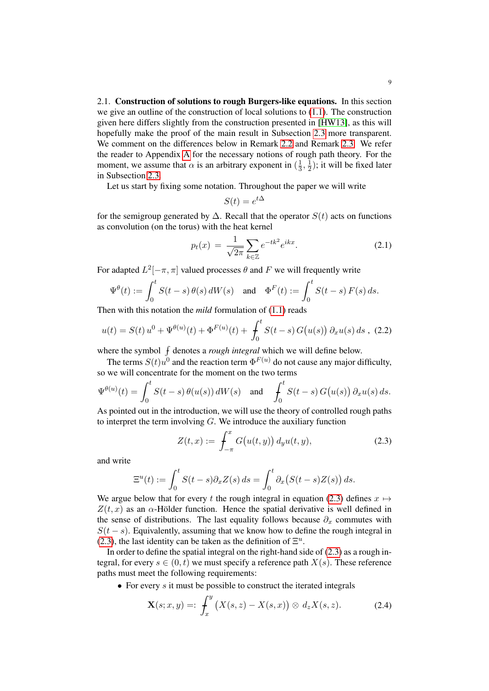<span id="page-8-0"></span>2.1. Construction of solutions to rough Burgers-like equations. In this section we give an outline of the construction of local solutions to [\(1.1\)](#page-0-0). The construction given here differs slightly from the construction presented in [\[HW13\]](#page-78-3), as this will hopefully make the proof of the main result in Subsection [2.3](#page-13-0) more transparent. We comment on the differences below in Remark [2.2](#page-10-1) and Remark [2.3.](#page-10-2) We refer the reader to Appendix [A](#page-72-0) for the necessary notions of rough path theory. For the moment, we assume that  $\alpha$  is an arbitrary exponent in  $(\frac{1}{3})$  $\frac{1}{3}, \frac{1}{2}$  $(\frac{1}{2})$ ; it will be fixed later in Subsection [2.3.](#page-13-0)

Let us start by fixing some notation. Throughout the paper we will write

<span id="page-8-3"></span>
$$
S(t) = e^{t\Delta}
$$

for the semigroup generated by  $\Delta$ . Recall that the operator  $S(t)$  acts on functions as convolution (on the torus) with the heat kernel

$$
p_t(x) = \frac{1}{\sqrt{2\pi}} \sum_{k \in \mathbb{Z}} e^{-tk^2} e^{ikx}.
$$
 (2.1)

For adapted  $L^2[-\pi, \pi]$  valued processes  $\theta$  and F we will frequently write

$$
\Psi^{\theta}(t) := \int_0^t S(t-s) \, \theta(s) \, dW(s) \quad \text{and} \quad \Phi^F(t) := \int_0^t S(t-s) \, F(s) \, ds.
$$

Then with this notation the *mild* formulation of [\(1.1\)](#page-0-0) reads

$$
u(t) = S(t) u^{0} + \Psi^{\theta(u)}(t) + \Phi^{F(u)}(t) + \int_{0}^{t} S(t - s) G(u(s)) \partial_{x} u(s) ds , (2.2)
$$

where the symbol  $\int$  denotes a *rough integral* which we will define below.

The terms  $S(t)u^0$  and the reaction term  $\Phi^{F(u)}$  do not cause any major difficulty, so we will concentrate for the moment on the two terms

$$
\Psi^{\theta(u)}(t) = \int_0^t S(t-s) \,\theta(u(s)) \, dW(s) \quad \text{and} \quad \int_0^t S(t-s) \, G(u(s)) \, \partial_x u(s) \, ds.
$$

As pointed out in the introduction, we will use the theory of controlled rough paths to interpret the term involving  $G$ . We introduce the auxiliary function

<span id="page-8-1"></span>
$$
Z(t,x) := \int_{-\pi}^{x} G(u(t,y)) \, d_y u(t,y), \tag{2.3}
$$

and write

$$
\Xi^u(t) := \int_0^t S(t-s)\partial_x Z(s) ds = \int_0^t \partial_x (S(t-s)Z(s)) ds.
$$

We argue below that for every t the rough integral in equation [\(2.3\)](#page-8-1) defines  $x \mapsto$  $Z(t, x)$  as an  $\alpha$ -Hölder function. Hence the spatial derivative is well defined in the sense of distributions. The last equality follows because  $\partial_x$  commutes with  $S(t - s)$ . Equivalently, assuming that we know how to define the rough integral in [\(2.3\)](#page-8-1), the last identity can be taken as the definition of  $\Xi^u$ .

In order to define the spatial integral on the right-hand side of  $(2.3)$  as a rough integral, for every  $s \in (0, t)$  we must specify a reference path  $X(s)$ . These reference paths must meet the following requirements:

• For every  $s$  it must be possible to construct the iterated integrals

<span id="page-8-2"></span>
$$
\mathbf{X}(s;x,y) =: \int_x^y \left( X(s,z) - X(s,x) \right) \otimes d_z X(s,z). \tag{2.4}
$$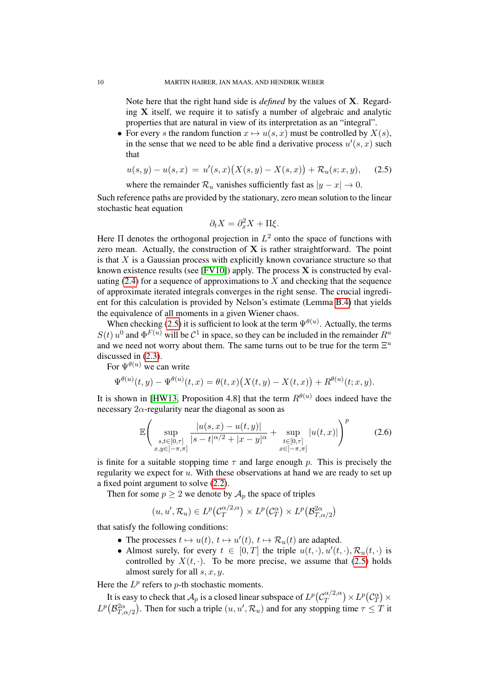Note here that the right hand side is *defined* by the values of X. Regarding X itself, we require it to satisfy a number of algebraic and analytic properties that are natural in view of its interpretation as an "integral".

• For every s the random function  $x \mapsto u(s, x)$  must be controlled by  $X(s)$ , in the sense that we need to be able find a derivative process  $u'(s, x)$  such that

$$
u(s,y) - u(s,x) = u'(s,x)\big(X(s,y) - X(s,x)\big) + \mathcal{R}_u(s;x,y),\tag{2.5}
$$

where the remainder  $\mathcal{R}_u$  vanishes sufficiently fast as  $|y - x| \to 0$ .

Such reference paths are provided by the stationary, zero mean solution to the linear stochastic heat equation

<span id="page-9-0"></span>
$$
\partial_t X = \partial_x^2 X + \Pi \xi.
$$

Here  $\Pi$  denotes the orthogonal projection in  $L^2$  onto the space of functions with zero mean. Actually, the construction of  $X$  is rather straightforward. The point is that  $X$  is a Gaussian process with explicitly known covariance structure so that known existence results (see  $[$  FV10]) apply. The process  $X$  is constructed by evaluating  $(2.4)$  for a sequence of approximations to X and checking that the sequence of approximate iterated integrals converges in the right sense. The crucial ingredient for this calculation is provided by Nelson's estimate (Lemma [B.4\)](#page-77-13) that yields the equivalence of all moments in a given Wiener chaos.

When checking [\(2.5\)](#page-9-0) it is sufficient to look at the term  $\Psi^{\theta(u)}$ . Actually, the terms  $S(t)$   $u^0$  and  $\Phi^{F(u)}$  will be  $\mathcal{C}^1$  in space, so they can be included in the remainder  $R^u$ and we need not worry about them. The same turns out to be true for the term  $\Xi^u$ discussed in [\(2.3\)](#page-8-1).

For  $\Psi^{\theta(u)}$  we can write

$$
\Psi^{\theta(u)}(t,y) - \Psi^{\theta(u)}(t,x) = \theta(t,x) \big( X(t,y) - X(t,x) \big) + R^{\theta(u)}(t;x,y).
$$

It is shown in [\[HW13,](#page-78-3) Proposition 4.8] that the term  $R^{\theta(u)}$  does indeed have the necessary  $2\alpha$ -regularity near the diagonal as soon as

$$
\mathbb{E}\left(\sup_{\substack{s,t\in[0,\tau]\\x,y\in[-\pi,\pi]}}\frac{|u(s,x)-u(t,y)|}{|s-t|^{\alpha/2}+|x-y|^{\alpha}}+\sup_{\substack{t\in[0,\tau]\\x\in[-\pi,\pi]}}|u(t,x)|\right)^{p}
$$
(2.6)

is finite for a suitable stopping time  $\tau$  and large enough p. This is precisely the regularity we expect for u. With these observations at hand we are ready to set up a fixed point argument to solve [\(2.2\)](#page-8-3).

Then for some  $p \ge 2$  we denote by  $A_p$  the space of triples

$$
(u, u', \mathcal{R}_u) \in L^p(\mathcal{C}_T^{\alpha/2, \alpha}) \times L^p(\mathcal{C}_T^{\alpha}) \times L^p(\mathcal{B}_{T, \alpha/2}^{2\alpha})
$$

that satisfy the following conditions:

- The processes  $t \mapsto u(t), t \mapsto u'(t), t \mapsto \mathcal{R}_u(t)$  are adapted.
- Almost surely, for every  $t \in [0,T]$  the triple  $u(t,\cdot), u'(t,\cdot), \mathcal{R}_u(t,\cdot)$  is controlled by  $X(t, \cdot)$ . To be more precise, we assume that [\(2.5\)](#page-9-0) holds almost surely for all  $s, x, y$ .

Here the  $L^p$  refers to  $p$ -th stochastic moments.

It is easy to check that  $\mathcal{A}_p$  is a closed linear subspace of  $L^p(\mathcal{C}_T^{\alpha/2,\alpha})$  $L^{\alpha/2,\alpha})\times L^p\big(\mathcal{C}^\alpha_T\big)\times$  $L^p(\mathcal{B}_{T,\alpha/2}^{2\alpha})$ . Then for such a triple  $(u, u', \mathcal{R}_u)$  and for any stopping time  $\tau \leq T$  it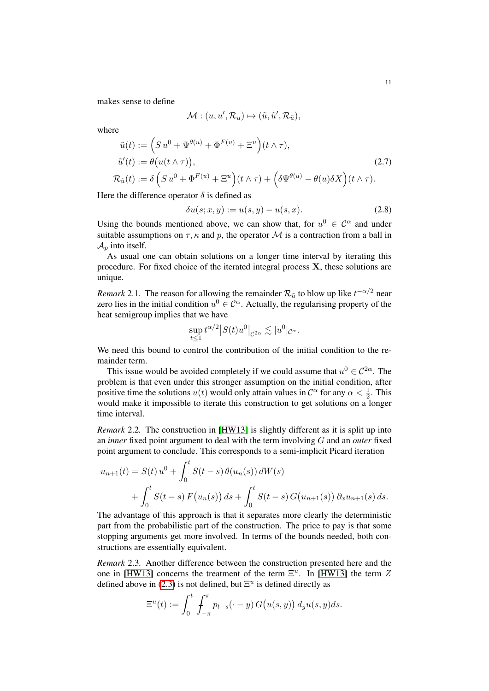makes sense to define

$$
\mathcal{M} : (u, u', \mathcal{R}_u) \mapsto (\tilde{u}, \tilde{u}', \mathcal{R}_{\tilde{u}}),
$$

where

$$
\tilde{u}(t) := \left(S u^0 + \Psi^{\theta(u)} + \Phi^{F(u)} + \Xi^u\right)(t \wedge \tau),
$$
  
\n
$$
\tilde{u}'(t) := \theta\big(u(t \wedge \tau)\big),
$$
  
\n
$$
\mathcal{R}_{\tilde{u}}(t) := \delta\left(S u^0 + \Phi^{F(u)} + \Xi^u\right)(t \wedge \tau) + \left(\delta \Psi^{\theta(u)} - \theta(u)\delta X\right)(t \wedge \tau).
$$
\n(2.7)

Here the difference operator  $\delta$  is defined as

<span id="page-10-3"></span>
$$
\delta u(s; x, y) := u(s, y) - u(s, x). \tag{2.8}
$$

Using the bounds mentioned above, we can show that, for  $u^0 \in C^{\alpha}$  and under suitable assumptions on  $\tau$ ,  $\kappa$  and  $p$ , the operator M is a contraction from a ball in  $\mathcal{A}_p$  into itself.

As usual one can obtain solutions on a longer time interval by iterating this procedure. For fixed choice of the iterated integral process  $X$ , these solutions are unique.

<span id="page-10-0"></span>*Remark* 2.1. The reason for allowing the remainder  $\mathcal{R}_{\tilde{u}}$  to blow up like  $t^{-\alpha/2}$  near zero lies in the initial condition  $u^0 \in \mathcal{C}^{\alpha}$ . Actually, the regularising property of the heat semigroup implies that we have

$$
\sup_{t\leq 1} t^{\alpha/2} |S(t)u^0|_{\mathcal{C}^{2\alpha}} \lesssim |u^0|_{\mathcal{C}^{\alpha}}.
$$

We need this bound to control the contribution of the initial condition to the remainder term.

This issue would be avoided completely if we could assume that  $u^0 \in C^{2\alpha}$ . The problem is that even under this stronger assumption on the initial condition, after positive time the solutions  $u(t)$  would only attain values in  $\mathcal{C}^{\alpha}$  for any  $\alpha < \frac{1}{2}$ . This would make it impossible to iterate this construction to get solutions on a longer time interval.

<span id="page-10-1"></span>*Remark* 2.2*.* The construction in [\[HW13\]](#page-78-3) is slightly different as it is split up into an *inner* fixed point argument to deal with the term involving G and an *outer* fixed point argument to conclude. This corresponds to a semi-implicit Picard iteration

$$
u_{n+1}(t) = S(t) u^{0} + \int_{0}^{t} S(t-s) \theta(u_{n}(s)) dW(s)
$$
  
+ 
$$
\int_{0}^{t} S(t-s) F(u_{n}(s)) ds + \int_{0}^{t} S(t-s) G(u_{n+1}(s)) \partial_{x} u_{n+1}(s) ds.
$$

The advantage of this approach is that it separates more clearly the deterministic part from the probabilistic part of the construction. The price to pay is that some stopping arguments get more involved. In terms of the bounds needed, both constructions are essentially equivalent.

<span id="page-10-2"></span>*Remark* 2.3*.* Another difference between the construction presented here and the one in [\[HW13\]](#page-78-3) concerns the treatment of the term  $\Xi^u$ . In [HW13] the term  $Z$ defined above in [\(2.3\)](#page-8-1) is not defined, but  $\Xi^u$  is defined directly as

$$
\Xi^u(t) := \int_0^t \int_{-\pi}^{\pi} p_{t-s}(\cdot - y) G(u(s, y)) dy u(s, y) ds.
$$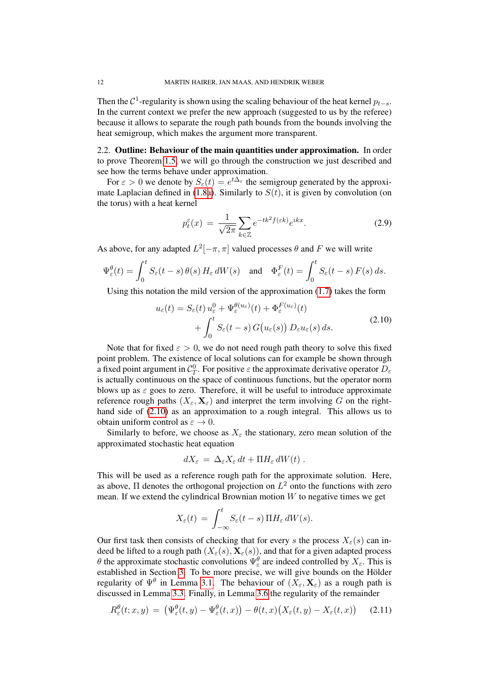Then the  $\mathcal{C}^1$ -regularity is shown using the scaling behaviour of the heat kernel  $p_{t-s}$ . In the current context we prefer the new approach (suggested to us by the referee) because it allows to separate the rough path bounds from the bounds involving the heat semigroup, which makes the argument more transparent.

<span id="page-11-0"></span>2.2. Outline: Behaviour of the main quantities under approximation. In order to prove Theorem [1.5,](#page-5-1) we will go through the construction we just described and see how the terms behave under approximation.

For  $\varepsilon > 0$  we denote by  $S_{\varepsilon}(t) = e^{t\Delta_{\varepsilon}}$  the semigroup generated by the approxi-mate Laplacian defined in [\(1.8a\)](#page-3-3). Similarly to  $S(t)$ , it is given by convolution (on the torus) with a heat kernel

<span id="page-11-2"></span><span id="page-11-1"></span>
$$
p_t^{\varepsilon}(x) = \frac{1}{\sqrt{2\pi}} \sum_{k \in \mathbb{Z}} e^{-tk^2 f(\varepsilon k)} e^{ikx}.
$$
 (2.9)

As above, for any adapted  $L^2[-\pi, \pi]$  valued processes  $\theta$  and F we will write

$$
\Psi_{\varepsilon}^{\theta}(t) = \int_0^t S_{\varepsilon}(t-s) \, \theta(s) \, H_{\varepsilon} \, dW(s) \quad \text{and} \quad \Phi_{\varepsilon}^F(t) = \int_0^t S_{\varepsilon}(t-s) \, F(s) \, ds.
$$

Using this notation the mild version of the approximation [\(1.7\)](#page-3-0) takes the form

$$
u_{\varepsilon}(t) = S_{\varepsilon}(t) u_{\varepsilon}^{0} + \Psi_{\varepsilon}^{\theta(u_{\varepsilon})}(t) + \Phi_{\varepsilon}^{F(u_{\varepsilon})}(t)
$$
  
+ 
$$
\int_{0}^{t} S_{\varepsilon}(t-s) G(u_{\varepsilon}(s)) D_{\varepsilon}u_{\varepsilon}(s) ds.
$$
 (2.10)

Note that for fixed  $\epsilon > 0$ , we do not need rough path theory to solve this fixed point problem. The existence of local solutions can for example be shown through a fixed point argument in  $C_T^0$ . For positive  $\varepsilon$  the approximate derivative operator  $D_\varepsilon$ is actually continuous on the space of continuous functions, but the operator norm blows up as  $\varepsilon$  goes to zero. Therefore, it will be useful to introduce approximate reference rough paths  $(X_{\varepsilon}, \mathbf{X}_{\varepsilon})$  and interpret the term involving G on the righthand side of [\(2.10\)](#page-11-1) as an approximation to a rough integral. This allows us to obtain uniform control as  $\varepsilon \to 0$ .

Similarly to before, we choose as  $X_{\varepsilon}$  the stationary, zero mean solution of the approximated stochastic heat equation

$$
dX_{\varepsilon} = \Delta_{\varepsilon} X_{\varepsilon} dt + \Pi H_{\varepsilon} dW(t) .
$$

This will be used as a reference rough path for the approximate solution. Here, as above,  $\Pi$  denotes the orthogonal projection on  $L^2$  onto the functions with zero mean. If we extend the cylindrical Brownian motion  $W$  to negative times we get

$$
X_{\varepsilon}(t) = \int_{-\infty}^{t} S_{\varepsilon}(t-s) \, \Pi H_{\varepsilon} \, dW(s).
$$

Our first task then consists of checking that for every s the process  $X_{\varepsilon}(s)$  can indeed be lifted to a rough path  $(X_\varepsilon(s), \mathbf{X}_\varepsilon(s))$ , and that for a given adapted process θ the approximate stochastic convolutions  $\Psi_{\varepsilon}^{\theta}$  are indeed controlled by  $X_{\varepsilon}$ . This is established in Section [3.](#page-21-0) To be more precise, we will give bounds on the Hölder regularity of  $\Psi^{\theta}$  in Lemma [3.1.](#page-23-0) The behaviour of  $(X_{\varepsilon}, \mathbf{X}_{\varepsilon})$  as a rough path is discussed in Lemma [3.3.](#page-27-0) Finally, in Lemma [3.6](#page-33-0) the regularity of the remainder

$$
R_{\varepsilon}^{\theta}(t; x, y) = \left(\Psi_{\varepsilon}^{\theta}(t, y) - \Psi_{\varepsilon}^{\theta}(t, x)\right) - \theta(t, x)\big(X_{\varepsilon}(t, y) - X_{\varepsilon}(t, x)\big) \tag{2.11}
$$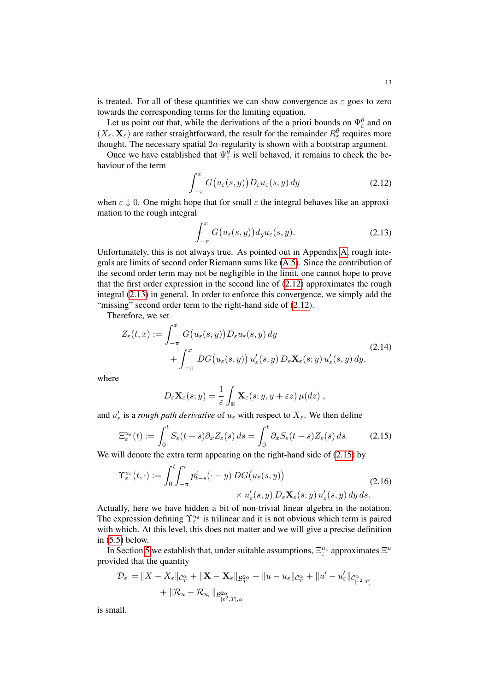is treated. For all of these quantities we can show convergence as  $\varepsilon$  goes to zero towards the corresponding terms for the limiting equation.

Let us point out that, while the derivations of the a priori bounds on  $\Psi_{\varepsilon}^{\theta}$  and on  $(X_{\varepsilon}, \mathbf{X}_{\varepsilon})$  are rather straightforward, the result for the remainder  $R_{\varepsilon}^{\theta}$  requires more thought. The necessary spatial  $2\alpha$ -regularity is shown with a bootstrap argument.

Once we have established that  $\Psi_{\varepsilon}^{\theta}$  is well behaved, it remains to check the behaviour of the term

$$
\int_{-\pi}^{x} G\big(u_{\varepsilon}(s,y)\big) D_{\varepsilon} u_{\varepsilon}(s,y) \, dy \tag{2.12}
$$

when  $\varepsilon \downarrow 0$ . One might hope that for small  $\varepsilon$  the integral behaves like an approximation to the rough integral

<span id="page-12-1"></span><span id="page-12-0"></span>
$$
\int_{-\pi}^{x} G(u_{\varepsilon}(s, y)) d_{y} u_{\varepsilon}(s, y).
$$
\n(2.13)

Unfortunately, this is not always true. As pointed out in Appendix [A,](#page-72-0) rough integrals are limits of second order Riemann sums like [\(A.5\)](#page-72-1). Since the contribution of the second order term may not be negligible in the limit, one cannot hope to prove that the first order expression in the second line of [\(2.12\)](#page-12-0) approximates the rough integral [\(2.13\)](#page-12-1) in general. In order to enforce this convergence, we simply add the "missing" second order term to the right-hand side of  $(2.12)$ .

Therefore, we set

$$
Z_{\varepsilon}(t,x) := \int_{-\pi}^{x} G(u_{\varepsilon}(s,y)) D_{\varepsilon} u_{\varepsilon}(s,y) dy + \int_{-\pi}^{x} DG(u_{\varepsilon}(s,y)) u'_{\varepsilon}(s,y) D_{\varepsilon} \mathbf{X}_{\varepsilon}(s,y) u'_{\varepsilon}(s,y) dy,
$$
\n(2.14)

where

<span id="page-12-3"></span><span id="page-12-2"></span>
$$
D_{\varepsilon} \mathbf{X}_{\varepsilon} (s; y) = \frac{1}{\varepsilon} \int_{\mathbb{R}} \mathbf{X}_{\varepsilon} (s; y, y + \varepsilon z) \, \mu(dz) \;,
$$

and  $u'_{\varepsilon}$  is a *rough path derivative* of  $u_{\varepsilon}$  with respect to  $X_{\varepsilon}$ . We then define

$$
\Xi_{\varepsilon}^{u_{\varepsilon}}(t) := \int_0^t S_{\varepsilon}(t-s) \partial_x Z_{\varepsilon}(s) ds = \int_0^t \partial_x S_{\varepsilon}(t-s) Z_{\varepsilon}(s) ds. \tag{2.15}
$$

We will denote the extra term appearing on the right-hand side of  $(2.15)$  by

$$
\Upsilon_{\varepsilon}^{u_{\varepsilon}}(t,\cdot) := \int_{0}^{t} \int_{-\pi}^{\pi} p_{t-s}^{\varepsilon}(\cdot - y) \, DG(u_{\varepsilon}(s, y)) \times u_{\varepsilon}'(s, y) \, u_{\varepsilon}'(s, y) \, dy \, ds. \tag{2.16}
$$

Actually, here we have hidden a bit of non-trivial linear algebra in the notation. The expression defining  $\Upsilon_{\varepsilon}^{u_{\varepsilon}}$  is trilinear and it is not obvious which term is paired with which. At this level, this does not matter and we will give a precise definition in [\(5.5\)](#page-55-0) below.

In Section [5](#page-54-0) we establish that, under suitable assumptions,  $\Xi_{\varepsilon}^{u_{\varepsilon}}$  approximates  $\Xi^u$ provided that the quantity

$$
\mathcal{D}_{\varepsilon} = \|X - X_{\varepsilon}\|_{\mathcal{C}_{T}^{\alpha}} + \|\mathbf{X} - \mathbf{X}_{\varepsilon}\|_{\mathcal{B}_{T}^{2\alpha}} + \|u - u_{\varepsilon}\|_{\mathcal{C}_{T}^{\alpha}} + \|u' - u'_{\varepsilon}\|_{\mathcal{C}_{[\varepsilon^{2},T]}^{\alpha}}
$$

$$
+ \|R_{u} - R_{u_{\varepsilon}}\|_{\mathcal{B}_{[\varepsilon^{2},T],\alpha}^{2\alpha}}
$$

is small.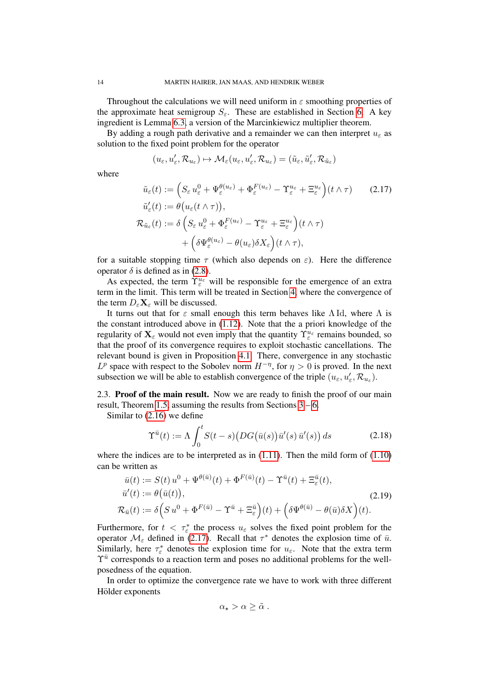Throughout the calculations we will need uniform in  $\varepsilon$  smoothing properties of the approximate heat semigroup  $S_{\varepsilon}$ . These are established in Section [6.](#page-61-0) A key ingredient is Lemma [6.3,](#page-65-0) a version of the Marcinkiewicz multiplier theorem.

By adding a rough path derivative and a remainder we can then interpret  $u_{\epsilon}$  as solution to the fixed point problem for the operator

<span id="page-13-1"></span>
$$
(u_\varepsilon,u'_\varepsilon,\mathcal{R}_{u_\varepsilon})\mapsto \mathcal{M}_\varepsilon(u_\varepsilon,u'_\varepsilon,\mathcal{R}_{u_\varepsilon})=(\tilde u_\varepsilon,\tilde u'_\varepsilon,\mathcal{R}_{\tilde u_\varepsilon})
$$

where

$$
\tilde{u}_{\varepsilon}(t) := \left( S_{\varepsilon} u_{\varepsilon}^{0} + \Psi_{\varepsilon}^{\theta(u_{\varepsilon})} + \Phi_{\varepsilon}^{F(u_{\varepsilon})} - \Upsilon_{\varepsilon}^{u_{\varepsilon}} + \Xi_{\varepsilon}^{u_{\varepsilon}} \right) (t \wedge \tau) \qquad (2.17)
$$
\n
$$
\tilde{u}_{\varepsilon}'(t) := \theta \big( u_{\varepsilon}(t \wedge \tau) \big),
$$
\n
$$
\mathcal{R}_{\tilde{u}_{\varepsilon}}(t) := \delta \left( S_{\varepsilon} u_{\varepsilon}^{0} + \Phi_{\varepsilon}^{F(u_{\varepsilon})} - \Upsilon_{\varepsilon}^{u_{\varepsilon}} + \Xi_{\varepsilon}^{u_{\varepsilon}} \right) (t \wedge \tau)
$$
\n
$$
+ \left( \delta \Psi_{\varepsilon}^{\theta(u_{\varepsilon})} - \theta(u_{\varepsilon}) \delta X_{\varepsilon} \right) (t \wedge \tau),
$$

for a suitable stopping time  $\tau$  (which also depends on  $\varepsilon$ ). Here the difference operator  $\delta$  is defined as in [\(2.8\)](#page-10-3).

As expected, the term  $\Upsilon_{\varepsilon}^{u_{\varepsilon}}$  will be responsible for the emergence of an extra term in the limit. This term will be treated in Section [4,](#page-43-0) where the convergence of the term  $D_{\varepsilon} \mathbf{X}_{\varepsilon}$  will be discussed.

It turns out that for  $\varepsilon$  small enough this term behaves like  $\Lambda$  Id, where  $\Lambda$  is the constant introduced above in [\(1.12\)](#page-4-1). Note that the a priori knowledge of the regularity of  $\mathbf{X}_{\varepsilon}$  would not even imply that the quantity  $\Upsilon_{\varepsilon}^{u_{\varepsilon}}$  remains bounded, so that the proof of its convergence requires to exploit stochastic cancellations. The relevant bound is given in Proposition [4.1.](#page-43-1) There, convergence in any stochastic  $L^p$  space with respect to the Sobolev norm  $H^{-\eta}$ , for  $\eta > 0$  is proved. In the next subsection we will be able to establish convergence of the triple  $(u_\varepsilon, u'_\varepsilon, \mathcal{R}_{u_\varepsilon})$ .

<span id="page-13-0"></span>2.3. Proof of the main result. Now we are ready to finish the proof of our main result, Theorem [1.5,](#page-5-1) assuming the results from Sections  $3 - 6$ .

Similar to [\(2.16\)](#page-12-3) we define

$$
\Upsilon^{\bar{u}}(t) := \Lambda \int_0^t S(t - s) \big( DG(\bar{u}(s)) \bar{u}'(s) \bar{u}'(s) \big) ds \tag{2.18}
$$

where the indices are to be interpreted as in  $(1.11)$ . Then the mild form of  $(1.10)$ can be written as

$$
\bar{u}(t) := S(t) u^0 + \Psi^{\theta(\bar{u})}(t) + \Phi^{F(\bar{u})}(t) - \Upsilon^{\bar{u}}(t) + \Xi_{\varepsilon}^{\bar{u}}(t),
$$
\n
$$
\bar{u}'(t) := \theta(\bar{u}(t)),
$$
\n
$$
\mathcal{R}_{\bar{u}}(t) := \delta \Big( S u^0 + \Phi^{F(\bar{u})} - \Upsilon^{\bar{u}} + \Xi_{\varepsilon}^{\bar{u}} \Big)(t) + \Big( \delta \Psi^{\theta(\bar{u})} - \theta(\bar{u}) \delta X \Big)(t).
$$
\n(2.19)

Furthermore, for  $t < \tau_{\varepsilon}^*$  the process  $u_{\varepsilon}$  solves the fixed point problem for the operator  $\mathcal{M}_{\varepsilon}$  defined in [\(2.17\)](#page-13-1). Recall that  $\tau^*$  denotes the explosion time of  $\bar{u}$ . Similarly, here  $\tau_{\varepsilon}^*$  denotes the explosion time for  $u_{\varepsilon}$ . Note that the extra term  $\Upsilon^{\bar{u}}$  corresponds to a reaction term and poses no additional problems for the wellposedness of the equation.

In order to optimize the convergence rate we have to work with three different Hölder exponents

<span id="page-13-2"></span>
$$
\alpha_\star > \alpha \geq \tilde{\alpha} \ .
$$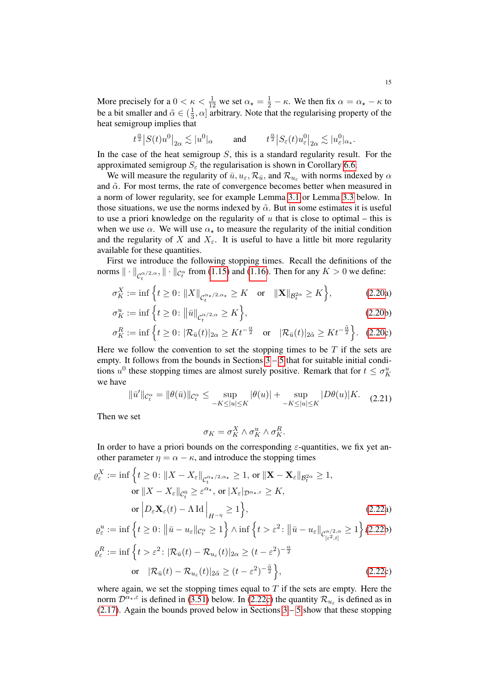More precisely for a  $0 < \kappa < \frac{1}{12}$  we set  $\alpha_{\star} = \frac{1}{2} - \kappa$ . We then fix  $\alpha = \alpha_{\star} - \kappa$  to be a bit smaller and  $\tilde{\alpha} \in (\frac{1}{3})$  $\frac{1}{3}$ ,  $\alpha$  arbitrary. Note that the regularising property of the heat semigroup implies that

$$
t^{\frac{\alpha}{2}}\big|S(t)u^{0}\big|_{2\alpha} \lesssim |u^{0} |_{\alpha} \qquad \text{ and } \qquad t^{\frac{\alpha}{2}}\big|S_\varepsilon(t)u^{0}_\varepsilon\big|_{2\alpha} \lesssim |u^{0}_\varepsilon |_{\alpha_\star}.
$$

In the case of the heat semigroup  $S$ , this is a standard regularity result. For the approximated semigroup  $S_{\varepsilon}$  the regularisation is shown in Corollary [6.6.](#page-69-0)

We will measure the regularity of  $\bar{u}$ ,  $u_{\varepsilon}$ ,  $\mathcal{R}_{\bar{u}}$ , and  $\mathcal{R}_{u_{\varepsilon}}$  with norms indexed by  $\alpha$ and  $\tilde{\alpha}$ . For most terms, the rate of convergence becomes better when measured in a norm of lower regularity, see for example Lemma [3.1](#page-23-0) or Lemma [3.3](#page-27-0) below. In those situations, we use the norms indexed by  $\tilde{\alpha}$ . But in some estimates it is useful to use a priori knowledge on the regularity of  $u$  that is close to optimal – this is when we use  $\alpha$ . We will use  $\alpha_{\star}$  to measure the regularity of the initial condition and the regularity of X and  $X_{\varepsilon}$ . It is useful to have a little bit more regularity available for these quantities.

First we introduce the following stopping times. Recall the definitions of the norms  $\|\cdot\|_{C_t^{\alpha/2,\alpha}}, \|\cdot\|_{C_t^{\alpha}}$  from [\(1.15\)](#page-7-1) and [\(1.16\)](#page-7-2). Then for any  $K > 0$  we define:

$$
\sigma_K^X := \inf \left\{ t \ge 0 : \|X\|_{\mathcal{C}_t^{\alpha_\star/2, \alpha_\star}} \ge K \quad \text{or} \quad \|X\|_{\mathcal{B}_t^{2\alpha}} \ge K \right\},\tag{2.20a}
$$

$$
\sigma_K^u := \inf \left\{ t \ge 0 : \left\| \bar{u} \right\|_{\mathcal{C}_t^{\alpha/2, \alpha}} \ge K \right\},\tag{2.20b}
$$

$$
\sigma_K^R := \inf \left\{ t \ge 0 \colon |\mathcal{R}_{\bar{u}}(t)|_{2\alpha} \ge K t^{-\frac{\alpha}{2}} \quad \text{or} \quad |\mathcal{R}_{\bar{u}}(t)|_{2\tilde{\alpha}} \ge K t^{-\frac{\tilde{\alpha}}{2}} \right\}. \tag{2.20c}
$$

Here we follow the convention to set the stopping times to be  $T$  if the sets are empty. It follows from the bounds in Sections  $3 - 5$  $3 - 5$  that for suitable initial conditions  $u^0$  these stopping times are almost surely positive. Remark that for  $t \leq \sigma_K^u$ we have

$$
\|\bar{u}'\|_{\mathcal{C}_t^{\alpha}} = \|\theta(\bar{u})\|_{\mathcal{C}_t^{\alpha}} \le \sup_{-K \le |u| \le K} |\theta(u)| + \sup_{-K \le |u| \le K} |D\theta(u)|K. \tag{2.21}
$$

Then we set

<span id="page-14-0"></span>
$$
\sigma_K = \sigma_K^X \wedge \sigma_K^u \wedge \sigma_K^R.
$$

In order to have a priori bounds on the corresponding  $\varepsilon$ -quantities, we fix yet another parameter  $\eta = \alpha - \kappa$ , and introduce the stopping times

$$
\varrho_{\varepsilon}^{X} := \inf \left\{ t \ge 0 : \|X - X_{\varepsilon}\|_{\mathcal{C}_{t}^{\alpha_{\star}/2, \alpha_{\star}}} \ge 1, \text{ or } \|\mathbf{X} - \mathbf{X}_{\varepsilon}\|_{\mathcal{B}_{t}^{2\alpha}} \ge 1, \right\}
$$
  
or 
$$
\|X - X_{\varepsilon}\|_{\mathcal{C}_{t}^{0}} \ge \varepsilon^{\alpha_{\star}}, \text{ or } |X_{\varepsilon}|_{\mathcal{D}^{\alpha_{\star}, \varepsilon}} \ge K,
$$
  
or 
$$
\left| D_{\varepsilon} \mathbf{X}_{\varepsilon}(t) - \Lambda \operatorname{Id} \right|_{H^{-\eta}} \ge 1 \right\},
$$
(2.22a)

$$
\varrho_{\varepsilon}^{u} := \inf \left\{ t \ge 0 : \left\| \bar{u} - u_{\varepsilon} \right\|_{\mathcal{C}_{t}^{\alpha}} \ge 1 \right\} \wedge \inf \left\{ t > \varepsilon^{2} : \left\| \bar{u} - u_{\varepsilon} \right\|_{\mathcal{C}_{[\varepsilon^{2}, t]}^{\alpha/2, \alpha}} \ge 1 \right\} (2.22b)
$$
\n
$$
\varrho_{\varepsilon}^{R} := \inf \left\{ t > \varepsilon^{2} : |\mathcal{R}_{\bar{u}}(t) - \mathcal{R}_{u_{\varepsilon}}(t)|_{2\alpha} \ge (t - \varepsilon^{2})^{-\frac{\alpha}{2}}
$$
\n
$$
\text{or } |\mathcal{R}_{\bar{u}}(t) - \mathcal{R}_{u_{\varepsilon}}(t)|_{2\alpha} \ge (t - \varepsilon^{2})^{-\frac{\alpha}{2}} \right\},\tag{2.22c}
$$

where again, we set the stopping times equal to  $T$  if the sets are empty. Here the norm  $\mathcal{D}^{\alpha_{\star},\epsilon}$  is defined in [\(3.51\)](#page-31-0) below. In [\(2.22c\)](#page-3-4) the quantity  $\mathcal{R}_{u_{\epsilon}}$  is defined as in [\(2.17\)](#page-13-1). Again the bounds proved below in Sections  $3 - 5$  $3 - 5$  show that these stopping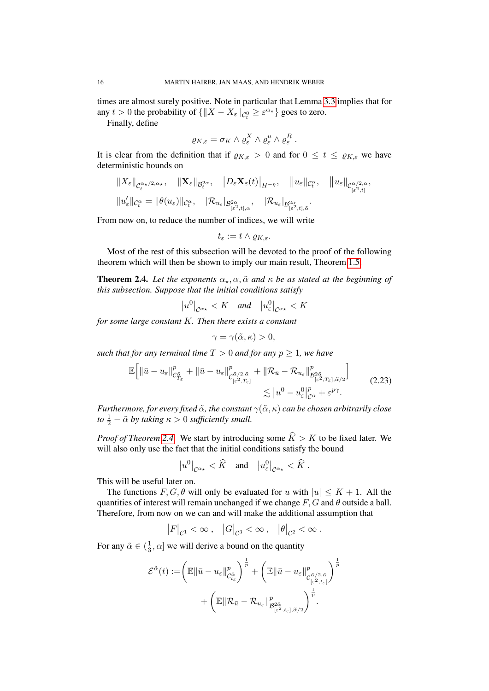times are almost surely positive. Note in particular that Lemma [3.3](#page-27-0) implies that for any  $t > 0$  the probability of  $\{\|X - X_{\varepsilon}\|_{\mathcal{C}^0_t} \geq \varepsilon^{\alpha_\star}\}\)$  goes to zero.

Finally, define

$$
\varrho_{K,\varepsilon}=\sigma_K\wedge\varrho^X_\varepsilon\wedge\varrho^u_\varepsilon\wedge\varrho^R_\varepsilon\;.
$$

It is clear from the definition that if  $\varrho_{K,\varepsilon} > 0$  and for  $0 \le t \le \varrho_{K,\varepsilon}$  we have deterministic bounds on

$$
\begin{aligned}\n\|X_{\varepsilon}\|_{\mathcal{C}_{t}^{\alpha_{\star}/2,\alpha_{\star}}}, & \|\mathbf{X}_{\varepsilon}\|_{\mathcal{B}_{t}^{2\alpha}}, & \left|D_{\varepsilon}\mathbf{X}_{\varepsilon}(t)\right|_{H^{-\eta}}, & \left\|u_{\varepsilon}\right\|_{\mathcal{C}_{t}^{\alpha}}, & \left\|u_{\varepsilon}\right\|_{\mathcal{C}_{\left[\varepsilon^{2},t\right]}^{\alpha/2,\alpha}}, \\
\|u_{\varepsilon}'\|_{\mathcal{C}_{t}^{\alpha}} &= \|\theta(u_{\varepsilon})\|_{\mathcal{C}_{t}^{\alpha}}, & \left|\mathcal{R}_{u_{\varepsilon}}|_{\mathcal{B}_{\left[\varepsilon^{2},t\right],\alpha}^{\alpha}}\right. &\n\end{aligned}
$$

From now on, to reduce the number of indices, we will write

$$
t_{\varepsilon}:=t\wedge \varrho_{K,\varepsilon}.
$$

Most of the rest of this subsection will be devoted to the proof of the following theorem which will then be shown to imply our main result, Theorem [1.5.](#page-5-1)

<span id="page-15-0"></span>**Theorem 2.4.** Let the exponents  $\alpha_{\star}, \alpha, \tilde{\alpha}$  and  $\kappa$  be as stated at the beginning of *this subsection. Suppose that the initial conditions satisfy*

$$
\left|u^{0}\right|_{\mathcal{C}^{\alpha_{\star}}}
$$

*for some large constant* K*. Then there exists a constant*

$$
\gamma = \gamma(\tilde{\alpha}, \kappa) > 0,
$$

*such that for any terminal time*  $T > 0$  *and for any*  $p \ge 1$ *, we have* 

$$
\mathbb{E}\Big[\|\bar{u}-u_{\varepsilon}\|_{\mathcal{C}_{T_{\varepsilon}}^{\tilde{\alpha}}}^p+\|\bar{u}-u_{\varepsilon}\|_{\mathcal{C}_{[\varepsilon^2,T_{\varepsilon}]}^{\tilde{\alpha}/2,\tilde{\alpha}}}^p+\|\mathcal{R}_{\bar{u}}-\mathcal{R}_{u_{\varepsilon}}\|_{\mathcal{B}_{[\varepsilon^2,T_{\varepsilon}],\tilde{\alpha}/2}^{p_2}}^p\Big]\Big]
$$
(2.23)  

$$
\lesssim |u^0-u_{\varepsilon}^0|_{\mathcal{C}^{\tilde{\alpha}}}^p+\varepsilon^{p\gamma}.
$$

*Furthermore, for every fixed*  $\tilde{\alpha}$ *, the constant*  $\gamma(\tilde{\alpha}, \kappa)$  *can be chosen arbitrarily close to*  $\frac{1}{2}$  –  $\tilde{\alpha}$  *by taking*  $\kappa > 0$  *sufficiently small.* 

*Proof of Theorem [2.4.](#page-15-0)* We start by introducing some  $\hat{K} > K$  to be fixed later. We will also only use the fact that the initial conditions satisfy the bound

$$
\left|u^0\right|_{\mathcal{C}^{\alpha_\star}} < \widehat{K} \quad \text{and} \quad \left|u^0_\varepsilon\right|_{\mathcal{C}^{\alpha_\star}} < \widehat{K} \; .
$$

This will be useful later on.

The functions  $F, G, \theta$  will only be evaluated for u with  $|u| \leq K + 1$ . All the quantities of interest will remain unchanged if we change  $F, G$  and  $\theta$  outside a ball. Therefore, from now on we can and will make the additional assumption that

$$
\left|F\right|_{\mathcal{C}^1}<\infty\,,\quad \left|G\right|_{\mathcal{C}^3}<\infty\,,\quad \left|\theta\right|_{\mathcal{C}^2}<\infty\,.
$$

For any  $\tilde{\alpha} \in (\frac{1}{3})$  $\frac{1}{3}$ ,  $\alpha$  we will derive a bound on the quantity

$$
\mathcal{E}^{\tilde{\alpha}}(t):=\left(\mathbb{E}\|\bar{u}-u_{\varepsilon}\|_{\mathcal{C}_{t_{\varepsilon}}^{\tilde{\alpha}}}\right)^{\frac{1}{p}}+\left(\mathbb{E}\|\bar{u}-u_{\varepsilon}\|_{\mathcal{C}_{[\varepsilon^{2},t_{\varepsilon}]}^{\tilde{\alpha}/2,\tilde{\alpha}}}\right)^{\frac{1}{p}}\\+\left(\mathbb{E}\|\mathcal{R}_{\bar{u}}-\mathcal{R}_{u_{\varepsilon}}\|_{\mathcal{B}_{[\varepsilon^{2},t_{\varepsilon}],\tilde{\alpha}/2}^p}\right)^{\frac{1}{p}}.
$$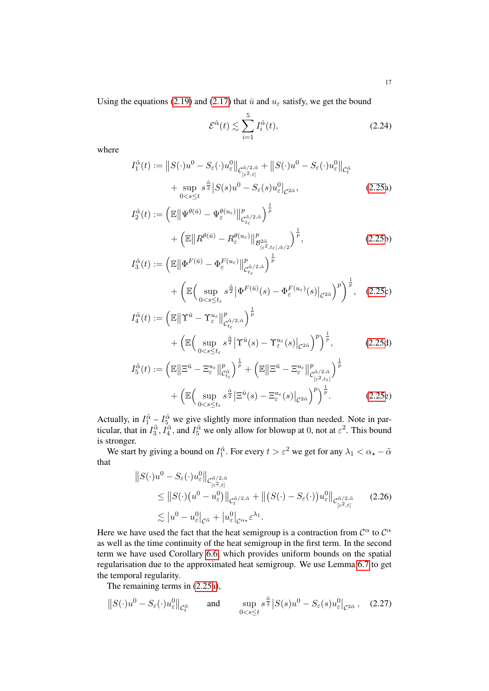Using the equations [\(2.19\)](#page-13-2) and [\(2.17\)](#page-13-1) that  $\bar{u}$  and  $u_{\varepsilon}$  satisfy, we get the bound

<span id="page-16-0"></span>
$$
\mathcal{E}^{\tilde{\alpha}}(t) \lesssim \sum_{i=1}^{5} I_i^{\tilde{\alpha}}(t),\tag{2.24}
$$

where

$$
I_1^{\tilde{\alpha}}(t) := ||S(\cdot)u^0 - S_{\varepsilon}(\cdot)u_{\varepsilon}^0||_{\mathcal{C}_{[\varepsilon^2,t]}^{\tilde{\alpha}/2,\tilde{\alpha}}} + ||S(\cdot)u^0 - S_{\varepsilon}(\cdot)u_{\varepsilon}^0||_{\mathcal{C}_{t}^{\tilde{\alpha}}} + \sup_{0 < s \le t} s^{\frac{\tilde{\alpha}}{2}} |S(s)u^0 - S_{\varepsilon}(s)u_{\varepsilon}^0|_{\mathcal{C}^{2\tilde{\alpha}}},
$$
\n(2.25a)

$$
I_2^{\tilde{\alpha}}(t) := \left(\mathbb{E} \left\| \Psi^{\theta(\bar{u})} - \Psi^{\theta(u_{\varepsilon})}_{\varepsilon} \right\|_{\mathcal{C}_{t_{\varepsilon}}^{\tilde{\alpha}/2, \tilde{\alpha}}}^p \right)^{\frac{1}{p}} + \left(\mathbb{E} \left\| R^{\theta(\bar{u})} - R^{\theta(u_{\varepsilon})}_{\varepsilon} \right\|_{\mathcal{B}_{[\varepsilon^2, t_{\varepsilon}], \tilde{\alpha}/2}}^p \right)^{\frac{1}{p}},
$$
(2.25b)  

$$
I_{\tilde{\alpha}}^{\tilde{\alpha}}(t) := \left( \mathbb{E} \left\| \Phi^{F(\bar{u})} - \Phi^{F(u_{\varepsilon})} \right\|_{\varepsilon}^p \right)^{\frac{1}{p}},
$$

$$
I_3^{\tilde{\alpha}}(t) := \left(\mathbb{E} \left\| \Phi^{F(\bar{u})} - \Phi_{\varepsilon}^{F(u_{\varepsilon})} \right\|_{\mathcal{C}_{t_{\varepsilon}}^{\tilde{\alpha}/2, \tilde{\alpha}}}^p \right)^{\bar{p}} + \left(\mathbb{E} \left( \sup_{0 < s \le t_{\varepsilon}} s^{\frac{\tilde{\alpha}}{2}} \left| \Phi^{F(\bar{u})}(s) - \Phi_{\varepsilon}^{F(u_{\varepsilon})}(s) \right|_{\mathcal{C}^{2\tilde{\alpha}}} \right)^p \right)^{\frac{1}{p}}, \quad (2.25c)
$$
\n
$$
I_{\tilde{\alpha}}^{\tilde{\alpha}}(t) := \left( \mathbb{E} \left\| \Upsilon^{\bar{u}} - \Upsilon^{u_{\varepsilon}} \right\|_{\mathcal{C}_{\tilde{\alpha}}}^p \right)^{\frac{1}{p}}
$$

$$
I_4^{\tilde{\alpha}}(t) := \left(\mathbb{E} \left\| \Upsilon^{\bar{u}} - \Upsilon_{\varepsilon}^{u_{\varepsilon}} \right\|_{\mathcal{C}_{t_{\varepsilon}}^{\tilde{\alpha}/2, \tilde{\alpha}}}^p \right)^{\bar{p}} + \left(\mathbb{E} \left( \sup_{0 < s \le t_{\varepsilon}} s^{\frac{\tilde{\alpha}}{2}} \left| \Upsilon^{\bar{u}}(s) - \Upsilon_{\varepsilon}^{u_{\varepsilon}}(s) \right|_{\mathcal{C}^{2\tilde{\alpha}}} \right)^p \right)^{\frac{1}{p}}, \qquad (2.25d) I_5^{\tilde{\alpha}}(t) := \left(\mathbb{E} \left\| \Xi^{\bar{u}} - \Xi_{\varepsilon}^{u_{\varepsilon}} \right\|_{\mathcal{C}_{t_{\varepsilon}}^{\tilde{\alpha}}}^p \right)^{\frac{1}{p}} + \left(\mathbb{E} \left\| \Xi^{\bar{u}} - \Xi_{\varepsilon}^{u_{\varepsilon}} \right\|_{\mathcal{C}_{\left[\varepsilon^2, t_{\varepsilon}\right]}^p \right)^{\frac{1}{p}}
$$

<span id="page-16-1"></span>
$$
+\left(\mathbb{E}\Big(\sup_{0
$$

Actually, in  $I_1^{\tilde{\alpha}} - I_5^{\tilde{\alpha}}$  we give slightly more information than needed. Note in particular, that in  $I_3^{\tilde{\alpha}}$ ,  $I_4^{\tilde{\alpha}}$ , and  $I_5^{\tilde{\alpha}}$  we only allow for blowup at 0, not at  $\varepsilon^2$ . This bound is stronger.

We start by giving a bound on  $I_1^{\tilde{\alpha}}$ . For every  $t > \varepsilon^2$  we get for any  $\lambda_1 < \alpha_{\star} - \tilde{\alpha}$ that

$$
\|S(\cdot)u^{0} - S_{\varepsilon}(\cdot)u_{\varepsilon}^{0}\|_{\mathcal{C}_{[\varepsilon^{2},t]}^{\tilde{\alpha}/2,\tilde{\alpha}}}
$$
\n
$$
\leq \|S(\cdot)\left(u^{0} - u_{\varepsilon}^{0}\right)\|_{\mathcal{C}_{t}^{\tilde{\alpha}/2,\tilde{\alpha}}} + \|(S(\cdot) - S_{\varepsilon}(\cdot))u_{\varepsilon}^{0}\|_{\mathcal{C}_{[\varepsilon^{2},t]}^{\tilde{\alpha}/2,\tilde{\alpha}}} \qquad (2.26)
$$
\n
$$
\lesssim |u^{0} - u_{\varepsilon}^{0}|_{\mathcal{C}^{\tilde{\alpha}}} + |u_{\varepsilon}^{0}|_{\mathcal{C}^{\alpha,\varepsilon}}\varepsilon^{\lambda_{1}}.
$$

Here we have used the fact that the heat semigroup is a contraction from  $\mathcal{C}^{\alpha}$  to  $\mathcal{C}^{\alpha}$ as well as the time continuity of the heat semigroup in the first term. In the second term we have used Corollary [6.6,](#page-69-0) which provides uniform bounds on the spatial regularisation due to the approximated heat semigroup. We use Lemma [6.7](#page-69-1) to get the temporal regularity.

The remaining terms in [\(2.25a\)](#page-3-3),

$$
\left\|S(\cdot)u^{0} - S_{\varepsilon}(\cdot)u_{\varepsilon}^{0}\right\|_{\mathcal{C}_{t}^{\tilde{\alpha}}} \quad \text{and} \quad \sup_{0 < s \leq t} s^{\frac{\tilde{\alpha}}{2}}\left|S(s)u^{0} - S_{\varepsilon}(s)u_{\varepsilon}^{0}\right|_{\mathcal{C}^{2\tilde{\alpha}}}, \quad (2.27)
$$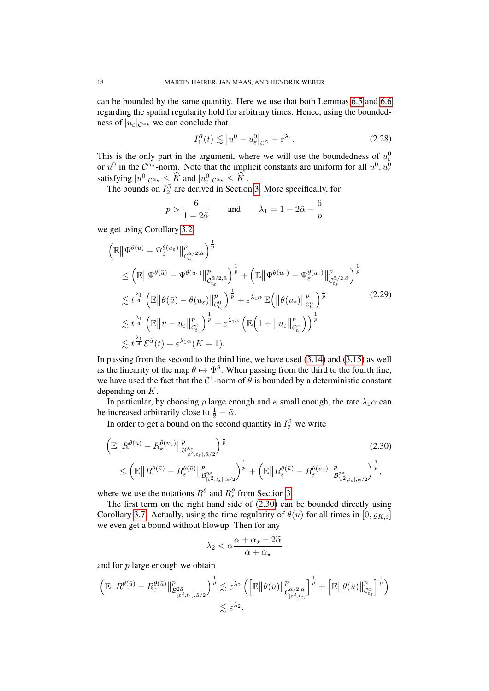can be bounded by the same quantity. Here we use that both Lemmas [6.5](#page-66-0) and [6.6](#page-69-0) regarding the spatial regularity hold for arbitrary times. Hence, using the boundedness of  $|u_{\varepsilon}|_{\mathcal{C}^{\alpha_{\star}}}$  we can conclude that

<span id="page-17-1"></span>
$$
I_1^{\tilde{\alpha}}(t) \lesssim |u^0 - u_{\varepsilon}^0|_{\mathcal{C}^{\tilde{\alpha}}} + \varepsilon^{\lambda_1}.
$$
 (2.28)

This is the only part in the argument, where we will use the boundedness of  $u_{\varepsilon}^{0}$ Fins is the only part in the argument, where we will use the boundedness of  $u_{\varepsilon}$  or  $u^0$  in the  $\mathcal{C}^{\alpha*}$ -norm. Note that the implicit constants are uniform for all  $u^0, u_{\varepsilon}^0$ satisfying  $|u^0|_{\mathcal{C}^{\alpha_*}} \leq \widehat{K}$  and  $|u^0_{\varepsilon}|_{\mathcal{C}^{\alpha_*}} \leq \widehat{K}$ .

The bounds on  $I_2^{\alpha}$  are derived in Section [3.](#page-21-0) More specifically, for

$$
p > \frac{6}{1 - 2\tilde{\alpha}}
$$
 and  $\lambda_1 = 1 - 2\tilde{\alpha} - \frac{6}{p}$ 

we get using Corollary [3.2](#page-23-1)

<span id="page-17-2"></span>
$$
\begin{split}\n\left(\mathbb{E}\left\|\Psi^{\theta(\bar{u})}-\Psi^{\theta(u_{\varepsilon})}\right\|_{\mathcal{C}_{t_{\varepsilon}}^{\tilde{\alpha}/2,\tilde{\alpha}}^{2}}^{p}\right)^{\frac{1}{p}} \\
&\leq \left(\mathbb{E}\left\|\Psi^{\theta(\bar{u})}-\Psi^{\theta(u_{\varepsilon})}\right\|_{\mathcal{C}_{t_{\varepsilon}}^{\tilde{\alpha}/2,\tilde{\alpha}}^{2}}^{p}\right)^{\frac{1}{p}}+\left(\mathbb{E}\left\|\Psi^{\theta(u_{\varepsilon})}-\Psi^{\theta(u_{\varepsilon})}\right\|_{\mathcal{C}_{t_{\varepsilon}}^{\tilde{\alpha}/2,\tilde{\alpha}}^{2}}^{p}\right)^{\frac{1}{p}} \\
&\lesssim t^{\frac{\lambda_{1}}{4}}\left(\mathbb{E}\left\|\theta(\bar{u})-\theta(u_{\varepsilon})\right\|_{\mathcal{C}_{t_{\varepsilon}}^{0}}^{p}\right)^{\frac{1}{p}}+ \varepsilon^{\lambda_{1}\alpha}\mathbb{E}\left(\left\|\theta(u_{\varepsilon})\right\|_{\mathcal{C}_{t_{\varepsilon}}^{0}}^{p}\right)^{\frac{1}{p}} \\
&\lesssim t^{\frac{\lambda_{1}}{4}}\left(\mathbb{E}\left\|\bar{u}-u_{\varepsilon}\right\|_{\mathcal{C}_{t_{\varepsilon}}^{0}}^{p}\right)^{\frac{1}{p}}+ \varepsilon^{\lambda_{1}\alpha}\left(\mathbb{E}\left(1+\left\|u_{\varepsilon}\right\|_{\mathcal{C}_{t_{\varepsilon}}^{\alpha}}^{p}\right)\right)^{\frac{1}{p}} \\
&\lesssim t^{\frac{\lambda_{1}}{4}}\mathcal{E}^{\tilde{\alpha}}(t)+\varepsilon^{\lambda_{1}\alpha}(K+1).\n\end{split}
$$
\n(2.29)

In passing from the second to the third line, we have used [\(3.14\)](#page-23-2) and [\(3.15\)](#page-23-3) as well as the linearity of the map  $\theta \mapsto \Psi^{\theta}$ . When passing from the third to the fourth line, we have used the fact that the  $C^1$ -norm of  $\theta$  is bounded by a deterministic constant depending on K.

In particular, by choosing p large enough and  $\kappa$  small enough, the rate  $\lambda_1 \alpha$  can be increased arbitrarily close to  $\frac{1}{2} - \tilde{\alpha}$ .

In order to get a bound on the second quantity in  $I_2^{\tilde{\alpha}}$  we write

$$
\left(\mathbb{E} \left\| R^{\theta(\bar{u})} - R^{\theta(u_{\varepsilon})}_{\varepsilon} \right\|_{\mathcal{B}^{2\tilde{\alpha}}_{[\varepsilon^{2},t_{\varepsilon}],\tilde{\alpha}/2}}^{p} \right)^{\frac{1}{p}} \tag{2.30}
$$
\n
$$
\leq \left( \mathbb{E} \left\| R^{\theta(\bar{u})} - R^{\theta(\bar{u})}_{\varepsilon} \right\|_{\mathcal{B}^{2\tilde{\alpha}}_{[\varepsilon^{2},t_{\varepsilon}],\tilde{\alpha}/2}}^{p} \right)^{\frac{1}{p}} + \left( \mathbb{E} \left\| R^{\theta(\bar{u})}_{\varepsilon} - R^{\theta(u_{\varepsilon})}_{\varepsilon} \right\|_{\mathcal{B}^{2\tilde{\alpha}}_{[\varepsilon^{2},t_{\varepsilon}],\tilde{\alpha}/2}}^{p} \right)^{\frac{1}{p}},
$$

where we use the notations  $R^{\theta}$  and  $R^{\theta}_{\varepsilon}$  from Section [3.](#page-21-0)

The first term on the right hand side of [\(2.30\)](#page-17-0) can be bounded directly using Corollary [3.7.](#page-40-0) Actually, using the time regularity of  $\theta(u)$  for all times in  $[0, \rho_{K,\varepsilon}]$ we even get a bound without blowup. Then for any

<span id="page-17-0"></span>
$$
\lambda_2 < \alpha \frac{\alpha + \alpha_\star - 2\widetilde{\alpha}}{\alpha + \alpha_\star}
$$

and for  $p$  large enough we obtain

$$
\left(\mathbb{E} \left\|R^{\theta(\bar{u})} - R^{\theta(\bar{u})}_{\varepsilon} \right\|_{\mathcal{B}^{2\tilde{\alpha}}_{\{\varepsilon^2, t_{\varepsilon}\},\tilde{\alpha}/2}}^p \right)^{\frac{1}{p}} \lesssim \varepsilon^{\lambda_2} \left( \left[\mathbb{E} \left\|\theta(\bar{u})\right\|_{\mathcal{C}^{\alpha/2,\alpha}_{\{\varepsilon^2, t_{\varepsilon}\}}}^p \right]^{\frac{1}{p}} + \left[\mathbb{E} \left\|\theta(\bar{u})\right\|_{\mathcal{C}^{\alpha}_{t_{\varepsilon}}}^p \right]^{\frac{1}{p}} \right) \lesssim \varepsilon^{\lambda_2}.
$$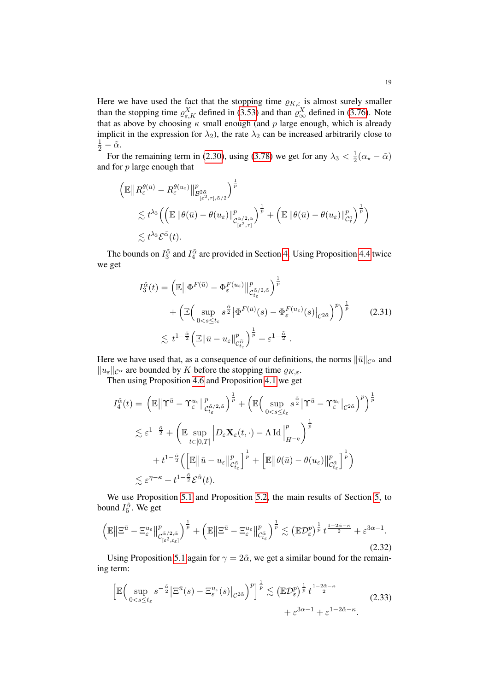Here we have used the fact that the stopping time  $\rho_{K,\varepsilon}$  is almost surely smaller than the stopping time  $\rho_{\varepsilon,K}^X$  defined in [\(3.53\)](#page-33-1) and than  $\rho_{\infty}^X$  defined in [\(3.76\)](#page-39-0). Note that as above by choosing  $\kappa$  small enough (and p large enough, which is already implicit in the expression for  $\lambda_2$ ), the rate  $\lambda_2$  can be increased arbitrarily close to  $rac{1}{2} - \tilde{\alpha}$ .

For the remaining term in [\(2.30\)](#page-17-0), using [\(3.78\)](#page-40-1) we get for any  $\lambda_3 < \frac{1}{2}$  $rac{1}{2}(\alpha_{\star}-\tilde{\alpha})$ and for p large enough that

$$
\begin{split} &\left(\mathbb{E}\big\|R_{\varepsilon}^{\theta(\bar{u})}-R_{\varepsilon}^{\theta(u_{\varepsilon})}\big\|_{\mathcal{B}_{[\varepsilon^{2},\tau],\tilde{\alpha}/2}^{2\tilde{\alpha}}}\right)^{\frac{1}{p}}\\ &\lesssim t^{\lambda_{3}}\Big(\Big(\mathbb{E}\,\|\theta(\bar{u})-\theta(u_{\varepsilon})\|_{\mathcal{C}_{[\varepsilon^{2},\tau]}^{\rho}}^{p}\Big)^{\frac{1}{p}}+\Big(\mathbb{E}\,\|\theta(\bar{u})-\theta(u_{\varepsilon})\|_{\mathcal{C}_{\tau}^{0}}^{p}\Big)^{\frac{1}{p}}\Big)\\ &\lesssim t^{\lambda_{3}}\mathcal{E}^{\tilde{\alpha}}(t). \end{split}
$$

The bounds on  $I_3^{\tilde{\alpha}}$  and  $I_4^{\tilde{\alpha}}$  are provided in Section [4.](#page-43-0) Using Proposition [4.4](#page-49-0) twice we get

$$
I_3^{\tilde{\alpha}}(t) = \left(\mathbb{E} \left\| \Phi^{F(\bar{u})} - \Phi_{\varepsilon}^{F(u_{\varepsilon})} \right\|_{\mathcal{C}_{t_{\varepsilon}}^{\tilde{\alpha}/2,\tilde{\alpha}}}^p \right)^{\frac{1}{p}} + \left(\mathbb{E} \left( \sup_{0 < s \le t_{\varepsilon}} s^{\frac{\tilde{\alpha}}{2}} \left| \Phi^{F(\bar{u})}(s) - \Phi_{\varepsilon}^{F(u_{\varepsilon})}(s) \right|_{\mathcal{C}^{2\tilde{\alpha}}} \right)^p \right)^{\frac{1}{p}} < \frac{1}{\tilde{\alpha}} t^{1-\frac{\tilde{\alpha}}{2}} \left( \mathbb{E} \left\| \bar{u} - u_{\varepsilon} \right\|_{\mathcal{C}_{t_{\varepsilon}}^{\tilde{\alpha}}}^p \right)^{\frac{1}{p}} + \varepsilon^{1-\frac{\tilde{\alpha}}{2}}.
$$
\n
$$
(2.31)
$$

Here we have used that, as a consequence of our definitions, the norms  $\|\bar{u}\|_{\mathcal{C}^{\alpha}}$  and  $||u_{\varepsilon}||_{\mathcal{C}^{\alpha}}$  are bounded by K before the stopping time  $\varrho_{K,\varepsilon}$ .

Then using Proposition [4.6](#page-51-0) and Proposition [4.1](#page-43-1) we get

$$
I_4^{\tilde{\alpha}}(t) = \left(\mathbb{E} \left\| \Upsilon^{\bar{u}} - \Upsilon_{\varepsilon}^{u_{\varepsilon}} \right\|_{\mathcal{C}_{t_{\varepsilon}}^{\tilde{\alpha}/2, \tilde{\alpha}}}^p \right)^{\frac{1}{p}} + \left(\mathbb{E} \left( \sup_{0 < s \le t_{\varepsilon}} s^{\frac{\tilde{\alpha}}{2}} \left| \Upsilon^{\bar{u}} - \Upsilon_{\varepsilon}^{u_{\varepsilon}} \right|_{\mathcal{C}^{2\tilde{\alpha}}} \right)^p \right)^{\frac{1}{p}}
$$
\n
$$
\lesssim \varepsilon^{1 - \frac{\tilde{\alpha}}{2}} + \left( \mathbb{E} \sup_{t \in [0, T]} \left| D_{\varepsilon} \mathbf{X}_{\varepsilon}(t, \cdot) - \Lambda \operatorname{Id} \right|_{H^{-\eta}}^p \right)^{\frac{1}{p}}
$$
\n
$$
+ t^{1 - \frac{\tilde{\alpha}}{2}} \left( \left[ \mathbb{E} \left\| \bar{u} - u_{\varepsilon} \right\|_{\mathcal{C}_{t_{\varepsilon}}^{\tilde{\alpha}}}^p \right]^{\frac{1}{p}} + \left[ \mathbb{E} \left\| \theta(\bar{u}) - \theta(u_{\varepsilon}) \right\|_{\mathcal{C}_{t_{\varepsilon}}^{\tilde{\alpha}}}^p \right]^{\frac{1}{p}} \right)
$$
\n
$$
\lesssim \varepsilon^{\eta - \kappa} + t^{1 - \frac{\tilde{\alpha}}{2}} \mathcal{E}^{\tilde{\alpha}}(t).
$$

We use Proposition [5.1](#page-55-1) and Proposition [5.2,](#page-55-2) the main results of Section [5,](#page-54-0) to bound  $I_5^{\tilde{\alpha}}$ . We get

$$
\left(\mathbb{E}\left\|\Xi^{\bar{u}}-\Xi_{\varepsilon}^{u_{\varepsilon}}\right\|_{\mathcal{C}_{\left[\varepsilon^{2},t_{\varepsilon}\right]}^{\tilde{\alpha}/2,\tilde{\alpha}}}\right)^{\frac{1}{p}}+\left(\mathbb{E}\left\|\Xi^{\bar{u}}-\Xi_{\varepsilon}^{u_{\varepsilon}}\right\|_{\mathcal{C}_{t_{\varepsilon}}^{\tilde{\alpha}}}\right)^{\frac{1}{p}}\lesssim\left(\mathbb{E}\mathcal{D}_{\varepsilon}^{p}\right)^{\frac{1}{p}}t^{\frac{1-2\tilde{\alpha}-\kappa}{2}}+\varepsilon^{3\alpha-1}.\tag{2.32}
$$

Using Proposition [5.1](#page-55-1) again for  $\gamma = 2\tilde{\alpha}$ , we get a similar bound for the remaining term:

<span id="page-18-1"></span><span id="page-18-0"></span>
$$
\left[\mathbb{E}\Big(\sup_{0\n(2.33)
$$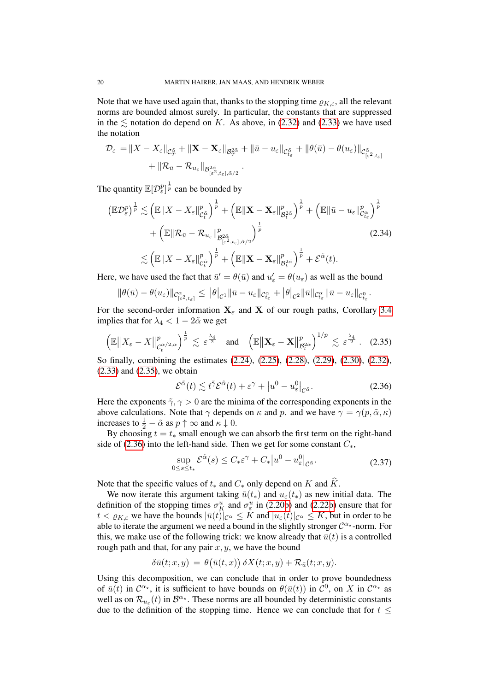Note that we have used again that, thanks to the stopping time  $\varrho_{K,\varepsilon}$ , all the relevant norms are bounded almost surely. In particular, the constants that are suppressed in the  $\leq$  notation do depend on K. As above, in [\(2.32\)](#page-18-0) and [\(2.33\)](#page-18-1) we have used the notation

$$
\mathcal{D}_{\varepsilon} = \|X - X_{\varepsilon}\|_{\mathcal{C}_{T}^{\tilde{\alpha}}} + \|\mathbf{X} - \mathbf{X}_{\varepsilon}\|_{\mathcal{B}_{T}^{2\tilde{\alpha}}} + \|\bar{u} - u_{\varepsilon}\|_{\mathcal{C}_{t_{\varepsilon}}^{\tilde{\alpha}}} + \|\theta(\bar{u}) - \theta(u_{\varepsilon})\|_{\mathcal{C}_{[\varepsilon^{2}, t_{\varepsilon}]}^{\tilde{\alpha}}} + \|\mathcal{R}_{\bar{u}} - \mathcal{R}_{u_{\varepsilon}}\|_{\mathcal{B}_{[\varepsilon^{2}, t_{\varepsilon}], \tilde{\alpha}/2}^{2\tilde{\alpha}}}.
$$

The quantity  $\mathbb{E}[\mathcal{D}_{\varepsilon}^p]^{\frac{1}{p}}$  can be bounded by

$$
\begin{split} \left(\mathbb{E}\mathcal{D}_{\varepsilon}^{p}\right)^{\frac{1}{p}} &\lesssim \left(\mathbb{E}\|X - X_{\varepsilon}\|_{\mathcal{C}_{t}^{\tilde{\alpha}}}^{p}\right)^{\frac{1}{p}} + \left(\mathbb{E}\|\mathbf{X} - \mathbf{X}_{\varepsilon}\|_{\mathcal{B}_{t}^{2\tilde{\alpha}}}^{p}\right)^{\frac{1}{p}} + \left(\mathbb{E}\|\bar{u} - u_{\varepsilon}\|_{\mathcal{C}_{t_{\varepsilon}}}^{p}\right)^{\frac{1}{p}} \\ &+ \left(\mathbb{E}\|\mathcal{R}_{\bar{u}} - \mathcal{R}_{u_{\varepsilon}}\|_{\mathcal{B}_{\left[\varepsilon^{2}, t_{\varepsilon}\right], \tilde{\alpha}/2}^{p}\right)^{\frac{1}{p}} \right) \\ &\lesssim \left(\mathbb{E}\|X - X_{\varepsilon}\|_{\mathcal{C}_{t}^{\tilde{\alpha}}}^{p}\right)^{\frac{1}{p}} + \left(\mathbb{E}\|\mathbf{X} - \mathbf{X}_{\varepsilon}\|_{\mathcal{B}_{t}^{2\tilde{\alpha}}}^{p}\right)^{\frac{1}{p}} + \mathcal{E}^{\tilde{\alpha}}(t). \end{split} \tag{2.34}
$$

Here, we have used the fact that  $\bar{u}' = \theta(\bar{u})$  and  $u'_{\varepsilon} = \theta(u_{\varepsilon})$  as well as the bound

$$
\|\theta(\bar{u})-\theta(u_{\varepsilon})\|_{\mathcal{C}_{[\varepsilon^2,t_{\varepsilon}]}^{\alpha}}\leq \|\theta|_{\mathcal{C}^{1}}\|\bar{u}-u_{\varepsilon}\|_{\mathcal{C}_{t_{\varepsilon}}^{\alpha}}+\|\theta|_{\mathcal{C}^{2}}\|\bar{u}\|_{\mathcal{C}_{t_{\varepsilon}}^{\alpha}}\|\bar{u}-u_{\varepsilon}\|_{\mathcal{C}_{t_{\varepsilon}}^{0}}.
$$

For the second-order information  $X_{\varepsilon}$  and X of our rough paths, Corollary [3.4](#page-27-1) implies that for  $\lambda_4 < 1 - 2\tilde{\alpha}$  we get

$$
\left(\mathbb{E}\|X_{\varepsilon}-X\|_{\mathcal{C}_{t}^{\alpha/2,\alpha}}^{p}\right)^{\frac{1}{p}}\lesssim \varepsilon^{\frac{\lambda_{4}}{2}}\quad \text{and}\quad\left(\mathbb{E}\|\mathbf{X}_{\varepsilon}-\mathbf{X}\|_{\mathcal{B}_{t}^{2\tilde{\alpha}}}^{p}\right)^{1/p}\lesssim \varepsilon^{\frac{\lambda_{4}}{2}}. \quad (2.35)
$$

So finally, combining the estimates [\(2.24\)](#page-16-0), [\(2.25\)](#page-16-0), [\(2.28\)](#page-17-1), [\(2.29\)](#page-17-2), [\(2.30\)](#page-17-0), [\(2.32\)](#page-18-0), [\(2.33\)](#page-18-1) and [\(2.35\)](#page-19-0), we obtain

<span id="page-19-1"></span><span id="page-19-0"></span>
$$
\mathcal{E}^{\tilde{\alpha}}(t) \lesssim t^{\tilde{\gamma}} \mathcal{E}^{\tilde{\alpha}}(t) + \varepsilon^{\gamma} + \left| u^{0} - u^{0} \right|_{\mathcal{C}^{\tilde{\alpha}}}.
$$
\n(2.36)

Here the exponents  $\tilde{\gamma}, \gamma > 0$  are the minima of the corresponding exponents in the above calculations. Note that  $\gamma$  depends on  $\kappa$  and  $p$ . and we have  $\gamma = \gamma(p, \tilde{\alpha}, \kappa)$ increases to  $\frac{1}{2} - \tilde{\alpha}$  as  $p \uparrow \infty$  and  $\kappa \downarrow 0$ .

By choosing  $t = t_*$  small enough we can absorb the first term on the right-hand side of [\(2.36\)](#page-19-1) into the left-hand side. Then we get for some constant  $C_*,$ 

$$
\sup_{0 \le s \le t_*} \mathcal{E}^{\tilde{\alpha}}(s) \le C_* \varepsilon^{\gamma} + C_* |u^0 - u_{\varepsilon}^0|_{\mathcal{C}^{\tilde{\alpha}}}.
$$
\n(2.37)

Note that the specific values of  $t_*$  and  $C_*$  only depend on K and  $\widehat{K}$ .

We now iterate this argument taking  $\bar{u}(t_*)$  and  $u_{\varepsilon}(t_*)$  as new initial data. The definition of the stopping times  $\sigma_K^u$  and  $\sigma_\varepsilon^u$  in [\(2.20b\)](#page-3-5) and [\(2.22b\)](#page-3-5) ensure that for  $t < \varrho_{K,\varepsilon}$  we have the bounds  $|\bar{u}(t)|_{\mathcal{C}^{\alpha}} \leq K$  and  $|u_{\varepsilon}(t)|_{\mathcal{C}^{\alpha}} \leq K$ , but in order to be able to iterate the argument we need a bound in the slightly stronger  $\mathcal{C}^{\alpha_{\star}}$ -norm. For this, we make use of the following trick: we know already that  $\bar{u}(t)$  is a controlled rough path and that, for any pair  $x, y$ , we have the bound

$$
\delta \bar{u}(t;x,y) = \theta(\bar{u}(t,x)) \, \delta X(t;x,y) + \mathcal{R}_{\bar{u}}(t;x,y).
$$

Using this decomposition, we can conclude that in order to prove boundedness of  $\bar{u}(t)$  in  $\mathcal{C}^{\alpha_{\star}}$ , it is sufficient to have bounds on  $\theta(\bar{u}(t))$  in  $\mathcal{C}^0$ , on X in  $\mathcal{C}^{\alpha_{\star}}$  as well as on  $\mathcal{R}_{u_{\varepsilon}}(t)$  in  $\mathcal{B}^{\alpha_{\star}}$ . These norms are all bounded by deterministic constants due to the definition of the stopping time. Hence we can conclude that for  $t \leq$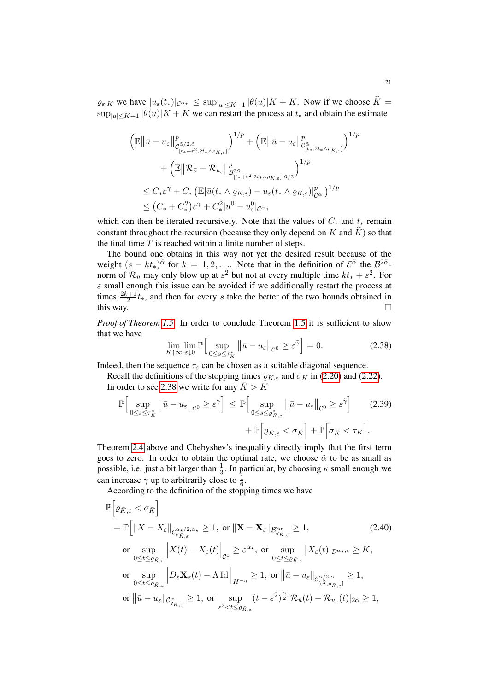$\varrho_{\varepsilon,K}$  we have  $|u_{\varepsilon}(t_*)|\mathcal{C}^{\alpha_{\star}} \leq \sup_{|u| \leq K+1} |\theta(u)|K+K$ . Now if we choose  $\widehat{K} =$  $\sup_{|u| \le K+1} |\theta(u)| K + K$  we can restart the process at  $t_*$  and obtain the estimate

$$
\left(\mathbb{E}\left\|\bar{u}-u_{\varepsilon}\right\|_{\mathcal{C}_{[t_{*}+\varepsilon^{2},2t_{*}\wedge\varrho_{K,\varepsilon}]}^{\rho}\right)^{1/p}+\left(\mathbb{E}\left\|\bar{u}-u_{\varepsilon}\right\|_{\mathcal{C}_{[t_{*},2t_{*}\wedge\varrho_{K,\varepsilon}]}^{\tilde{\alpha}}}\right)^{1/p} \n+\left(\mathbb{E}\left\|\mathcal{R}_{\bar{u}}-\mathcal{R}_{u_{\varepsilon}}\right\|_{\mathcal{B}_{[t_{*}+\varepsilon^{2},2t_{*}\wedge\varrho_{K,\varepsilon}],\tilde{\alpha}/2}^{\rho}\right)^{1/p} \n\leq C_{*}\varepsilon^{\gamma}+C_{*}\left(\mathbb{E}\left|\bar{u}(t_{*}\wedge\varrho_{K,\varepsilon})-u_{\varepsilon}(t_{*}\wedge\varrho_{K,\varepsilon})\right|_{\mathcal{C}^{\tilde{\alpha}}}^{\rho}\right)^{1/p} \n\leq (C_{*}+C_{*}^{2})\varepsilon^{\gamma}+C_{*}^{2}|u^{0}-u_{\varepsilon}^{0}|_{\mathcal{C}^{\tilde{\alpha}}},
$$

which can then be iterated recursively. Note that the values of  $C_*$  and  $t_*$  remain constant throughout the recursion (because they only depend on K and  $\widehat{K}$ ) so that the final time  $T$  is reached within a finite number of steps.

The bound one obtains in this way not yet the desired result because of the weight  $(s - kt_*)^{\tilde{\alpha}}$  for  $k = 1, 2, \dots$  Note that in the definition of  $\mathcal{E}^{\tilde{\alpha}}$  the  $\mathcal{B}^{2\tilde{\alpha}}$ norm of  $\mathcal{R}_{\bar{u}}$  may only blow up at  $\varepsilon^2$  but not at every multiple time  $kt_* + \varepsilon^2$ . For  $\varepsilon$  small enough this issue can be avoided if we additionally restart the process at times  $\frac{2k+1}{2}t_*$ , and then for every s take the better of the two bounds obtained in this way.  $\Box$ 

*Proof of Theorem [1.5.](#page-5-1)* In order to conclude Theorem [1.5](#page-5-1) it is sufficient to show that we have

<span id="page-20-2"></span><span id="page-20-0"></span>
$$
\lim_{K \uparrow \infty} \lim_{\varepsilon \downarrow 0} \mathbb{P} \Big[ \sup_{0 \le s \le \tau_K^*} \left\| \bar{u} - u_\varepsilon \right\|_{\mathcal{C}^0} \ge \varepsilon^{\tilde{\gamma}} \Big] = 0. \tag{2.38}
$$

Indeed, then the sequence  $\tau_{\varepsilon}$  can be chosen as a suitable diagonal sequence.

Recall the definitions of the stopping times  $\rho_{K,\varepsilon}$  and  $\sigma_K$  in [\(2.20\)](#page-13-2) and [\(2.22\)](#page-14-0). In order to see [2.38](#page-20-0) we write for any  $\bar{K} > K$ 

$$
\mathbb{P}\Big[\sup_{0\leq s\leq\tau_K^*} \|\bar{u}-u_{\varepsilon}\|_{\mathcal{C}^0} \geq \varepsilon^\gamma\Big] \leq \mathbb{P}\Big[\sup_{0\leq s\leq \varrho_{K,\varepsilon}^*} \|\bar{u}-u_{\varepsilon}\|_{\mathcal{C}^0} \geq \varepsilon^{\tilde{\gamma}}\Big] \qquad (2.39)
$$

$$
+ \mathbb{P}\Big[\varrho_{\bar{K},\varepsilon} < \sigma_{\bar{K}}\Big] + \mathbb{P}\Big[\sigma_{\bar{K}} < \tau_K\Big].
$$

Theorem [2.4](#page-15-0) above and Chebyshev's inequality directly imply that the first term goes to zero. In order to obtain the optimal rate, we choose  $\tilde{\alpha}$  to be as small as possible, i.e. just a bit larger than  $\frac{1}{3}$ . In particular, by choosing  $\kappa$  small enough we can increase  $\gamma$  up to arbitrarily close to  $\frac{1}{6}$ .

<span id="page-20-1"></span>According to the definition of the stopping times we have

$$
\mathbb{P}\Big[\varrho_{\bar{K},\varepsilon} < \sigma_{\bar{K}}\Big] \n= \mathbb{P}\Big[\|X - X_{\varepsilon}\|_{\mathcal{C}_{\varrho_{\bar{K},\varepsilon}}^{\alpha_{\star}/2,\alpha_{\star}}} \ge 1, \text{ or } \|\mathbf{X} - \mathbf{X}_{\varepsilon}\|_{\mathcal{B}_{\varrho_{\bar{K},\varepsilon}}^{\alpha_{\alpha}}} \ge 1, \qquad (2.40)
$$
\n
$$
\text{or } \sup_{0 \le t \le \varrho_{\bar{K},\varepsilon}} \left|X(t) - X_{\varepsilon}(t)\right|_{\mathcal{C}^{0}} \ge \varepsilon^{\alpha_{\star}}, \text{ or } \sup_{0 \le t \le \varrho_{\bar{K},\varepsilon}} |X_{\varepsilon}(t)|_{\mathcal{D}^{\alpha_{\star},\varepsilon}} \ge \bar{K},
$$
\n
$$
\text{or } \sup_{0 \le t \le \varrho_{\bar{K},\varepsilon}} \left|D_{\varepsilon}\mathbf{X}_{\varepsilon}(t) - \Lambda \operatorname{Id}\right|_{H^{-\eta}} \ge 1, \text{ or } \left\|\bar{u} - u_{\varepsilon}\right\|_{\mathcal{C}_{[\varepsilon^{2},\varrho_{\bar{K},\varepsilon}]}^{\alpha/2,\alpha}} \ge 1,
$$
\n
$$
\text{or } \left\|\bar{u} - u_{\varepsilon}\right\|_{\mathcal{C}_{\varrho_{\bar{K},\varepsilon}}^{\alpha}} \ge 1, \text{ or } \sup_{\varepsilon^{2} < t \le \varrho_{\bar{K},\varepsilon}} (t - \varepsilon^{2})^{\frac{\alpha}{2}} |\mathcal{R}_{\bar{u}}(t) - \mathcal{R}_{u_{\varepsilon}}(t)|_{2\alpha} \ge 1,
$$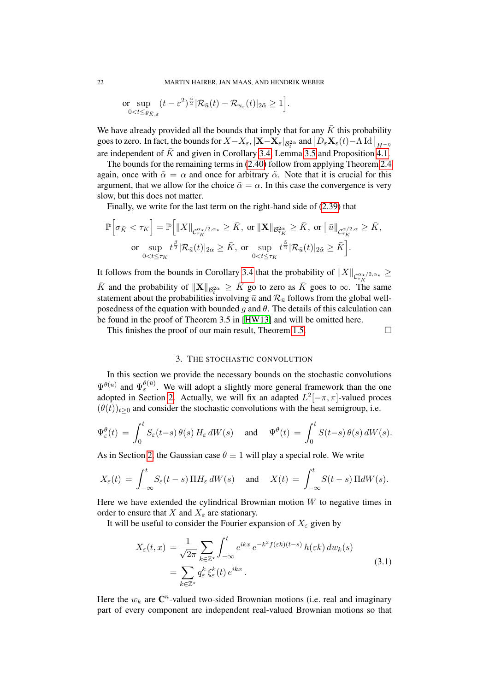$$
\underset{0
$$

We have already provided all the bounds that imply that for any  $\bar{K}$  this probability goes to zero. In fact, the bounds for  $X - X_\varepsilon$ ,  $|\mathbf{X} - \mathbf{X}_\varepsilon|_{\mathcal{B}_t^{2\alpha}}$  and  $\big|D_\varepsilon \mathbf{X}_\varepsilon(t) - \Lambda \operatorname{Id} \big|_{H^{-\eta}}$ are independent of  $\bar{K}$  and given in Corollary [3.4,](#page-27-1) Lemma [3.5](#page-32-0) and Proposition [4.1.](#page-43-1)

The bounds for the remaining terms in [\(2.40\)](#page-20-1) follow from applying Theorem [2.4](#page-15-0) again, once with  $\tilde{\alpha} = \alpha$  and once for arbitrary  $\tilde{\alpha}$ . Note that it is crucial for this argument, that we allow for the choice  $\tilde{\alpha} = \alpha$ . In this case the convergence is very slow, but this does not matter.

Finally, we write for the last term on the right-hand side of [\(2.39\)](#page-20-2) that

$$
\mathbb{P}\Big[\sigma_{\bar{K}} < \tau_K\Big] = \mathbb{P}\Big[\|X\|_{\mathcal{C}_{\tau_K}^{\alpha_{\star}/2, \alpha_{\star}}} \geq \bar{K}, \text{ or } \|\mathbf{X}\|_{\mathcal{B}_{\tau_K}^{2\alpha}} \geq \bar{K}, \text{ or } \|\bar{u}\|_{\mathcal{C}_{\tau_K}^{\alpha/2, \alpha}} \geq \bar{K},
$$
\nor

\n
$$
\sup_{0 < t \leq \tau_K} t^{\frac{\beta}{2}} |\mathcal{R}_{\bar{u}}(t)|_{2\alpha} \geq \bar{K}, \text{ or } \sup_{0 < t \leq \tau_K} t^{\frac{\tilde{\alpha}}{2}} |\mathcal{R}_{\bar{u}}(t)|_{2\tilde{\alpha}} \geq \bar{K}\Big].
$$

It follows from the bounds in Corollary [3.4](#page-27-1) that the probability of  $||X||_{\mathcal{C}_{\tau_K}^{\alpha_{\star}/2,\alpha_{\star}}} \ge$  $\bar{K}$  and the probability of  $||\mathbf{X}||_{\mathcal{B}^{2\alpha}} \geq \bar{K}$  go to zero as  $\bar{K}$  goes to  $\infty$ . The same statement about the probabilities involving  $\bar{u}$  and  $\mathcal{R}_{\bar{u}}$  follows from the global wellposedness of the equation with bounded g and  $\theta$ . The details of this calculation can be found in the proof of Theorem 3.5 in [\[HW13\]](#page-78-3) and will be omitted here.

This finishes the proof of our main result, Theorem [1.5.](#page-5-1)  $\Box$ 

<span id="page-21-1"></span>

## 3. THE STOCHASTIC CONVOLUTION

<span id="page-21-0"></span>In this section we provide the necessary bounds on the stochastic convolutions  $\Psi^{\theta(u)}$  and  $\Psi^{\theta(\bar{u})}_{\varepsilon}$ . We will adopt a slightly more general framework than the one adopted in Section [2.](#page-7-0) Actually, we will fix an adapted  $L^2[-\pi, \pi]$ -valued proces  $(\theta(t))_{t>0}$  and consider the stochastic convolutions with the heat semigroup, i.e.

$$
\Psi_{\varepsilon}^{\theta}(t) = \int_0^t S_{\varepsilon}(t-s) \, \theta(s) \, H_{\varepsilon} \, dW(s) \quad \text{ and } \quad \Psi^{\theta}(t) = \int_0^t S(t-s) \, \theta(s) \, dW(s).
$$

As in Section [2,](#page-7-0) the Gaussian case  $\theta \equiv 1$  will play a special role. We write

$$
X_{\varepsilon}(t) = \int_{-\infty}^{t} S_{\varepsilon}(t-s) \, \Pi H_{\varepsilon} \, dW(s) \quad \text{and} \quad X(t) = \int_{-\infty}^{t} S(t-s) \, \Pi dW(s).
$$

Here we have extended the cylindrical Brownian motion  $W$  to negative times in order to ensure that X and  $X_{\varepsilon}$  are stationary.

It will be useful to consider the Fourier expansion of  $X_{\varepsilon}$  given by

$$
X_{\varepsilon}(t,x) = \frac{1}{\sqrt{2\pi}} \sum_{k \in \mathbb{Z}^{\star}} \int_{-\infty}^{t} e^{ikx} e^{-k^2 f(\varepsilon k)(t-s)} h(\varepsilon k) dw_k(s)
$$
  
= 
$$
\sum_{k \in \mathbb{Z}^{\star}} q_{\varepsilon}^k \xi_{\varepsilon}^k(t) e^{ikx}.
$$
 (3.1)

Here the  $w_k$  are  $\mathbb{C}^n$ -valued two-sided Brownian motions (i.e. real and imaginary part of every component are independent real-valued Brownian motions so that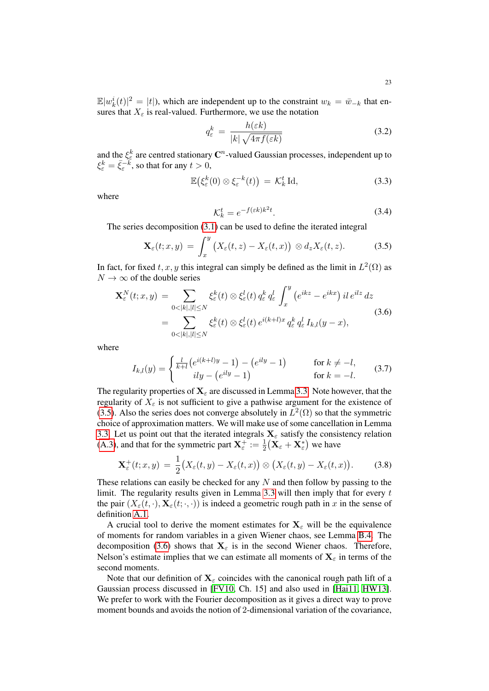$\mathbb{E}|w_k^i(t)|^2 = |t|$ , which are independent up to the constraint  $w_k = \bar{w}_{-k}$  that ensures that  $X_{\varepsilon}$  is real-valued. Furthermore, we use the notation

<span id="page-22-3"></span>
$$
q_{\varepsilon}^{k} = \frac{h(\varepsilon k)}{|k| \sqrt{4\pi f(\varepsilon k)}}
$$
(3.2)

and the  $\xi_{\varepsilon}^k$  are centred stationary  $\mathbb{C}^n$ -valued Gaussian processes, independent up to  $\xi_{\varepsilon}^k = \bar{\xi}_{\varepsilon}^{-k}$ , so that for any  $t > 0$ ,

$$
\mathbb{E}\big(\xi_{\varepsilon}^k(0)\otimes\xi_{\varepsilon}^{-k}(t)\big) = \mathcal{K}_k^t \operatorname{Id},\tag{3.3}
$$

where

<span id="page-22-5"></span><span id="page-22-4"></span><span id="page-22-1"></span><span id="page-22-0"></span>
$$
\mathcal{K}_k^t = e^{-f(\varepsilon k)k^2t}.\tag{3.4}
$$

The series decomposition [\(3.1\)](#page-21-1) can be used to define the iterated integral

$$
\mathbf{X}_{\varepsilon}(t;x,y) = \int_{x}^{y} \big(X_{\varepsilon}(t,z) - X_{\varepsilon}(t,x)\big) \otimes d_{z} X_{\varepsilon}(t,z). \tag{3.5}
$$

In fact, for fixed  $t, x, y$  this integral can simply be defined as the limit in  $L^2(\Omega)$  as  $N \to \infty$  of the double series

$$
\mathbf{X}_{\varepsilon}^{N}(t;x,y) = \sum_{0<|k|,|l|\leq N} \xi_{\varepsilon}^{k}(t) \otimes \xi_{\varepsilon}^{l}(t) q_{\varepsilon}^{k} q_{\varepsilon}^{l} \int_{x}^{y} (e^{ikz} - e^{ikx}) \, il \, e^{ilz} \, dz
$$
\n
$$
= \sum_{0<|k|,|l|\leq N} \xi_{\varepsilon}^{k}(t) \otimes \xi_{\varepsilon}^{l}(t) \, e^{i(k+l)x} q_{\varepsilon}^{k} q_{\varepsilon}^{l} I_{k,l}(y-x), \tag{3.6}
$$

where

$$
I_{k,l}(y) = \begin{cases} \frac{l}{k+l} \left( e^{i(k+l)y} - 1 \right) - \left( e^{ily} - 1 \right) & \text{for } k \neq -l, \\ ily - \left( e^{ily} - 1 \right) & \text{for } k = -l. \end{cases}
$$
(3.7)

The regularity properties of  $X_\varepsilon$  are discussed in Lemma [3.3.](#page-27-0) Note however, that the regularity of  $X_{\varepsilon}$  is not sufficient to give a pathwise argument for the existence of [\(3.5\)](#page-22-0). Also the series does not converge absolutely in  $L^2(\Omega)$  so that the symmetric choice of approximation matters. We will make use of some cancellation in Lemma [3.3.](#page-27-0) Let us point out that the iterated integrals  $X_{\varepsilon}$  satisfy the consistency relation [\(A.3\)](#page-72-2), and that for the symmetric part  $X_{\varepsilon}^+ := \frac{1}{2} (X_{\varepsilon} + X_{\varepsilon}^*)$  we have

<span id="page-22-2"></span>
$$
\mathbf{X}_{\varepsilon}^{+}(t;x,y) = \frac{1}{2}\big(X_{\varepsilon}(t,y) - X_{\varepsilon}(t,x)\big) \otimes \big(X_{\varepsilon}(t,y) - X_{\varepsilon}(t,x)\big). \tag{3.8}
$$

These relations can easily be checked for any  $N$  and then follow by passing to the limit. The regularity results given in Lemma [3.3](#page-27-0) will then imply that for every  $t$ the pair  $(X_{\varepsilon}(t, \cdot), \mathbf{X}_{\varepsilon}(t; \cdot, \cdot))$  is indeed a geometric rough path in x in the sense of definition [A.1.](#page-72-3)

A crucial tool to derive the moment estimates for  $X_\epsilon$  will be the equivalence of moments for random variables in a given Wiener chaos, see Lemma [B.4.](#page-77-13) The decomposition [\(3.6\)](#page-22-1) shows that  $X_{\varepsilon}$  is in the second Wiener chaos. Therefore, Nelson's estimate implies that we can estimate all moments of  $X_\epsilon$  in terms of the second moments.

Note that our definition of  $X_\varepsilon$  coincides with the canonical rough path lift of a Gaussian process discussed in [\[FV10,](#page-77-6) Ch. 15] and also used in [\[Hai11,](#page-78-15) [HW13\]](#page-78-3). We prefer to work with the Fourier decomposition as it gives a direct way to prove moment bounds and avoids the notion of 2-dimensional variation of the covariance,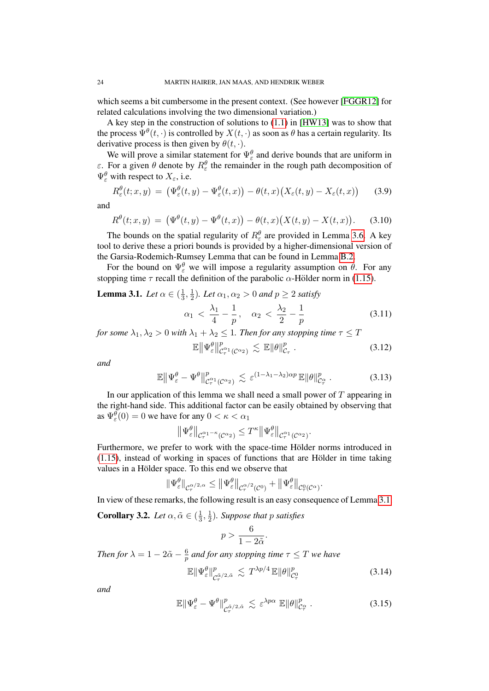which seems a bit cumbersome in the present context. (See however [\[FGGR12\]](#page-77-14) for related calculations involving the two dimensional variation.)

A key step in the construction of solutions to [\(1.1\)](#page-0-0) in [\[HW13\]](#page-78-3) was to show that the process  $\Psi^{\theta}(t,\cdot)$  is controlled by  $X(t,\cdot)$  as soon as  $\theta$  has a certain regularity. Its derivative process is then given by  $\theta(t, \cdot)$ .

We will prove a similar statement for  $\Psi_{\varepsilon}^{\theta}$  and derive bounds that are uniform in  $\varepsilon$ . For a given  $\theta$  denote by  $R_{\varepsilon}^{\theta}$  the remainder in the rough path decomposition of  $\Psi_{\varepsilon}^{\theta}$  with respect to  $X_{\varepsilon}$ , i.e.

$$
R_{\varepsilon}^{\theta}(t; x, y) = \left(\Psi_{\varepsilon}^{\theta}(t, y) - \Psi_{\varepsilon}^{\theta}(t, x)\right) - \theta(t, x)\big(X_{\varepsilon}(t, y) - X_{\varepsilon}(t, x)\big) \tag{3.9}
$$

and

$$
R^{\theta}(t; x, y) = (\Psi^{\theta}(t, y) - \Psi^{\theta}(t, x)) - \theta(t, x) (X(t, y) - X(t, x)).
$$
 (3.10)

The bounds on the spatial regularity of  $R_{\varepsilon}^{\theta}$  are provided in Lemma [3.6.](#page-33-0) A key tool to derive these a priori bounds is provided by a higher-dimensional version of the Garsia-Rodemich-Rumsey Lemma that can be found in Lemma [B.2.](#page-73-1)

For the bound on  $\Psi_{\varepsilon}^{\theta}$  we will impose a regularity assumption on  $\theta$ . For any stopping time  $\tau$  recall the definition of the parabolic  $\alpha$ -Hölder norm in [\(1.15\)](#page-7-1).

<span id="page-23-0"></span>**Lemma 3.1.** Let 
$$
\alpha \in (\frac{1}{3}, \frac{1}{2})
$$
. Let  $\alpha_1, \alpha_2 > 0$  and  $p \ge 2$  satisfy\n
$$
\alpha_1 < \frac{\lambda_1}{4} - \frac{1}{p}, \quad \alpha_2 < \frac{\lambda_2}{2} - \frac{1}{p}
$$

p (3.11)

*for some*  $\lambda_1, \lambda_2 > 0$  *with*  $\lambda_1 + \lambda_2 \leq 1$ *. Then for any stopping time*  $\tau \leq T$ 

<span id="page-23-6"></span><span id="page-23-5"></span><span id="page-23-4"></span>
$$
\mathbb{E} \left\| \Psi_{\varepsilon}^{\theta} \right\|_{\mathcal{C}_{\tau}^{\alpha_1}(\mathcal{C}^{\alpha_2})}^p \lesssim \mathbb{E} \left\| \theta \right\|_{\mathcal{C}_{\tau}}^p. \tag{3.12}
$$

*and*

$$
\mathbb{E}\left\|\Psi^{\theta}_{\varepsilon}-\Psi^{\theta}\right\|_{\mathcal{C}_{\tau}^{\alpha_{1}}(\mathcal{C}^{\alpha_{2}})}^{p} \lesssim \varepsilon^{(1-\lambda_{1}-\lambda_{2})\alpha p} \mathbb{E}\|\theta\|_{\mathcal{C}_{\tau}^{\alpha}}^{p}.
$$
 (3.13)

In our application of this lemma we shall need a small power of  $T$  appearing in the right-hand side. This additional factor can be easily obtained by observing that as  $\Psi_{\varepsilon}^{\theta}(0) = 0$  we have for any  $0 < \kappa < \alpha_1$ 

$$
\left\|\Psi^{\theta}_{\varepsilon}\right\|_{\mathcal{C}^{\alpha_1-\kappa}_{\tau}(\mathcal{C}^{\alpha_2})} \leq T^{\kappa} \left\|\Psi^{\theta}_{\varepsilon}\right\|_{\mathcal{C}^{\alpha_1}_{\tau}(\mathcal{C}^{\alpha_2})}.
$$

Furthermore, we prefer to work with the space-time Hölder norms introduced in  $(1.15)$ , instead of working in spaces of functions that are Hölder in time taking values in a Hölder space. To this end we observe that

$$
\|\Psi_\varepsilon^\theta\|_{\mathcal{C}^{\alpha/2,\alpha}_\tau}\leq \|\Psi_\varepsilon^\theta\|_{\mathcal{C}^{\alpha/2}_\tau(\mathcal{C}^0)}+\|\Psi_\varepsilon^\theta\|_{\mathcal{C}^0_\tau(\mathcal{C}^\alpha)}.
$$

In view of these remarks, the following result is an easy consequence of Lemma [3.1.](#page-23-0)

<span id="page-23-1"></span>**Corollary 3.2.** *Let*  $\alpha, \tilde{\alpha} \in (\frac{1}{3})$  $\frac{1}{3}, \frac{1}{2}$  $\frac{1}{2}$ ). Suppose that p satisfies

<span id="page-23-3"></span><span id="page-23-2"></span>
$$
p > \frac{6}{1 - 2\tilde{\alpha}}.
$$

*Then for*  $\lambda = 1 - 2\tilde{\alpha} - \frac{6}{n}$  $\frac{6}{p}$  and for any stopping time  $\tau \leq T$  we have

$$
\mathbb{E} \|\Psi^{\theta}_{\varepsilon}\|_{\mathcal{C}^{\tilde{\alpha}}_{\tau}/2,\tilde{\alpha}}^{p} \lesssim T^{\lambda p/4} \mathbb{E} \|\theta\|_{\mathcal{C}^{0}_{\tau}}^{p} \tag{3.14}
$$

*and*

$$
\mathbb{E} \|\Psi_{\varepsilon}^{\theta} - \Psi^{\theta}\|_{\mathcal{C}_{\tau}^{\tilde{\alpha}/2, \tilde{\alpha}}}^{p} \lesssim \varepsilon^{\lambda p \alpha} \mathbb{E} \|\theta\|_{\mathcal{C}_{\tau}^{\alpha}}^{p}.
$$
 (3.15)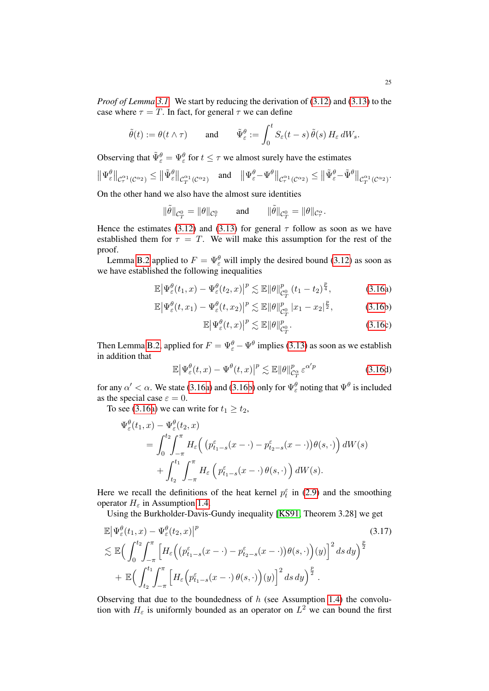*Proof of Lemma [3.1.](#page-23-0)* We start by reducing the derivation of [\(3.12\)](#page-23-4) and [\(3.13\)](#page-23-5) to the case where  $\tau = T$ . In fact, for general  $\tau$  we can define

$$
\tilde{\theta}(t) := \theta(t \wedge \tau)
$$
 and  $\tilde{\Psi}_{\varepsilon}^{\theta} := \int_0^t S_{\varepsilon}(t-s) \, \tilde{\theta}(s) \, H_{\varepsilon} \, dW_s.$ 

Observing that  $\tilde{\Psi}_{\varepsilon}^{\theta} = \Psi_{\varepsilon}^{\theta}$  for  $t \leq \tau$  we almost surely have the estimates

$$
\|\Psi^{\theta}_{\varepsilon}\|_{\mathcal{C}^{\alpha_1}_\tau(\mathcal{C}^{\alpha_2})} \le \|\tilde{\Psi}^{\theta}_{\varepsilon}\|_{\mathcal{C}^{\alpha_1}_T(\mathcal{C}^{\alpha_2})} \quad \text{and} \quad \|\Psi^{\theta}_{\varepsilon} - \Psi^{\theta}\|_{\mathcal{C}^{\alpha_1}_\tau(\mathcal{C}^{\alpha_2})} \le \|\tilde{\Psi}^{\theta}_{\varepsilon} - \tilde{\Psi}^{\theta}\|_{\mathcal{C}^{\alpha_1}_T(\mathcal{C}^{\alpha_2})}.
$$

On the other hand we also have the almost sure identities

$$
\|\tilde{\theta}\|_{\mathcal{C}^0_T} = \|\theta\|_{\mathcal{C}^0_\tau} \qquad \text{and} \qquad \|\tilde{\theta}\|_{\mathcal{C}^0_T} = \|\theta\|_{\mathcal{C}^\alpha_\tau}.
$$

Hence the estimates [\(3.12\)](#page-23-4) and [\(3.13\)](#page-23-5) for general  $\tau$  follow as soon as we have established them for  $\tau = T$ . We will make this assumption for the rest of the proof.

Lemma [B.2](#page-73-1) applied to  $F = \Psi_{\varepsilon}^{\theta}$  will imply the desired bound [\(3.12\)](#page-23-4) as soon as we have established the following inequalities

$$
\mathbb{E}\left|\Psi_{\varepsilon}^{\theta}(t_1,x)-\Psi_{\varepsilon}^{\theta}(t_2,x)\right|^{p}\lesssim \mathbb{E}\|\theta\|_{\mathcal{C}_{T}^{0}}^{p}\left(t_1-t_2\right)^{\frac{p}{4}},\tag{3.16a}
$$

$$
\mathbb{E}\left|\Psi_{\varepsilon}^{\theta}(t,x_1)-\Psi_{\varepsilon}^{\theta}(t,x_2)\right|^p \lesssim \mathbb{E}\|\theta\|_{\mathcal{C}_{T}^{0}}^p\left|x_1-x_2\right|^{\frac{p}{2}},\tag{3.16b}
$$

$$
\mathbb{E}\left|\Psi_{\varepsilon}^{\theta}(t,x)\right|^{p} \lesssim \mathbb{E}\|\theta\|_{\mathcal{C}_{T}^{0}}^{p}.
$$
\n(3.16c)

Then Lemma [B.2,](#page-73-1) applied for  $F = \Psi_{\varepsilon}^{\theta} - \Psi^{\theta}$  implies [\(3.13\)](#page-23-5) as soon as we establish in addition that

<span id="page-24-0"></span>
$$
\mathbb{E}\left|\Psi_{\varepsilon}^{\theta}(t,x)-\Psi^{\theta}(t,x)\right|^{p} \lesssim \mathbb{E}\|\theta\|_{C_{T}^{\alpha}}^{p}\,\varepsilon^{\alpha'p} \tag{3.16d}
$$

for any  $\alpha' < \alpha$ . We state [\(3.16a\)](#page-3-3) and [\(3.16b\)](#page-3-5) only for  $\Psi_{\varepsilon}^{\theta}$  noting that  $\Psi^{\theta}$  is included as the special case  $\varepsilon = 0$ .

To see [\(3.16a\)](#page-3-3) we can write for  $t_1 \geq t_2$ ,

$$
\Psi_{\varepsilon}^{\theta}(t_1, x) - \Psi_{\varepsilon}^{\theta}(t_2, x) \n= \int_{0}^{t_2} \int_{-\pi}^{\pi} H_{\varepsilon} \Big( \left( p_{t_1 - s}^{\varepsilon}(x - \cdot) - p_{t_2 - s}^{\varepsilon}(x - \cdot) \right) \theta(s, \cdot) \Big) dW(s) \n+ \int_{t_2}^{t_1} \int_{-\pi}^{\pi} H_{\varepsilon} \left( p_{t_1 - s}^{\varepsilon}(x - \cdot) \theta(s, \cdot) \right) dW(s).
$$

Here we recall the definitions of the heat kernel  $p_t^{\varepsilon}$  in [\(2.9\)](#page-11-2) and the smoothing operator  $H_{\varepsilon}$  in Assumption [1.4.](#page-4-3)

Using the Burkholder-Davis-Gundy inequality [\[KS91,](#page-78-16) Theorem 3.28] we get

$$
\mathbb{E} \left| \Psi_{\varepsilon}^{\theta}(t_1, x) - \Psi_{\varepsilon}^{\theta}(t_2, x) \right|^{p}
$$
\n
$$
\lesssim \mathbb{E} \Big( \int_{0}^{t_2} \int_{-\pi}^{\pi} \left[ H_{\varepsilon} \Big( \big( p_{t_1 - s}^{\varepsilon}(x - \cdot) - p_{t_2 - s}^{\varepsilon}(x - \cdot) \big) \theta(s, \cdot) \Big) (y) \right]^{2} ds dy \Big)^{\frac{p}{2}}
$$
\n
$$
+ \mathbb{E} \Big( \int_{t_2}^{t_1} \int_{-\pi}^{\pi} \left[ H_{\varepsilon} \Big( p_{t_1 - s}^{\varepsilon}(x - \cdot) \theta(s, \cdot) \Big) (y) \right]^{2} ds dy \Big)^{\frac{p}{2}}.
$$
\n(3.17)

Observing that due to the boundedness of  $h$  (see Assumption [1.4\)](#page-4-3) the convolution with  $H_{\varepsilon}$  is uniformly bounded as an operator on  $L^2$  we can bound the first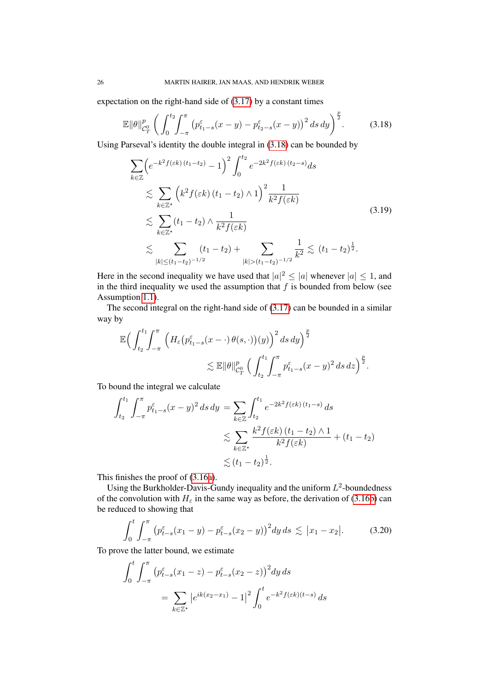expectation on the right-hand side of [\(3.17\)](#page-24-0) by a constant times

$$
\mathbb{E} \|\theta\|_{\mathcal{C}_T^0}^p \left( \int_0^{t_2} \int_{-\pi}^{\pi} \left( p_{t_1-s}^{\varepsilon} (x-y) - p_{t_2-s}^{\varepsilon} (x-y) \right)^2 ds \, dy \right)^{\frac{p}{2}}.
$$
 (3.18)

Using Parseval's identity the double integral in [\(3.18\)](#page-25-0) can be bounded by

<span id="page-25-0"></span>
$$
\sum_{k \in \mathbb{Z}} \left( e^{-k^2 f(\varepsilon k)(t_1 - t_2)} - 1 \right)^2 \int_0^{t_2} e^{-2k^2 f(\varepsilon k)(t_2 - s)} ds
$$
\n
$$
\lesssim \sum_{k \in \mathbb{Z}^*} \left( k^2 f(\varepsilon k)(t_1 - t_2) \wedge 1 \right)^2 \frac{1}{k^2 f(\varepsilon k)}
$$
\n
$$
\lesssim \sum_{k \in \mathbb{Z}^*} (t_1 - t_2) \wedge \frac{1}{k^2 f(\varepsilon k)}
$$
\n
$$
\lesssim \sum_{|k| \le (t_1 - t_2)^{-1/2}} (t_1 - t_2) + \sum_{|k| > (t_1 - t_2)^{-1/2}} \frac{1}{k^2} \lesssim (t_1 - t_2)^{\frac{1}{2}}.
$$
\n(3.19)

Here in the second inequality we have used that  $|a|^2 \leq |a|$  whenever  $|a| \leq 1$ , and in the third inequality we used the assumption that  $f$  is bounded from below (see Assumption [1.1\)](#page-3-1).

The second integral on the right-hand side of [\(3.17\)](#page-24-0) can be bounded in a similar way by

$$
\mathbb{E}\Big(\int_{t_2}^{t_1}\!\!\int_{-\pi}^{\pi}\left(H_{\varepsilon}\big(p^{\varepsilon}_{t_1-s}(x-\cdot)\,\theta(s,\cdot)\big)(y)\right)^2ds\,dy\Big)^{\frac{p}{2}}\lesssim \mathbb{E}\|\theta\|_{\mathcal{C}_{T}^{0}}^p\,\Big(\int_{t_2}^{t_1}\!\!\int_{-\pi}^{\pi}\!p^{\varepsilon}_{t_1-s}(x-y)^2\,ds\,dz\Big)^{\frac{p}{2}}.
$$

To bound the integral we calculate

$$
\int_{t_2}^{t_1} \int_{-\pi}^{\pi} p_{t_1-s}^{\varepsilon} (x-y)^2 ds dy = \sum_{k \in \mathbb{Z}} \int_{t_2}^{t_1} e^{-2k^2 f(\varepsilon k) (t_1 - s)} ds
$$
  

$$
\lesssim \sum_{k \in \mathbb{Z}^*} \frac{k^2 f(\varepsilon k) (t_1 - t_2) \wedge 1}{k^2 f(\varepsilon k)} + (t_1 - t_2)
$$
  

$$
\lesssim (t_1 - t_2)^{\frac{1}{2}}.
$$

This finishes the proof of [\(3.16a\)](#page-3-3).

Using the Burkholder-Davis-Gundy inequality and the uniform  $L^2$ -boundedness of the convolution with  $H_{\varepsilon}$  in the same way as before, the derivation of [\(3.16b\)](#page-3-5) can be reduced to showing that

<span id="page-25-1"></span>
$$
\int_0^t \int_{-\pi}^{\pi} \left( p_{t-s}^{\varepsilon}(x_1 - y) - p_{t-s}^{\varepsilon}(x_2 - y) \right)^2 dy \, ds \lesssim |x_1 - x_2|.
$$
 (3.20)

To prove the latter bound, we estimate

$$
\int_0^t \int_{-\pi}^{\pi} \left( p_{t-s}^{\varepsilon} (x_1 - z) - p_{t-s}^{\varepsilon} (x_2 - z) \right)^2 dy ds
$$
  
= 
$$
\sum_{k \in \mathbb{Z}^*} \left| e^{ik(x_2 - x_1)} - 1 \right|^2 \int_0^t e^{-k^2 f(\varepsilon k)(t - s)} ds
$$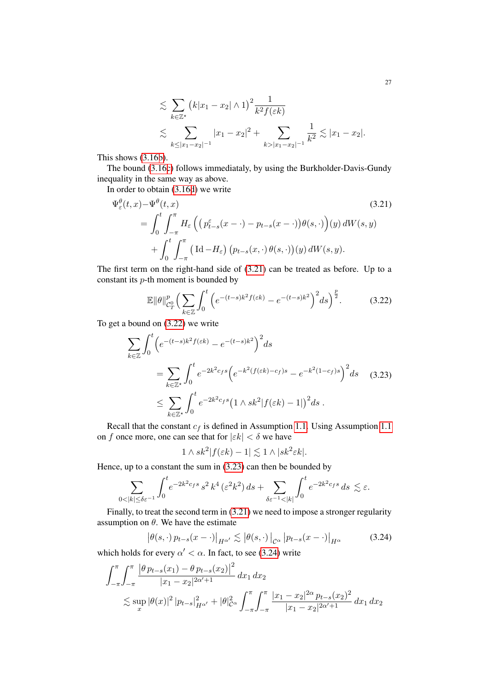<span id="page-26-0"></span>
$$
\lesssim \sum_{k \in \mathbb{Z}^*} (k|x_1 - x_2| \wedge 1)^2 \frac{1}{k^2 f(\varepsilon k)}
$$
  

$$
\lesssim \sum_{k \le |x_1 - x_2|^{-1}} |x_1 - x_2|^2 + \sum_{k > |x_1 - x_2|^{-1}} \frac{1}{k^2} \lesssim |x_1 - x_2|.
$$

This shows [\(3.16b\)](#page-3-5).

The bound [\(3.16c\)](#page-3-4) follows immediataly, by using the Burkholder-Davis-Gundy inequality in the same way as above.

In order to obtain [\(3.16d\)](#page-16-1) we write

$$
\Psi_{\varepsilon}^{\theta}(t,x) - \Psi^{\theta}(t,x)
$$
\n
$$
= \int_{0}^{t} \int_{-\pi}^{\pi} H_{\varepsilon} \left( \left( p_{t-s}^{\varepsilon}(x - \cdot) - p_{t-s}(x - \cdot) \right) \theta(s, \cdot) \right) (y) dW(s, y)
$$
\n
$$
+ \int_{0}^{t} \int_{-\pi}^{\pi} \left( \mathrm{Id} - H_{\varepsilon} \right) \left( p_{t-s}(x, \cdot) \theta(s, \cdot) \right) (y) dW(s, y).
$$
\n(3.21)

The first term on the right-hand side of [\(3.21\)](#page-26-0) can be treated as before. Up to a constant its p-th moment is bounded by

<span id="page-26-1"></span>
$$
\mathbb{E} \|\theta\|_{\mathcal{C}_T^0}^p \left(\sum_{k\in\mathbb{Z}} \int_0^t \left(e^{-(t-s)k^2 f(\varepsilon k)} - e^{-(t-s)k^2}\right)^2 ds\right)^{\frac{p}{2}}.\tag{3.22}
$$

To get a bound on [\(3.22\)](#page-26-1) we write

$$
\sum_{k \in \mathbb{Z}} \int_0^t \left( e^{-(t-s)k^2 f(\varepsilon k)} - e^{-(t-s)k^2} \right)^2 ds
$$
  
= 
$$
\sum_{k \in \mathbb{Z}^*} \int_0^t e^{-2k^2 c_f s} \left( e^{-k^2 (f(\varepsilon k) - c_f) s} - e^{-k^2 (1 - c_f) s} \right)^2 ds
$$
 (3.23)  

$$
\leq \sum_{k \in \mathbb{Z}^*} \int_0^t e^{-2k^2 c_f s} \left( 1 \wedge sk^2 |f(\varepsilon k) - 1| \right)^2 ds.
$$

Recall that the constant  $c_f$  is defined in Assumption [1.1.](#page-3-1) Using Assumption [1.1](#page-3-1) on f once more, one can see that for  $|\varepsilon k| < \delta$  we have

<span id="page-26-3"></span><span id="page-26-2"></span>
$$
1 \wedge sk^2|f(\varepsilon k) - 1| \lesssim 1 \wedge |sk^2 \varepsilon k|.
$$

Hence, up to a constant the sum in [\(3.23\)](#page-26-2) can then be bounded by

$$
\sum_{0<|k|\leq \delta \varepsilon^{-1}} \int_0^t e^{-2k^2 c_f s} s^2 k^4 \left(\varepsilon^2 k^2\right) ds + \sum_{\delta \varepsilon^{-1}<|k|} \int_0^t e^{-2k^2 c_f s} ds \lesssim \varepsilon.
$$

Finally, to treat the second term in [\(3.21\)](#page-26-0) we need to impose a stronger regularity assumption on  $\theta$ . We have the estimate

$$
\left| \theta(s, \cdot) p_{t-s}(x - \cdot) \right|_{H^{\alpha'}} \lesssim \left| \theta(s, \cdot) \right|_{\mathcal{C}^{\alpha}} \left| p_{t-s}(x - \cdot) \right|_{H^{\alpha}} \tag{3.24}
$$

which holds for every  $\alpha' < \alpha$ . In fact, to see [\(3.24\)](#page-26-3) write

$$
\int_{-\pi}^{\pi} \int_{-\pi}^{\pi} \frac{\left|\theta p_{t-s}(x_1) - \theta p_{t-s}(x_2)\right|^2}{|x_1 - x_2|^{2\alpha'+1}} dx_1 dx_2
$$
  

$$
\lesssim \sup_x |\theta(x)|^2 |p_{t-s}|_{H^{\alpha'}}^2 + |\theta|_{C^{\alpha}}^2 \int_{-\pi}^{\pi} \int_{-\pi}^{\pi} \frac{|x_1 - x_2|^{2\alpha} p_{t-s}(x_2)|^2}{|x_1 - x_2|^{2\alpha'+1}} dx_1 dx_2
$$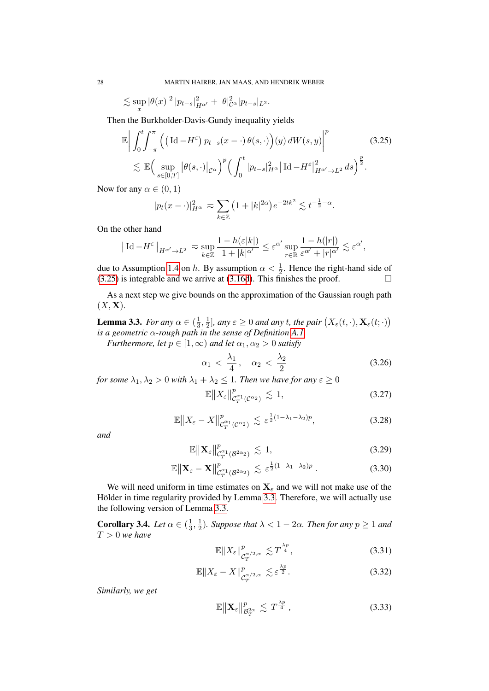$$
\lesssim \sup_x |\theta(x)|^2 |p_{t-s}|^2_{H^{\alpha'}} + |\theta|^2_{\mathcal{C}^{\alpha}} |p_{t-s}|_{L^2}.
$$

Then the Burkholder-Davis-Gundy inequality yields

$$
\mathbb{E}\left|\int_{0}^{t}\int_{-\pi}^{\pi}\left(\left(\mathrm{Id}-H^{\varepsilon}\right)p_{t-s}(x-\cdot)\theta(s,\cdot)\right)(y)\,dW(s,y)\right|^{p}\leq \mathbb{E}\left(\sup_{s\in[0,T]}\left|\theta(s,\cdot)\right|_{\mathcal{C}^{\alpha}}\right)^{p}\left(\int_{0}^{t}\left|p_{t-s}\right|_{H^{\alpha}}^{2}\left|\mathrm{Id}-H^{\varepsilon}\right|_{H^{\alpha'}\to L^{2}}^{2}ds\right)^{\frac{p}{2}}.
$$
\n(3.25)

Now for any  $\alpha \in (0,1)$ 

<span id="page-27-2"></span>
$$
|p_t(x-\cdot)|_{H^{\alpha}}^2 \approx \sum_{k\in\mathbb{Z}} \left(1+|k|^{2\alpha}\right) e^{-2tk^2} \lesssim t^{-\frac{1}{2}-\alpha}.
$$

On the other hand

$$
\left|\hspace{0.3mm} \mathrm{Id} \hspace{0.3mm} - H^\varepsilon \hspace{0.3mm} \right|_{H^{\alpha'}\to L^2} \hspace{0.3mm} \eqsim \hspace{0.3mm} \sup_{k\in\mathbb{Z}} \frac{1-h(\varepsilon|k|)}{1+|k|^{\alpha'}} \leq \varepsilon^{\alpha'} \sup_{r\in\mathbb{R}} \frac{1-h(|r|)}{\varepsilon^{\alpha'}+|r|^{\alpha'}} \lesssim \varepsilon^{\alpha'},
$$

due to Assumption [1.4](#page-4-3) on h. By assumption  $\alpha < \frac{1}{2}$ . Hence the right-hand side of  $(3.25)$  is integrable and we arrive at  $(3.16d)$ . This finishes the proof.

As a next step we give bounds on the approximation of the Gaussian rough path  $(X, \mathbf{X}).$ 

<span id="page-27-0"></span>**Lemma 3.3.** *For any*  $\alpha \in (\frac{1}{3})$  $\frac{1}{3}, \frac{1}{2}$  $\frac{1}{2}$ ], any  $\varepsilon \geq 0$  and any t, the pair  $(X_{\varepsilon}(t, \cdot), \mathbf{X}_{\varepsilon}(t; \cdot))$ *is a geometric* α*-rough path in the sense of Definition [A.1.](#page-72-3)*

*Furthermore, let*  $p \in [1, \infty)$  *and let*  $\alpha_1, \alpha_2 > 0$  *satisfy* 

<span id="page-27-3"></span>
$$
\alpha_1 < \frac{\lambda_1}{4}, \quad \alpha_2 < \frac{\lambda_2}{2} \tag{3.26}
$$

*for some*  $\lambda_1, \lambda_2 > 0$  *with*  $\lambda_1 + \lambda_2 \leq 1$ *. Then we have for any*  $\varepsilon \geq 0$ 

<span id="page-27-6"></span><span id="page-27-5"></span><span id="page-27-4"></span>
$$
\mathbb{E}\left\|X_{\varepsilon}\right\|_{\mathcal{C}_{T}^{\alpha_{1}}(\mathcal{C}^{\alpha_{2}})}^{p} \lesssim 1,\tag{3.27}
$$

$$
\mathbb{E}\|X_{\varepsilon} - X\|_{\mathcal{C}_T^{\alpha_1}(\mathcal{C}^{\alpha_2})}^p \lesssim \varepsilon^{\frac{1}{2}(1-\lambda_1-\lambda_2)p},\tag{3.28}
$$

*and*

$$
\mathbb{E}\|\mathbf{X}_{\varepsilon}\|_{\mathcal{C}_{T}^{\alpha_{1}}(\mathcal{B}^{2\alpha_{2}})}^{p} \lesssim 1,
$$
\n(3.29)

$$
\mathbb{E}\left\|\mathbf{X}_{\varepsilon}-\mathbf{X}\right\|_{\mathcal{C}_{T}^{\alpha_{1}}(\mathcal{B}^{2\alpha_{2}})}^p \lesssim \varepsilon^{\frac{1}{2}(1-\lambda_{1}-\lambda_{2})p}.
$$
\n(3.30)

We will need uniform in time estimates on  $X_\varepsilon$  and we will not make use of the Hölder in time regularity provided by Lemma [3.3.](#page-27-0) Therefore, we will actually use the following version of Lemma [3.3.](#page-27-0)

<span id="page-27-1"></span>**Corollary 3.4.** *Let*  $\alpha \in (\frac{1}{3})$  $\frac{1}{3}, \frac{1}{2}$  $\frac{1}{2}$ ). Suppose that  $\lambda < 1 - 2\alpha$ . Then for any  $p \ge 1$  and T > 0 *we have*

<span id="page-27-7"></span>
$$
\mathbb{E}\|X_{\varepsilon}\|_{\mathcal{C}_{T}^{\alpha/2,\alpha}}^{p} \lesssim T^{\frac{\lambda p}{4}},\tag{3.31}
$$

$$
\mathbb{E}\|X_{\varepsilon}-X\|_{\mathcal{C}_T^{\alpha/2,\alpha}}^p \lesssim \varepsilon^{\frac{\lambda p}{2}}.\tag{3.32}
$$

*Similarly, we get*

$$
\mathbb{E}\|\mathbf{X}_{\varepsilon}\|_{\mathcal{B}_{T}^{2\alpha}}^{p} \lesssim T^{\frac{\lambda p}{4}}\,,\tag{3.33}
$$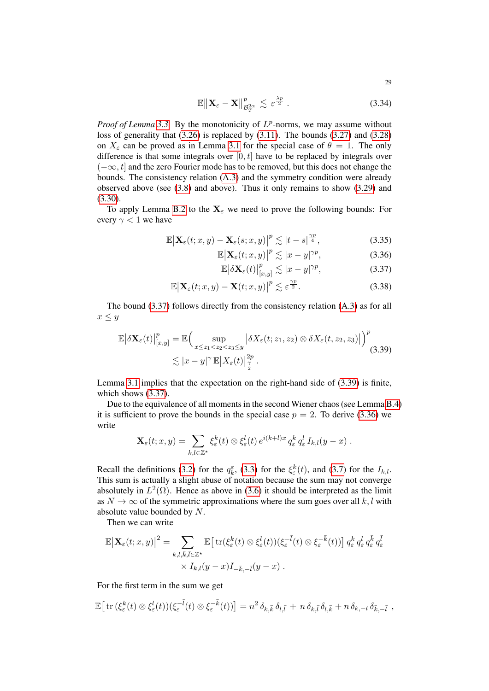$$
\mathbb{E}\left\|\mathbf{X}_{\varepsilon}-\mathbf{X}\right\|_{\mathcal{B}_{T}^{2\alpha}}^{p}\lesssim\varepsilon^{\frac{\lambda p}{2}}.
$$
\n(3.34)

*Proof of Lemma* [3.3.](#page-27-0) By the monotonicity of  $L^p$ -norms, we may assume without loss of generality that [\(3.26\)](#page-27-3) is replaced by [\(3.11\)](#page-23-6). The bounds [\(3.27\)](#page-27-4) and [\(3.28\)](#page-27-5) on  $X_{\varepsilon}$  can be proved as in Lemma [3.1](#page-23-0) for the special case of  $\theta = 1$ . The only difference is that some integrals over  $[0, t]$  have to be replaced by integrals over  $(-\infty, t]$  and the zero Fourier mode has to be removed, but this does not change the bounds. The consistency relation [\(A.3\)](#page-72-2) and the symmetry condition were already observed above (see [\(3.8\)](#page-22-2) and above). Thus it only remains to show [\(3.29\)](#page-27-6) and [\(3.30\)](#page-27-7).

To apply Lemma [B.2](#page-73-1) to the  $X_\varepsilon$  we need to prove the following bounds: For every  $\gamma$  < 1 we have

$$
\mathbb{E}\left|\mathbf{X}_{\varepsilon}(t;x,y)-\mathbf{X}_{\varepsilon}(s;x,y)\right|^{p}\lesssim|t-s|^{\frac{\gamma p}{4}},\tag{3.35}
$$

$$
\mathbb{E}\left|\mathbf{X}_{\varepsilon}(t;x,y)\right|^{p} \lesssim |x-y|^{\gamma p},\tag{3.36}
$$

<span id="page-28-4"></span><span id="page-28-3"></span><span id="page-28-2"></span><span id="page-28-1"></span><span id="page-28-0"></span>
$$
\mathbb{E}\left|\delta\mathbf{X}_{\varepsilon}(t)\right|_{[x,y]}^p \lesssim |x-y|^{\gamma p},\tag{3.37}
$$

$$
\mathbb{E}\big|\mathbf{X}_{\varepsilon}(t;x,y)-\mathbf{X}(t;x,y)\big|^{p}\lesssim \varepsilon^{\frac{\gamma p}{2}}.
$$
 (3.38)

The bound [\(3.37\)](#page-28-0) follows directly from the consistency relation [\(A.3\)](#page-72-2) as for all  $x \leq y$ 

$$
\mathbb{E}\left|\delta\mathbf{X}_{\varepsilon}(t)\right|_{[x,y]}^p = \mathbb{E}\Big(\sup_{x\leq z_1 < z_2 < z_3 \leq y} \left|\delta X_{\varepsilon}(t;z_1,z_2) \otimes \delta X_{\varepsilon}(t,z_2,z_3)\right|\Big)^p \lesssim |x-y|^\gamma \mathbb{E}\left|X_{\varepsilon}(t)\right|_{\frac{\gamma}{2}}^{2p}.
$$
\n(3.39)

Lemma [3.1](#page-23-0) implies that the expectation on the right-hand side of [\(3.39\)](#page-28-1) is finite, which shows [\(3.37\)](#page-28-0).

Due to the equivalence of all moments in the second Wiener chaos (see Lemma [B.4\)](#page-77-13) it is sufficient to prove the bounds in the special case  $p = 2$ . To derive [\(3.36\)](#page-28-2) we write

$$
\mathbf{X}_{\varepsilon}(t;x,y)=\sum_{k,l\in\mathbb{Z}^*}\xi_{\varepsilon}^k(t)\otimes\xi_{\varepsilon}^l(t)\,e^{i(k+l)x}\,q_{\varepsilon}^k\,q_{\varepsilon}^l\,I_{k,l}(y-x)\;.
$$

Recall the definitions [\(3.2\)](#page-22-3) for the  $q_k^{\varepsilon}$ , [\(3.3\)](#page-22-4) for the  $\xi_{\varepsilon}^k(t)$ , and [\(3.7\)](#page-22-5) for the  $I_{k,l}$ . This sum is actually a slight abuse of notation because the sum may not converge absolutely in  $L^2(\Omega)$ . Hence as above in [\(3.6\)](#page-22-1) it should be interpreted as the limit as  $N \to \infty$  of the symmetric approximations where the sum goes over all k, l with absolute value bounded by N.

Then we can write

$$
\mathbb{E} \big| \mathbf{X}_{\varepsilon}(t; x, y) \big|^2 = \sum_{k,l,\bar{k},\bar{l} \in \mathbb{Z}^\star} \mathbb{E} \big[ \operatorname{tr}(\xi_{\varepsilon}^k(t) \otimes \xi_{\varepsilon}^l(t)) (\xi_{\varepsilon}^{-\bar{l}}(t) \otimes \xi_{\varepsilon}^{-\bar{k}}(t)) \big] q_{\varepsilon}^k q_{\varepsilon}^l q_{\varepsilon}^{\bar{k}} q_{\varepsilon}^{\bar{l}} q_{\varepsilon}^k
$$
  
 
$$
\times I_{k,l}(y-x) I_{-\bar{k},-\bar{l}}(y-x) .
$$

For the first term in the sum we get

$$
\mathbb{E}\big[\operatorname{tr}(\xi_{\varepsilon}^k(t)\otimes\xi_{\varepsilon}^l(t))(\xi_{\varepsilon}^{-\overline{l}}(t)\otimes\xi_{\varepsilon}^{-\overline{k}}(t))\big]=n^2\,\delta_{k,\overline{k}}\,\delta_{l,\overline{l}}+n\,\delta_{k,\overline{l}}\,\delta_{l,\overline{k}}+n\,\delta_{k,-l}\,\delta_{\overline{k},-\overline{l}}\;,
$$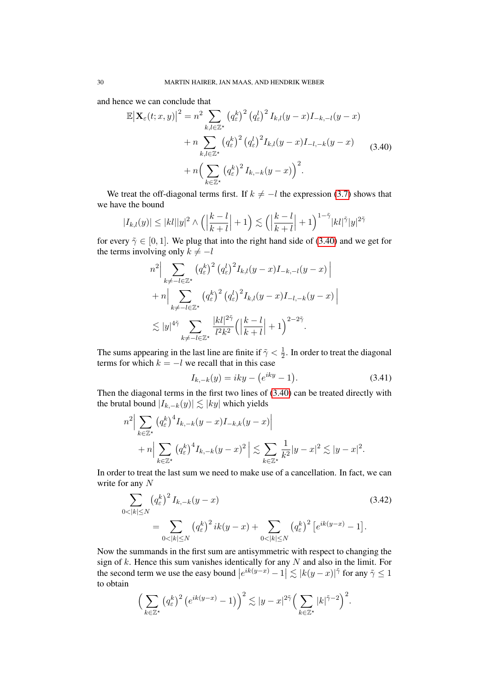and hence we can conclude that

<span id="page-29-0"></span>
$$
\mathbb{E}\left|\mathbf{X}_{\varepsilon}(t;x,y)\right|^{2} = n^{2} \sum_{k,l\in\mathbb{Z}^{\star}} \left(q_{\varepsilon}^{k}\right)^{2} \left(q_{\varepsilon}^{l}\right)^{2} I_{k,l}(y-x)I_{-k,-l}(y-x) + n \sum_{k,l\in\mathbb{Z}^{\star}} \left(q_{\varepsilon}^{k}\right)^{2} \left(q_{\varepsilon}^{l}\right)^{2} I_{k,l}(y-x)I_{-l,-k}(y-x) + n \left(\sum_{k\in\mathbb{Z}^{\star}} \left(q_{\varepsilon}^{k}\right)^{2} I_{k,-k}(y-x)\right)^{2}.
$$
\n(3.40)

We treat the off-diagonal terms first. If  $k \neq -l$  the expression [\(3.7\)](#page-22-5) shows that we have the bound

$$
|I_{k,l}(y)| \leq |kl||y|^2 \wedge \left(\left|\frac{k-l}{k+l}\right|+1\right) \lesssim \left(\left|\frac{k-l}{k+l}\right|+1\right)^{1-\tilde{\gamma}} |kl|^{\tilde{\gamma}} |y|^{2\tilde{\gamma}}
$$

for every  $\tilde{\gamma} \in [0, 1]$ . We plug that into the right hand side of [\(3.40\)](#page-29-0) and we get for the terms involving only  $k \neq -l$ 

$$
n^{2} \Big| \sum_{k \neq -l \in \mathbb{Z}^{\star}} \left( q_{\varepsilon}^{k} \right)^{2} \left( q_{\varepsilon}^{l} \right)^{2} I_{k,l}(y-x) I_{-k,-l}(y-x) \Big|
$$
  
+ 
$$
n \Big| \sum_{k \neq -l \in \mathbb{Z}^{\star}} \left( q_{\varepsilon}^{k} \right)^{2} \left( q_{\varepsilon}^{l} \right)^{2} I_{k,l}(y-x) I_{-l,-k}(y-x) \Big|
$$
  

$$
\lesssim |y|^{4\tilde{\gamma}} \sum_{k \neq -l \in \mathbb{Z}^{\star}} \frac{|kl|^{2\tilde{\gamma}}}{l^{2}k^{2}} \Big( \Big| \frac{k-l}{k+l} \Big| + 1 \Big)^{2-2\tilde{\gamma}}.
$$

The sums appearing in the last line are finite if  $\tilde{\gamma} < \frac{1}{2}$  $\frac{1}{2}$ . In order to treat the diagonal terms for which  $k = -l$  we recall that in this case

<span id="page-29-2"></span><span id="page-29-1"></span>
$$
I_{k,-k}(y) = iky - (e^{iky} - 1).
$$
 (3.41)

Then the diagonal terms in the first two lines of [\(3.40\)](#page-29-0) can be treated directly with the brutal bound  $|I_{k,-k}(y)| \lesssim |ky|$  which yields

$$
n^2 \Big| \sum_{k \in \mathbb{Z}^\star} (q_{\varepsilon}^k)^4 I_{k,-k}(y-x) I_{-k,k}(y-x) \Big|
$$
  
+ 
$$
n \Big| \sum_{k \in \mathbb{Z}^\star} (q_{\varepsilon}^k)^4 I_{k,-k}(y-x)^2 \Big| \lesssim \sum_{k \in \mathbb{Z}^\star} \frac{1}{k^2} |y-x|^2 \lesssim |y-x|^2.
$$

In order to treat the last sum we need to make use of a cancellation. In fact, we can write for any N

$$
\sum_{0 < |k| \le N} (q_{\varepsilon}^{k})^{2} I_{k, -k}(y - x) \tag{3.42}
$$
\n
$$
= \sum_{0 < |k| \le N} (q_{\varepsilon}^{k})^{2} i k(y - x) + \sum_{0 < |k| \le N} (q_{\varepsilon}^{k})^{2} [e^{ik(y - x)} - 1].
$$

Now the summands in the first sum are antisymmetric with respect to changing the sign of  $k$ . Hence this sum vanishes identically for any  $N$  and also in the limit. For the second term we use the easy bound  $|e^{ik(y-x)} - 1| \lesssim |k(y-x)|^{\tilde{\gamma}}$  for any  $\tilde{\gamma} \le 1$ to obtain

$$
\Big(\sum_{k\in\mathbb{Z}^\star}\left(q_\varepsilon^k\right)^2\left(e^{ik(y-x)}-1\right)\Big)^2\lesssim|y-x|^{2\tilde{\gamma}}\Big(\sum_{k\in\mathbb{Z}^\star}|k|^{\tilde{\gamma}-2}\Big)^2.
$$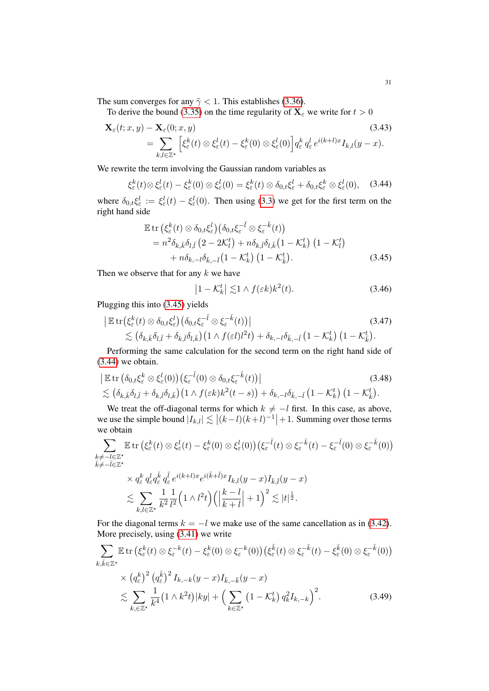The sum converges for any  $\tilde{\gamma}$  < 1. This establishes [\(3.36\)](#page-28-2).

To derive the bound [\(3.35\)](#page-28-3) on the time regularity of  $X_\varepsilon$  we write for  $t > 0$ 

$$
\mathbf{X}_{\varepsilon}(t; x, y) - \mathbf{X}_{\varepsilon}(0; x, y) \tag{3.43}
$$
\n
$$
= \sum_{k,l \in \mathbb{Z}^*} \left[ \xi_{\varepsilon}^k(t) \otimes \xi_{\varepsilon}^l(t) - \xi_{\varepsilon}^k(0) \otimes \xi_{\varepsilon}^l(0) \right] q_{\varepsilon}^k q_{\varepsilon}^l e^{i(k+l)x} I_{k,l}(y-x). \tag{3.43}
$$

We rewrite the term involving the Gaussian random variables as

$$
\xi_{\varepsilon}^{k}(t)\otimes\xi_{\varepsilon}^{l}(t)-\xi_{\varepsilon}^{k}(0)\otimes\xi_{\varepsilon}^{l}(0)=\xi_{\varepsilon}^{k}(t)\otimes\delta_{0,t}\xi_{\varepsilon}^{l}+\delta_{0,t}\xi_{\varepsilon}^{k}\otimes\xi_{\varepsilon}^{l}(0), \quad (3.44)
$$

where  $\delta_{0,t}\xi_{\varepsilon}^l := \xi_{\varepsilon}^l(t) - \xi_{\varepsilon}^l(0)$ . Then using [\(3.3\)](#page-22-4) we get for the first term on the right hand side

$$
\mathbb{E} \operatorname{tr} \left( \xi_{\varepsilon}^{k}(t) \otimes \delta_{0,t} \xi_{\varepsilon}^{l} \right) \left( \delta_{0,t} \xi_{\varepsilon}^{-\bar{l}} \otimes \xi_{\varepsilon}^{-\bar{k}}(t) \right) \n= n^{2} \delta_{k,\bar{k}} \delta_{l,\bar{l}} \left( 2 - 2\mathcal{K}_{l}^{t} \right) + n \delta_{k,\bar{l}} \delta_{l,\bar{k}} \left( 1 - \mathcal{K}_{k}^{t} \right) \left( 1 - \mathcal{K}_{l}^{t} \right) \n+ n \delta_{k,-l} \delta_{\bar{k},-\bar{l}} \left( 1 - \mathcal{K}_{k}^{t} \right) \left( 1 - \mathcal{K}_{\bar{k}}^{t} \right).
$$
\n(3.45)

Then we observe that for any  $k$  we have

<span id="page-30-3"></span><span id="page-30-2"></span><span id="page-30-1"></span><span id="page-30-0"></span>
$$
\left|1 - \mathcal{K}_k^t\right| \lesssim 1 \wedge f(\varepsilon k) k^2(t). \tag{3.46}
$$

Plugging this into [\(3.45\)](#page-30-0) yields

$$
\begin{split} \left| \mathbb{E} \operatorname{tr} \left( \xi_{\varepsilon}^{k}(t) \otimes \delta_{0,t} \xi_{\varepsilon}^{l} \right) \left( \delta_{0,t} \xi_{\varepsilon}^{-\bar{l}} \otimes \xi_{\varepsilon}^{-\bar{k}}(t) \right) \right| \\ &\lesssim \left( \delta_{k,\bar{k}} \delta_{l,\bar{l}} + \delta_{k,\bar{l}} \delta_{l,\bar{k}} \right) \left( 1 \wedge f(\varepsilon l) l^{2} t \right) + \delta_{k,-l} \delta_{\bar{k},-\bar{l}} \left( 1 - \mathcal{K}_{k}^{t} \right) \left( 1 - \mathcal{K}_{\bar{k}}^{t} \right). \end{split} \tag{3.47}
$$

Performing the same calculation for the second term on the right hand side of [\(3.44\)](#page-30-1) we obtain.

$$
\begin{aligned} & \left| \mathbb{E} \operatorname{tr} \left( \delta_{0,t} \xi_{\varepsilon}^{k} \otimes \xi_{\varepsilon}^{l}(0) \right) \left( \xi_{\varepsilon}^{-\bar{l}}(0) \otimes \delta_{0,t} \xi_{\varepsilon}^{-\bar{k}}(t) \right) \right| \\ &\lesssim \left( \delta_{k,\bar{k}} \delta_{l,\bar{l}} + \delta_{k,\bar{l}} \delta_{l,\bar{k}} \right) \left( 1 \wedge f(\varepsilon k) k^{2}(t-s) \right) + \delta_{k,-l} \delta_{\bar{k},-\bar{l}} \left( 1 - \mathcal{K}_{k}^{t} \right) \left( 1 - \mathcal{K}_{\bar{k}}^{t} \right). \end{aligned} \tag{3.48}
$$

We treat the off-diagonal terms for which  $k \neq -l$  first. In this case, as above, we use the simple bound  $|I_{k,l}| \lesssim |(k-l)(k+l)^{-1}|+1$ . Summing over those terms we obtain

$$
\sum_{\substack{k \neq -l \in \mathbb{Z}^\star \\ \overline{k} \neq -\overline{l} \in \mathbb{Z}^\star}} \mathbb{E} \operatorname{tr} \left( \xi_\varepsilon^k(t) \otimes \xi_\varepsilon^l(t) - \xi_\varepsilon^k(0) \otimes \xi_\varepsilon^l(0) \right) \left( \xi_\varepsilon^{-\overline{l}}(t) \otimes \xi_\varepsilon^{-\overline{k}}(t) - \xi_\varepsilon^{-\overline{l}}(0) \otimes \xi_\varepsilon^{-\overline{k}}(0) \right) \times q_\varepsilon^k q_\varepsilon^l q_\varepsilon^{\overline{l}} q_\varepsilon^{\overline{l}} e^{i(k+l)x} e^{i(\overline{k}+\overline{l})x} I_{k,l}(y-x) I_{\overline{k},\overline{l}}(y-x)
$$

<span id="page-30-4"></span>ε ε ε ε . X k,l∈Z? 1 k 2 1 l 2 1 ∧ l 2 t k − l k + l  + 1<sup>2</sup> . |t| 1 2 .

For the diagonal terms  $k = -l$  we make use of the same cancellation as in [\(3.42\)](#page-29-1). More precisely, using [\(3.41\)](#page-29-2) we write

$$
\sum_{k,\bar{k}\in\mathbb{Z}^{\star}} \mathbb{E} \operatorname{tr} \left( \xi_{\varepsilon}^{k}(t) \otimes \xi_{\varepsilon}^{-k}(t) - \xi_{\varepsilon}^{k}(0) \otimes \xi_{\varepsilon}^{-k}(0) \right) \left( \xi_{\varepsilon}^{\bar{k}}(t) \otimes \xi_{\varepsilon}^{-\bar{k}}(t) - \xi_{\varepsilon}^{\bar{k}}(0) \otimes \xi_{\varepsilon}^{-\bar{k}}(0) \right) \times \left( q_{\varepsilon}^{k} \right)^{2} \left( q_{\varepsilon}^{\bar{k}} \right)^{2} I_{k,-k}(y-x) I_{\bar{k},-\bar{k}}(y-x) \n\lesssim \sum_{k,\in\mathbb{Z}^{\star}} \frac{1}{k^{4}} \left( 1 \wedge k^{2} t \right) |ky| + \left( \sum_{k\in\mathbb{Z}^{\star}} \left( 1 - \mathcal{K}_{k}^{t} \right) q_{k}^{2} I_{k,-k} \right)^{2}.
$$
\n(3.49)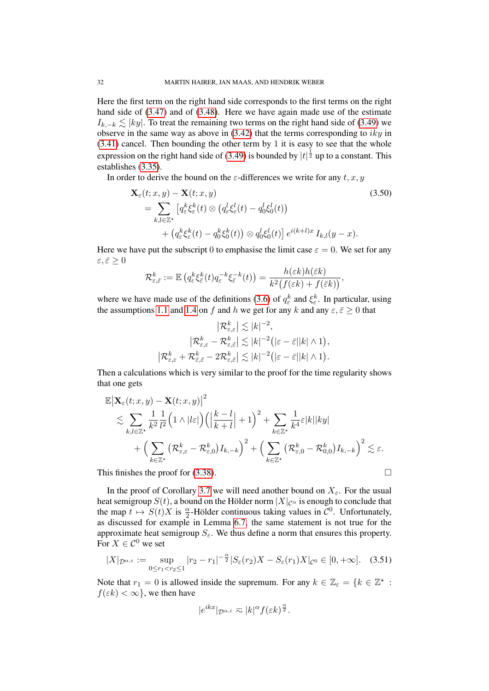Here the first term on the right hand side corresponds to the first terms on the right hand side of [\(3.47\)](#page-30-2) and of [\(3.48\)](#page-30-3). Here we have again made use of the estimate  $I_{k,-k} \leq |ky|$ . To treat the remaining two terms on the right hand side of [\(3.49\)](#page-30-4) we observe in the same way as above in  $(3.42)$  that the terms corresponding to  $iky$  in [\(3.41\)](#page-29-2) cancel. Then bounding the other term by 1 it is easy to see that the whole expression on the right hand side of [\(3.49\)](#page-30-4) is bounded by  $|t|^{\frac{1}{2}}$  up to a constant. This establishes [\(3.35\)](#page-28-3).

In order to derive the bound on the  $\varepsilon$ -differences we write for any t, x, y

$$
\mathbf{X}_{\varepsilon}(t; x, y) - \mathbf{X}(t; x, y)
$$
\n
$$
= \sum_{k,l \in \mathbb{Z}^*} \left[ q_{\varepsilon}^k \xi_{\varepsilon}^k(t) \otimes \left( q_{\varepsilon}^l \xi_{\varepsilon}^l(t) - q_0^l \xi_0^l(t) \right) + \left( q_{\varepsilon}^k \xi_{\varepsilon}^k(t) - q_0^k \xi_0^k(t) \right) \otimes q_0^l \xi_0^l(t) \right] e^{i(k+l)x} I_{k,l}(y-x).
$$
\n(3.50)

Here we have put the subscript 0 to emphasise the limit case  $\varepsilon = 0$ . We set for any  $\varepsilon, \bar{\varepsilon} \geq 0$ 

$$
\mathcal{R}^k_{\varepsilon,\bar{\varepsilon}}:=\mathbb{E}\left(q^k_\varepsilon\xi^k_{\bar{\varepsilon}}(t)q^{-k}_\varepsilon\xi^{-k}_{\bar{\varepsilon}}(t)\right)=\frac{h(\varepsilon k)h(\bar{\varepsilon} k)}{k^2\big(f(\varepsilon k)+f(\bar{\varepsilon} k)\big)},
$$

where we have made use of the definitions [\(3.6\)](#page-22-1) of  $q_{\varepsilon}^k$  and  $\xi_{\varepsilon}^k$ . In particular, using the assumptions [1.1](#page-3-1) and [1.4](#page-4-3) on f and h we get for any k and any  $\varepsilon$ ,  $\bar{\varepsilon} > 0$  that

$$
\left| \mathcal{R}^k_{\varepsilon,\varepsilon} \right| \lesssim |k|^{-2},
$$
  

$$
\left| \mathcal{R}^k_{\varepsilon,\varepsilon} - \mathcal{R}^k_{\varepsilon,\bar{\varepsilon}} \right| \lesssim |k|^{-2} \big( |\varepsilon - \bar{\varepsilon}| |k| \wedge 1 \big),
$$
  

$$
\left| \mathcal{R}^k_{\varepsilon,\varepsilon} + \mathcal{R}^k_{\bar{\varepsilon},\bar{\varepsilon}} - 2\mathcal{R}^k_{\varepsilon,\bar{\varepsilon}} \right| \lesssim |k|^{-2} \big( |\varepsilon - \bar{\varepsilon}| |k| \wedge 1 \big).
$$

Then a calculations which is very similar to the proof for the time regularity shows that one gets

$$
\mathbb{E}\left|\mathbf{X}_{\varepsilon}(t;x,y)-\mathbf{X}(t;x,y)\right|^{2} \n\lesssim \sum_{k,l\in\mathbb{Z}^{\star}}\frac{1}{k^{2}}\frac{1}{l^{2}}\Big(1\wedge|l\varepsilon|\Big)\Big(\Big|\frac{k-l}{k+l}\Big|+1\Big)^{2}+\sum_{k\in\mathbb{Z}^{\star}}\frac{1}{k^{4}}\varepsilon|k||ky| \n+\Big(\sum_{k\in\mathbb{Z}^{\star}}\big(\mathcal{R}^{k}_{\varepsilon,\varepsilon}-\mathcal{R}^{k}_{\varepsilon,0}\big)I_{k,-k}\Big)^{2}+\Big(\sum_{k\in\mathbb{Z}^{\star}}\big(\mathcal{R}^{k}_{\varepsilon,0}-\mathcal{R}^{k}_{0,0}\big)I_{k,-k}\Big)^{2}\lesssim \varepsilon.
$$

This finishes the proof for  $(3.38)$ .

In the proof of Corollary [3.7](#page-40-0) we will need another bound on  $X_{\varepsilon}$ . For the usual heat semigroup  $S(t)$ , a bound on the Hölder norm  $|X|_{\mathcal{C}^{\alpha}}$  is enough to conclude that the map  $t \mapsto S(t)X$  is  $\frac{\alpha}{2}$ -Hölder continuous taking values in  $\mathcal{C}^0$ . Unfortunately, as discussed for example in Lemma [6.7,](#page-69-1) the same statement is not true for the approximate heat semigroup  $S_{\varepsilon}$ . We thus define a norm that ensures this property. For  $X \in \mathcal{C}^0$  we set

$$
|X|_{\mathcal{D}^{\alpha,\varepsilon}} := \sup_{0 \le r_1 < r_2 \le 1} |r_2 - r_1|^{-\frac{\alpha}{2}} |S_{\varepsilon}(r_2)| - S_{\varepsilon}(r_1)| - |X|_{\mathcal{C}^0} \in [0, +\infty]. \tag{3.51}
$$

Note that  $r_1 = 0$  is allowed inside the supremum. For any  $k \in \mathbb{Z}_{\epsilon} = \{k \in \mathbb{Z}^{\star} :$  $f(\varepsilon k) < \infty$ , we then have

$$
|e^{ikx}|_{\mathcal{D}^{\alpha,\varepsilon}} \eqsim |k|^{\alpha} f(\varepsilon k)^{\frac{\alpha}{2}}.
$$

<span id="page-31-0"></span>
$$
\overline{\phantom{0}}
$$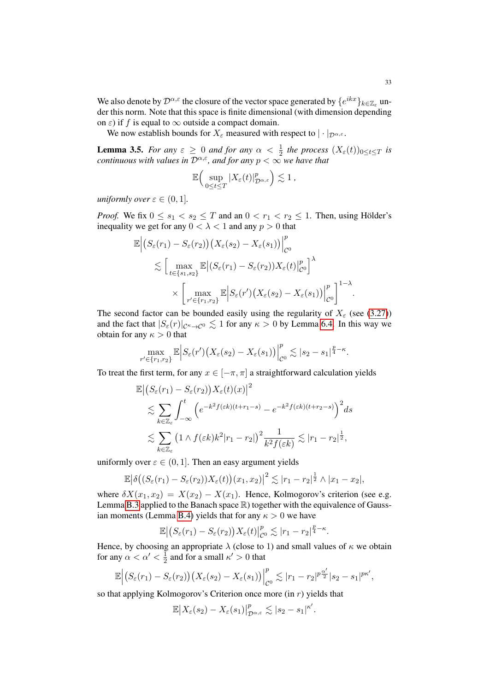We also denote by  $\mathcal{D}^{\alpha,\varepsilon}$  the closure of the vector space generated by  $\{e^{ikx}\}_{k\in\mathbb{Z}_\varepsilon}$  under this norm. Note that this space is finite dimensional (with dimension depending on  $\varepsilon$ ) if f is equal to  $\infty$  outside a compact domain.

We now establish bounds for  $X_{\varepsilon}$  measured with respect to  $|\cdot|_{\mathcal{D}^{\alpha,\varepsilon}}$ .

<span id="page-32-0"></span>**Lemma 3.5.** *For any*  $\varepsilon \geq 0$  *and for any*  $\alpha < \frac{1}{2}$  *the process*  $(X_{\varepsilon}(t))_{0 \leq t \leq T}$  *is continuous with values in*  $D^{\alpha,\epsilon}$ *, and for any*  $p < \infty$ *we have that* 

$$
\mathbb{E}\Big(\sup_{0\leq t\leq T}|X_{\varepsilon}(t)|_{\mathcal{D}^{\alpha,\varepsilon}}^p\Big)\lesssim 1\,,
$$

*uniformly over*  $\varepsilon \in (0, 1]$ *.* 

*Proof.* We fix  $0 \le s_1 < s_2 \le T$  and an  $0 < r_1 < r_2 \le 1$ . Then, using Hölder's inequality we get for any  $0 < \lambda < 1$  and any  $p > 0$  that

$$
\mathbb{E}\Big|\big(S_{\varepsilon}(r_1) - S_{\varepsilon}(r_2)\big)\big(X_{\varepsilon}(s_2) - X_{\varepsilon}(s_1)\big)\Big|_{\mathcal{C}^0}^p
$$
\n
$$
\lesssim \Big[\max_{t \in \{s_1, s_2\}} \mathbb{E}\Big|(S_{\varepsilon}(r_1) - S_{\varepsilon}(r_2))X_{\varepsilon}(t)\Big|_{\mathcal{C}^0}^p\Big]^{\lambda}
$$
\n
$$
\times \Big[\max_{r' \in \{r_1, r_2\}} \mathbb{E}\Big|S_{\varepsilon}(r')\big(X_{\varepsilon}(s_2) - X_{\varepsilon}(s_1)\big)\Big|_{\mathcal{C}^0}^p\Big]^{1-\lambda}.
$$

The second factor can be bounded easily using the regularity of  $X_{\varepsilon}$  (see [\(3.27\)](#page-27-4)) and the fact that  $|S_{\varepsilon}(r)|_{\mathcal{C}^{\kappa}\to\mathcal{C}^{0}} \lesssim 1$  for any  $\kappa > 0$  by Lemma [6.4.](#page-66-1) In this way we obtain for any  $\kappa > 0$  that

$$
\max_{r' \in \{r_1, r_2\}} \mathbb{E} \Big| S_{\varepsilon}(r') \big(X_{\varepsilon}(s_2) - X_{\varepsilon}(s_1)\big)\Big|_{\mathcal{C}^0}^p \lesssim |s_2 - s_1|^{\frac{p}{4} - \kappa}.
$$

To treat the first term, for any  $x \in [-\pi, \pi]$  a straightforward calculation yields

$$
\mathbb{E}\left|\left(S_{\varepsilon}(r_1) - S_{\varepsilon}(r_2)\right)X_{\varepsilon}(t)(x)\right|^2
$$
\n
$$
\lesssim \sum_{k\in\mathbb{Z}_{\varepsilon}} \int_{-\infty}^t \left(e^{-k^2 f(\varepsilon k)(t+r_1-s)} - e^{-k^2 f(\varepsilon k)(t+r_2-s)}\right)^2 ds
$$
\n
$$
\lesssim \sum_{k\in\mathbb{Z}_{\varepsilon}} \left(1 \wedge f(\varepsilon k)k^2 |r_1 - r_2|\right)^2 \frac{1}{k^2 f(\varepsilon k)} \lesssim |r_1 - r_2|^{\frac{1}{2}},
$$

uniformly over  $\varepsilon \in (0, 1]$ . Then an easy argument yields

$$
\mathbb{E}\big|\delta\big((S_{\varepsilon}(r_1)-S_{\varepsilon}(r_2))X_{\varepsilon}(t)\big)(x_1,x_2)\big|^2\lesssim |r_1-r_2|^{\frac{1}{2}}\wedge|x_1-x_2|,
$$

where  $\delta X(x_1, x_2) = X(x_2) - X(x_1)$ . Hence, Kolmogorov's criterion (see e.g. Lemma [B.3](#page-76-0) applied to the Banach space  $\mathbb R$ ) together with the equivalence of Gauss-ian moments (Lemma [B.4\)](#page-77-13) yields that for any  $\kappa > 0$  we have

$$
\mathbb{E}\left|\left(S_{\varepsilon}(r_1)-S_{\varepsilon}(r_2)\right)X_{\varepsilon}(t)\right|_{\mathcal{C}^0}^p\lesssim |r_1-r_2|^{\frac{p}{4}-\kappa}.
$$

Hence, by choosing an appropriate  $\lambda$  (close to 1) and small values of  $\kappa$  we obtain for any  $\alpha < \alpha' < \frac{1}{2}$  $\frac{1}{2}$  and for a small  $\kappa' > 0$  that

$$
\mathbb{E}\Big|\big(S_{\varepsilon}(r_1)-S_{\varepsilon}(r_2)\big)\big(X_{\varepsilon}(s_2)-X_{\varepsilon}(s_1)\big)\Big|_{\mathcal{C}^0}^p\lesssim |r_1-r_2|^{p\frac{\alpha'}{2}}|s_2-s_1|^{p\kappa'},
$$

so that applying Kolmogorov's Criterion once more (in  $r$ ) yields that

$$
\mathbb{E}\big|X_{\varepsilon}(s_2)-X_{\varepsilon}(s_1)\big|_{\mathcal{D}^{\alpha,\varepsilon}}^p\lesssim|s_2-s_1|^{\kappa'}.
$$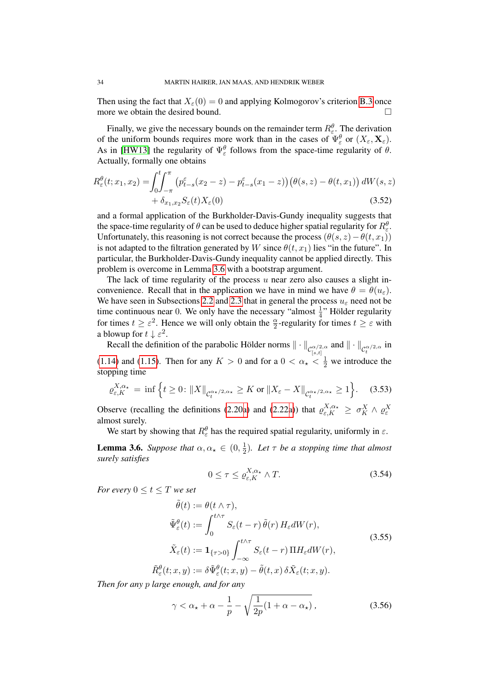Then using the fact that  $X_{\epsilon}(0) = 0$  and applying Kolmogorov's criterion [B.3](#page-76-0) once more we obtain the desired bound.

Finally, we give the necessary bounds on the remainder term  $R_{\varepsilon}^{\theta}$ . The derivation of the uniform bounds requires more work than in the cases of  $\Psi_{\varepsilon}^{\theta}$  or  $(X_{\varepsilon}, \mathbf{X}_{\varepsilon})$ . As in [\[HW13\]](#page-78-3) the regularity of  $\Psi_{\varepsilon}^{\theta}$  follows from the space-time regularity of  $\theta$ . Actually, formally one obtains

$$
R_{\varepsilon}^{\theta}(t; x_1, x_2) = \int_0^t \int_{-\pi}^{\pi} \left( p_{t-s}^{\varepsilon}(x_2 - z) - p_{t-s}^{\varepsilon}(x_1 - z) \right) \left( \theta(s, z) - \theta(t, x_1) \right) dW(s, z) + \delta_{x_1, x_2} S_{\varepsilon}(t) X_{\varepsilon}(0) \tag{3.52}
$$

and a formal application of the Burkholder-Davis-Gundy inequality suggests that the space-time regularity of  $\theta$  can be used to deduce higher spatial regularity for  $R_{\varepsilon}^{\theta}$ . Unfortunately, this reasoning is not correct because the process  $(\theta(s, z) - \theta(t, x_1))$ is not adapted to the filtration generated by W since  $\theta(t, x_1)$  lies "in the future". In particular, the Burkholder-Davis-Gundy inequality cannot be applied directly. This problem is overcome in Lemma [3.6](#page-33-0) with a bootstrap argument.

The lack of time regularity of the process  $u$  near zero also causes a slight inconvenience. Recall that in the application we have in mind we have  $\theta = \theta(u_{\varepsilon})$ . We have seen in Subsections [2.2](#page-11-0) and [2.3](#page-13-0) that in general the process  $u_{\varepsilon}$  need not be time continuous near 0. We only have the necessary "almost  $\frac{1}{4}$ " Hölder regularity for times  $t \ge \varepsilon^2$ . Hence we will only obtain the  $\frac{\alpha}{2}$ -regularity for times  $t \ge \varepsilon$  with a blowup for  $t \downarrow \varepsilon^2$ .

Recall the definition of the parabolic Hölder norms  $\|\cdot\|_{C^{\alpha/2,\alpha}_{[s,t]}}$  and  $\|\cdot\|_{C^{\alpha/2,\alpha}_{t}}$  in [\(1.14\)](#page-6-0) and [\(1.15\)](#page-7-1). Then for any  $K > 0$  and for a  $0 < \alpha_{\star} < \frac{1}{2}$  we introduce the stopping time

$$
\varrho_{\varepsilon,K}^{X,\alpha_\star} = \inf \left\{ t \ge 0 \colon \|X\|_{\mathcal{C}_t^{\alpha_\star/2,\alpha_\star}} \ge K \text{ or } \|X_{\varepsilon} - X\|_{\mathcal{C}_t^{\alpha_\star/2,\alpha_\star}} \ge 1 \right\}.
$$
 (3.53)

Observe (recalling the definitions [\(2.20a\)](#page-3-3) and [\(2.22a\)](#page-3-3)) that  $\varrho_{\varepsilon,K}^{X,\alpha_*} \geq \sigma_K^X \wedge \varrho_{\varepsilon}^X$ almost surely.

We start by showing that  $R_{\varepsilon}^{\theta}$  has the required spatial regularity, uniformly in  $\varepsilon$ .

<span id="page-33-0"></span>**Lemma 3.6.** *Suppose that*  $\alpha, \alpha_{\star} \in (0, \frac{1}{2})$  $\frac{1}{2}$ ). Let  $\tau$  be a stopping time that almost *surely satisfies*

<span id="page-33-2"></span><span id="page-33-1"></span>
$$
0 \le \tau \le \varrho_{\varepsilon,K}^{X,\alpha_{\star}} \wedge T. \tag{3.54}
$$

*For every*  $0 \le t \le T$  *we set* 

$$
\tilde{\theta}(t) := \theta(t \wedge \tau),
$$
\n
$$
\tilde{\Psi}_{\varepsilon}^{\theta}(t) := \int_{0}^{t \wedge \tau} S_{\varepsilon}(t - r) \, \tilde{\theta}(r) \, H_{\varepsilon} dW(r),
$$
\n
$$
\tilde{X}_{\varepsilon}(t) := \mathbf{1}_{\{\tau > 0\}} \int_{-\infty}^{t \wedge \tau} S_{\varepsilon}(t - r) \, \Pi H_{\varepsilon} dW(r),
$$
\n
$$
\tilde{R}_{\varepsilon}^{\theta}(t; x, y) := \delta \tilde{\Psi}_{\varepsilon}^{\theta}(t; x, y) - \tilde{\theta}(t, x) \, \delta \tilde{X}_{\varepsilon}(t; x, y).
$$
\n(3.55)

*Then for any* p *large enough, and for any*

$$
\gamma < \alpha_{\star} + \alpha - \frac{1}{p} - \sqrt{\frac{1}{2p}(1 + \alpha - \alpha_{\star})} \,,\tag{3.56}
$$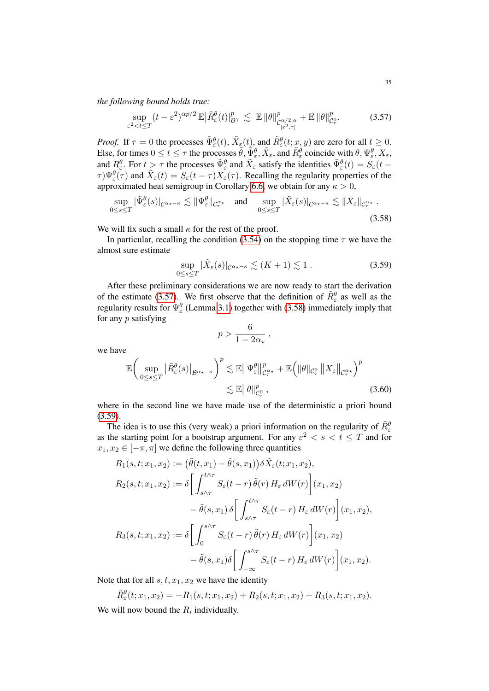*the following bound holds true:*

<span id="page-34-0"></span>
$$
\sup_{\varepsilon^2 < t \le T} (t - \varepsilon^2)^{\alpha p/2} \mathbb{E} \big| \tilde{R}_{\varepsilon}^{\theta}(t) \big|_{\mathcal{B}^{\gamma}}^p \lesssim \mathbb{E} \, \|\theta\|_{\mathcal{C}_{[\varepsilon^2, \tau]}^p}^p + \mathbb{E} \, \|\theta\|_{\mathcal{C}_{\tau}^0}^p. \tag{3.57}
$$

*Proof.* If  $\tau = 0$  the processes  $\tilde{\Psi}_{\varepsilon}^{\theta}(t)$ ,  $\tilde{X}_{\varepsilon}(t)$ , and  $\tilde{R}_{\varepsilon}^{\theta}(t; x, y)$  are zero for all  $t \ge 0$ . Else, for times  $0 \le t \le \tau$  the processes  $\tilde{\theta}, \tilde{\Psi}_{\varepsilon}^{\theta}, \tilde{X}_{\varepsilon}$ , and  $\tilde{R}_{\varepsilon}^{\theta}$  coincide with  $\theta, \Psi_{\varepsilon}^{\theta}, X_{\varepsilon}$ , and  $R_\varepsilon^{\theta}$ . For  $t > \tau$  the processes  $\tilde{\Psi}_\varepsilon^{\theta}$  and  $\tilde{X}_\varepsilon$  satisfy the identities  $\tilde{\Psi}_\varepsilon^{\theta}(t) = \tilde{S}_\varepsilon(t - t)$  $\tau \Psi_{\varepsilon}^{\theta}(\tau)$  and  $\tilde{X}_{\varepsilon}(t) = S_{\varepsilon}(t-\tau)X_{\varepsilon}(\tau)$ . Recalling the regularity properties of the approximated heat semigroup in Corollary [6.6,](#page-69-0) we obtain for any  $\kappa > 0$ ,

$$
\sup_{0\leq s\leq T} |\tilde{\Psi}_{\varepsilon}^{\theta}(s)|_{\mathcal{C}^{\alpha_{\star}-\kappa}} \lesssim \|\Psi_{\varepsilon}^{\theta}\|_{\mathcal{C}_{\tau}^{\alpha_{\star}}} \quad \text{and} \quad \sup_{0\leq s\leq T} |\tilde{X}_{\varepsilon}(s)|_{\mathcal{C}^{\alpha_{\star}-\kappa}} \lesssim \|X_{\varepsilon}\|_{\mathcal{C}_{\tau}^{\alpha_{\star}}}.
$$
\n(3.58)

We will fix such a small  $\kappa$  for the rest of the proof.

In particular, recalling the condition [\(3.54\)](#page-33-2) on the stopping time  $\tau$  we have the almost sure estimate

$$
\sup_{0 \le s \le T} |\tilde{X}_{\varepsilon}(s)|_{\mathcal{C}^{\alpha_{\star}-\kappa}} \lesssim (K+1) \lesssim 1.
$$
 (3.59)

After these preliminary considerations we are now ready to start the derivation of the estimate [\(3.57\)](#page-34-0). We first observe that the definition of  $\tilde{R}_{\varepsilon}^{\theta}$  as well as the regularity results for  $\Psi_{\varepsilon}^{\theta}$  (Lemma [3.1\)](#page-23-0) together with [\(3.58\)](#page-34-1) immediately imply that for any  $p$  satisfying

<span id="page-34-2"></span><span id="page-34-1"></span>
$$
p > \frac{6}{1 - 2\alpha_{\star}} ,
$$

we have

$$
\mathbb{E}\bigg(\sup_{0\leq s\leq T}|\tilde{R}_{\varepsilon}^{\theta}(s)|_{\mathcal{B}^{\alpha_{\star}-\kappa}}\bigg)^{p}\lesssim \mathbb{E}\|\Psi_{\varepsilon}^{\theta}\|_{\mathcal{C}_{\tau}^{\alpha_{\star}}}^{p}+\mathbb{E}\bigg(\|\theta\|_{\mathcal{C}_{\tau}^{0}}\|X_{\varepsilon}\|_{\mathcal{C}_{\tau}^{\alpha_{\star}}}\bigg)^{p}\lesssim \mathbb{E}\|\theta\|_{\mathcal{C}_{\tau}^{0}}^{p},\tag{3.60}
$$

where in the second line we have made use of the deterministic a priori bound  $(3.59)$ .

The idea is to use this (very weak) a priori information on the regularity of  $\tilde{R}_{\varepsilon}^6$ as the starting point for a bootstrap argument. For any  $\varepsilon^2 < s < t \leq T$  and for  $x_1, x_2 \in [-\pi, \pi]$  we define the following three quantities

$$
R_1(s, t; x_1, x_2) := (\tilde{\theta}(t, x_1) - \tilde{\theta}(s, x_1)) \delta \tilde{X}_{\varepsilon}(t; x_1, x_2),
$$
  
\n
$$
R_2(s, t; x_1, x_2) := \delta \left[ \int_{s \wedge \tau}^{t \wedge \tau} S_{\varepsilon}(t - r) \, \tilde{\theta}(r) \, H_{\varepsilon} \, dW(r) \right](x_1, x_2)
$$
  
\n
$$
- \tilde{\theta}(s, x_1) \, \delta \left[ \int_{s \wedge \tau}^{t \wedge \tau} S_{\varepsilon}(t - r) \, H_{\varepsilon} \, dW(r) \right](x_1, x_2),
$$
  
\n
$$
R_3(s, t; x_1, x_2) := \delta \left[ \int_0^{s \wedge \tau} S_{\varepsilon}(t - r) \, \tilde{\theta}(r) \, H_{\varepsilon} \, dW(r) \right](x_1, x_2)
$$
  
\n
$$
- \tilde{\theta}(s, x_1) \delta \left[ \int_{-\infty}^{s \wedge \tau} S_{\varepsilon}(t - r) \, H_{\varepsilon} \, dW(r) \right](x_1, x_2).
$$

Note that for all  $s, t, x_1, x_2$  we have the identity

 $\tilde{R}_{\varepsilon}^{\theta}(t;x_1,x_2) = -R_1(s,t;x_1,x_2) + R_2(s,t;x_1,x_2) + R_3(s,t;x_1,x_2).$ We will now bound the  $R_i$  individually.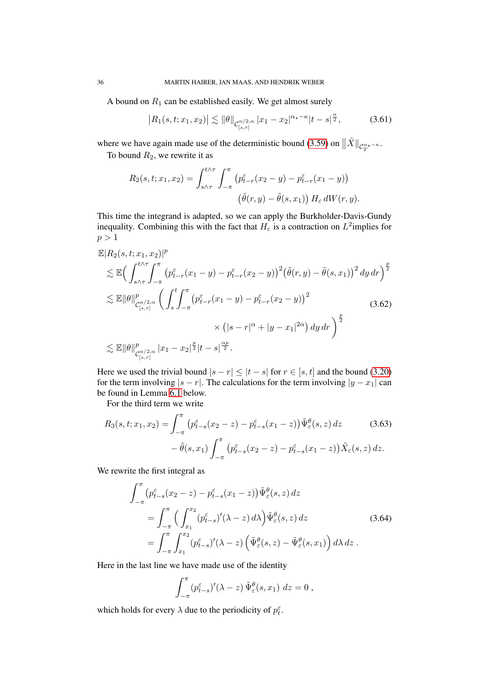A bound on  $R_1$  can be established easily. We get almost surely

$$
\left| R_1(s, t; x_1, x_2) \right| \lesssim \|\theta\|_{\mathcal{C}^{\alpha/2, \alpha}_{[s, \tau]}} |x_1 - x_2|^{\alpha_\star - \kappa} |t - s|^{\frac{\alpha}{2}}, \tag{3.61}
$$

where we have again made use of the deterministic bound [\(3.59\)](#page-34-2) on  $\|\tilde{X}\|_{\mathcal{C}^{\alpha_{\star}-\kappa}_{T}}$ .

To bound  $R_2$ , we rewrite it as

$$
R_2(s,t;x_1,x_2) = \int_{s \wedge \tau}^{t \wedge \tau} \int_{-\pi}^{\pi} \left( p_{t-r}^{\varepsilon}(x_2 - y) - p_{t-r}^{\varepsilon}(x_1 - y) \right) \left( \tilde{\theta}(r, y) - \tilde{\theta}(s, x_1) \right) H_{\varepsilon} dW(r, y).
$$

This time the integrand is adapted, so we can apply the Burkholder-Davis-Gundy inequality. Combining this with the fact that  $H_{\varepsilon}$  is a contraction on  $L^2$ implies for  $p > 1$ 

$$
\mathbb{E}|R_{2}(s,t;x_{1},x_{2})|^{p}
$$
\n
$$
\lesssim \mathbb{E}\Big(\int_{s\wedge\tau}^{t\wedge\tau} \int_{-\pi}^{\pi} \left( p_{t-r}^{\varepsilon}(x_{1}-y) - p_{t-r}^{\varepsilon}(x_{2}-y) \right)^{2} \left( \tilde{\theta}(r,y) - \tilde{\theta}(s,x_{1}) \right)^{2} dy dr \Big)^{\frac{p}{2}}
$$
\n
$$
\lesssim \mathbb{E} \|\theta\|_{\mathcal{C}_{[s,\tau]}^{\alpha/2,\alpha}}^{p} \left( \int_{s}^{t} \int_{-\pi}^{\pi} \left( p_{t-r}^{\varepsilon}(x_{1}-y) - p_{t-r}^{\varepsilon}(x_{2}-y) \right)^{2} \right. \times \left( |s-r|^{\alpha} + |y-x_{1}|^{2\alpha} \right) dy dr \Big)^{\frac{p}{2}}
$$
\n
$$
\lesssim \mathbb{E} \|\theta\|_{\mathcal{C}_{[s,\tau]}^{\alpha/2,\alpha}}^{p} |x_{1}-x_{2}|^{\frac{p}{2}} |t-s|^{\frac{\alpha p}{2}}.
$$
\n(3.62)

Here we used the trivial bound  $|s - r| \leq |t - s|$  for  $r \in [s, t]$  and the bound [\(3.20\)](#page-25-1) for the term involving  $|s - r|$ . The calculations for the term involving  $|y - x_1|$  can be found in Lemma [6.1](#page-61-1) below.

For the third term we write

$$
R_3(s, t; x_1, x_2) = \int_{-\pi}^{\pi} \left( p_{t-s}^{\varepsilon}(x_2 - z) - p_{t-s}^{\varepsilon}(x_1 - z) \right) \tilde{\Psi}_{\varepsilon}^{\theta}(s, z) dz \qquad (3.63)
$$

$$
- \tilde{\theta}(s, x_1) \int_{-\pi}^{\pi} \left( p_{t-s}^{\varepsilon}(x_2 - z) - p_{t-s}^{\varepsilon}(x_1 - z) \right) \tilde{X}_{\varepsilon}(s, z) dz.
$$

We rewrite the first integral as

$$
\int_{-\pi}^{\pi} \left( p_{t-s}^{\varepsilon}(x_2 - z) - p_{t-s}^{\varepsilon}(x_1 - z) \right) \tilde{\Psi}_{\varepsilon}^{\theta}(s, z) dz
$$
\n
$$
= \int_{-\pi}^{\pi} \left( \int_{x_1}^{x_2} (p_{t-s}^{\varepsilon})'(\lambda - z) d\lambda \right) \tilde{\Psi}_{\varepsilon}^{\theta}(s, z) dz \qquad (3.64)
$$
\n
$$
= \int_{-\pi}^{\pi} \int_{x_1}^{x_2} (p_{t-s}^{\varepsilon})'(\lambda - z) \left( \tilde{\Psi}_{\varepsilon}^{\theta}(s, z) - \tilde{\Psi}_{\varepsilon}^{\theta}(s, x_1) \right) d\lambda dz .
$$

Here in the last line we have made use of the identity

$$
\int_{-\pi}^{\pi} (p_{t-s}^{\varepsilon})'(\lambda - z) \tilde{\Psi}_{\varepsilon}^{\theta}(s, x_1) dz = 0,
$$

which holds for every  $\lambda$  due to the periodicity of  $p_t^{\varepsilon}$ .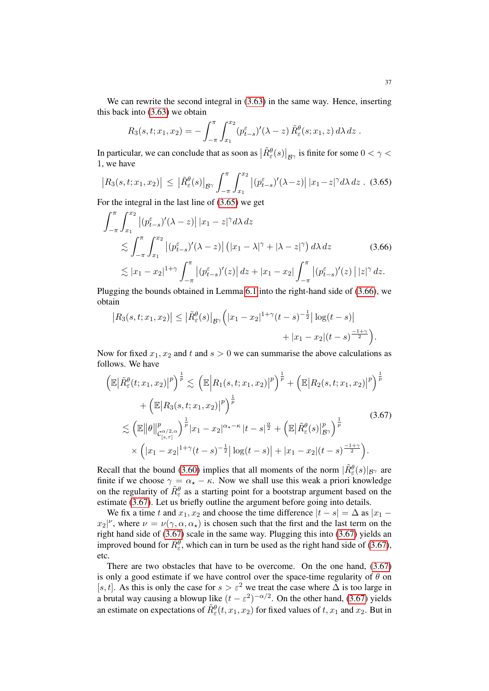We can rewrite the second integral in  $(3.63)$  in the same way. Hence, inserting this back into [\(3.63\)](#page-35-0) we obtain

<span id="page-36-0"></span>
$$
R_3(s,t;x_1,x_2)=-\int_{-\pi}^{\pi}\int_{x_1}^{x_2}(p_{t-s}^{\varepsilon})'(\lambda-z)\,\tilde{R}_{\varepsilon}^{\theta}(s;x_1,z)\,d\lambda\,dz.
$$

In particular, we can conclude that as soon as  $\left|\tilde{R}_{\varepsilon}^{\theta}(s)\right|_{\mathcal{B}^{\gamma}}$  is finite for some  $0 < \gamma <$ 1, we have

$$
\left| R_3(s,t;x_1,x_2) \right| \leq \left| \tilde{R}_{\varepsilon}^{\theta}(s) \right|_{\mathcal{B}^{\gamma}} \int_{-\pi}^{\pi} \int_{x_1}^{x_2} \left| (\tilde{p}_{t-s}^{\varepsilon})'(\lambda - z) \right| |x_1 - z|^{\gamma} d\lambda \, dz \quad (3.65)
$$

For the integral in the last line of [\(3.65\)](#page-36-0) we get

$$
\int_{-\pi}^{\pi} \int_{x_1}^{x_2} |(p_{t-s}^{\varepsilon})'(\lambda - z)| |x_1 - z|^{\gamma} d\lambda dz
$$
\n
$$
\lesssim \int_{-\pi}^{\pi} \int_{x_1}^{x_2} |(p_{t-s}^{\varepsilon})'(\lambda - z)| (|x_1 - \lambda|^{\gamma} + |\lambda - z|^{\gamma}) d\lambda dz \qquad (3.66)
$$
\n
$$
\lesssim |x_1 - x_2|^{1+\gamma} \int_{-\pi}^{\pi} |(p_{t-s}^{\varepsilon})'(z)| dz + |x_1 - x_2| \int_{-\pi}^{\pi} |(p_{t-s}^{\varepsilon})'(z)| |z|^{\gamma} dz.
$$

Plugging the bounds obtained in Lemma [6.1](#page-61-0) into the right-hand side of [\(3.66\)](#page-36-1), we obtain

<span id="page-36-1"></span>
$$
\left| R_3(s,t;x_1,x_2) \right| \leq \left| \tilde{R}_{\varepsilon}^{\theta}(s) \right|_{\mathcal{B}^{\gamma}} \left( |x_1 - x_2|^{1+\gamma} (t-s)^{-\frac{1}{2}} \right| \log(t-s) + |x_1 - x_2| (t-s)^{\frac{-1+\gamma}{2}} \right).
$$

Now for fixed  $x_1, x_2$  and t and  $s > 0$  we can summarise the above calculations as follows. We have

<span id="page-36-2"></span>
$$
\left(\mathbb{E}\left|\tilde{R}_{\varepsilon}^{\theta}(t;x_{1},x_{2})\right|^{p}\right)^{\frac{1}{p}} \lesssim \left(\mathbb{E}\left|R_{1}(s,t;x_{1},x_{2})\right|^{p}\right)^{\frac{1}{p}} + \left(\mathbb{E}\left|R_{2}(s,t;x_{1},x_{2})\right|^{p}\right)^{\frac{1}{p}} + \left(\mathbb{E}\left|R_{3}(s,t;x_{1},x_{2})\right|^{p}\right)^{\frac{1}{p}} \lesssim \left(\mathbb{E}\left\|\theta\right\|_{\mathcal{C}_{[s,\tau]}^{\alpha/2,\alpha}}^{p}\right)^{\frac{1}{p}}|x_{1} - x_{2}|^{\alpha_{\star}-\kappa}|t-s|^{\frac{\alpha}{2}} + \left(\mathbb{E}\left|\tilde{R}_{\varepsilon}^{\theta}(s)\right|_{\mathcal{B}^{\gamma}}^{p}\right)^{\frac{1}{p}} \times \left(|x_{1} - x_{2}|^{1+\gamma}(t-s)^{-\frac{1}{2}}|\log(t-s)| + |x_{1} - x_{2}|(t-s)^{\frac{-1+\gamma}{2}}\right).
$$
\n(3.67)

Recall that the bound [\(3.60\)](#page-34-0) implies that all moments of the norm  $|\tilde{R}_{\varepsilon}^{\theta}(s)|_{\mathcal{B}^{\gamma}}$  are finite if we choose  $\gamma = \alpha_{\star} - \kappa$ . Now we shall use this weak a priori knowledge on the regularity of  $\tilde{R}_{\varepsilon}^{\theta}$  as a starting point for a bootstrap argument based on the estimate [\(3.67\)](#page-36-2). Let us briefly outline the argument before going into details.

We fix a time t and  $x_1, x_2$  and choose the time difference  $|t - s| = \Delta$  as  $|x_1$  $x_2|^{\nu}$ , where  $\nu = \nu(\gamma, \alpha, \alpha)$  is chosen such that the first and the last term on the right hand side of [\(3.67\)](#page-36-2) scale in the same way. Plugging this into [\(3.67\)](#page-36-2) yields an improved bound for  $\tilde{R}_{\varepsilon}^{\theta}$ , which can in turn be used as the right hand side of [\(3.67\)](#page-36-2), etc.

There are two obstacles that have to be overcome. On the one hand, [\(3.67\)](#page-36-2) is only a good estimate if we have control over the space-time regularity of  $\theta$  on [s, t]. As this is only the case for  $s > \varepsilon^2$  we treat the case where  $\Delta$  is too large in a brutal way causing a blowup like  $(t - \varepsilon^2)^{-\alpha/2}$ . On the other hand, [\(3.67\)](#page-36-2) yields an estimate on expectations of  $\tilde{R}^{\theta}_{\varepsilon}(t, x_1, x_2)$  for fixed values of  $t, x_1$  and  $x_2$ . But in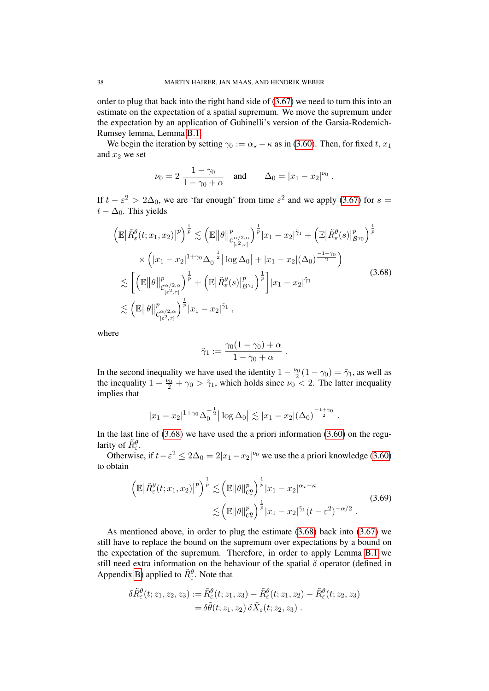order to plug that back into the right hand side of [\(3.67\)](#page-36-2) we need to turn this into an estimate on the expectation of a spatial supremum. We move the supremum under the expectation by an application of Gubinelli's version of the Garsia-Rodemich-Rumsey lemma, Lemma [B.1.](#page-73-0)

We begin the iteration by setting  $\gamma_0 := \alpha_* - \kappa$  as in [\(3.60\)](#page-34-0). Then, for fixed t,  $x_1$ and  $x_2$  we set

$$
\nu_0 = 2 \frac{1 - \gamma_0}{1 - \gamma_0 + \alpha}
$$
 and  $\Delta_0 = |x_1 - x_2|^{\nu_0}$ .

If  $t - \varepsilon^2 > 2\Delta_0$ , we are 'far enough' from time  $\varepsilon^2$  and we apply [\(3.67\)](#page-36-2) for  $s =$  $t - \Delta_0$ . This yields

$$
\left(\mathbb{E}\left|\tilde{R}_{\varepsilon}^{\theta}(t;x_{1},x_{2})\right|^{p}\right)^{\frac{1}{p}} \lesssim \left(\mathbb{E}\left\|\theta\right\|_{\mathcal{C}_{\left[\varepsilon^{2},\tau\right]}^{\alpha/2,\alpha}}^{p}\right)^{\frac{1}{p}}|x_{1}-x_{2}|^{\tilde{\gamma}_{1}} + \left(\mathbb{E}\left|\tilde{R}_{\varepsilon}^{\theta}(s)\right|_{\mathcal{B}^{\gamma_{0}}}^{p}\right)^{\frac{1}{p}} \times \left(|x_{1}-x_{2}|^{1+\gamma_{0}}\Delta_{0}^{-\frac{1}{2}}|\log\Delta_{0}|+|x_{1}-x_{2}|(\Delta_{0})^{\frac{-1+\gamma_{0}}{2}}\right) \lesssim \left[\left(\mathbb{E}\left\|\theta\right\|_{\mathcal{C}_{\left[\varepsilon^{2},\tau\right]}^{\alpha/2,\alpha}}^{p}\right)^{\frac{1}{p}} + \left(\mathbb{E}\left|\tilde{R}_{\varepsilon}^{\theta}(s)\right|_{\mathcal{B}^{\gamma_{0}}}^{p}\right)^{\frac{1}{p}}\right]|x_{1}-x_{2}|^{\tilde{\gamma}_{1}} \lesssim \left(\mathbb{E}\left\|\theta\right\|_{\mathcal{C}_{\left[\varepsilon^{2},\tau\right]}^{\alpha/2,\alpha}}^{p}\right)^{\frac{1}{p}}|x_{1}-x_{2}|^{\tilde{\gamma}_{1}},
$$
\n(3.68)

where

<span id="page-37-1"></span><span id="page-37-0"></span>
$$
\tilde{\gamma}_1 := \frac{\gamma_0(1-\gamma_0)+\alpha}{1-\gamma_0+\alpha} \; .
$$

In the second inequality we have used the identity  $1 - \frac{\nu_0}{2}(1 - \gamma_0) = \tilde{\gamma}_1$ , as well as the inequality  $1 - \frac{\nu_0}{2} + \gamma_0 > \tilde{\gamma}_1$ , which holds since  $\nu_0 < 2$ . The latter inequality implies that

$$
|x_1 - x_2|^{1 + \gamma_0} \Delta_0^{-\frac{1}{2}} |\log \Delta_0| \lesssim |x_1 - x_2| (\Delta_0)^{\frac{-1 + \gamma_0}{2}}.
$$

In the last line of  $(3.68)$  we have used the a priori information  $(3.60)$  on the regularity of  $\tilde{R}_{\varepsilon}^{\theta}$ .

tty of  $n_{\varepsilon}$ .<br>Otherwise, if  $t - \varepsilon^2 \le 2\Delta_0 = 2|x_1 - x_2|^{\nu_0}$  we use the a priori knowledge [\(3.60\)](#page-34-0) to obtain

$$
\left(\mathbb{E}\left|\tilde{R}_{\varepsilon}^{\theta}(t;x_{1},x_{2})\right|^{p}\right)^{\frac{1}{p}} \lesssim \left(\mathbb{E}\left\|\theta\right\|_{\mathcal{C}_{\tau}^{0}}^{p}\right)^{\frac{1}{p}}|x_{1}-x_{2}|^{\alpha_{\star}-\kappa}
$$
\n
$$
\lesssim \left(\mathbb{E}\left\|\theta\right\|_{\mathcal{C}_{\tau}^{0}}^{p}\right)^{\frac{1}{p}}|x_{1}-x_{2}|^{\tilde{\gamma}_{1}}(t-\varepsilon^{2})^{-\alpha/2}.
$$
\n(3.69)

As mentioned above, in order to plug the estimate [\(3.68\)](#page-37-0) back into [\(3.67\)](#page-36-2) we still have to replace the bound on the supremum over expectations by a bound on the expectation of the supremum. Therefore, in order to apply Lemma [B.1](#page-73-0) we still need extra information on the behaviour of the spatial  $\delta$  operator (defined in Appendix [B\)](#page-73-1) applied to  $\tilde{R}_{\varepsilon}^{\theta}$ . Note that

$$
\begin{aligned} \delta \tilde{R}^\theta_\varepsilon (t;z_1,z_2,z_3) := & \tilde{R}^\theta_\varepsilon (t;z_1,z_3) - \tilde{R}^\theta_\varepsilon (t;z_1,z_2) - \tilde{R}^\theta_\varepsilon (t;z_2,z_3) \\ = & \delta \tilde{\theta} (t;z_1,z_2) \, \delta \tilde{X}_\varepsilon (t;z_2,z_3) \ . \end{aligned}
$$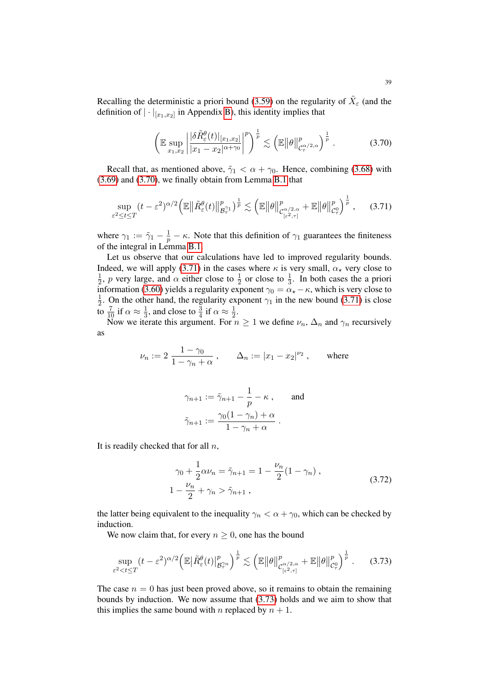Recalling the deterministic a priori bound [\(3.59\)](#page-34-1) on the regularity of  $\tilde{X}_{\varepsilon}$  (and the definition of  $|\cdot|_{[x_1,x_2]}$  in Appendix [B\)](#page-73-1), this identity implies that

<span id="page-38-1"></span><span id="page-38-0"></span>
$$
\left(\mathbb{E}\sup_{x_1,x_2}\left|\frac{|\delta\tilde{R}_{\varepsilon}^{\theta}(t)|_{[x_1,x_2]}}{|x_1-x_2|^{\alpha+\gamma_0}}\right|^p\right)^{\frac{1}{p}} \lesssim \left(\mathbb{E}\left\|\theta\right\|_{\mathcal{C}_{\tau}^{\alpha/2,\alpha}}^p\right)^{\frac{1}{p}}.\tag{3.70}
$$

Recall that, as mentioned above,  $\tilde{\gamma}_1 < \alpha + \gamma_0$ . Hence, combining [\(3.68\)](#page-37-0) with [\(3.69\)](#page-37-1) and [\(3.70\)](#page-38-0), we finally obtain from Lemma [B.1](#page-73-0) that

$$
\sup_{\varepsilon^2 \le t \le T} (t - \varepsilon^2)^{\alpha/2} \left( \mathbb{E} \left\| \tilde{R}_{\varepsilon}^{\theta}(t) \right\|_{\mathcal{B}_\tau^{\gamma_1}}^p \right)^{\frac{1}{p}} \lesssim \left( \mathbb{E} \left\| \theta \right\|_{\mathcal{C}_{\left[\varepsilon^2, \tau\right]}^{\alpha/2, \alpha}}^p + \mathbb{E} \left\| \theta \right\|_{\mathcal{C}_\tau^0}^p \right)^{\frac{1}{p}},\tag{3.71}
$$

where  $\gamma_1 := \tilde{\gamma}_1 - \frac{1}{p} - \kappa$ . Note that this definition of  $\gamma_1$  guarantees the finiteness of the integral in Lemma [B.1.](#page-73-0)

Let us observe that our calculations have led to improved regularity bounds. Indeed, we will apply [\(3.71\)](#page-38-1) in the cases where  $\kappa$  is very small,  $\alpha_{\star}$  very close to 1  $\frac{1}{2}$ , p very large, and  $\alpha$  either close to  $\frac{1}{2}$  or close to  $\frac{1}{3}$ . In both cases the a priori information [\(3.60\)](#page-34-0) yields a regularity exponent  $\gamma_0 = \alpha_\star - \kappa$ , which is very close to 1  $\frac{1}{2}$ . On the other hand, the regularity exponent  $\gamma_1$  in the new bound [\(3.71\)](#page-38-1) is close to  $\frac{7}{10}$  if  $\alpha \approx \frac{1}{3}$  $\frac{1}{3}$ , and close to  $\frac{3}{4}$  if  $\alpha \approx \frac{1}{2}$  $rac{1}{2}$ .

Now we iterate this argument. For  $n \geq 1$  we define  $\nu_n$ ,  $\Delta_n$  and  $\gamma_n$  recursively as

$$
\nu_n := 2 \, \frac{1 - \gamma_0}{1 - \gamma_n + \alpha} \;, \qquad \Delta_n := |x_1 - x_2|^{\nu_2} \;, \qquad \text{where}
$$

$$
\gamma_{n+1} := \tilde{\gamma}_{n+1} - \frac{1}{p} - \kappa, \quad \text{and}
$$

$$
\tilde{\gamma}_{n+1} := \frac{\gamma_0 (1 - \gamma_n) + \alpha}{1 - \gamma_n + \alpha}.
$$

It is readily checked that for all  $n$ ,

<span id="page-38-3"></span><span id="page-38-2"></span>
$$
\gamma_0 + \frac{1}{2}\alpha \nu_n = \tilde{\gamma}_{n+1} = 1 - \frac{\nu_n}{2}(1 - \gamma_n),
$$
  

$$
1 - \frac{\nu_n}{2} + \gamma_n > \tilde{\gamma}_{n+1},
$$
 (3.72)

the latter being equivalent to the inequality  $\gamma_n < \alpha + \gamma_0$ , which can be checked by induction.

We now claim that, for every  $n \geq 0$ , one has the bound

$$
\sup_{\varepsilon^2 < t \le T} (t - \varepsilon^2)^{\alpha/2} \left( \mathbb{E} \left| \tilde{R}_{\varepsilon}^{\theta}(t) \right|_{\mathcal{B}_{\tau}^{\gamma_n}}^p \right)^{\frac{1}{p}} \lesssim \left( \mathbb{E} \left\| \theta \right\|_{\mathcal{C}_{\left[\varepsilon^2, \tau\right]}^{\alpha/2, \alpha}}^p + \mathbb{E} \left\| \theta \right\|_{\mathcal{C}_{\tau}^0}^p \right)^{\frac{1}{p}}. \tag{3.73}
$$

The case  $n = 0$  has just been proved above, so it remains to obtain the remaining bounds by induction. We now assume that [\(3.73\)](#page-38-2) holds and we aim to show that this implies the same bound with n replaced by  $n + 1$ .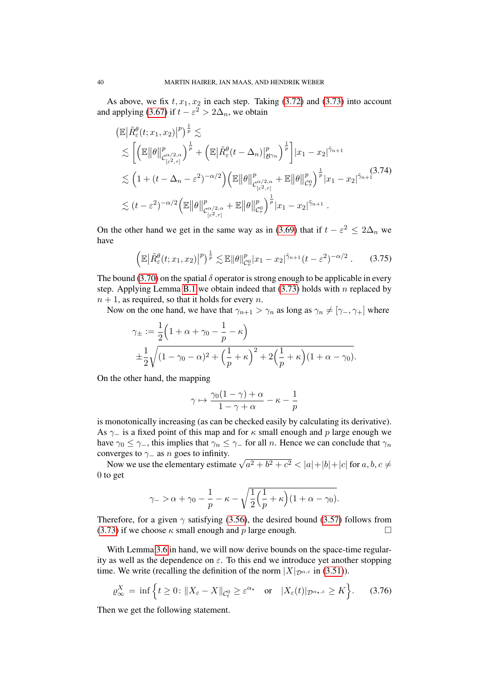As above, we fix  $t, x_1, x_2$  in each step. Taking [\(3.72\)](#page-38-3) and [\(3.73\)](#page-38-2) into account and applying [\(3.67\)](#page-36-2) if  $t - \varepsilon^2 > 2\Delta_n$ , we obtain

$$
\begin{split}\n&\left(\mathbb{E}\big|\tilde{R}_{\varepsilon}^{\theta}(t;x_{1},x_{2})\big|^{p}\right)^{\frac{1}{p}} &\lesssim \\
&\lesssim \bigg[\bigg(\mathbb{E}\big\|\theta\big\|_{\mathcal{C}_{[\varepsilon^{2},\tau]}^{\alpha/2,\alpha}}^{p}\bigg)^{\frac{1}{p}} + \bigg(\mathbb{E}\big|\tilde{R}_{\varepsilon}^{\theta}(t-\Delta_{n})\big|_{\mathcal{B}\gamma_{n}}^{p}\bigg)^{\frac{1}{p}}\bigg] |x_{1}-x_{2}|^{\tilde{\gamma}_{n+1}} \\
&\lesssim \bigg(1+(t-\Delta_{n}-\varepsilon^{2})^{-\alpha/2}\bigg)\bigg(\mathbb{E}\big\|\theta\big\|_{\mathcal{C}_{[\varepsilon^{2},\tau]}^{\alpha/2,\alpha}}^{p} + \mathbb{E}\big\|\theta\big\|_{\mathcal{C}_{\tau}^{0}}^{p}\bigg)^{\frac{1}{p}} |x_{1}-x_{2}|^{\tilde{\gamma}_{n+1}} \\
&\lesssim (t-\varepsilon^{2})^{-\alpha/2}\bigg(\mathbb{E}\big\|\theta\big\|_{\mathcal{C}_{[\varepsilon^{2},\tau]}^{\alpha/2,\alpha}}^{p} + \mathbb{E}\big\|\theta\big\|_{\mathcal{C}_{\tau}^{0}}^{p}\bigg)^{\frac{1}{p}} |x_{1}-x_{2}|^{\tilde{\gamma}_{n+1}}\,. \end{split}
$$

On the other hand we get in the same way as in [\(3.69\)](#page-37-1) that if  $t - \varepsilon^2 \leq 2\Delta_n$  we have

$$
\left(\mathbb{E}\big|\tilde{R}_{\varepsilon}^{\theta}(t;x_1,x_2)\big|^p\right)^{\frac{1}{p}} \lesssim \mathbb{E}\|\theta\|_{\mathcal{C}_{\tau}^0}^p |x_1 - x_2|^{\tilde{\gamma}_{n+1}}(t - \varepsilon^2)^{-\alpha/2}.
$$
 (3.75)

The bound [\(3.70\)](#page-38-0) on the spatial  $\delta$  operator is strong enough to be applicable in every step. Applying Lemma [B.1](#page-73-0) we obtain indeed that  $(3.73)$  holds with n replaced by  $n + 1$ , as required, so that it holds for every n.

Now on the one hand, we have that  $\gamma_{n+1} > \gamma_n$  as long as  $\gamma_n \neq [\gamma_-, \gamma_+]$  where

$$
\gamma_{\pm} := \frac{1}{2} \left( 1 + \alpha + \gamma_0 - \frac{1}{p} - \kappa \right) \n\pm \frac{1}{2} \sqrt{(1 - \gamma_0 - \alpha)^2 + \left( \frac{1}{p} + \kappa \right)^2 + 2 \left( \frac{1}{p} + \kappa \right) (1 + \alpha - \gamma_0)}.
$$

On the other hand, the mapping

$$
\gamma \mapsto \frac{\gamma_0(1-\gamma) + \alpha}{1 - \gamma + \alpha} - \kappa - \frac{1}{p}
$$

is monotonically increasing (as can be checked easily by calculating its derivative). As  $\gamma$  is a fixed point of this map and for  $\kappa$  small enough and p large enough we have  $\gamma_0 \leq \gamma_-,$  this implies that  $\gamma_n \leq \gamma_-$  for all n. Hence we can conclude that  $\gamma_n$ converges to  $\gamma$  as n goes to infinity.

nverges to  $\gamma_-$  as *n* goes to minity.<br>Now we use the elementary estimate  $\sqrt{a^2 + b^2 + c^2} < |a| + |b| + |c|$  for  $a, b, c \neq 0$ 0 to get

$$
\gamma_{-} > \alpha + \gamma_0 - \frac{1}{p} - \kappa - \sqrt{\frac{1}{2}(\frac{1}{p} + \kappa)(1 + \alpha - \gamma_0)}.
$$

Therefore, for a given  $\gamma$  satisfying [\(3.56\)](#page-33-0), the desired bound [\(3.57\)](#page-34-2) follows from [\(3.73\)](#page-38-2) if we choose  $\kappa$  small enough and p large enough.

With Lemma [3.6](#page-33-1) in hand, we will now derive bounds on the space-time regularity as well as the dependence on  $\varepsilon$ . To this end we introduce yet another stopping time. We write (recalling the definition of the norm  $|X|_{\mathcal{D}^{\alpha,\varepsilon}}$  in [\(3.51\)](#page-31-0)).

$$
\varrho^X_{\infty} = \inf \left\{ t \ge 0 : \|X_{\varepsilon} - X\|_{\mathcal{C}_t^0} \ge \varepsilon^{\alpha_\star} \quad \text{or} \quad |X_{\varepsilon}(t)|_{\mathcal{D}^{\alpha_\star,\varepsilon}} \ge K \right\}.
$$
 (3.76)

Then we get the following statement.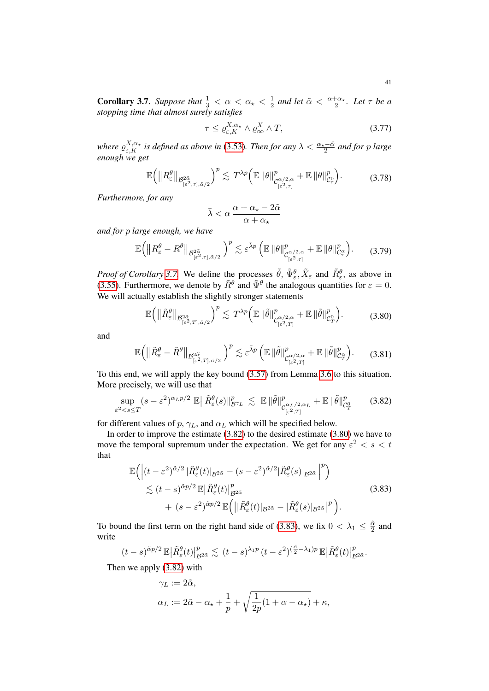<span id="page-40-0"></span>**Corollary 3.7.** *Suppose that*  $\frac{1}{3} < \alpha < \alpha_{\star} < \frac{1}{2}$  $\frac{1}{2}$  and let  $\tilde{\alpha} < \frac{\alpha + \alpha_{\star}}{2}$ . Let  $\tau$  be a *stopping time that almost surely satisfies*

<span id="page-40-4"></span>
$$
\tau \le \varrho_{\varepsilon,K}^{X,\alpha_\star} \wedge \varrho_\infty^X \wedge T,\tag{3.77}
$$

where  $\varrho_{\varepsilon,K}^{X,\alpha_\star}$  is defined as above in [\(3.53\)](#page-33-2). Then for any  $\lambda<\frac{\alpha_\star-\tilde{\alpha}}{2}$  and for p large *enough we get*

$$
\mathbb{E}\Big(\big\|R_{\varepsilon}^{\theta}\big\|_{\mathcal{B}_{[\varepsilon^2,\tau],\tilde{\alpha}/2}^{2\tilde{\alpha}}}\Big)^{p} \lesssim T^{\lambda p} \Big(\mathbb{E}\,\|\theta\|_{\mathcal{C}_{[\varepsilon^2,\tau]}^{\alpha/2,\alpha}}^{p} + \mathbb{E}\,\|\theta\|_{\mathcal{C}_{\tau}^0}^{p}\Big). \tag{3.78}
$$

*Furthermore, for any*

<span id="page-40-6"></span><span id="page-40-5"></span><span id="page-40-2"></span>
$$
\bar{\lambda}<\alpha\,\frac{\alpha+\alpha_{\star}-2\tilde{\alpha}}{\alpha+\alpha_{\star}}
$$

*and for* p *large enough, we have*

$$
\mathbb{E}\Big(\big\|R_{\varepsilon}^{\theta}-R^{\theta}\big\|_{\mathcal{B}_{[\varepsilon^{2},\tau],\tilde{\alpha}/2}^{2\tilde{\alpha}}}\Big)^{p}\lesssim \varepsilon^{\bar{\lambda}p}\left(\mathbb{E}\,\|\theta\|_{\mathcal{C}_{[\varepsilon^{2},\tau]}^{\alpha/2,\alpha}}+\mathbb{E}\,\|\theta\|_{\mathcal{C}_{\tau}^{\alpha}}^{p}\right). \tag{3.79}
$$

*Proof of Corollary* [3.7.](#page-40-0) We define the processes  $\tilde{\theta}$ ,  $\tilde{\Psi}_{\varepsilon}^{\theta}$ ,  $\tilde{X}_{\varepsilon}$  and  $\tilde{R}_{\varepsilon}^{\theta}$ , as above in [\(3.55\)](#page-33-3). Furthermore, we denote by  $\tilde{R}^{\theta}$  and  $\tilde{\Psi}^{\theta}$  the analogous quantities for  $\varepsilon = 0$ . We will actually establish the slightly stronger statements

$$
\mathbb{E}\Big(\big\|\tilde{R}_{\varepsilon}^{\theta}\big\|_{\mathcal{B}_{[\varepsilon^2,T],\tilde{\alpha}/2}^{2\tilde{\alpha}}}\Big)^{p} \lesssim T^{\lambda p} \Big(\mathbb{E}\,\|\tilde{\theta}\|_{\mathcal{C}_{[\varepsilon^2,T]}^{\alpha/2,\alpha}}^{p} + \mathbb{E}\,\|\tilde{\theta}\|_{\mathcal{C}_{T}^{0}}^{p}\Big). \tag{3.80}
$$

and

<span id="page-40-1"></span>
$$
\mathbb{E}\Big(\big\|\tilde{R}_{\varepsilon}^{\theta}-\tilde{R}^{\theta}\big\|_{\mathcal{B}_{[\varepsilon^{2},T],\tilde{\alpha}/2}^{2\tilde{\alpha}}}\Big)^{p}\lesssim \varepsilon^{\bar{\lambda}p}\left(\mathbb{E}\|\tilde{\theta}\|_{\mathcal{C}_{[\varepsilon^{2},T]}^{\alpha/2,\alpha}}^{p}+\mathbb{E}\|\tilde{\theta}\|_{\mathcal{C}_{T}^{\alpha}}^{p}\right). \tag{3.81}
$$

To this end, we will apply the key bound [\(3.57\)](#page-34-2) from Lemma [3.6](#page-33-1) to this situation. More precisely, we will use that

$$
\sup_{\varepsilon^2 < s \le T} (s - \varepsilon^2)^{\alpha_L p/2} \mathbb{E} \left\| \tilde{R}_{\varepsilon}^{\theta}(s) \right\|_{\mathcal{B}^{\gamma}L}^p \lesssim \mathbb{E} \left\| \tilde{\theta} \right\|_{\mathcal{C}_{[\varepsilon^2, T]}^{\alpha_L/2, \alpha_L}}^p + \mathbb{E} \left\| \tilde{\theta} \right\|_{\mathcal{C}_T^0}^p \tag{3.82}
$$

for different values of  $p$ ,  $\gamma_L$ , and  $\alpha_L$  which will be specified below.

In order to improve the estimate [\(3.82\)](#page-40-1) to the desired estimate [\(3.80\)](#page-40-2) we have to move the temporal supremum under the expectation. We get for any  $\varepsilon^2 < s < t$ that

$$
\mathbb{E}\Big(\Big|(t-\varepsilon^2)^{\tilde{\alpha}/2}|\tilde{R}_{\varepsilon}^{\theta}(t)|_{\mathcal{B}^{2\tilde{\alpha}}}-\left(s-\varepsilon^2\right)^{\tilde{\alpha}/2}|\tilde{R}_{\varepsilon}^{\theta}(s)|_{\mathcal{B}^{2\tilde{\alpha}}}\Big|^{p}\Big) \lesssim (t-s)^{\tilde{\alpha}p/2}\mathbb{E}\Big|\tilde{R}_{\varepsilon}^{\theta}(t)\Big|_{\mathcal{B}^{2\tilde{\alpha}}}^{p} + (s-\varepsilon^2)^{\tilde{\alpha}p/2}\mathbb{E}\Big(\big||\tilde{R}_{\varepsilon}^{\theta}(t)|_{\mathcal{B}^{2\tilde{\alpha}}} - |\tilde{R}_{\varepsilon}^{\theta}(s)|_{\mathcal{B}^{2\tilde{\alpha}}}\Big|^{p}\Big).
$$
\n(3.83)

To bound the first term on the right hand side of [\(3.83\)](#page-40-3), we fix  $0 < \lambda_1 \leq \frac{3}{2}$  $rac{\alpha}{2}$  and write

$$
(t-s)^{\tilde{\alpha}p/2} \mathbb{E}|\tilde{R}_{\varepsilon}^{\theta}(t)|_{\mathcal{B}^{2\tilde{\alpha}}}^{p} \lesssim (t-s)^{\lambda_1 p} (t-\varepsilon^2)^{(\frac{\tilde{\alpha}}{2}-\lambda_1)p} \mathbb{E}|\tilde{R}_{\varepsilon}^{\theta}(t)|_{\mathcal{B}^{2\tilde{\alpha}}}^{p}.
$$

Then we apply [\(3.82\)](#page-40-1) with

<span id="page-40-3"></span>
$$
\begin{aligned} \gamma_L &:= 2\tilde{\alpha}, \\ \alpha_L &:= 2\tilde{\alpha} - \alpha_\star + \frac{1}{p} + \sqrt{\frac{1}{2p}(1+\alpha-\alpha_\star)} + \kappa, \end{aligned}
$$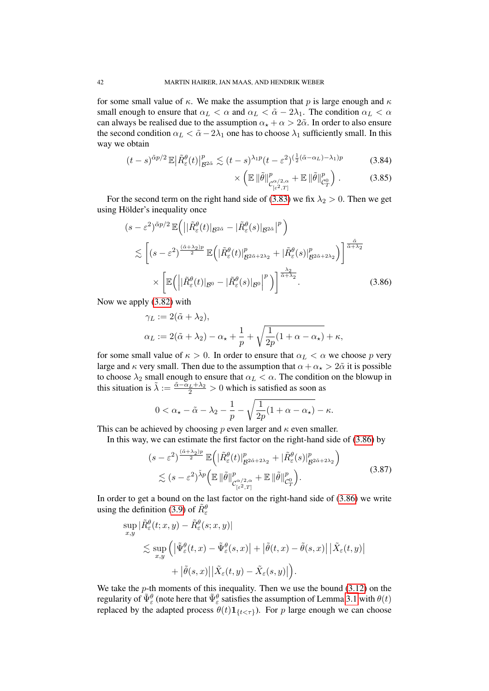for some small value of  $\kappa$ . We make the assumption that p is large enough and  $\kappa$ small enough to ensure that  $\alpha_L < \alpha$  and  $\alpha_L < \tilde{\alpha} - 2\lambda_1$ . The condition  $\alpha_L < \alpha$ can always be realised due to the assumption  $\alpha_{\star} + \alpha > 2\tilde{\alpha}$ . In order to also ensure the second condition  $\alpha_L < \tilde{\alpha} - 2\lambda_1$  one has to choose  $\lambda_1$  sufficiently small. In this way we obtain

$$
(t-s)^{\tilde{\alpha}p/2} \mathbb{E} |\tilde{R}^{\theta}_{\varepsilon}(t)|^{p}_{\mathcal{B}^{2\tilde{\alpha}}} \lesssim (t-s)^{\lambda_1 p} (t-\varepsilon^2)^{(\frac{1}{2}(\tilde{\alpha}-\alpha_L)-\lambda_1)p}
$$
(3.84)

<span id="page-41-1"></span><span id="page-41-0"></span>
$$
\times \left( \mathbb{E} \left\| \tilde{\theta} \right\|_{\mathcal{C}^{\alpha/2, \alpha}_{[\varepsilon^2, T]}}^p + \mathbb{E} \left\| \tilde{\theta} \right\|_{\mathcal{C}^0_T}^p \right). \tag{3.85}
$$

For the second term on the right hand side of [\(3.83\)](#page-40-3) we fix  $\lambda_2 > 0$ . Then we get using Hölder's inequality once

$$
(s - \varepsilon^2)^{\tilde{\alpha}p/2} \mathbb{E}\left( \left| |\tilde{R}_{\varepsilon}^{\theta}(t)|_{\mathcal{B}^{2\tilde{\alpha}}} - |\tilde{R}_{\varepsilon}^{\theta}(s)|_{\mathcal{B}^{2\tilde{\alpha}}}\right|^p \right) \leq \left[ (s - \varepsilon^2)^{\frac{(\tilde{\alpha} + \lambda_2)p}{2}} \mathbb{E}\left( |\tilde{R}_{\varepsilon}^{\theta}(t)|_{\mathcal{B}^{2\tilde{\alpha} + 2\lambda_2}}^p + |\tilde{R}_{\varepsilon}^{\theta}(s)|_{\mathcal{B}^{2\tilde{\alpha} + 2\lambda_2}}^p \right) \right]^{\frac{\tilde{\alpha}}{\tilde{\alpha} + \lambda_2}} \times \left[ \mathbb{E}\left( \left| |\tilde{R}_{\varepsilon}^{\theta}(t)|_{\mathcal{B}^0} - |\tilde{R}_{\varepsilon}^{\theta}(s)|_{\mathcal{B}^0} \right|^p \right) \right]^{\frac{\lambda_2}{\tilde{\alpha} + \lambda_2}}.
$$
\n(3.86)

Now we apply [\(3.82\)](#page-40-1) with

$$
\gamma_L := 2(\tilde{\alpha} + \lambda_2),
$$
  
\n
$$
\alpha_L := 2(\tilde{\alpha} + \lambda_2) - \alpha_\star + \frac{1}{p} + \sqrt{\frac{1}{2p}(1 + \alpha - \alpha_\star)} + \kappa,
$$

for some small value of  $\kappa > 0$ . In order to ensure that  $\alpha_L < \alpha$  we choose p very large and  $\kappa$  very small. Then due to the assumption that  $\alpha + \alpha_{\star} > 2\tilde{\alpha}$  it is possible to choose  $\lambda_2$  small enough to ensure that  $\alpha_L < \alpha$ . The condition on the blowup in this situation is  $\tilde{\lambda} := \frac{\tilde{\alpha} - \alpha_L + \lambda_2}{2} > 0$  which is satisfied as soon as

$$
0 < \alpha_{\star} - \tilde{\alpha} - \lambda_2 - \frac{1}{p} - \sqrt{\frac{1}{2p}(1 + \alpha - \alpha_{\star})} - \kappa.
$$

This can be achieved by choosing p even larger and  $\kappa$  even smaller.

In this way, we can estimate the first factor on the right-hand side of [\(3.86\)](#page-41-0) by

$$
(s - \varepsilon^2)^{\frac{(\tilde{\alpha} + \lambda_2)p}{2}} \mathbb{E}\left( |\tilde{R}_{\varepsilon}^{\theta}(t)|^p_{\mathcal{B}^{2\tilde{\alpha} + 2\lambda_2}} + |\tilde{R}_{\varepsilon}^{\theta}(s)|^p_{\mathcal{B}^{2\tilde{\alpha} + 2\lambda_2}} \right) \n\lesssim (s - \varepsilon^2)^{\tilde{\lambda}p} \Big( \mathbb{E} \, \|\tilde{\theta}\|_{\mathcal{C}_{\lfloor \varepsilon^2, T]}^p}^p + \mathbb{E} \, \|\tilde{\theta}\|_{\mathcal{C}_T^0}^p \Big).
$$
\n(3.87)

In order to get a bound on the last factor on the right-hand side of [\(3.86\)](#page-41-0) we write using the definition [\(3.9\)](#page-23-0) of  $\tilde{R}_{\varepsilon}^{\theta}$ 

$$
\sup_{x,y} |\tilde{R}_{\varepsilon}^{\theta}(t;x,y) - \tilde{R}_{\varepsilon}^{\theta}(s;x,y)|
$$
  
\$\lesssim \sup\_{x,y} (|\tilde{\Psi}\_{\varepsilon}^{\theta}(t,x) - \tilde{\Psi}\_{\varepsilon}^{\theta}(s,x)| + |\tilde{\theta}(t,x) - \tilde{\theta}(s,x)| |\tilde{X}\_{\varepsilon}(t,y)|  
+ |\tilde{\theta}(s,x)| |\tilde{X}\_{\varepsilon}(t,y) - \tilde{X}\_{\varepsilon}(s,y)|).

We take the  $p$ -th moments of this inequality. Then we use the bound  $(3.12)$  on the regularity of  $\tilde{\Psi}^\theta_\varepsilon$  (note here that  $\tilde{\Psi}^\theta_\varepsilon$  satisfies the assumption of Lemma [3.1](#page-23-2) with  $\theta(t)$ replaced by the adapted process  $\theta(t) \mathbf{1}_{\{t < \tau\}}$ ). For p large enough we can choose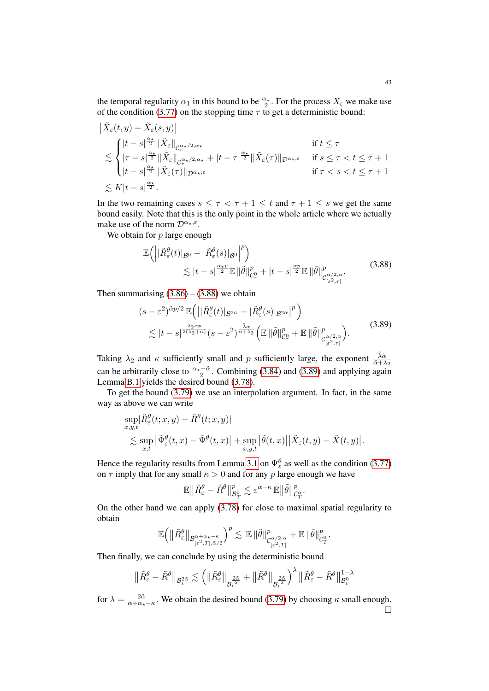the temporal regularity  $\alpha_1$  in this bound to be  $\frac{\alpha_\star}{2}$ . For the process  $X_\varepsilon$  we make use of the condition [\(3.77\)](#page-40-4) on the stopping time  $\tau$  to get a deterministic bound:

$$
\begin{split} &\left| \tilde{X}_{\varepsilon}(t,y) - \tilde{X}_{\varepsilon}(s,y) \right| \\ &\lesssim \begin{cases} |t-s|^{\frac{\alpha_{\star}}{2}}\|\tilde{X}_{\varepsilon}\|_{\mathcal{C}_{\tau}^{\alpha_{\star}/2,\alpha_{\star}}} & \text{if } t \leq \tau \\ \|\tau-s\|^{\frac{\alpha_{\star}}{2}}\|\tilde{X}_{\varepsilon}\|_{\mathcal{C}_{\tau}^{\alpha_{\star}/2,\alpha_{\star}}} + |t-\tau|^{\frac{\alpha_{\star}}{2}}\|\tilde{X}_{\varepsilon}(\tau)\|_{\mathcal{D}^{\alpha_{\star},\varepsilon}} & \text{if } s \leq \tau < t \leq \tau+1 \\ |t-s|^{\frac{\alpha_{\star}}{2}}\|\tilde{X}_{\varepsilon}(\tau)\|_{\mathcal{D}^{\alpha_{\star},\varepsilon}} & \text{if } \tau < s < t \leq \tau+1 \\ &\lesssim K|t-s|^{\frac{\alpha_{\star}}{2}}. \end{cases} \end{split}
$$

In the two remaining cases  $s \leq \tau < \tau + 1 \leq t$  and  $\tau + 1 \leq s$  we get the same bound easily. Note that this is the only point in the whole article where we actually make use of the norm  $\mathcal{D}^{\alpha_{\star},\varepsilon}$ .

We obtain for  $p$  large enough

<span id="page-42-0"></span>
$$
\mathbb{E}\Big(\Big||\tilde{R}^{\theta}_{\varepsilon}(t)|_{\mathcal{B}^{0}} - |\tilde{R}^{\theta}_{\varepsilon}(s)|_{\mathcal{B}^{0}}\Big|^{p}\Big) \lesssim |t-s|^{\frac{\alpha_{\star}p}{2}} \mathbb{E}\|\tilde{\theta}\|_{\mathcal{C}_{\tau}^{0}}^{p} + |t-s|^{\frac{\alpha p}{2}} \mathbb{E}\|\tilde{\theta}\|_{\mathcal{C}_{\lfloor \varepsilon^{2}, \tau \rfloor}^{0}}^{p}
$$
\n(3.88)

Then summarising  $(3.86) - (3.88)$  $(3.86) - (3.88)$  $(3.86) - (3.88)$  we obtain

<span id="page-42-1"></span>
$$
(s - \varepsilon^2)^{\tilde{\alpha}p/2} \mathbb{E} \Big( \big| |\tilde{R}_{\varepsilon}^{\theta}(t)|_{\mathcal{B}^{2\tilde{\alpha}}} - |\tilde{R}_{\varepsilon}^{\theta}(s)|_{\mathcal{B}^{2\tilde{\alpha}}} |^p \Big) \n\lesssim |t - s|^{\frac{\lambda_2 \alpha p}{2(\lambda_2 + \tilde{\alpha})}} (s - \varepsilon^2)^{\frac{\tilde{\lambda}\tilde{\alpha}}{\tilde{\alpha} + \lambda_2}} \Big( \mathbb{E} \, \|\tilde{\theta}\|_{\mathcal{C}_{\tau}^{\theta}}^p + \mathbb{E} \, \|\tilde{\theta}\|_{\mathcal{C}_{[\varepsilon^2, \tau]}^p}^p \Big).
$$
\n(3.89)

Taking  $\lambda_2$  and  $\kappa$  sufficiently small and p sufficiently large, the exponent  $\frac{\tilde{\lambda}\tilde{\alpha}}{\tilde{\alpha}+\lambda_2}$ can be arbitrarily close to  $\frac{\alpha_{\star}-\tilde{\alpha}}{2}$ . Combining [\(3.84\)](#page-41-1) and [\(3.89\)](#page-42-1) and applying again Lemma [B.1](#page-73-0) yields the desired bound [\(3.78\)](#page-40-5).

To get the bound [\(3.79\)](#page-40-6) we use an interpolation argument. In fact, in the same way as above we can write

$$
\sup_{x,y,t} |\tilde{R}_{\varepsilon}^{\theta}(t;x,y) - \tilde{R}^{\theta}(t;x,y)|
$$
  
\$\lesssim \sup\_{x,t} |\tilde{\Psi}\_{\varepsilon}^{\theta}(t,x) - \tilde{\Psi}^{\theta}(t,x)| + \sup\_{x,y,t} |\tilde{\theta}(t,x)| |\tilde{X}\_{\varepsilon}(t,y) - \tilde{X}(t,y)|\$.

Hence the regularity results from Lemma [3.1](#page-23-2) on  $\Psi_{\varepsilon}^{\theta}$  as well as the condition [\(3.77\)](#page-40-4) on  $\tau$  imply that for any small  $\kappa > 0$  and for any p large enough we have

$$
\mathbb{E}\big\|\tilde{R}_{\varepsilon}^{\theta}-\tilde{R}^{\theta}\big\|_{\mathcal{B}^0_T}^p\lesssim \varepsilon^{\alpha-\kappa}\,\mathbb{E}\big\|\tilde{\theta}\big\|_{\mathcal{C}^{\alpha}_T}^p.
$$

On the other hand we can apply [\(3.78\)](#page-40-5) for close to maximal spatial regularity to obtain

$$
\mathbb{E}\Big(\big\|\tilde{R}_{\varepsilon}^{\theta}\big\|_{\mathcal{B}_{[\varepsilon^2,T],\tilde{\alpha}/2}^{\alpha+\alpha_{\star}-\kappa}}\Big)^{p} \lesssim \, \mathbb{E}\,\|\tilde{\theta}\|_{\mathcal{C}_{[\varepsilon^2,T]}^{\alpha/2,\alpha}}^{p}+\mathbb{E}\,\|\tilde{\theta}\|_{\mathcal{C}_{T}^{0}}^{p}.
$$

Then finally, we can conclude by using the deterministic bound

$$
\big\|\tilde R^\theta_\varepsilon-\tilde R^\theta\big\|_{{\mathcal B}^{2{\tilde{\alpha}}}_t}\lesssim \Big(\|\tilde R^\theta_\varepsilon\big\|_{{\mathcal B}^{\frac{2{\tilde{\alpha}}}{\lambda}}_t}+\big\|\tilde R^\theta\big\|_{{\mathcal B}^{\frac{2{\tilde{\alpha}}}{\lambda}}_t}\Big)^\lambda\big\|\tilde R^\theta_\varepsilon-\tilde R^\theta\big\|_{{\mathcal B}^{0}_t}^{1-\lambda}
$$

for  $\lambda = \frac{2\tilde{\alpha}}{\alpha + \alpha_x - \kappa}$ . We obtain the desired bound [\(3.79\)](#page-40-6) by choosing  $\kappa$  small enough.  $\Box$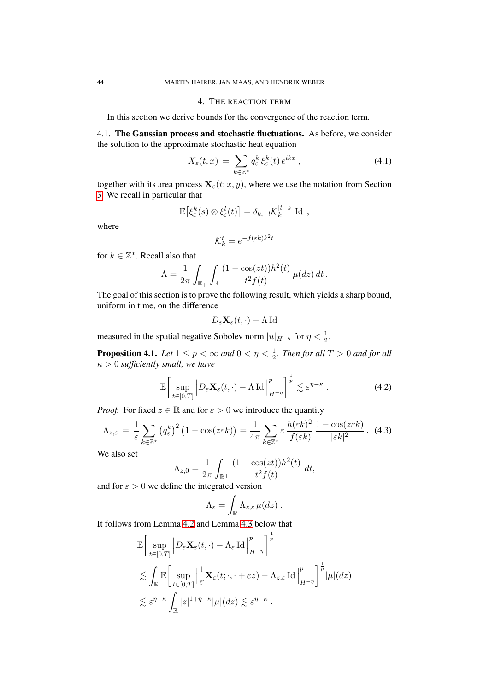## 4. THE REACTION TERM

<span id="page-43-2"></span>In this section we derive bounds for the convergence of the reaction term.

4.1. The Gaussian process and stochastic fluctuations. As before, we consider the solution to the approximate stochastic heat equation

$$
X_{\varepsilon}(t,x) = \sum_{k \in \mathbb{Z}^*} q_{\varepsilon}^k \xi_{\varepsilon}^k(t) e^{ikx}, \qquad (4.1)
$$

together with its area process  $\mathbf{X}_{\varepsilon}(t; x, y)$ , where we use the notation from Section [3.](#page-21-0) We recall in particular that

$$
\mathbb{E}\big[\xi_{\varepsilon}^k(s)\otimes\xi_{\varepsilon}^l(t)\big]=\delta_{k,-l}\mathcal{K}_k^{|t-s|}\,\mathrm{Id}\;,
$$

where

$$
\mathcal{K}_k^t = e^{-f(\varepsilon k)k^2 t}
$$

for  $k \in \mathbb{Z}^*$ . Recall also that

$$
\Lambda = \frac{1}{2\pi} \int_{\mathbb{R}_+} \int_{\mathbb{R}} \frac{(1 - \cos(zt))h^2(t)}{t^2 f(t)} \,\mu(dz) \, dt \, .
$$

The goal of this section is to prove the following result, which yields a sharp bound, uniform in time, on the difference

<span id="page-43-0"></span>
$$
D_{\varepsilon} \mathbf{X}_{\varepsilon}(t,\cdot) - \Lambda \operatorname{Id}
$$

measured in the spatial negative Sobolev norm  $|u|_{H^{-\eta}}$  for  $\eta < \frac{1}{2}$ .

**Proposition 4.1.** Let  $1 \leq p < \infty$  and  $0 < \eta < \frac{1}{2}$ . Then for all  $T > 0$  and for all κ > 0 *sufficiently small, we have*

$$
\mathbb{E}\bigg[\sup_{t\in[0,T]}\bigg|D_{\varepsilon}\mathbf{X}_{\varepsilon}(t,\cdot)-\Lambda\operatorname{Id}\bigg|_{H^{-\eta}}^p\bigg]^{\frac{1}{p}}\lesssim \varepsilon^{\eta-\kappa}.
$$
 (4.2)

*Proof.* For fixed  $z \in \mathbb{R}$  and for  $\varepsilon > 0$  we introduce the quantity

$$
\Lambda_{z,\varepsilon} = \frac{1}{\varepsilon} \sum_{k \in \mathbb{Z}^\star} \left( q_\varepsilon^k \right)^2 \left( 1 - \cos(z \varepsilon k) \right) = \frac{1}{4\pi} \sum_{k \in \mathbb{Z}^\star} \varepsilon \frac{h(\varepsilon k)^2}{f(\varepsilon k)} \frac{1 - \cos(z \varepsilon k)}{|\varepsilon k|^2} . \tag{4.3}
$$

We also set

$$
\Lambda_{z,0} = \frac{1}{2\pi} \int_{\mathbb{R}^+} \frac{(1 - \cos(zt))h^2(t)}{t^2 f(t)} dt,
$$

and for  $\varepsilon > 0$  we define the integrated version

$$
\Lambda_{\varepsilon} = \int_{\mathbb{R}} \Lambda_{z,\varepsilon} \,\mu(dz) \; .
$$

<span id="page-43-1"></span>1

It follows from Lemma [4.2](#page-44-0) and Lemma [4.3](#page-46-0) below that

$$
\mathbb{E}\Bigg[\sup_{t\in[0,T]}\Big|D_{\varepsilon}\mathbf{X}_{\varepsilon}(t,\cdot)-\Lambda_{\varepsilon}\operatorname{Id}\Big|_{H^{-\eta}}^p\Bigg]^{\frac{1}{p}}\Bigg]
$$
\n
$$
\lesssim \int_{\mathbb{R}}\mathbb{E}\Bigg[\sup_{t\in[0,T]}\Big|\frac{1}{\varepsilon}\mathbf{X}_{\varepsilon}(t;\cdot,\cdot+\varepsilon z)-\Lambda_{z,\varepsilon}\operatorname{Id}\Big|_{H^{-\eta}}^p\Bigg]^{\frac{1}{p}}|\mu|(dz)\Bigg]
$$
\n
$$
\lesssim \varepsilon^{\eta-\kappa}\int_{\mathbb{R}}|z|^{1+\eta-\kappa}|\mu|(dz)\lesssim \varepsilon^{\eta-\kappa}.
$$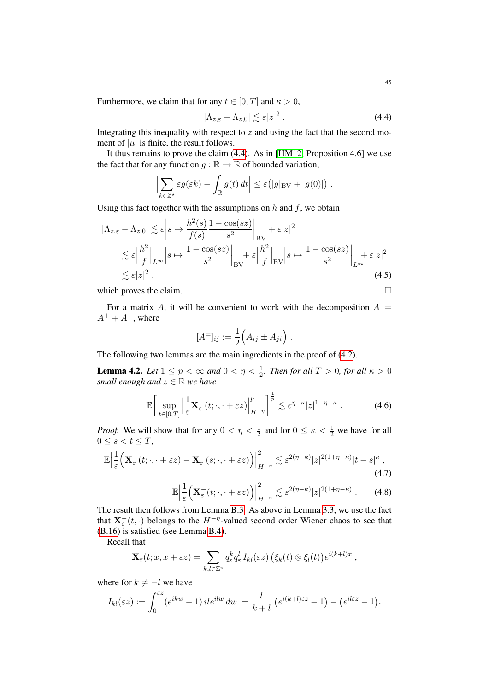Furthermore, we claim that for any  $t \in [0, T]$  and  $\kappa > 0$ ,

<span id="page-44-1"></span>
$$
|\Lambda_{z,\varepsilon} - \Lambda_{z,0}| \lesssim \varepsilon |z|^2 . \tag{4.4}
$$

Integrating this inequality with respect to  $z$  and using the fact that the second moment of  $|\mu|$  is finite, the result follows.

It thus remains to prove the claim [\(4.4\)](#page-44-1). As in [\[HM12,](#page-78-0) Proposition 4.6] we use the fact that for any function  $g : \mathbb{R} \to \mathbb{R}$  of bounded variation,

$$
\left|\sum_{k\in\mathbb{Z}^*} \varepsilon g(\varepsilon k) - \int_{\mathbb{R}} g(t) dt\right| \leq \varepsilon (|g|_{BV} + |g(0)|) .
$$

Using this fact together with the assumptions on  $h$  and  $f$ , we obtain

$$
|\Lambda_{z,\varepsilon} - \Lambda_{z,0}| \lesssim \varepsilon \left| s \mapsto \frac{h^2(s)}{f(s)} \frac{1 - \cos(sz)}{s^2} \right|_{\text{BV}} + \varepsilon |z|^2
$$
  

$$
\lesssim \varepsilon \left| \frac{h^2}{f} \right|_{L^\infty} \left| s \mapsto \frac{1 - \cos(sz)}{s^2} \right|_{\text{BV}} + \varepsilon \left| \frac{h^2}{f} \right|_{\text{BV}} \left| s \mapsto \frac{1 - \cos(sz)}{s^2} \right|_{L^\infty} + \varepsilon |z|^2
$$
  

$$
\lesssim \varepsilon |z|^2 . \tag{4.5}
$$

which proves the claim.  $\Box$ 

For a matrix A, it will be convenient to work with the decomposition  $A =$  $A^+ + A^-$ , where

$$
[A^{\pm}]_{ij} := \frac{1}{2} (A_{ij} \pm A_{ji}).
$$

The following two lemmas are the main ingredients in the proof of [\(4.2\)](#page-43-0).

<span id="page-44-0"></span>**Lemma 4.2.** *Let*  $1 \leq p < \infty$  *and*  $0 < \eta < \frac{1}{2}$ *. Then for all*  $T > 0$ *, for all*  $\kappa > 0$ *small enough and*  $z \in \mathbb{R}$  *we have* 

$$
\mathbb{E}\bigg[\sup_{t\in[0,T]}\Big|\frac{1}{\varepsilon}\mathbf{X}_{\varepsilon}^{-}(t;\cdot,\cdot+\varepsilon z)\Big|_{H^{-\eta}}^{p}\bigg]^{\frac{1}{p}}\lesssim\varepsilon^{\eta-\kappa}|z|^{1+\eta-\kappa}.\tag{4.6}
$$

*Proof.* We will show that for any  $0 < \eta < \frac{1}{2}$  and for  $0 \le \kappa < \frac{1}{2}$  we have for all  $0 \leq s < t \leq T$ ,

$$
\mathbb{E}\Big|\frac{1}{\varepsilon}\Big(\mathbf{X}_{\varepsilon}^{-}(t;\cdot,+ \varepsilon z)-\mathbf{X}_{\varepsilon}^{-}(s;\cdot,+ \varepsilon z)\Big)\Big|_{H^{-\eta}}^{2} \lesssim \varepsilon^{2(\eta-\kappa)}|z|^{2(1+\eta-\kappa)}|t-s|^{\kappa},\tag{4.7}
$$

<span id="page-44-3"></span><span id="page-44-2"></span>
$$
\mathbb{E}\Big|\frac{1}{\varepsilon}\Big(\mathbf{X}_{\varepsilon}^-(t;\cdot,\cdot+\varepsilon z)\Big)\Big|^2_{H^{-\eta}}\lesssim \varepsilon^{2(\eta-\kappa)}|z|^{2(1+\eta-\kappa)}\ .\qquad(4.8)
$$

The result then follows from Lemma [B.3.](#page-76-0) As above in Lemma [3.3,](#page-27-0) we use the fact that  $\mathbf{X}_{\varepsilon}^{-}(t,\cdot)$  belongs to the  $H^{-\eta}$ -valued second order Wiener chaos to see that [\(B.16\)](#page-76-1) is satisfied (see Lemma [B.4\)](#page-77-0).

Recall that

$$
\mathbf{X}_{\varepsilon}(t;x,x+\varepsilon z)=\sum_{k,l\in\mathbb{Z}^{\star}}q_{\varepsilon}^{k}q_{\varepsilon}^{l}I_{kl}(\varepsilon z)\left(\xi_{k}(t)\otimes\xi_{l}(t)\right)e^{i(k+l)x},
$$

where for  $k \neq -l$  we have

$$
I_{kl}(\varepsilon z) := \int_0^{\varepsilon z} (e^{ikw} - 1) i! e^{ilw} dw = \frac{l}{k+l} \left( e^{i(k+l)\varepsilon z} - 1 \right) - \left( e^{il\varepsilon z} - 1 \right).
$$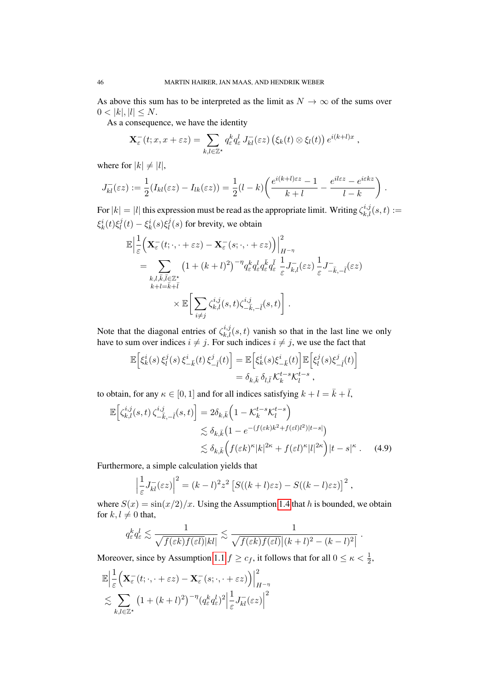As above this sum has to be interpreted as the limit as  $N \to \infty$  of the sums over  $0 < |k|, |l| \le N$ .

As a consequence, we have the identity

$$
\mathbf{X}_{\varepsilon}^{-}(t;x,x+\varepsilon z)=\sum_{k,l\in\mathbb{Z}^{\star}}q_{\varepsilon}^{k}q_{\varepsilon}^{l}J_{kl}^{-}(\varepsilon z)\left(\xi_{k}(t)\otimes\xi_{l}(t)\right)e^{i(k+l)x}
$$

,

where for  $|k| \neq |l|$ ,

$$
J_{kl}^-(\varepsilon z) := \frac{1}{2}(I_{kl}(\varepsilon z) - I_{lk}(\varepsilon z)) = \frac{1}{2}(l-k)\left(\frac{e^{i(k+l)\varepsilon z} - 1}{k+l} - \frac{e^{il\varepsilon z} - e^{i\varepsilon kz}}{l-k}\right).
$$

For  $|k| = |l|$  this expression must be read as the appropriate limit. Writing  $\zeta_{k,l}^{i,j}(s,t) :=$  $\xi^i_k(t)\xi^j_l$  $\zeta_l^j(t) - \xi_k^i(s)\xi_l^j$  $\ell_l^j(s)$  for brevity, we obtain

$$
\mathbb{E}\Big|\frac{1}{\varepsilon}\Big(\mathbf{X}_{\varepsilon}^{-}(t;\cdot,+{\varepsilon} z)-\mathbf{X}_{\varepsilon}^{-}(s;\cdot,+{\varepsilon} z)\Big)\Big|_{H^{-\eta}}^{2}
$$
\n
$$
=\sum_{\substack{k,l,\bar{k},\bar{l}\in\mathbb{Z}^{\star}\\k+l=\bar{k}+\bar{l}\\}}\left(1+(k+l)^{2}\right)^{-\eta}q_{\varepsilon}^{k}q_{\varepsilon}^{l}q_{\varepsilon}^{\bar{k}}q_{\varepsilon}^{l}\frac{1}{\varepsilon}J_{k,l}({\varepsilon} z)\frac{1}{\varepsilon}J_{-\bar{k},-\bar{l}}^{-}({\varepsilon} z)\Big|_{k+l=\bar{k}+\bar{l}}^{2}
$$
\n
$$
\times\mathbb{E}\Big[\sum_{i\neq j}\zeta_{k,l}^{i,j}(s,t)\zeta_{-\bar{k},-\bar{l}}^{i,j}(s,t)\Big]\ .
$$

Note that the diagonal entries of  $\zeta_{k,l}^{i,j}(s,t)$  vanish so that in the last line we only have to sum over indices  $i \neq j$ . For such indices  $i \neq j$ , we use the fact that

$$
\mathbb{E}\Big[\xi_k^i(s)\,\xi_l^j(s)\,\xi_{-\bar{k}}^i(t)\,\xi_{-\bar{l}}^j(t)\Big] = \mathbb{E}\Big[\xi_k^i(s)\xi_{-\bar{k}}^i(t)\Big]\mathbb{E}\Big[\xi_l^j(s)\xi_{-\bar{l}}^j(t)\Big] \n= \delta_{k,\bar{k}}\,\delta_{l,\bar{l}}\,\mathcal{K}_k^{t-s}\mathcal{K}_l^{t-s} ,
$$

to obtain, for any  $\kappa \in [0, 1]$  and for all indices satisfying  $k + l = \overline{k} + \overline{l}$ ,

$$
\mathbb{E}\Big[\zeta_{k,l}^{i,j}(s,t)\,\zeta_{-\overline{k},-\overline{l}}^{i,j}(s,t)\Big] = 2\delta_{k,\overline{k}}\Big(1 - \mathcal{K}_k^{t-s}\mathcal{K}_l^{t-s}\Big) \n\lesssim \delta_{k,\overline{k}}\big(1 - e^{-(f(\varepsilon k)k^2 + f(\varepsilon l)l^2)|t-s|}\big) \n\lesssim \delta_{k,\overline{k}}\Big(f(\varepsilon k)^{\kappa}|k|^{2\kappa} + f(\varepsilon l)^{\kappa}|l|^{2\kappa}\Big)|t-s|^{\kappa}.
$$
\n(4.9)

Furthermore, a simple calculation yields that

<span id="page-45-0"></span>
$$
\left|\frac{1}{\varepsilon}J_{kl}(\varepsilon z)\right|^2 = (k-l)^2 z^2 \left[S((k+l)\varepsilon z) - S((k-l)\varepsilon z)\right]^2,
$$

where  $S(x) = \frac{\sin(x/2)}{x}$ . Using the Assumption [1.4](#page-4-0) that h is bounded, we obtain for  $k, l \neq 0$  that,

$$
q_{\varepsilon}^{k} q_{\varepsilon}^{l} \lesssim \frac{1}{\sqrt{f(\varepsilon k)f(\varepsilon l)}|kl|} \lesssim \frac{1}{\sqrt{f(\varepsilon k)f(\varepsilon l)}|(k+l)^{2}-(k-l)^{2}|}.
$$

Moreover, since by Assumption [1.1](#page-3-0)  $f \geq c_f$ , it follows that for all  $0 \leq \kappa < \frac{1}{2}$ ,

$$
\mathbb{E}\Big|\frac{1}{\varepsilon}\Big(\mathbf{X}_{\varepsilon}^{-}(t;\cdot,\cdot+\varepsilon z)-\mathbf{X}_{\varepsilon}^{-}(s;\cdot,\cdot+\varepsilon z)\Big)\Big|_{H^{-\eta}}^{2}
$$
  

$$
\lesssim \sum_{k,l\in\mathbb{Z}^{\star}}\big(1+(k+l)^{2}\big)^{-\eta}\big(q_{\varepsilon}^{k}q_{\varepsilon}^{l}\big)^{2}\Big|\frac{1}{\varepsilon}J_{kl}(\varepsilon z)\Big|^{2}
$$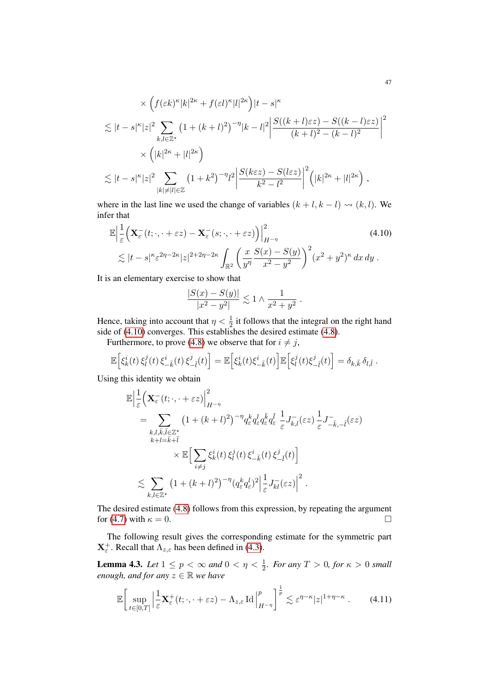$$
\times \left( f(\varepsilon k)^{\kappa} |k|^{2\kappa} + f(\varepsilon l)^{\kappa} |l|^{2\kappa} \right) |t - s|^{\kappa}
$$
  
\n
$$
\lesssim |t - s|^{\kappa} |z|^2 \sum_{k,l \in \mathbb{Z}^\star} \left( 1 + (k+l)^2 \right)^{-\eta} |k - l|^2 \left| \frac{S((k+l)\varepsilon z) - S((k-l)\varepsilon z)}{(k+l)^2 - (k-l)^2} \right|^2
$$
  
\n
$$
\times \left( |k|^{2\kappa} + |l|^{2\kappa} \right)
$$
  
\n
$$
\lesssim |t - s|^{\kappa} |z|^2 \sum_{|k| \neq |l| \in \mathbb{Z}} \left( 1 + k^2 \right)^{-\eta} l^2 \left| \frac{S(k\varepsilon z) - S(l\varepsilon z)}{k^2 - l^2} \right|^2 \left( |k|^{2\kappa} + |l|^{2\kappa} \right),
$$

where in the last line we used the change of variables  $(k + l, k - l) \rightsquigarrow (k, l)$ . We infer that

$$
\mathbb{E}\left|\frac{1}{\varepsilon}\Big(\mathbf{X}_{\varepsilon}^{-}(t;\cdot,\cdot+\varepsilon z)-\mathbf{X}_{\varepsilon}^{-}(s;\cdot,\cdot+\varepsilon z)\Big)\right|_{H^{-\eta}}^{2}\tag{4.10}
$$
\n
$$
\lesssim|t-s|^{\kappa}\varepsilon^{2\eta-2\kappa}|z|^{2+2\eta-2\kappa}\int_{\mathbb{R}^{2}}\left(\frac{x}{y^{\eta}}\frac{S(x)-S(y)}{x^{2}-y^{2}}\right)^{2}(x^{2}+y^{2})^{\kappa}dx\,dy.
$$

It is an elementary exercise to show that

<span id="page-46-1"></span>
$$
\frac{|S(x) - S(y)|}{|x^2 - y^2|} \lesssim 1 \wedge \frac{1}{x^2 + y^2} \; .
$$

Hence, taking into account that  $\eta < \frac{1}{2}$  it follows that the integral on the right hand side of [\(4.10\)](#page-46-1) converges. This establishes the desired estimate [\(4.8\)](#page-44-2).

Furthermore, to prove [\(4.8\)](#page-44-2) we observe that for  $i \neq j$ ,

$$
\mathbb{E}\Big[\xi_k^i(t)\,\xi_l^j(t)\,\xi_{-\bar{k}}^i(t)\,\xi_{-\bar{l}}^j(t)\Big] = \mathbb{E}\Big[\xi_k^i(t)\xi_{-\bar{k}}^i(t)\Big]\mathbb{E}\Big[\xi_l^j(t)\xi_{-\bar{l}}^j(t)\Big] = \delta_{k,\bar{k}}\,\delta_{l,\bar{l}}.
$$

Using this identity we obtain

$$
\mathbb{E}\Big|\frac{1}{\varepsilon}\Big(\mathbf{X}_{\varepsilon}^{-}(t;\cdot,+ \varepsilon z)\Big|_{H^{-\eta}}^{2}
$$
\n
$$
=\sum_{\substack{k,l,\bar{k},\bar{l}\in\mathbb{Z}^{\star}\\k+l=\bar{k}+\bar{l}}}\left(1+(k+l)^{2}\right)^{-\eta}q_{\varepsilon}^{k}q_{\varepsilon}^{l}q_{\varepsilon}^{\bar{k}}q_{\varepsilon}^{l}\frac{1}{\varepsilon}J_{k,l}^{-}(\varepsilon z)\frac{1}{\varepsilon}J_{-\bar{k},-l}^{-}(\varepsilon z)
$$
\n
$$
\times \mathbb{E}\Big[\sum_{i\neq j}\xi_{k}^{i}(t)\,\xi_{l}^{j}(t)\,\xi_{-\bar{k}}^{i}(t)\,\xi_{-\bar{l}}^{j}(t)\Big]
$$
\n
$$
\lesssim \sum_{k,l\in\mathbb{Z}^{\star}}\left(1+(k+l)^{2}\right)^{-\eta}(q_{\varepsilon}^{k}q_{\varepsilon}^{l})^{2}\Big|\frac{1}{\varepsilon}J_{k\bar{l}}^{-}(\varepsilon z)\Big|^{2}.
$$

The desired estimate [\(4.8\)](#page-44-2) follows from this expression, by repeating the argument for [\(4.7\)](#page-44-3) with  $\kappa = 0$ .

The following result gives the corresponding estimate for the symmetric part  $X_{\varepsilon}^{+}$ . Recall that  $\Lambda_{z,\varepsilon}$  has been defined in [\(4.3\)](#page-43-1).

<span id="page-46-0"></span>**Lemma 4.3.** *Let*  $1 \leq p < \infty$  *and*  $0 < \eta < \frac{1}{2}$ *. For any*  $T > 0$ *, for*  $\kappa > 0$  *small enough, and for any*  $z \in \mathbb{R}$  *we have* 

$$
\mathbb{E}\bigg[\sup_{t\in[0,T]}\Big|\frac{1}{\varepsilon}\mathbf{X}_{\varepsilon}^{+}(t;\cdot,\cdot+\varepsilon z)-\Lambda_{z,\varepsilon}\operatorname{Id}\Big|_{H^{-\eta}}^{p}\bigg]\bigg|^{\frac{1}{p}}\lesssim\varepsilon^{\eta-\kappa}|z|^{1+\eta-\kappa}.\tag{4.11}
$$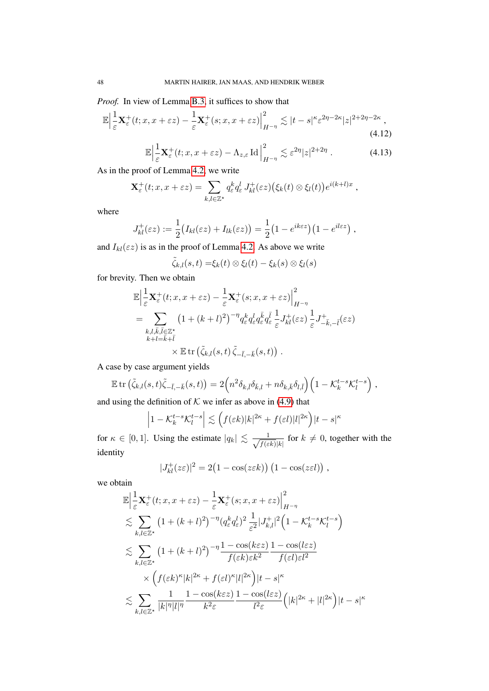*Proof.* In view of Lemma [B.3,](#page-76-0) it suffices to show that

$$
\mathbb{E}\Big|\frac{1}{\varepsilon}\mathbf{X}_{\varepsilon}^{+}(t;x,x+\varepsilon z)-\frac{1}{\varepsilon}\mathbf{X}_{\varepsilon}^{+}(s;x,x+\varepsilon z)\Big|_{H^{-\eta}}^{2}\lesssim|t-s|^{\kappa}\varepsilon^{2\eta-2\kappa}|z|^{2+2\eta-2\kappa},\tag{4.12}
$$

<span id="page-47-1"></span><span id="page-47-0"></span>
$$
\mathbb{E}\Big|\frac{1}{\varepsilon}\mathbf{X}_{\varepsilon}^{+}(t;x,x+\varepsilon z)-\Lambda_{z,\varepsilon}\operatorname{Id}\Big|_{H^{-\eta}}^{2}\lesssim \varepsilon^{2\eta}|z|^{2+2\eta}.
$$
 (4.13)

As in the proof of Lemma [4.2,](#page-44-0) we write

$$
\mathbf{X}_{\varepsilon}^+(t;x,x+\varepsilon z)=\sum_{k,l\in\mathbb{Z}^\star}q_{\varepsilon}^kd_{\varepsilon}^l J_{kl}^+(\varepsilon z)\big(\xi_k(t)\otimes\xi_l(t)\big)e^{i(k+l)x}\;,
$$

where

$$
J_{kl}^+(\varepsilon z) := \frac{1}{2} \big( I_{kl}(\varepsilon z) + I_{lk}(\varepsilon z) \big) = \frac{1}{2} \big( 1 - e^{ik\varepsilon z} \big) \big( 1 - e^{il\varepsilon z} \big) ,
$$

and  $I_{kl}(\varepsilon z)$  is as in the proof of Lemma [4.2.](#page-44-0) As above we write

$$
\tilde{\zeta}_{k,l}(s,t) = \xi_k(t) \otimes \xi_l(t) - \xi_k(s) \otimes \xi_l(s)
$$

for brevity. Then we obtain

$$
\mathbb{E}\Big|\frac{1}{\varepsilon}\mathbf{X}_{\varepsilon}^{+}(t;x,x+\varepsilon z)-\frac{1}{\varepsilon}\mathbf{X}_{\varepsilon}^{+}(s;x,x+\varepsilon z)\Big|_{H^{-\eta}}^{2}
$$
\n
$$
=\sum_{\substack{k,l,\bar{k},\bar{l}\in\mathbb{Z}^{\star}\\k+l=\bar{k}+\bar{l}\\}}\left(1+(k+l)^{2}\right)^{-\eta}q_{\varepsilon}^{k}q_{\varepsilon}^{l}q_{\varepsilon}^{\bar{k}}q_{\varepsilon}^{\bar{l}}\frac{1}{\varepsilon}J_{kl}^{+}(\varepsilon z)\frac{1}{\varepsilon}J_{-\bar{k},-\bar{l}}^{+}(\varepsilon z)\Big|_{\varepsilon}^{2}
$$
\n
$$
\times\mathbb{E}\operatorname{tr}\left(\tilde{\zeta}_{k,l}(s,t)\,\tilde{\zeta}_{-\bar{l},-\bar{k}}(s,t)\right).
$$

A case by case argument yields

$$
\mathbb{E} \operatorname{tr} \left( \tilde{\zeta}_{k,l}(s,t) \tilde{\zeta}_{-\bar{l},-\bar{k}}(s,t) \right) = 2 \Big( n^2 \delta_{k,\bar{l}} \delta_{\bar{k},l} + n \delta_{k,\bar{k}} \delta_{l,\bar{l}} \Big) \Big( 1 - \mathcal{K}_k^{t-s} \mathcal{K}_l^{t-s} \Big) ,
$$

and using the definition of  $K$  we infer as above in [\(4.9\)](#page-45-0) that

$$
\left|1 - \mathcal{K}_k^{t-s} \mathcal{K}_l^{t-s}\right| \lesssim \left(f(\varepsilon k)|k|^{2\kappa} + f(\varepsilon l)|l|^{2\kappa}\right)|t-s|^{\kappa}
$$

for  $\kappa \in [0,1]$ . Using the estimate  $|q_k| \lesssim \frac{1}{\sqrt{f(s)}}$  $\frac{1}{f(\varepsilon k)|k|}$  for  $k \neq 0$ , together with the identity

$$
|J_{kl}^+(z\varepsilon)|^2 = 2(1 - \cos(z\varepsilon k)) (1 - \cos(z\varepsilon l)),
$$

we obtain

$$
\mathbb{E}\Big|\frac{1}{\varepsilon}\mathbf{X}_{\varepsilon}^{+}(t;x,x+\varepsilon z)-\frac{1}{\varepsilon}\mathbf{X}_{\varepsilon}^{+}(s;x,x+\varepsilon z)\Big|_{H^{-\eta}}^{2}
$$
\n
$$
\lesssim \sum_{k,l\in\mathbb{Z}^{\star}}\left(1+(k+l)^{2}\right)^{-\eta}\left(q_{\varepsilon}^{k}q_{\varepsilon}^{l}\right)^{2}\frac{1}{\varepsilon^{2}}|J_{k,l}^{+}|^{2}\left(1-\mathcal{K}_{k}^{t-s}\mathcal{K}_{l}^{t-s}\right)
$$
\n
$$
\lesssim \sum_{k,l\in\mathbb{Z}^{\star}}\left(1+(k+l)^{2}\right)^{-\eta}\frac{1-\cos(k\varepsilon z)}{f(\varepsilon k)\varepsilon k^{2}}\frac{1-\cos(l\varepsilon z)}{f(\varepsilon l)\varepsilon l^{2}}
$$
\n
$$
\times\left(f(\varepsilon k)^{\kappa}|k|^{2\kappa}+f(\varepsilon l)^{\kappa}|l|^{2\kappa}\right)|t-s|^{\kappa}
$$
\n
$$
\lesssim \sum_{k,l\in\mathbb{Z}^{\star}}\frac{1}{|k|^{\eta}|l|^{\eta}}\frac{1-\cos(k\varepsilon z)}{k^{2}\varepsilon}\frac{1-\cos(l\varepsilon z)}{l^{2}\varepsilon}\left(|k|^{2\kappa}+|l|^{2\kappa}\right)|t-s|^{\kappa}
$$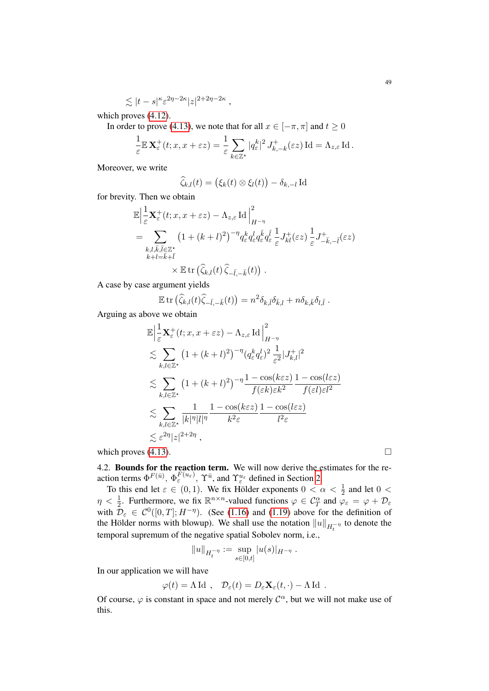$$
\lesssim |t-s|^{\kappa}\varepsilon^{2\eta-2\kappa}|z|^{2+2\eta-2\kappa}\;,
$$

which proves [\(4.12\)](#page-47-0).

In order to prove [\(4.13\)](#page-47-1), we note that for all  $x \in [-\pi, \pi]$  and  $t \ge 0$ 

$$
\frac{1}{\varepsilon} \mathbb{E} \mathbf{X}_{\varepsilon}^+(t; x, x + \varepsilon z) = \frac{1}{\varepsilon} \sum_{k \in \mathbb{Z}^*} |q_{\varepsilon}^k|^2 J_{k, -k}^+(\varepsilon z) \operatorname{Id} = \Lambda_{z, \varepsilon} \operatorname{Id}.
$$

Moreover, we write

$$
\widehat{\zeta}_{k,l}(t) = (\xi_k(t) \otimes \xi_l(t)) - \delta_{k,-l} \operatorname{Id}
$$

for brevity. Then we obtain

$$
\mathbb{E}\Big|\frac{1}{\varepsilon}\mathbf{X}_{\varepsilon}^{+}(t;x,x+\varepsilon z)-\Lambda_{z,\varepsilon}\operatorname{Id}\Big|_{H^{-\eta}}^{2}
$$
\n
$$
=\sum_{\substack{k,l,\bar{k},\bar{l}\in\mathbb{Z}^{\star}\\k+l=\bar{k}+\bar{l}\\}}\left(1+(k+l)^{2}\right)^{-\eta}q_{\varepsilon}^{k}q_{\varepsilon}^{l}q_{\varepsilon}^{\bar{k}}q_{\varepsilon}^{\bar{l}}\frac{1}{\varepsilon}J_{kl}^{+}(\varepsilon z)\frac{1}{\varepsilon}J_{-\bar{k},-l}^{+}(\varepsilon z)\Big|_{\varepsilon}^{2}
$$
\n
$$
\times \mathbb{E}\operatorname{tr}\big(\widehat{\zeta}_{k,l}(t)\widehat{\zeta}_{-\bar{l},-\bar{k}}(t)\big).
$$

A case by case argument yields

$$
\mathbb{E} \operatorname{tr} \left( \widehat{\zeta}_{k,l}(t) \widehat{\zeta}_{-\bar{l},-\bar{k}}(t) \right) = n^2 \delta_{k,\bar{l}} \delta_{\bar{k},l} + n \delta_{k,\bar{k}} \delta_{l,\bar{l}}.
$$

Arguing as above we obtain

$$
\mathbb{E}\left|\frac{1}{\varepsilon}\mathbf{X}_{\varepsilon}^{+}(t;x,x+\varepsilon z)-\Lambda_{z,\varepsilon}\operatorname{Id}\right|_{H^{-\eta}}^{2}
$$
\n
$$
\lesssim \sum_{k,l\in\mathbb{Z}^{\star}}\left(1+(k+l)^{2}\right)^{-\eta}\left(q_{\varepsilon}^{k}q_{\varepsilon}^{l}\right)^{2}\frac{1}{\varepsilon^{2}}|J_{k,l}^{+}|^{2}
$$
\n
$$
\lesssim \sum_{k,l\in\mathbb{Z}^{\star}}\left(1+(k+l)^{2}\right)^{-\eta}\frac{1-\cos(k\varepsilon z)}{f(\varepsilon k)\varepsilon k^{2}}\frac{1-\cos(l\varepsilon z)}{f(\varepsilon l)\varepsilon l^{2}}
$$
\n
$$
\lesssim \sum_{k,l\in\mathbb{Z}^{\star}}\frac{1}{|k|^{|\eta|l|^{|\eta}}}\frac{1-\cos(k\varepsilon z)}{k^{2}\varepsilon}\frac{1-\cos(l\varepsilon z)}{l^{2}\varepsilon}
$$
\n
$$
\lesssim \varepsilon^{2\eta}|z|^{2+2\eta},
$$
\nwhich proves (4.13).

4.2. Bounds for the reaction term. We will now derive the estimates for the reaction terms  $\Phi^{F(\bar{u})}, \Phi_{\varepsilon}^{F(u_{\varepsilon})}, \Upsilon^{\bar{u}},$  and  $\Upsilon_{\varepsilon}^{u_{\varepsilon}}$  defined in Section [2.](#page-7-0)

To this end let  $\varepsilon \in (0,1)$ . We fix Hölder exponents  $0 < \alpha < \frac{1}{2}$  and let  $0 <$  $\eta < \frac{1}{2}$ . Furthermore, we fix  $\mathbb{R}^{n \times n}$ -valued functions  $\varphi \in C_T^{\alpha}$  and  $\varphi_{\varepsilon} = \varphi + \mathcal{D}_{\varepsilon}$ with  $\mathcal{D}_{\varepsilon} \in \mathcal{C}^0([0,T]; H^{-\eta})$ . (See [\(1.16\)](#page-7-1) and [\(1.19\)](#page-7-2) above for the definition of the Hölder norms with blowup). We shall use the notation  $||u||_{H_t^{-\eta}}$  to denote the temporal supremum of the negative spatial Sobolev norm, i.e.,

$$
||u||_{H_t^{-\eta}} := \sup_{s \in [0,t]} |u(s)|_{H^{-\eta}}.
$$

In our application we will have

$$
\varphi(t) = \Lambda \operatorname{Id} , \quad \mathcal{D}_{\varepsilon}(t) = D_{\varepsilon} \mathbf{X}_{\varepsilon}(t, \cdot) - \Lambda \operatorname{Id} .
$$

Of course,  $\varphi$  is constant in space and not merely  $\mathcal{C}^{\alpha}$ , but we will not make use of this.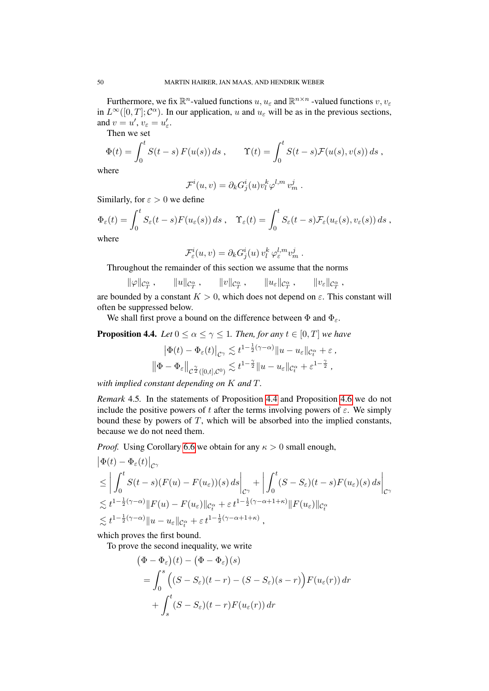Furthermore, we fix  $\mathbb{R}^n$ -valued functions  $u, u_\varepsilon$  and  $\mathbb{R}^{n \times n}$  -valued functions  $v, v_\varepsilon$ in  $L^{\infty}([0,T]; \mathcal{C}^{\alpha})$ . In our application, u and  $u_{\varepsilon}$  will be as in the previous sections, and  $v = u'$ ,  $v_{\varepsilon} = u'_{\varepsilon}$ .

Then we set

$$
\Phi(t) = \int_0^t S(t-s) F(u(s)) ds , \qquad \Upsilon(t) = \int_0^t S(t-s) \mathcal{F}(u(s), v(s)) ds ,
$$

where

$$
\mathcal{F}^i(u,v) = \partial_k G^i_j(u) v^k_l \varphi^{l,m} v^j_m.
$$

Similarly, for  $\varepsilon > 0$  we define

$$
\Phi_{\varepsilon}(t) = \int_0^t S_{\varepsilon}(t-s) F(u_{\varepsilon}(s)) ds , \quad \Upsilon_{\varepsilon}(t) = \int_0^t S_{\varepsilon}(t-s) \mathcal{F}_{\varepsilon}(u_{\varepsilon}(s), v_{\varepsilon}(s)) ds ,
$$
\nwhere

where

$$
\mathcal{F}_{\varepsilon}^i(u,v) = \partial_k G_j^i(u) v_l^k \varphi_{\varepsilon}^{l,m} v_m^j.
$$

Throughout the remainder of this section we assume that the norms

$$
\|\varphi\|_{\mathcal{C}^{\alpha}_{T}}\,,\qquad\|u\|_{\mathcal{C}^{\alpha}_{T}}\,,\qquad\|v\|_{\mathcal{C}^{\alpha}_{T}}\,,\qquad\|u_{\varepsilon}\|_{\mathcal{C}^{\alpha}_{T}}\,,\qquad\|v_{\varepsilon}\|_{\mathcal{C}^{\alpha}_{T}}\,,
$$

are bounded by a constant  $K > 0$ , which does not depend on  $\varepsilon$ . This constant will often be suppressed below.

We shall first prove a bound on the difference between  $\Phi$  and  $\Phi_{\varepsilon}$ .

<span id="page-49-0"></span>**Proposition 4.4.** *Let*  $0 \le \alpha \le \gamma \le 1$ *. Then, for any*  $t \in [0, T]$  *we have* 

$$
\left|\Phi(t) - \Phi_{\varepsilon}(t)\right|_{\mathcal{C}^{\gamma}} \lesssim t^{1-\frac{1}{2}(\gamma-\alpha)} \|u - u_{\varepsilon}\|_{\mathcal{C}^{\alpha}_{t}} + \varepsilon,
$$
  

$$
\left\|\Phi - \Phi_{\varepsilon}\right\|_{\mathcal{C}^{\frac{\gamma}{2}}([0,t],\mathcal{C}^{0})} \lesssim t^{1-\frac{\gamma}{2}} \|u - u_{\varepsilon}\|_{\mathcal{C}^{\alpha}_{t}} + \varepsilon^{1-\frac{\gamma}{2}},
$$

*with implied constant depending on* K *and* T*.*

*Remark* 4.5*.* In the statements of Proposition [4.4](#page-49-0) and Proposition [4.6](#page-51-0) we do not include the positive powers of t after the terms involving powers of  $\varepsilon$ . We simply bound these by powers of  $T$ , which will be absorbed into the implied constants, because we do not need them.

*Proof.* Using Corollary [6.6](#page-69-0) we obtain for any  $\kappa > 0$  small enough,

$$
\begin{split}\n&\left|\Phi(t) - \Phi_{\varepsilon}(t)\right|_{\mathcal{C}^{\gamma}} \\
&\leq \left| \int_{0}^{t} S(t-s)(F(u) - F(u_{\varepsilon}))(s) \, ds \right|_{\mathcal{C}^{\gamma}} + \left| \int_{0}^{t} (S - S_{\varepsilon})(t-s)F(u_{\varepsilon})(s) \, ds \right|_{\mathcal{C}^{\gamma}} \\
&\lesssim t^{1 - \frac{1}{2}(\gamma - \alpha)} \|F(u) - F(u_{\varepsilon})\|_{\mathcal{C}^{\alpha}_{t}} + \varepsilon t^{1 - \frac{1}{2}(\gamma - \alpha + 1 + \kappa)} \|F(u_{\varepsilon})\|_{\mathcal{C}^{\alpha}_{t}} \\
&\lesssim t^{1 - \frac{1}{2}(\gamma - \alpha)} \|u - u_{\varepsilon}\|_{\mathcal{C}^{\alpha}_{t}} + \varepsilon t^{1 - \frac{1}{2}(\gamma - \alpha + 1 + \kappa)},\n\end{split}
$$

which proves the first bound.

To prove the second inequality, we write

$$
\begin{aligned} \left(\Phi - \Phi_{\varepsilon}\right)(t) - \left(\Phi - \Phi_{\varepsilon}\right)(s) \\ &= \int_{0}^{s} \left( (S - S_{\varepsilon})(t - r) - (S - S_{\varepsilon})(s - r) \right) F(u_{\varepsilon}(r)) \, dr \\ &+ \int_{s}^{t} (S - S_{\varepsilon})(t - r) F(u_{\varepsilon}(r)) \, dr \end{aligned}
$$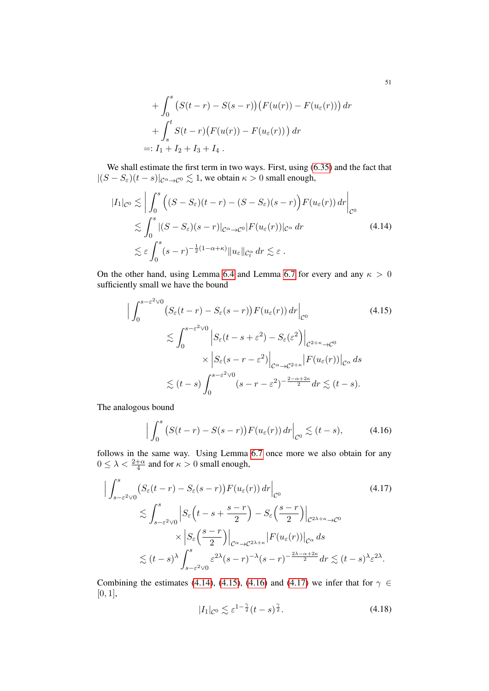+ 
$$
\int_0^s (S(t-r) - S(s-r)) (F(u(r)) - F(u_\varepsilon(r))) dr
$$
  
+  $\int_s^t S(t-r) (F(u(r)) - F(u_\varepsilon(r))) dr$   
=:  $I_1 + I_2 + I_3 + I_4$ .

We shall estimate the first term in two ways. First, using [\(6.35\)](#page-69-1) and the fact that  $|(S - S_{\varepsilon})(t - s)|_{\mathcal{C}^{\alpha} \to \mathcal{C}^{0}} \lesssim 1$ , we obtain  $\kappa > 0$  small enough,

<span id="page-50-0"></span>
$$
|I_{1}|_{\mathcal{C}^{0}} \lesssim \left| \int_{0}^{s} \left( (S - S_{\varepsilon})(t - r) - (S - S_{\varepsilon})(s - r) \right) F(u_{\varepsilon}(r)) dr \right|_{\mathcal{C}^{0}}
$$
  

$$
\lesssim \int_{0}^{s} |(S - S_{\varepsilon})(s - r)|_{\mathcal{C}^{\alpha} \to \mathcal{C}^{0}} |F(u_{\varepsilon}(r))|_{\mathcal{C}^{\alpha}} dr \qquad (4.14)
$$
  

$$
\lesssim \varepsilon \int_{0}^{s} (s - r)^{-\frac{1}{2}(1 - \alpha + \kappa)} \|u_{\varepsilon}\|_{\mathcal{C}_{t}^{\alpha}} dr \lesssim \varepsilon .
$$

On the other hand, using Lemma [6.4](#page-66-0) and Lemma [6.7](#page-69-2) for every and any  $\kappa > 0$ sufficiently small we have the bound

<span id="page-50-1"></span>
$$
\left| \int_0^{s-\varepsilon^2 \vee 0} \left( S_\varepsilon(t-r) - S_\varepsilon(s-r) \right) F(u_\varepsilon(r)) \, dr \right|_{\mathcal{C}^0}
$$
\n
$$
\lesssim \int_0^{s-\varepsilon^2 \vee 0} \left| S_\varepsilon(t-s+\varepsilon^2) - S_\varepsilon(\varepsilon^2) \right|_{\mathcal{C}^{2+\kappa} \to \mathcal{C}^0}
$$
\n
$$
\times \left| S_\varepsilon(s-r-\varepsilon^2) \right|_{\mathcal{C}^{\alpha} \to \mathcal{C}^{2+\kappa}} \left| F(u_\varepsilon(r)) \right|_{\mathcal{C}^{\alpha}} ds
$$
\n
$$
\lesssim (t-s) \int_0^{s-\varepsilon^2 \vee 0} (s-r-\varepsilon^2)^{-\frac{2-\alpha+2\kappa}{2}} dr \lesssim (t-s).
$$
\n(4.15)

The analogous bound

<span id="page-50-2"></span>
$$
\Big|\int_0^s \big(S(t-r)-S(s-r)\big)F(u_\varepsilon(r))\,dr\Big|_{\mathcal{C}^0} \lesssim (t-s),\tag{4.16}
$$

follows in the same way. Using Lemma [6.7](#page-69-2) once more we also obtain for any  $0 \leq \lambda < \frac{2+\alpha}{4}$  and for  $\kappa > 0$  small enough,

$$
\left| \int_{s-\varepsilon^{2}\vee 0}^{s} \left( S_{\varepsilon}(t-r) - S_{\varepsilon}(s-r) \right) F(u_{\varepsilon}(r)) dr \right|_{\mathcal{C}^{0}} \tag{4.17}
$$
\n
$$
\lesssim \int_{s-\varepsilon^{2}\vee 0}^{s} \left| S_{\varepsilon}\left(t-s+\frac{s-r}{2}\right) - S_{\varepsilon}\left(\frac{s-r}{2}\right) \right|_{\mathcal{C}^{2\lambda+\kappa}\to\mathcal{C}^{0}} \times \left| S_{\varepsilon}\left(\frac{s-r}{2}\right) \right|_{\mathcal{C}^{\alpha}\to\mathcal{C}^{2\lambda+\kappa}} \left| F(u_{\varepsilon}(r)) \right|_{\mathcal{C}^{\alpha}} ds \leq (t-s)^{\lambda} \int_{s-\varepsilon^{2}\vee 0}^{s} \varepsilon^{2\lambda} (s-r)^{-\lambda} (s-r)^{-\frac{2\lambda-\alpha+2\kappa}{2}} dr \lesssim (t-s)^{\lambda} \varepsilon^{2\lambda}.
$$

Combining the estimates [\(4.14\)](#page-50-0), [\(4.15\)](#page-50-1), [\(4.16\)](#page-50-2) and [\(4.17\)](#page-50-3) we infer that for  $\gamma \in$ [0, 1],

<span id="page-50-4"></span><span id="page-50-3"></span>
$$
|I_1|_{\mathcal{C}^0} \lesssim \varepsilon^{1-\frac{\gamma}{2}} (t-s)^{\frac{\gamma}{2}}.
$$
 (4.18)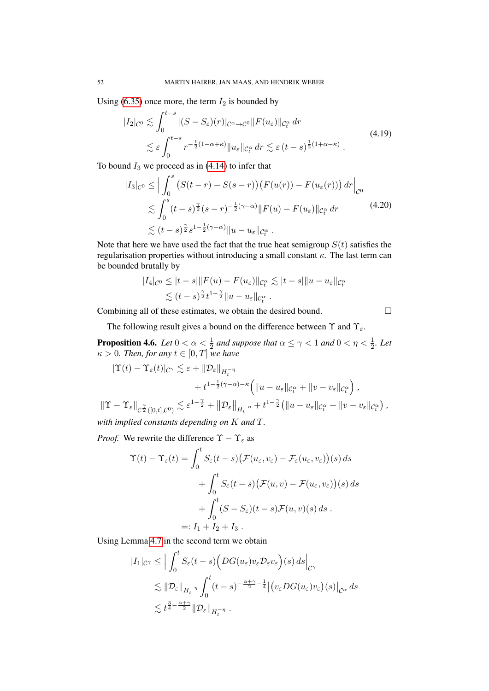Using [\(6.35\)](#page-69-1) once more, the term  $I_2$  is bounded by

<span id="page-51-2"></span>
$$
|I_2|_{\mathcal{C}^0} \lesssim \int_0^{t-s} |(S - S_{\varepsilon})(r)|_{\mathcal{C}^{\alpha} \to \mathcal{C}^0} |F(u_{\varepsilon})|_{\mathcal{C}^{\alpha}_t} dr
$$
  

$$
\lesssim \varepsilon \int_0^{t-s} r^{-\frac{1}{2}(1-\alpha+\kappa)} \|u_{\varepsilon}\|_{\mathcal{C}^{\alpha}_t} dr \lesssim \varepsilon (t-s)^{\frac{1}{2}(1+\alpha-\kappa)}.
$$
 (4.19)

To bound  $I_3$  we proceed as in [\(4.14\)](#page-50-0) to infer that

$$
|I_3|_{\mathcal{C}^0} \leq \Big| \int_0^s \left( S(t-r) - S(s-r) \right) \left( F(u(r)) - F(u_\varepsilon(r)) \right) dr \Big|_{\mathcal{C}^0}
$$
  
\$\lesssim \int\_0^s (t-s)^{\frac{\gamma}{2}} (s-r)^{-\frac{1}{2}(\gamma-\alpha)} \| F(u) - F(u\_\varepsilon) \|\_{\mathcal{C}\_t^\alpha} dr \qquad (4.20)\$  
\$\lesssim (t-s)^{\frac{\gamma}{2}} s^{1-\frac{1}{2}(\gamma-\alpha)} \| u - u\_\varepsilon \|\_{\mathcal{C}\_t^\alpha} .

Note that here we have used the fact that the true heat semigroup  $S(t)$  satisfies the regularisation properties without introducing a small constant  $\kappa$ . The last term can be bounded brutally by

$$
|I_4|_{\mathcal{C}^0} \leq |t-s| \|F(u) - F(u_{\varepsilon})\|_{\mathcal{C}_t^{\alpha}} \lesssim |t-s| \|u - u_{\varepsilon}\|_{\mathcal{C}_t^{\alpha}}
$$
  

$$
\lesssim (t-s)^{\frac{\gamma}{2}} t^{1-\frac{\gamma}{2}} \|u - u_{\varepsilon}\|_{\mathcal{C}_t^{\alpha}}.
$$

Combining all of these estimates, we obtain the desired bound.

<span id="page-51-1"></span>

The following result gives a bound on the difference between  $\Upsilon$  and  $\Upsilon_{\varepsilon}$ .

<span id="page-51-0"></span>**Proposition 4.6.** Let  $0 < \alpha < \frac{1}{2}$  and suppose that  $\alpha \leq \gamma < 1$  and  $0 < \eta < \frac{1}{2}$ . Let  $\kappa > 0$ *. Then, for any*  $t \in [0, T]$  *we have* 

$$
\begin{split} |\Upsilon(t)-\Upsilon_{\varepsilon}(t)|_{\mathcal{C}^{\gamma}} &\lesssim \varepsilon + \left\|\mathcal{D}_{\varepsilon}\right\|_{H_{t}^{-\eta}} \\ &+ t^{1-\frac{1}{2}(\gamma-\alpha)-\kappa}\Big(\|u-u_{\varepsilon}\|_{\mathcal{C}_{t}^{\alpha}}+\|v-v_{\varepsilon}\|_{\mathcal{C}_{t}^{\alpha}}\Big)\,,\\ \|\Upsilon-\Upsilon_{\varepsilon}\|_{\mathcal{C}^{\frac{\gamma}{2}}([0,t],\mathcal{C}^{0})} &\lesssim \varepsilon^{1-\frac{\gamma}{2}}+\left\|\mathcal{D}_{\varepsilon}\right\|_{H_{t}^{-\eta}}+ t^{1-\frac{\gamma}{2}}\big(\|u-u_{\varepsilon}\|_{\mathcal{C}_{t}^{\alpha}}+\|v-v_{\varepsilon}\|_{\mathcal{C}_{t}^{\alpha}}\big)\,,\\ \text{with implied constants depending on }K\text{ and }T. \end{split}
$$

*Proof.* We rewrite the difference  $\Upsilon - \Upsilon_{\varepsilon}$  as

$$
\Upsilon(t) - \Upsilon_{\varepsilon}(t) = \int_0^t S_{\varepsilon}(t-s) \big( \mathcal{F}(u_{\varepsilon}, v_{\varepsilon}) - \mathcal{F}_{\varepsilon}(u_{\varepsilon}, v_{\varepsilon}) \big)(s) ds
$$
  
+ 
$$
\int_0^t S_{\varepsilon}(t-s) \big( \mathcal{F}(u, v) - \mathcal{F}(u_{\varepsilon}, v_{\varepsilon}) \big)(s) ds
$$
  
+ 
$$
\int_0^t (S - S_{\varepsilon})(t-s) \mathcal{F}(u, v)(s) ds.
$$
  
=:  $I_1 + I_2 + I_3$ .

Using Lemma [4.7](#page-53-0) in the second term we obtain

$$
|I_1|_{\mathcal{C}^{\gamma}} \leq \Big| \int_0^t S_{\varepsilon}(t-s) \Big( DG(u_{\varepsilon}) v_{\varepsilon} \mathcal{D}_{\varepsilon} v_{\varepsilon} \Big)(s) ds \Big|_{\mathcal{C}^{\gamma}}
$$
  
\$\lesssim \|\mathcal{D}\_{\varepsilon}\|\_{H\_t^{-\eta}} \int\_0^t (t-s)^{-\frac{\alpha+\gamma}{2}-\frac{1}{4}} \Big| \big( v\_{\varepsilon} DG(u\_{\varepsilon}) v\_{\varepsilon} \big)(s) \Big|\_{\mathcal{C}^{\alpha}} ds\$  
\$\lesssim t^{\frac{3}{4}-\frac{\alpha+\gamma}{2}} \|\mathcal{D}\_{\varepsilon}\|\_{H\_t^{-\eta}} .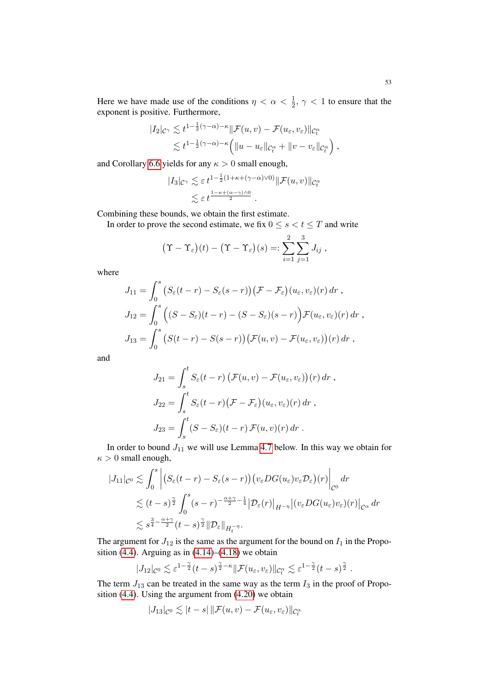Here we have made use of the conditions  $\eta < \alpha < \frac{1}{2}$ ,  $\gamma < 1$  to ensure that the exponent is positive. Furthermore,

$$
|I_2|_{\mathcal{C}^\gamma} \lesssim t^{1-\frac{1}{2}(\gamma-\alpha)-\kappa} \|\mathcal{F}(u,v) - \mathcal{F}(u_\varepsilon, v_\varepsilon)\|_{\mathcal{C}_t^\alpha}
$$
  
\$\lesssim t^{1-\frac{1}{2}(\gamma-\alpha)-\kappa} \Big( \|u - u\_\varepsilon\|\_{\mathcal{C}\_t^\alpha} + \|v - v\_\varepsilon\|\_{\mathcal{C}\_t^\alpha} \Big) ,

and Corollary [6.6](#page-69-0) yields for any  $\kappa > 0$  small enough,

$$
|I_3|_{\mathcal{C}^\gamma} \lesssim \varepsilon t^{1-\frac{1}{2}(1+\kappa+(\gamma-\alpha)\vee 0)} \|\mathcal{F}(u,v)\|_{\mathcal{C}_t^\alpha}
$$
  

$$
\lesssim \varepsilon t^{\frac{1-\kappa+(\alpha-\gamma)\wedge 0}{2}}.
$$

Combining these bounds, we obtain the first estimate.

In order to prove the second estimate, we fix  $0 \le s < t \le T$  and write

$$
(\Upsilon - \Upsilon_{\varepsilon})(t) - (\Upsilon - \Upsilon_{\varepsilon})(s) =: \sum_{i=1}^{2} \sum_{j=1}^{3} J_{ij},
$$

where

$$
J_{11} = \int_0^s \left( S_{\varepsilon}(t-r) - S_{\varepsilon}(s-r) \right) \left( \mathcal{F} - \mathcal{F}_{\varepsilon} \right) (u_{\varepsilon}, v_{\varepsilon}) (r) dr ,
$$
  
\n
$$
J_{12} = \int_0^s \left( (S - S_{\varepsilon})(t-r) - (S - S_{\varepsilon})(s-r) \right) \mathcal{F}(u_{\varepsilon}, v_{\varepsilon}) (r) dr ,
$$
  
\n
$$
J_{13} = \int_0^s \left( S(t-r) - S(s-r) \right) \left( \mathcal{F}(u, v) - \mathcal{F}(u_{\varepsilon}, v_{\varepsilon}) \right) (r) dr ,
$$

and

$$
J_{21} = \int_{s}^{t} S_{\varepsilon}(t-r) \left( \mathcal{F}(u,v) - \mathcal{F}(u_{\varepsilon},v_{\varepsilon}) \right)(r) dr,
$$
  
\n
$$
J_{22} = \int_{s}^{t} S_{\varepsilon}(t-r) \left( \mathcal{F} - \mathcal{F}_{\varepsilon} \right)(u_{\varepsilon},v_{\varepsilon})(r) dr,
$$
  
\n
$$
J_{23} = \int_{s}^{t} (S - S_{\varepsilon})(t-r) \mathcal{F}(u,v)(r) dr.
$$

In order to bound  $J_{11}$  we will use Lemma [4.7](#page-53-0) below. In this way we obtain for  $\kappa > 0$  small enough,

$$
|J_{11}|_{\mathcal{C}^{0}} \lesssim \int_{0}^{s} \left| \left( S_{\varepsilon}(t-r) - S_{\varepsilon}(s-r) \right) \left( v_{\varepsilon} DG(u_{\varepsilon}) v_{\varepsilon} \mathcal{D}_{\varepsilon} \right) (r) \right|_{\mathcal{C}^{0}} dr
$$
  
\$\lesssim (t-s)^{\frac{\gamma}{2}} \int\_{0}^{s} (s-r)^{-\frac{\alpha+\gamma}{2} - \frac{1}{4}} |\mathcal{D}\_{\varepsilon}(r)|\_{H^{-\eta}} |(v\_{\varepsilon} DG(u\_{\varepsilon}) v\_{\varepsilon}) (r)|\_{\mathcal{C}^{\alpha}} dr\$  
\$\lesssim s^{\frac{3}{4} - \frac{\alpha+\gamma}{2}} (t-s)^{\frac{\gamma}{2}} ||\mathcal{D}\_{\varepsilon}||\_{H\_{t}^{-\eta}}.\$

The argument for  $J_{12}$  is the same as the argument for the bound on  $I_1$  in the Propo-sition [\(4.4\)](#page-49-0). Arguing as in  $(4.14)$ – $(4.18)$  we obtain

$$
|J_{12}|_{\mathcal{C}^0} \lesssim \varepsilon^{1-\frac{\gamma}{2}}(t-s)^{\frac{\gamma}{2}-\kappa} \|\mathcal{F}(u_{\varepsilon},v_{\varepsilon})\|_{\mathcal{C}_t^{\alpha}} \lesssim \varepsilon^{1-\frac{\gamma}{2}}(t-s)^{\frac{\gamma}{2}}.
$$

The term  $J_{13}$  can be treated in the same way as the term  $I_3$  in the proof of Proposition [\(4.4\)](#page-49-0). Using the argument from [\(4.20\)](#page-51-1) we obtain

$$
|J_{13}|_{\mathcal{C}^0} \lesssim |t-s| \, \| \mathcal{F}(u,v) - \mathcal{F}(u_\varepsilon,v_\varepsilon) \|_{\mathcal{C}_t^\alpha}
$$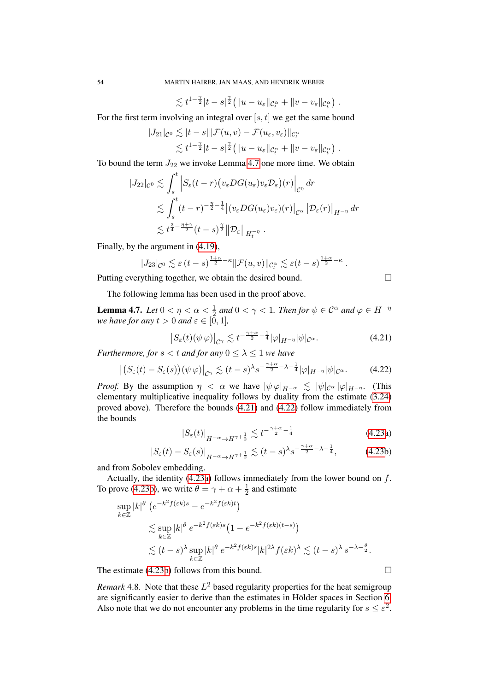$$
\lesssim t^{1-\frac{\gamma}{2}}|t-s|^{\frac{\gamma}{2}}\big(\|u-u_{\varepsilon}\|_{\mathcal{C}_t^{\alpha}}+\|v-v_{\varepsilon}\|_{\mathcal{C}_t^{\alpha}}\big) .
$$

For the first term involving an integral over  $[s, t]$  we get the same bound

$$
|J_{21}|_{\mathcal{C}^0} \lesssim |t-s||\mathcal{F}(u,v) - \mathcal{F}(u_{\varepsilon},v_{\varepsilon})||_{\mathcal{C}_t^{\alpha}}
$$
  

$$
\lesssim t^{1-\frac{\gamma}{2}}|t-s|^{\frac{\gamma}{2}}\big(||u-u_{\varepsilon}||_{\mathcal{C}_t^{\alpha}} + ||v-v_{\varepsilon}||_{\mathcal{C}_t^{\alpha}}\big).
$$

To bound the term  $J_{22}$  we invoke Lemma [4.7](#page-53-0) one more time. We obtain

$$
|J_{22}|_{\mathcal{C}^{0}} \lesssim \int_{s}^{t} \left| S_{\varepsilon}(t-r) \left( v_{\varepsilon} DG(u_{\varepsilon}) v_{\varepsilon} \mathcal{D}_{\varepsilon} \right) (r) \right|_{\mathcal{C}^{0}} dr
$$
  
\$\lesssim \int\_{s}^{t} (t-r)^{-\frac{\eta}{2} - \frac{1}{4}} \left| (v\_{\varepsilon} DG(u\_{\varepsilon}) v\_{\varepsilon}) (r) \right|\_{\mathcal{C}^{\alpha}} \left| \mathcal{D}\_{\varepsilon}(r) \right|\_{H^{-\eta}} dr\$  
\$\lesssim t^{\frac{3}{4} - \frac{\eta + \gamma}{2}} (t-s)^{\frac{\gamma}{2}} \left\| \mathcal{D}\_{\varepsilon} \right\|\_{H\_{t}^{-\eta}} .

Finally, by the argument in [\(4.19\)](#page-51-2),

$$
|J_{23}|_{\mathcal{C}^{0}} \lesssim \varepsilon (t-s)^{\frac{1+\alpha}{2}-\kappa} \|\mathcal{F}(u,v)\|_{\mathcal{C}_{t}^{\alpha}} \lesssim \varepsilon (t-s)^{\frac{1+\alpha}{2}-\kappa}.
$$

Putting everything together, we obtain the desired bound.

<span id="page-53-2"></span><span id="page-53-1"></span>
$$
\Box
$$

The following lemma has been used in the proof above.

<span id="page-53-0"></span>**Lemma 4.7.** Let  $0 < \eta < \alpha < \frac{1}{2}$  and  $0 < \gamma < 1$ . Then for  $\psi \in \mathcal{C}^{\alpha}$  and  $\varphi \in H^{-\eta}$ *we have for any*  $t > 0$  *and*  $\varepsilon \in [0, 1]$ *,* 

$$
\left|S_{\varepsilon}(t)(\psi\,\varphi)\right|_{\mathcal{C}^{\gamma}} \lesssim t^{-\frac{\gamma+\alpha}{2}-\frac{1}{4}}|\varphi|_{H^{-\eta}}|\psi|_{\mathcal{C}^{\alpha}}.\tag{4.21}
$$

*Furthermore, for*  $s < t$  *and for any*  $0 \leq \lambda \leq 1$  *we have* 

$$
\left| \left( S_{\varepsilon}(t) - S_{\varepsilon}(s) \right) (\psi \, \varphi) \right|_{\mathcal{C}^{\gamma}} \lesssim (t-s)^{\lambda} s^{-\frac{\gamma + \alpha}{2} - \lambda - \frac{1}{4}} |\varphi|_{H^{-\eta}} |\psi|_{\mathcal{C}^{\alpha}}. \tag{4.22}
$$

*Proof.* By the assumption  $\eta < \alpha$  we have  $|\psi \varphi|_{H^{-\alpha}} \lesssim |\psi|_{C^{\alpha}} |\varphi|_{H^{-\eta}}$ . (This elementary multiplicative inequality follows by duality from the estimate [\(3.24\)](#page-26-0) proved above). Therefore the bounds [\(4.21\)](#page-53-1) and [\(4.22\)](#page-53-2) follow immediately from the bounds

$$
|S_{\varepsilon}(t)|_{H^{-\alpha}\to H^{\gamma+\frac{1}{2}}} \lesssim t^{-\frac{\gamma+\alpha}{2}-\frac{1}{4}} \tag{4.23a}
$$

$$
\left|S_{\varepsilon}(t) - S_{\varepsilon}(s)\right|_{H^{-\alpha} \to H^{\gamma + \frac{1}{2}}} \lesssim (t - s)^{\lambda} s^{-\frac{\gamma + \alpha}{2} - \lambda - \frac{1}{4}},\tag{4.23b}
$$

and from Sobolev embedding.

Actually, the identity  $(4.23a)$  follows immediately from the lower bound on  $f$ . To prove [\(4.23b\)](#page-3-2), we write  $\theta = \gamma + \alpha + \frac{1}{2}$  $\frac{1}{2}$  and estimate

$$
\sup_{k \in \mathbb{Z}} |k|^{\theta} \left( e^{-k^2 f(\varepsilon k)s} - e^{-k^2 f(\varepsilon k)t} \right)
$$
  
\$\lesssim \sup\_{k \in \mathbb{Z}} |k|^{\theta} e^{-k^2 f(\varepsilon k)s} \left( 1 - e^{-k^2 f(\varepsilon k)(t-s)} \right)\$  
\$\lesssim (t-s)^{\lambda} \sup\_{k \in \mathbb{Z}} |k|^{\theta} e^{-k^2 f(\varepsilon k)s} |k|^{2\lambda} f(\varepsilon k)^{\lambda} \lesssim (t-s)^{\lambda} s^{-\lambda - \frac{\theta}{2}}.\$

The estimate  $(4.23b)$  follows from this bound.

*Remark* 4.8. Note that these  $L^2$  based regularity properties for the heat semigroup are significantly easier to derive than the estimates in Hölder spaces in Section [6.](#page-61-1) Also note that we do not encounter any problems in the time regularity for  $s \leq \varepsilon^2$ .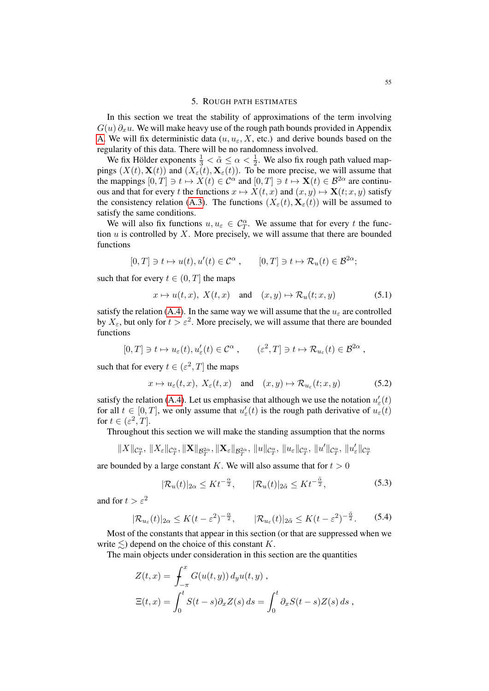## 5. ROUGH PATH ESTIMATES

In this section we treat the stability of approximations of the term involving  $G(u) \partial_x u$ . We will make heavy use of the rough path bounds provided in Appendix [A.](#page-72-0) We will fix deterministic data  $(u, u_{\varepsilon}, X, \text{ etc.})$  and derive bounds based on the regularity of this data. There will be no randomness involved.

We fix Hölder exponents  $\frac{1}{3} < \tilde{\alpha} \leq \alpha < \frac{1}{2}$ . We also fix rough path valued mappings  $(X(t), \mathbf{X}(t))$  and  $(X_{\varepsilon}(t), \mathbf{X}_{\varepsilon}(t))$ . To be more precise, we will assume that the mappings  $[0, T] \ni t \mapsto X(t) \in C^{\alpha}$  and  $[0, T] \ni t \mapsto \mathbf{X}(t) \in \mathcal{B}^{2\alpha}$  are continuous and that for every t the functions  $x \mapsto X(t, x)$  and  $(x, y) \mapsto \mathbf{X}(t; x, y)$  satisfy the consistency relation [\(A.3\)](#page-72-1). The functions  $(X_{\varepsilon}(t), \mathbf{X}_{\varepsilon}(t))$  will be assumed to satisfy the same conditions.

We will also fix functions  $u, u_{\varepsilon} \in C_T^{\alpha}$ . We assume that for every t the function  $u$  is controlled by  $X$ . More precisely, we will assume that there are bounded functions

$$
[0,T]\ni t\mapsto u(t), u'(t)\in \mathcal{C}^{\alpha}\;, \qquad [0,T]\ni t\mapsto \mathcal{R}_u(t)\in \mathcal{B}^{2\alpha};
$$

such that for every  $t \in (0, T]$  the maps

$$
x \mapsto u(t, x), \ X(t, x) \quad \text{and} \quad (x, y) \mapsto \mathcal{R}_u(t; x, y) \tag{5.1}
$$

satisfy the relation [\(A.4\)](#page-72-2). In the same way we will assume that the  $u_{\varepsilon}$  are controlled by  $X_{\varepsilon}$ , but only for  $t > \varepsilon^2$ . More precisely, we will assume that there are bounded functions

$$
[0,T] \ni t \mapsto u_{\varepsilon}(t), u'_{\varepsilon}(t) \in \mathcal{C}^{\alpha} , \qquad (\varepsilon^2,T] \ni t \mapsto \mathcal{R}_{u_{\varepsilon}}(t) \in \mathcal{B}^{2\alpha} ,
$$

such that for every  $t \in (\varepsilon^2, T]$  the maps

$$
x \mapsto u_{\varepsilon}(t, x), \ X_{\varepsilon}(t, x) \quad \text{and} \quad (x, y) \mapsto \mathcal{R}_{u_{\varepsilon}}(t; x, y) \tag{5.2}
$$

satisfy the relation [\(A.4\)](#page-72-2). Let us emphasise that although we use the notation  $u'_{\varepsilon}(t)$ for all  $t \in [0, T]$ , we only assume that  $u'_{\varepsilon}(t)$  is the rough path derivative of  $u_{\varepsilon}(t)$ for  $t \in (\varepsilon^2, T]$ .

Throughout this section we will make the standing assumption that the norms

$$
\|X\|_{\mathcal{C}^\alpha_T},\,\|X_\varepsilon\|_{\mathcal{C}^\alpha_T},\|\mathbf{X}\|_{\mathcal{B}^{2\alpha}_T},\|\mathbf{X}_\varepsilon\|_{\mathcal{B}^{2\alpha}_T},\,\|u\|_{\mathcal{C}^\alpha_T},\,\|u_\varepsilon\|_{\mathcal{C}^\alpha_T},\,\|u'\|_{\mathcal{C}^\alpha_T},\,\|u_\varepsilon'\|_{\mathcal{C}^\alpha_T}
$$

are bounded by a large constant K. We will also assume that for  $t > 0$ 

<span id="page-54-0"></span>
$$
|\mathcal{R}_u(t)|_{2\alpha} \le Kt^{-\frac{\alpha}{2}}, \qquad |\mathcal{R}_u(t)|_{2\tilde{\alpha}} \le Kt^{-\frac{\tilde{\alpha}}{2}}, \tag{5.3}
$$

and for  $t > \epsilon^2$ 

$$
|\mathcal{R}_{u_{\varepsilon}}(t)|_{2\alpha} \le K(t - \varepsilon^2)^{-\frac{\alpha}{2}}, \qquad |\mathcal{R}_{u_{\varepsilon}}(t)|_{2\tilde{\alpha}} \le K(t - \varepsilon^2)^{-\frac{\tilde{\alpha}}{2}}.
$$
 (5.4)

Most of the constants that appear in this section (or that are suppressed when we write  $\leq$ ) depend on the choice of this constant K.

The main objects under consideration in this section are the quantities

$$
Z(t,x) = \int_{-\pi}^{x} G(u(t,y)) d_y u(t,y),
$$
  

$$
\Xi(t,x) = \int_{0}^{t} S(t-s) \partial_x Z(s) ds = \int_{0}^{t} \partial_x S(t-s) Z(s) ds,
$$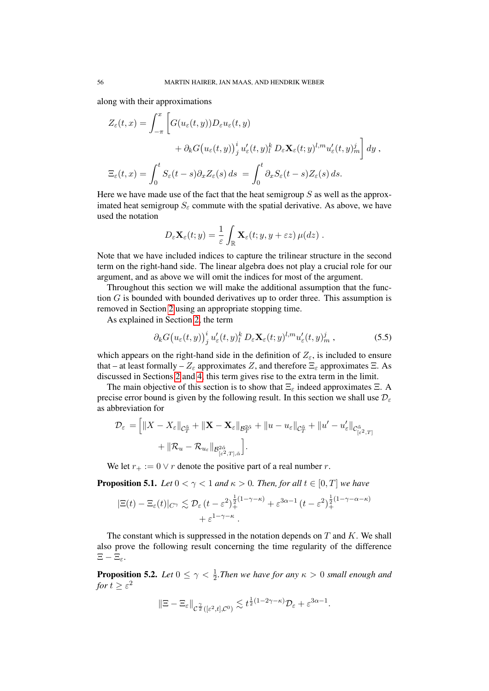along with their approximations

$$
Z_{\varepsilon}(t,x) = \int_{-\pi}^{x} \left[ G(u_{\varepsilon}(t,y)) D_{\varepsilon} u_{\varepsilon}(t,y) + \partial_{k} G(u_{\varepsilon}(t,y))_{j}^{i} u'_{\varepsilon}(t,y)_{l}^{k} D_{\varepsilon} \mathbf{X}_{\varepsilon}(t,y)^{l,m} u'_{\varepsilon}(t,y)_{m}^{j} \right] dy ,
$$
  

$$
\Xi_{\varepsilon}(t,x) = \int_{0}^{t} S_{\varepsilon}(t-s) \partial_{x} Z_{\varepsilon}(s) ds = \int_{0}^{t} \partial_{x} S_{\varepsilon}(t-s) Z_{\varepsilon}(s) ds.
$$

Here we have made use of the fact that the heat semigroup  $S$  as well as the approximated heat semigroup  $S_{\varepsilon}$  commute with the spatial derivative. As above, we have used the notation

$$
D_{\varepsilon} \mathbf{X}_{\varepsilon}(t; y) = \frac{1}{\varepsilon} \int_{\mathbb{R}} \mathbf{X}_{\varepsilon}(t; y, y + \varepsilon z) \, \mu(dz) \; .
$$

Note that we have included indices to capture the trilinear structure in the second term on the right-hand side. The linear algebra does not play a crucial role for our argument, and as above we will omit the indices for most of the argument.

Throughout this section we will make the additional assumption that the function  $G$  is bounded with bounded derivatives up to order three. This assumption is removed in Section [2](#page-7-0) using an appropriate stopping time.

As explained in Section [2,](#page-7-0) the term

$$
\partial_k G(u_\varepsilon(t,y))^i_j u'_\varepsilon(t,y)^k_l D_\varepsilon \mathbf{X}_\varepsilon(t,y)^{l,m} u'_\varepsilon(t,y)^j_m ,\qquad (5.5)
$$

which appears on the right-hand side in the definition of  $Z_{\varepsilon}$ , is included to ensure that – at least formally –  $Z_{\varepsilon}$  approximates Z, and therefore  $\Xi_{\varepsilon}$  approximates  $\Xi$ . As discussed in Sections [2](#page-7-0) and [4,](#page-43-2) this term gives rise to the extra term in the limit.

The main objective of this section is to show that  $\Xi_{\varepsilon}$  indeed approximates  $\Xi$ . A precise error bound is given by the following result. In this section we shall use  $\mathcal{D}_{\varepsilon}$ as abbreviation for

$$
\mathcal{D}_{\varepsilon} = \left[ \|X - X_{\varepsilon}\|_{\mathcal{C}_{T}^{\tilde{\alpha}}} + \|\mathbf{X} - \mathbf{X}_{\varepsilon}\|_{\mathcal{B}_{T}^{2\tilde{\alpha}}} + \|u - u_{\varepsilon}\|_{\mathcal{C}_{T}^{\tilde{\alpha}}} + \|u' - u'_{\varepsilon}\|_{\mathcal{C}_{[\varepsilon^{2},T]}^{\tilde{\alpha}}} + \|\mathcal{R}_{u} - \mathcal{R}_{u_{\varepsilon}}\|_{\mathcal{B}_{[\varepsilon^{2},T],\tilde{\alpha}}} \right].
$$

We let  $r_+ := 0 \vee r$  denote the positive part of a real number r.

<span id="page-55-0"></span>**Proposition 5.1.** *Let*  $0 < \gamma < 1$  *and*  $\kappa > 0$ *. Then, for all*  $t \in [0, T]$  *we have* 

$$
|\Xi(t) - \Xi_{\varepsilon}(t)|_{C^{\gamma}} \lesssim \mathcal{D}_{\varepsilon}(t - \varepsilon^{2})_{+}^{\frac{1}{2}(1 - \gamma - \kappa)} + \varepsilon^{3\alpha - 1} (t - \varepsilon^{2})_{+}^{\frac{1}{2}(1 - \gamma - \alpha - \kappa)} + \varepsilon^{1 - \gamma - \kappa}.
$$

The constant which is suppressed in the notation depends on  $T$  and  $K$ . We shall also prove the following result concerning the time regularity of the difference  $E - E<sub>e</sub>$ .

<span id="page-55-1"></span>**Proposition 5.2.** Let  $0 \leq \gamma < \frac{1}{2}$ . Then we have for any  $\kappa > 0$  small enough and for  $t\geq \varepsilon^2$ 

$$
\|\Xi-\Xi_\varepsilon\|_{\mathcal{C}^{\frac{\gamma}{2}}([{\varepsilon}^2,t],\mathcal{C}^0)}\lesssim t^{\frac{1}{2}(1-2\gamma-\kappa)}\mathcal{D}_\varepsilon+\varepsilon^{3\alpha-1}.
$$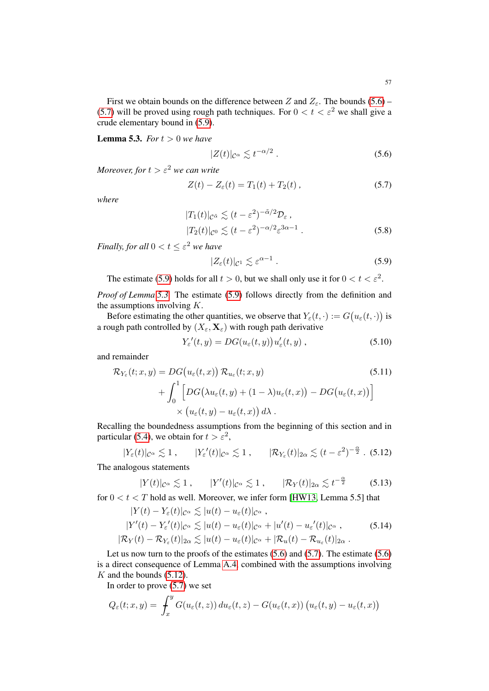First we obtain bounds on the difference between Z and  $Z_{\varepsilon}$ . The bounds [\(5.6\)](#page-56-0) – [\(5.7\)](#page-56-1) will be proved using rough path techniques. For  $0 < t < \varepsilon^2$  we shall give a crude elementary bound in [\(5.9\)](#page-56-2).

<span id="page-56-3"></span>**Lemma 5.3.** *For*  $t > 0$  *we have* 

<span id="page-56-1"></span><span id="page-56-0"></span>
$$
|Z(t)|_{\mathcal{C}^{\alpha}} \lesssim t^{-\alpha/2} \ . \tag{5.6}
$$

*Moreover, for*  $t > \varepsilon^2$  *we can write* 

$$
Z(t) - Z_{\varepsilon}(t) = T_1(t) + T_2(t), \qquad (5.7)
$$

*where*

$$
|T_1(t)|_{\mathcal{C}^{\tilde{\alpha}}} \lesssim (t - \varepsilon^2)^{-\tilde{\alpha}/2} \mathcal{D}_{\varepsilon},
$$
  

$$
|T_2(t)|_{\mathcal{C}^0} \lesssim (t - \varepsilon^2)^{-\alpha/2} \varepsilon^{3\alpha - 1}.
$$
 (5.8)

*Finally, for all*  $0 < t \leq \varepsilon^2$  *we have* 

<span id="page-56-2"></span>
$$
|Z_{\varepsilon}(t)|_{\mathcal{C}^1} \lesssim \varepsilon^{\alpha - 1} \,. \tag{5.9}
$$

The estimate [\(5.9\)](#page-56-2) holds for all  $t > 0$ , but we shall only use it for  $0 < t < \varepsilon^2$ .

*Proof of Lemma [5.3.](#page-56-3)* The estimate [\(5.9\)](#page-56-2) follows directly from the definition and the assumptions involving  $K$ .

Before estimating the other quantities, we observe that  $Y_{\varepsilon}(t, \cdot) := G(u_{\varepsilon}(t, \cdot))$  is a rough path controlled by  $(X_\varepsilon, \mathbf{X}_\varepsilon)$  with rough path derivative

<span id="page-56-4"></span>
$$
Y_{\varepsilon}'(t,y) = DG(u_{\varepsilon}(t,y))u'_{\varepsilon}(t,y), \qquad (5.10)
$$

and remainder

$$
\mathcal{R}_{Y_{\varepsilon}}(t; x, y) = DG(u_{\varepsilon}(t, x)) \mathcal{R}_{u_{\varepsilon}}(t; x, y) \n+ \int_0^1 \left[ DG(\lambda u_{\varepsilon}(t, y) + (1 - \lambda)u_{\varepsilon}(t, x)) - DG(u_{\varepsilon}(t, x)) \right] \n\times (u_{\varepsilon}(t, y) - u_{\varepsilon}(t, x)) d\lambda.
$$
\n(5.11)

Recalling the boundedness assumptions from the beginning of this section and in particular [\(5.4\)](#page-54-0), we obtain for  $t > \varepsilon^2$ ,

$$
|Y_{\varepsilon}(t)|_{\mathcal{C}^{\alpha}} \lesssim 1, \qquad |Y_{\varepsilon}'(t)|_{\mathcal{C}^{\alpha}} \lesssim 1, \qquad |\mathcal{R}_{Y_{\varepsilon}}(t)|_{2\alpha} \lesssim (t - \varepsilon^2)^{-\frac{\alpha}{2}}. \tag{5.12}
$$

The analogous statements

$$
|Y(t)|_{\mathcal{C}^{\alpha}} \lesssim 1 , \qquad |Y'(t)|_{\mathcal{C}^{\alpha}} \lesssim 1 , \qquad |\mathcal{R}_Y(t)|_{2\alpha} \lesssim t^{-\frac{\alpha}{2}} \qquad (5.13)
$$

for  $0 < t < T$  hold as well. Moreover, we infer form [\[HW13,](#page-78-1) Lemma 5.5] that

<span id="page-56-5"></span>
$$
|Y(t) - Y_{\varepsilon}(t)|_{\mathcal{C}^{\alpha}} \lesssim |u(t) - u_{\varepsilon}(t)|_{\mathcal{C}^{\alpha}},
$$
  
\n
$$
|Y'(t) - Y_{\varepsilon}'(t)|_{\mathcal{C}^{\alpha}} \lesssim |u(t) - u_{\varepsilon}(t)|_{\mathcal{C}^{\alpha}} + |u'(t) - u_{\varepsilon}'(t)|_{\mathcal{C}^{\alpha}},
$$
\n
$$
|\mathcal{R}_Y(t) - \mathcal{R}_{Y_{\varepsilon}}(t)|_{2\alpha} \lesssim |u(t) - u_{\varepsilon}(t)|_{\mathcal{C}^{\alpha}} + |\mathcal{R}_u(t) - \mathcal{R}_{u_{\varepsilon}}(t)|_{2\alpha}.
$$
\n(5.14)

Let us now turn to the proofs of the estimates  $(5.6)$  and  $(5.7)$ . The estimate  $(5.6)$ is a direct consequence of Lemma [A.4,](#page-73-2) combined with the assumptions involving  $K$  and the bounds  $(5.12)$ .

In order to prove  $(5.7)$  we set

$$
Q_{\varepsilon}(t; x, y) = \int_{x}^{y} G(u_{\varepsilon}(t, z)) du_{\varepsilon}(t, z) - G(u_{\varepsilon}(t, x)) (u_{\varepsilon}(t, y) - u_{\varepsilon}(t, x))
$$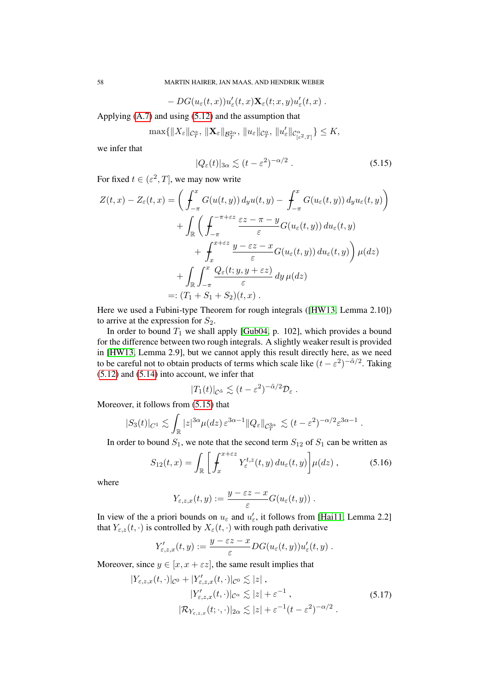$$
- DG(u_{\varepsilon}(t,x))u'_{\varepsilon}(t,x) \mathbf{X}_{\varepsilon}(t;x,y)u'_{\varepsilon}(t,x) .
$$

Applying [\(A.7\)](#page-73-3) and using [\(5.12\)](#page-56-4) and the assumption that

$$
\max\{\|X_{\varepsilon}\|_{\mathcal{C}^{\alpha}_{T}},\,\|\mathbf{X}_{\varepsilon}\|_{\mathcal{B}^{2\alpha}_{T}},\,\|u_{\varepsilon}\|_{\mathcal{C}^{\alpha}_{T}},\,\|u'_{\varepsilon}\|_{\mathcal{C}^{\alpha}_{[\varepsilon^{2},T]}}\}\leq K,
$$

we infer that

<span id="page-57-0"></span>
$$
|Q_{\varepsilon}(t)|_{3\alpha} \lesssim (t - \varepsilon^2)^{-\alpha/2} . \tag{5.15}
$$

For fixed  $t \in (\varepsilon^2, T]$ , we may now write

$$
Z(t,x) - Z_{\varepsilon}(t,x) = \left( \int_{-\pi}^{x} G(u(t,y)) d_y u(t,y) - \int_{-\pi}^{x} G(u_{\varepsilon}(t,y)) d_y u_{\varepsilon}(t,y) \right)
$$
  
+ 
$$
\int_{\mathbb{R}} \left( \int_{-\pi}^{\pi + \varepsilon z} \frac{\varepsilon z - \pi - y}{\varepsilon} G(u_{\varepsilon}(t,y)) du_{\varepsilon}(t,y) + \int_{x}^{x + \varepsilon z} \frac{y - \varepsilon z - x}{\varepsilon} G(u_{\varepsilon}(t,y)) du_{\varepsilon}(t,y) \right) \mu(dz)
$$
  
+ 
$$
\int_{\mathbb{R}} \int_{-\pi}^{x} \frac{Q_{\varepsilon}(t; y, y + \varepsilon z)}{\varepsilon} dy \mu(dz)
$$
  
=: 
$$
(T_1 + S_1 + S_2)(t, x).
$$

Here we used a Fubini-type Theorem for rough integrals ([\[HW13,](#page-78-1) Lemma 2.10]) to arrive at the expression for  $S_2$ .

In order to bound  $T_1$  we shall apply [\[Gub04,](#page-77-1) p. 102], which provides a bound for the difference between two rough integrals. A slightly weaker result is provided in [\[HW13,](#page-78-1) Lemma 2.9], but we cannot apply this result directly here, as we need to be careful not to obtain products of terms which scale like  $(t - \varepsilon^2)^{-\tilde{\alpha}/2}$ . Taking [\(5.12\)](#page-56-4) and [\(5.14\)](#page-56-5) into account, we infer that

<span id="page-57-1"></span>
$$
|T_1(t)|_{\mathcal{C}^{\tilde{\alpha}}} \lesssim (t-\varepsilon^2)^{-\tilde{\alpha}/2} \mathcal{D}_{\varepsilon}.
$$

Moreover, it follows from [\(5.15\)](#page-57-0) that

$$
|S_3(t)|_{C^1} \lesssim \int_{\mathbb{R}} |z|^{3\alpha} \mu(dz) \, \varepsilon^{3\alpha - 1} \|Q_{\varepsilon}\|_{\mathcal{C}^{3\alpha}_T} \lesssim (t - \varepsilon^2)^{-\alpha/2} \varepsilon^{3\alpha - 1} \; .
$$

In order to bound  $S_1$ , we note that the second term  $S_{12}$  of  $S_1$  can be written as

$$
S_{12}(t,x) = \int_{\mathbb{R}} \left[ \int_{x}^{x+\varepsilon z} Y_{\varepsilon}^{t,z}(t,y) \, du_{\varepsilon}(t,y) \right] \mu(dz) , \tag{5.16}
$$

where

$$
Y_{\varepsilon,z,x}(t,y) := \frac{y - \varepsilon z - x}{\varepsilon} G(u_{\varepsilon}(t,y)).
$$

In view of the a priori bounds on  $u_{\varepsilon}$  and  $u'_{\varepsilon}$ , it follows from [\[Hai11,](#page-78-2) Lemma 2.2] that  $Y_{\varepsilon,z}(t,\cdot)$  is controlled by  $X_{\varepsilon}(t,\cdot)$  with rough path derivative

$$
Y'_{\varepsilon,z,x}(t,y):=\frac{y-\varepsilon z-x}{\varepsilon}DG(u_\varepsilon(t,y))u'_\varepsilon(t,y)\;.
$$

Moreover, since  $y \in [x, x + \varepsilon z]$ , the same result implies that

$$
|Y_{\varepsilon,z,x}(t,\cdot)|_{\mathcal{C}^0} + |Y'_{\varepsilon,z,x}(t,\cdot)|_{\mathcal{C}^0} \lesssim |z|,
$$
  
\n
$$
|Y'_{\varepsilon,z,x}(t,\cdot)|_{\mathcal{C}^\alpha} \lesssim |z| + \varepsilon^{-1},
$$
  
\n
$$
|\mathcal{R}_{Y_{\varepsilon,z,x}}(t;\cdot,\cdot)|_{2\alpha} \lesssim |z| + \varepsilon^{-1}(t-\varepsilon^2)^{-\alpha/2}.
$$
\n(5.17)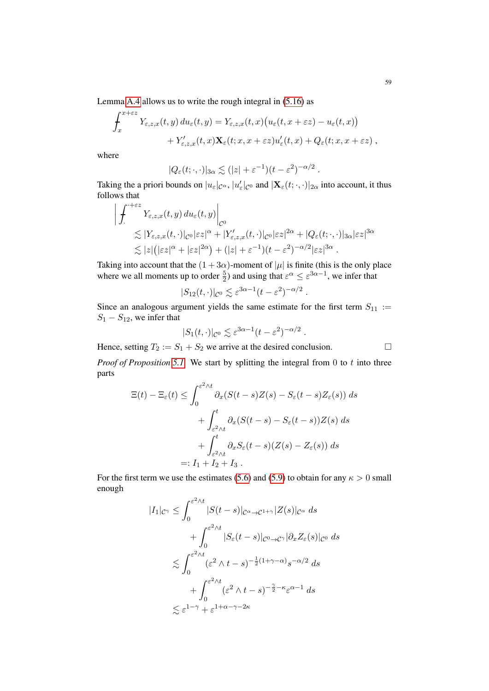Lemma [A.4](#page-73-2) allows us to write the rough integral in [\(5.16\)](#page-57-1) as

$$
\int_x^{x+\varepsilon z} Y_{\varepsilon,z,x}(t,y) du_\varepsilon(t,y) = Y_{\varepsilon,z,x}(t,x) \big( u_\varepsilon(t,x+\varepsilon z) - u_\varepsilon(t,x) \big) + Y'_{\varepsilon,z,x}(t,x) \mathbf{X}_\varepsilon(t;x,x+\varepsilon z) u'_\varepsilon(t,x) + Q_\varepsilon(t;x,x+\varepsilon z) ,
$$

where

$$
|Q_{\varepsilon}(t; \cdot, \cdot)|_{3\alpha} \lesssim (|z| + \varepsilon^{-1})(t - \varepsilon^2)^{-\alpha/2}.
$$

Taking the a priori bounds on  $|u_\varepsilon|_{\mathcal{C}^\alpha}$ ,  $|u_\varepsilon'|_{\mathcal{C}^0}$  and  $|\mathbf{X}_\varepsilon(t; \cdot, \cdot)|_{2\alpha}$  into account, it thus follows that

$$
\left| \int_{\cdot}^{+\varepsilon z} Y_{\varepsilon,z,x}(t,y) \, du_{\varepsilon}(t,y) \right|_{\mathcal{C}^{0}} \n\lesssim |Y_{\varepsilon,z,x}(t,\cdot)|_{\mathcal{C}^{0}} |\varepsilon z|^{\alpha} + |Y'_{\varepsilon,z,x}(t,\cdot)|_{\mathcal{C}^{0}} |\varepsilon z|^{2\alpha} + |Q_{\varepsilon}(t;\cdot,\cdot)|_{3\alpha} |\varepsilon z|^{3\alpha} \n\lesssim |z| (|\varepsilon z|^{\alpha} + |\varepsilon z|^{2\alpha}) + (|z| + \varepsilon^{-1})(t - \varepsilon^{2})^{-\alpha/2} |\varepsilon z|^{3\alpha} .
$$

Taking into account that the  $(1+3\alpha)$ -moment of  $|\mu|$  is finite (this is the only place where we all moments up to order  $\frac{5}{2}$ ) and using that  $\varepsilon^{\alpha} \leq \varepsilon^{3\alpha-1}$ , we infer that

$$
|S_{12}(t,\cdot)|_{\mathcal{C}^0} \lesssim \varepsilon^{3\alpha-1}(t-\varepsilon^2)^{-\alpha/2}.
$$

Since an analogous argument yields the same estimate for the first term  $S_{11}$  :=  $S_1 - S_{12}$ , we infer that

$$
|S_1(t,\cdot)|_{\mathcal{C}^0} \lesssim \varepsilon^{3\alpha - 1} (t - \varepsilon^2)^{-\alpha/2}
$$

.

Hence, setting  $T_2 := S_1 + S_2$  we arrive at the desired conclusion.

*Proof of Proposition* [5.1.](#page-55-0) We start by splitting the integral from 0 to t into three parts

$$
\Xi(t) - \Xi_{\varepsilon}(t) \le \int_0^{\varepsilon^2 \wedge t} \partial_x (S(t-s)Z(s) - S_{\varepsilon}(t-s)Z_{\varepsilon}(s)) ds
$$
  
+ 
$$
\int_{\varepsilon^2 \wedge t}^t \partial_x (S(t-s) - S_{\varepsilon}(t-s))Z(s) ds
$$
  
+ 
$$
\int_{\varepsilon^2 \wedge t}^t \partial_x S_{\varepsilon}(t-s) (Z(s) - Z_{\varepsilon}(s)) ds
$$
  
=:  $I_1 + I_2 + I_3$ .

For the first term we use the estimates [\(5.6\)](#page-56-0) and [\(5.9\)](#page-56-2) to obtain for any  $\kappa > 0$  small enough

$$
|I_{1}|_{\mathcal{C}^{\gamma}} \leq \int_{0}^{\varepsilon^{2} \wedge t} |S(t-s)|_{\mathcal{C}^{\alpha} \to \mathcal{C}^{1+\gamma}} |Z(s)|_{\mathcal{C}^{\alpha}} ds
$$
  
+ 
$$
\int_{0}^{\varepsilon^{2} \wedge t} |S_{\varepsilon}(t-s)|_{\mathcal{C}^{0} \to \mathcal{C}^{\gamma}} |\partial_{x} Z_{\varepsilon}(s)|_{\mathcal{C}^{0}} ds
$$
  

$$
\lesssim \int_{0}^{\varepsilon^{2} \wedge t} (\varepsilon^{2} \wedge t-s)^{-\frac{1}{2}(1+\gamma-\alpha)} s^{-\alpha/2} ds
$$
  
+ 
$$
\int_{0}^{\varepsilon^{2} \wedge t} (\varepsilon^{2} \wedge t-s)^{-\frac{\gamma}{2}-\kappa} \varepsilon^{\alpha-1} ds
$$
  

$$
\lesssim \varepsilon^{1-\gamma} + \varepsilon^{1+\alpha-\gamma-2\kappa}
$$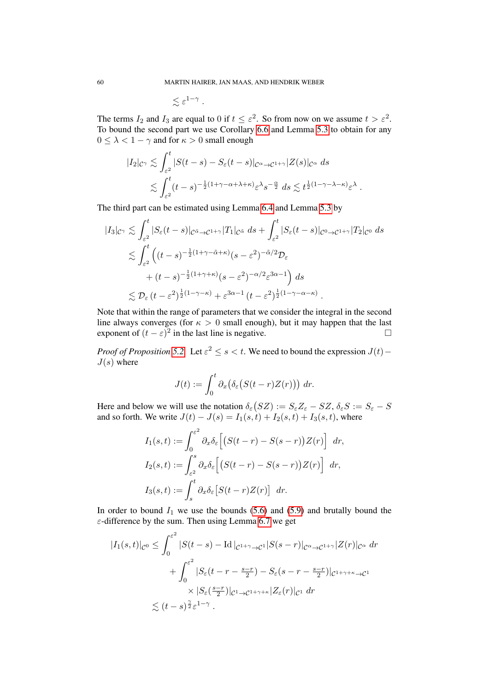$$
\lesssim \varepsilon^{1-\gamma} \; .
$$

The terms  $I_2$  and  $I_3$  are equal to 0 if  $t \leq \varepsilon^2$ . So from now on we assume  $t > \varepsilon^2$ . To bound the second part we use Corollary [6.6](#page-69-0) and Lemma [5.3](#page-56-3) to obtain for any  $0 \leq \lambda < 1 - \gamma$  and for  $\kappa > 0$  small enough

$$
|I_2|_{C^{\gamma}} \lesssim \int_{\varepsilon^2}^t |S(t-s) - S_{\varepsilon}(t-s)|_{C^{\alpha} \to C^{1+\gamma}} |Z(s)|_{C^{\alpha}} ds
$$
  

$$
\lesssim \int_{\varepsilon^2}^t (t-s)^{-\frac{1}{2}(1+\gamma-\alpha+\lambda+\kappa)} \varepsilon^{\lambda} s^{-\frac{\alpha}{2}} ds \lesssim t^{\frac{1}{2}(1-\gamma-\lambda-\kappa)} \varepsilon^{\lambda}
$$

.

The third part can be estimated using Lemma [6.4](#page-66-0) and Lemma [5.3](#page-56-3) by

$$
|I_3|_{\mathcal{C}^\gamma} \lesssim \int_{\varepsilon^2}^t |S_{\varepsilon}(t-s)|_{\mathcal{C}^{\tilde{\alpha}} \to \mathcal{C}^{1+\gamma}} |T_1|_{\mathcal{C}^{\tilde{\alpha}}} ds + \int_{\varepsilon^2}^t |S_{\varepsilon}(t-s)|_{\mathcal{C}^{0} \to \mathcal{C}^{1+\gamma}} |T_2|_{\mathcal{C}^{0}} ds
$$
  

$$
\lesssim \int_{\varepsilon^2}^t \left( (t-s)^{-\frac{1}{2}(1+\gamma-\tilde{\alpha}+\kappa)}(s-\varepsilon^2)^{-\tilde{\alpha}/2} \mathcal{D}_{\varepsilon} + (t-s)^{-\frac{1}{2}(1+\gamma+\kappa)}(s-\varepsilon^2)^{-\alpha/2} \varepsilon^{3\alpha-1} \right) ds
$$
  

$$
\lesssim \mathcal{D}_{\varepsilon} (t-\varepsilon^2)^{\frac{1}{2}(1-\gamma-\kappa)} + \varepsilon^{3\alpha-1} (t-\varepsilon^2)^{\frac{1}{2}(1-\gamma-\alpha-\kappa)}.
$$

Note that within the range of parameters that we consider the integral in the second line always converges (for  $\kappa > 0$  small enough), but it may happen that the last exponent of  $(t - \varepsilon)^2$  in the last line is negative.

*Proof of Proposition* [5.2.](#page-55-1) Let  $\varepsilon^2 \le s < t$ . We need to bound the expression  $J(t)$  –  $J(s)$  where

$$
J(t) := \int_0^t \partial_x \big( \delta_{\varepsilon} \big( S(t-r)Z(r) \big) \big) \, dr.
$$

Here and below we will use the notation  $\delta_{\varepsilon}(SZ) := S_{\varepsilon}Z_{\varepsilon} - SZ, \delta_{\varepsilon}S := S_{\varepsilon} - S$ and so forth. We write  $J(t) - J(s) = I_1(s, t) + I_2(s, t) + I_3(s, t)$ , where

$$
I_1(s,t) := \int_0^{\varepsilon^2} \partial_x \delta_{\varepsilon} \Big[ \big( S(t-r) - S(s-r) \big) Z(r) \Big] dr,
$$
  
\n
$$
I_2(s,t) := \int_{\varepsilon^2}^s \partial_x \delta_{\varepsilon} \Big[ \big( S(t-r) - S(s-r) \big) Z(r) \Big] dr,
$$
  
\n
$$
I_3(s,t) := \int_s^t \partial_x \delta_{\varepsilon} \big[ S(t-r) Z(r) \big] dr.
$$

In order to bound  $I_1$  we use the bounds [\(5.6\)](#page-56-0) and [\(5.9\)](#page-56-2) and brutally bound the  $\varepsilon$ -difference by the sum. Then using Lemma [6.7](#page-69-2) we get

$$
|I_1(s,t)|_{\mathcal{C}^0} \leq \int_0^{\varepsilon^2} |S(t-s) - \mathrm{Id}|_{\mathcal{C}^{1+\gamma} \to \mathcal{C}^1} |S(s-r)|_{\mathcal{C}^\alpha \to \mathcal{C}^{1+\gamma}} |Z(r)|_{\mathcal{C}^\alpha} \, dr
$$
  
+ 
$$
\int_0^{\varepsilon^2} |S_\varepsilon(t-r-\frac{s-r}{2}) - S_\varepsilon(s-r-\frac{s-r}{2})|_{\mathcal{C}^{1+\gamma+\kappa} \to \mathcal{C}^1}
$$
  
× 
$$
|S_\varepsilon(\frac{s-r}{2})|_{\mathcal{C}^1 \to \mathcal{C}^{1+\gamma+\kappa}} |Z_\varepsilon(r)|_{\mathcal{C}^1} \, dr
$$
  
≤ 
$$
(t-s)^{\frac{\gamma}{2}} \varepsilon^{1-\gamma}.
$$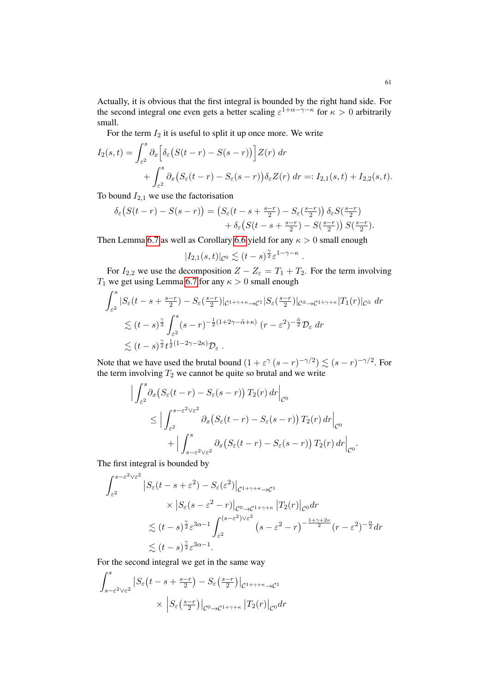Actually, it is obvious that the first integral is bounded by the right hand side. For the second integral one even gets a better scaling  $\varepsilon^{1+\alpha-\gamma-\kappa}$  for  $\kappa > 0$  arbitrarily small.

For the term  $I_2$  it is useful to split it up once more. We write

$$
I_2(s,t) = \int_{\varepsilon^2}^s \partial_x \Big[ \delta_\varepsilon \big( S(t-r) - S(s-r) \big) \Big] Z(r) \, dr
$$
  
+ 
$$
\int_{\varepsilon^2}^s \partial_x \big( S_\varepsilon(t-r) - S_\varepsilon(s-r) \big) \delta_\varepsilon Z(r) \, dr =: I_{2,1}(s,t) + I_{2,2}(s,t).
$$

To bound  $I_{2,1}$  we use the factorisation

$$
\delta_{\varepsilon}\big(S(t-r)-S(s-r)\big)=\big(S_{\varepsilon}(t-s+\tfrac{s-r}{2})-S_{\varepsilon}(\tfrac{s-r}{2})\big)\,\delta_{\varepsilon}S(\tfrac{s-r}{2})\\+\delta_{\varepsilon}\big(S(t-s+\tfrac{s-r}{2})-S(\tfrac{s-r}{2})\big)\,S(\tfrac{s-r}{2}).
$$

Then Lemma [6.7](#page-69-2) as well as Corollary [6.6](#page-69-0) yield for any  $\kappa > 0$  small enough

$$
|I_{2,1}(s,t)|_{\mathcal{C}^0} \lesssim (t-s)^{\frac{\gamma}{2}} \varepsilon^{1-\gamma-\kappa}
$$

.

For  $I_{2,2}$  we use the decomposition  $Z - Z_{\varepsilon} = T_1 + T_2$ . For the term involving  $T_1$  we get using Lemma [6.7](#page-69-2) for any  $\kappa > 0$  small enough

$$
\int_{\varepsilon^2}^s |S_{\varepsilon}(t-s+\tfrac{s-r}{2}) - S_{\varepsilon}(\tfrac{s-r}{2})|_{\mathcal{C}^{1+\gamma+\kappa}\to\mathcal{C}^1}|S_{\varepsilon}(\tfrac{s-r}{2})|_{\mathcal{C}^{\tilde{\alpha}}\to\mathcal{C}^{1+\gamma+\kappa}}|T_1(r)|_{\mathcal{C}^{\tilde{\alpha}}} dr
$$
  

$$
\lesssim (t-s)^{\frac{\gamma}{2}} \int_{\varepsilon^2}^s (s-r)^{-\frac{1}{2}(1+2\gamma-\tilde{\alpha}+\kappa)} (r-\varepsilon^2)^{-\frac{\tilde{\alpha}}{2}} \mathcal{D}_{\varepsilon} dr
$$
  

$$
\lesssim (t-s)^{\frac{\gamma}{2}} t^{\frac{1}{2}(1-2\gamma-2\kappa)} \mathcal{D}_{\varepsilon} .
$$

Note that we have used the brutal bound  $(1 + \varepsilon^{\gamma} (s - r)^{-\gamma/2}) \lesssim (s - r)^{-\gamma/2}$ . For the term involving  $T_2$  we cannot be quite so brutal and we write

$$
\int_{\varepsilon^2}^s \partial_x \left( S_\varepsilon(t-r) - S_\varepsilon(s-r) \right) T_2(r) \, dr \Big|_{\mathcal{C}^0}
$$
\n
$$
\leq \Big| \int_{\varepsilon^2}^{s-\varepsilon^2 \vee \varepsilon^2} \partial_x \left( S_\varepsilon(t-r) - S_\varepsilon(s-r) \right) T_2(r) \, dr \Big|_{\mathcal{C}^0}
$$
\n
$$
+ \Big| \int_{s-\varepsilon^2 \vee \varepsilon^2}^s \partial_x \left( S_\varepsilon(t-r) - S_\varepsilon(s-r) \right) T_2(r) \, dr \Big|_{\mathcal{C}^0}.
$$

The first integral is bounded by

 $\overline{\phantom{a}}$  $\overline{\phantom{a}}$  $\overline{1}$ 

$$
\int_{\varepsilon^2}^{s-\varepsilon^2 \vee \varepsilon^2} |S_{\varepsilon}(t-s+\varepsilon^2) - S_{\varepsilon}(\varepsilon^2)|_{\mathcal{C}^{1+\gamma+\kappa}\to\mathcal{C}^1}
$$
\n
$$
\times |S_{\varepsilon}(s-\varepsilon^2-r)|_{\mathcal{C}^{0}\to\mathcal{C}^{1+\gamma+\kappa}} |T_2(r)|_{\mathcal{C}^{0}} dr
$$
\n
$$
\lesssim (t-s)^{\frac{\gamma}{2}} \varepsilon^{3\alpha-1} \int_{\varepsilon^2}^{(s-\varepsilon^2)\vee \varepsilon^2} (s-\varepsilon^2-r)^{-\frac{1+\gamma+2\kappa}{2}} (r-\varepsilon^2)^{-\frac{\alpha}{2}} dr
$$
\n
$$
\lesssim (t-s)^{\frac{\gamma}{2}} \varepsilon^{3\alpha-1}.
$$

For the second integral we get in the same way

$$
\int_{s-\varepsilon^2 \vee \varepsilon^2}^s \left| S_{\varepsilon} \left( t - s + \frac{s-r}{2} \right) - S_{\varepsilon} \left( \frac{s-r}{2} \right) \right|_{\mathcal{C}^{1+\gamma+\kappa} \to \mathcal{C}^1} \times \left| S_{\varepsilon} \left( \frac{s-r}{2} \right) \right|_{\mathcal{C}^0 \to \mathcal{C}^{1+\gamma+\kappa}} \left| T_2(r) \right|_{\mathcal{C}^0} dr
$$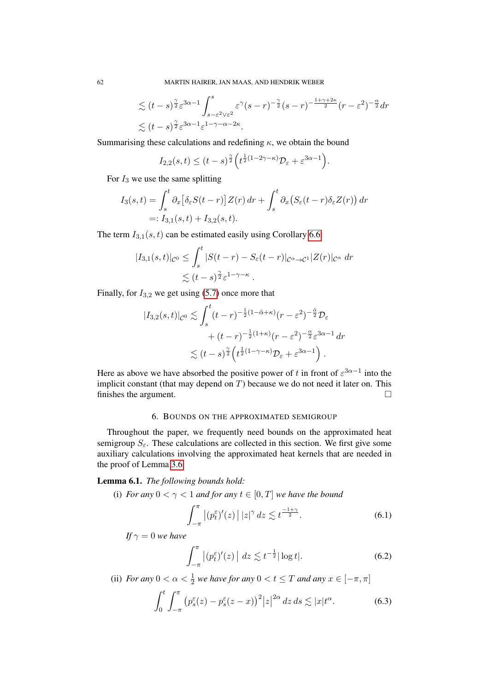$$
\lesssim (t-s)^{\frac{\gamma}{2}} \varepsilon^{3\alpha-1} \int_{s-\varepsilon^2 \vee \varepsilon^2}^s \varepsilon^{\gamma} (s-r)^{-\frac{\gamma}{2}} (s-r)^{-\frac{1+\gamma+2\kappa}{2}} (r-\varepsilon^2)^{-\frac{\alpha}{2}} dr
$$
  

$$
\lesssim (t-s)^{\frac{\gamma}{2}} \varepsilon^{3\alpha-1} \varepsilon^{1-\gamma-\alpha-2\kappa}.
$$

Summarising these calculations and redefining  $\kappa$ , we obtain the bound

$$
I_{2,2}(s,t) \le (t-s)^{\frac{\gamma}{2}} \Big( t^{\frac{1}{2}(1-2\gamma-\kappa)} \mathcal{D}_{\varepsilon} + \varepsilon^{3\alpha-1} \Big).
$$

For  $I_3$  we use the same splitting

$$
I_3(s,t) = \int_s^t \partial_x \left[ \delta_\varepsilon S(t-r) \right] Z(r) \, dr + \int_s^t \partial_x \left( S_\varepsilon(t-r) \delta_\varepsilon Z(r) \right) dr
$$
  
=:  $I_{3,1}(s,t) + I_{3,2}(s,t)$ .

The term  $I_{3,1}(s,t)$  can be estimated easily using Corollary [6.6:](#page-69-0)

$$
|I_{3,1}(s,t)|_{\mathcal{C}^0} \leq \int_s^t |S(t-r) - S_{\varepsilon}(t-r)|_{\mathcal{C}^{\alpha} \to \mathcal{C}^1} |Z(r)|_{\mathcal{C}^{\alpha}} dr
$$
  
\$\lesssim (t-s)^{\frac{\gamma}{2}} \varepsilon^{1-\gamma-\kappa}\$.

Finally, for  $I_{3,2}$  we get using [\(5.7\)](#page-56-1) once more that

$$
|I_{3,2}(s,t)|_{\mathcal{C}^{0}} \lesssim \int_{s}^{t} (t-r)^{-\frac{1}{2}(1-\tilde{\alpha}+\kappa)}(r-\varepsilon^{2})^{-\frac{\tilde{\alpha}}{2}} \mathcal{D}_{\varepsilon} + (t-r)^{-\frac{1}{2}(1+\kappa)}(r-\varepsilon^{2})^{-\frac{\alpha}{2}} \varepsilon^{3\alpha-1} dr \lesssim (t-s)^{\frac{\gamma}{2}} \left(t^{\frac{1}{2}(1-\gamma-\kappa)} \mathcal{D}_{\varepsilon} + \varepsilon^{3\alpha-1}\right).
$$

Here as above we have absorbed the positive power of t in front of  $\varepsilon^{3\alpha-1}$  into the implicit constant (that may depend on  $T$ ) because we do not need it later on. This finishes the argument.

## 6. BOUNDS ON THE APPROXIMATED SEMIGROUP

<span id="page-61-1"></span>Throughout the paper, we frequently need bounds on the approximated heat semigroup  $S_{\varepsilon}$ . These calculations are collected in this section. We first give some auxiliary calculations involving the approximated heat kernels that are needed in the proof of Lemma [3.6.](#page-33-1)

## <span id="page-61-0"></span>Lemma 6.1. *The following bounds hold:*

(i) *For any*  $0 < \gamma < 1$  *and for any*  $t \in [0, T]$  *we have the bound* 

<span id="page-61-4"></span>
$$
\int_{-\pi}^{\pi} \left| (p_t^{\varepsilon})'(z) \right| |z|^{\gamma} dz \lesssim t^{\frac{-1+\gamma}{2}}.
$$
 (6.1)

*If*  $\gamma = 0$  *we have* 

<span id="page-61-3"></span><span id="page-61-2"></span>
$$
\int_{-\pi}^{\pi} \left| (p_t^{\varepsilon})'(z) \right| dz \lesssim t^{-\frac{1}{2}} |\log t|.
$$
 (6.2)

(ii) *For any*  $0 < \alpha < \frac{1}{2}$  *we have for any*  $0 < t \leq T$  *and any*  $x \in [-\pi, \pi]$ 

$$
\int_0^t \int_{-\pi}^{\pi} \left( p_s^{\varepsilon}(z) - p_s^{\varepsilon}(z - x) \right)^2 |z|^{2\alpha} dz \, ds \lesssim |x| t^{\alpha}.
$$
 (6.3)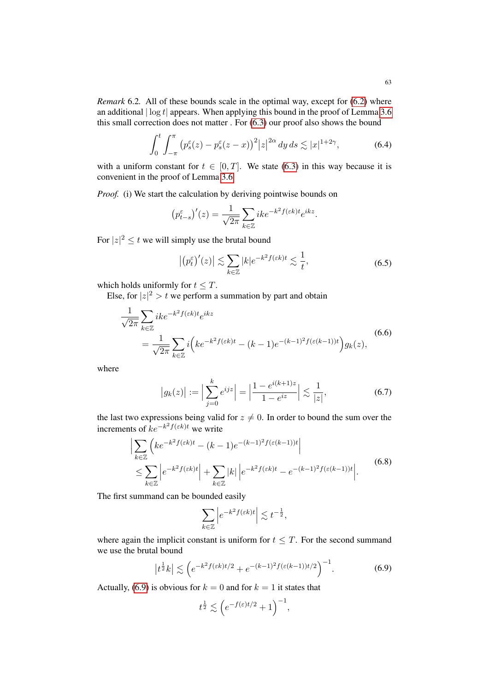*Remark* 6.2*.* All of these bounds scale in the optimal way, except for [\(6.2\)](#page-61-2) where an additional  $|\log t|$  appears. When applying this bound in the proof of Lemma [3.6](#page-33-1) this small correction does not matter . For [\(6.3\)](#page-61-3) our proof also shows the bound

$$
\int_0^t \int_{-\pi}^{\pi} (p_s^{\varepsilon}(z) - p_s^{\varepsilon}(z - x))^2 |z|^{2\alpha} dy ds \lesssim |x|^{1+2\gamma}, \tag{6.4}
$$

with a uniform constant for  $t \in [0, T]$ . We state [\(6.3\)](#page-61-3) in this way because it is convenient in the proof of Lemma [3.6](#page-33-1)

*Proof.* (i) We start the calculation by deriving pointwise bounds on

$$
(p_{t-s}^{\varepsilon})'(z) = \frac{1}{\sqrt{2\pi}} \sum_{k \in \mathbb{Z}} i k e^{-k^2 f(\varepsilon k)t} e^{ikz}.
$$

For  $|z|^2 \le t$  we will simply use the brutal bound

<span id="page-62-3"></span><span id="page-62-2"></span>
$$
\left| \left( p_t^{\varepsilon} \right)'(z) \right| \lesssim \sum_{k \in \mathbb{Z}} |k| e^{-k^2 f(\varepsilon k)t} \lesssim \frac{1}{t},\tag{6.5}
$$

which holds uniformly for  $t \leq T$ .

Else, for  $|z|^2 > t$  we perform a summation by part and obtain

$$
\frac{1}{\sqrt{2\pi}} \sum_{k \in \mathbb{Z}} ike^{-k^2f(\varepsilon k)t} e^{ikz}
$$
\n
$$
= \frac{1}{\sqrt{2\pi}} \sum_{k \in \mathbb{Z}} i \left( ke^{-k^2f(\varepsilon k)t} - (k-1)e^{-(k-1)^2f(\varepsilon(k-1))t} \right) g_k(z),
$$
\n(6.6)

where

$$
|g_k(z)| := \Big| \sum_{j=0}^k e^{ijz} \Big| = \Big| \frac{1 - e^{i(k+1)z}}{1 - e^{iz}} \Big| \lesssim \frac{1}{|z|},\tag{6.7}
$$

the last two expressions being valid for  $z \neq 0$ . In order to bound the sum over the increments of  $ke^{-k^2f(\varepsilon k)t}$  we write

$$
\left| \sum_{k \in \mathbb{Z}} \left( k e^{-k^2 f(\varepsilon k)t} - (k-1) e^{-(k-1)^2 f(\varepsilon (k-1))t} \right| \right|
$$
  
\n
$$
\leq \sum_{k \in \mathbb{Z}} \left| e^{-k^2 f(\varepsilon k)t} \right| + \sum_{k \in \mathbb{Z}} |k| \left| e^{-k^2 f(\varepsilon k)t} - e^{-(k-1)^2 f(\varepsilon (k-1))t} \right|. \tag{6.8}
$$

The first summand can be bounded easily

<span id="page-62-4"></span><span id="page-62-1"></span><span id="page-62-0"></span>
$$
\sum_{k\in\mathbb{Z}}\left|e^{-k^2f(\varepsilon k)t}\right|\lesssim t^{-\frac{1}{2}},
$$

where again the implicit constant is uniform for  $t \leq T$ . For the second summand we use the brutal bound

$$
\left| t^{\frac{1}{2}}k \right| \lesssim \left( e^{-k^2 f(\varepsilon k)t/2} + e^{-(k-1)^2 f(\varepsilon (k-1))t/2} \right)^{-1}.
$$
 (6.9)

Actually, [\(6.9\)](#page-62-0) is obvious for  $k = 0$  and for  $k = 1$  it states that

$$
t^{\frac{1}{2}}\lesssim \Big(e^{-f(\varepsilon)t/2}+1\Big)^{-1},
$$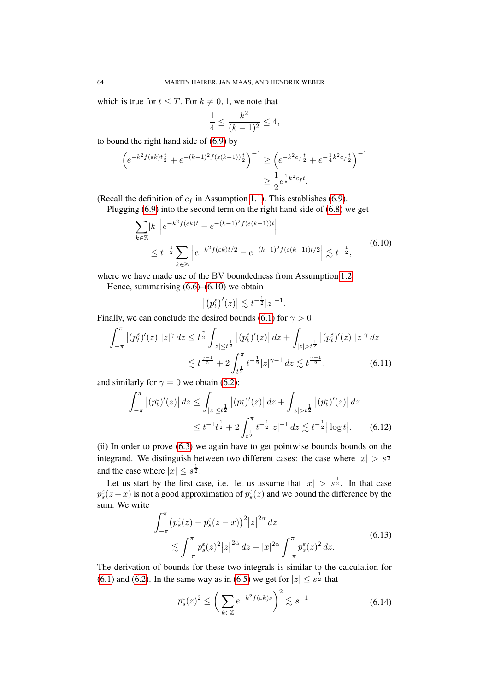which is true for  $t \leq T$ . For  $k \neq 0, 1$ , we note that

$$
\frac{1}{4} \le \frac{k^2}{(k-1)^2} \le 4,
$$

to bound the right hand side of [\(6.9\)](#page-62-0) by

$$
\left(e^{-k^2 f(\varepsilon k)t\frac{t}{2}} + e^{-(k-1)^2 f(\varepsilon (k-1))\frac{t}{2}}\right)^{-1} \ge \left(e^{-k^2 c_f \frac{t}{2}} + e^{-\frac{1}{4}k^2 c_f \frac{t}{2}}\right)^{-1}
$$

$$
\ge \frac{1}{2} e^{\frac{1}{8}k^2 c_f t}.
$$

(Recall the definition of  $c_f$  in Assumption [1.1\)](#page-3-0). This establishes [\(6.9\)](#page-62-0).

Plugging [\(6.9\)](#page-62-0) into the second term on the right hand side of [\(6.8\)](#page-62-1) we get

$$
\sum_{k \in \mathbb{Z}} |k| \left| e^{-k^2 f(\varepsilon k)t} - e^{-(k-1)^2 f(\varepsilon (k-1))t} \right|
$$
\n
$$
\leq t^{-\frac{1}{2}} \sum_{k \in \mathbb{Z}} \left| e^{-k^2 f(\varepsilon k)t/2} - e^{-(k-1)^2 f(\varepsilon (k-1))t/2} \right| \lesssim t^{-\frac{1}{2}}, \tag{6.10}
$$

where we have made use of the BV boundedness from Assumption [1.2.](#page-3-3)

Hence, summarising  $(6.6)$ – $(6.10)$  we obtain

<span id="page-63-2"></span><span id="page-63-1"></span><span id="page-63-0"></span> $|(p_t^{\varepsilon})'(z)| \lesssim t^{-\frac{1}{2}}|z|^{-1}.$ 

Finally, we can conclude the desired bounds [\(6.1\)](#page-61-4) for  $\gamma > 0$ 

$$
\int_{-\pi}^{\pi} |(p_t^{\varepsilon})'(z)||z|^{\gamma} dz \le t^{\frac{\gamma}{2}} \int_{|z| \le t^{\frac{1}{2}}} |(p_t^{\varepsilon})'(z)| dz + \int_{|z| > t^{\frac{1}{2}}} |(p_t^{\varepsilon})'(z)||z|^{\gamma} dz
$$
  

$$
\lesssim t^{\frac{\gamma - 1}{2}} + 2 \int_{t^{\frac{1}{2}}}^{\pi} t^{-\frac{1}{2}} |z|^{\gamma - 1} dz \lesssim t^{\frac{\gamma - 1}{2}}, \tag{6.11}
$$

and similarly for  $\gamma = 0$  we obtain [\(6.2\)](#page-61-2):

$$
\int_{-\pi}^{\pi} |(p_t^{\varepsilon})'(z)| dz \le \int_{|z| \le t^{\frac{1}{2}}} |(p_t^{\varepsilon})'(z)| dz + \int_{|z| > t^{\frac{1}{2}}} |(p_t^{\varepsilon})'(z)| dz
$$
  

$$
\le t^{-1} t^{\frac{1}{2}} + 2 \int_{t^{\frac{1}{2}}}^{\pi} t^{-\frac{1}{2}} |z|^{-1} dz \lesssim t^{-\frac{1}{2}} |\log t|.
$$
 (6.12)

(ii) In order to prove [\(6.3\)](#page-61-3) we again have to get pointwise bounds bounds on the integrand. We distinguish between two different cases: the case where  $|x| > s^{\frac{1}{2}}$ and the case where  $|x| \leq s^{\frac{1}{2}}$ .

Let us start by the first case, i.e. let us assume that  $|x| > s^{\frac{1}{2}}$ . In that case  $p_s^{\varepsilon}(z-x)$  is not a good approximation of  $p_s^{\varepsilon}(z)$  and we bound the difference by the sum. We write

$$
\int_{-\pi}^{\pi} \left( p_s^{\varepsilon}(z) - p_s^{\varepsilon}(z - x) \right)^2 |z|^{2\alpha} dz
$$
\n
$$
\lesssim \int_{-\pi}^{\pi} p_s^{\varepsilon}(z)^2 |z|^{2\alpha} dz + |x|^{2\alpha} \int_{-\pi}^{\pi} p_s^{\varepsilon}(z)^2 dz.
$$
\n(6.13)

The derivation of bounds for these two integrals is similar to the calculation for [\(6.1\)](#page-61-4) and [\(6.2\)](#page-61-2). In the same way as in [\(6.5\)](#page-62-3) we get for  $|z| \leq s^{\frac{1}{2}}$  that

$$
p_s^{\varepsilon}(z)^2 \le \left(\sum_{k \in \mathbb{Z}} e^{-k^2 f(\varepsilon k)s}\right)^2 \lesssim s^{-1}.\tag{6.14}
$$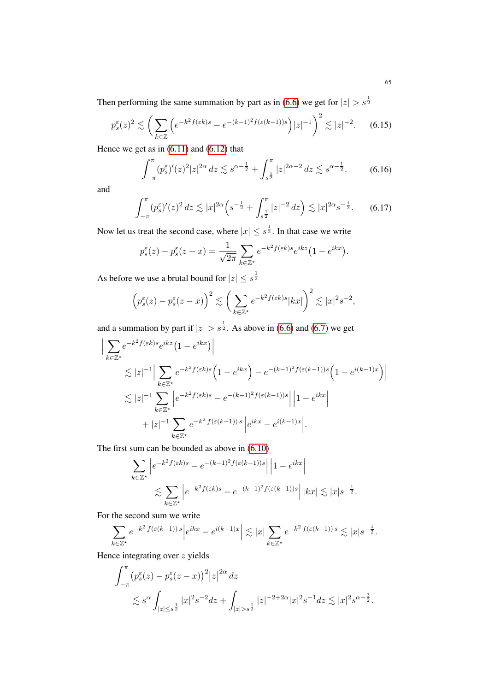Then performing the same summation by part as in [\(6.6\)](#page-62-2) we get for  $|z| > s^{\frac{1}{2}}$ 

$$
p_s^{\varepsilon}(z)^2 \lesssim \left(\sum_{k\in\mathbb{Z}} \left(e^{-k^2 f(\varepsilon k)s} - e^{-(k-1)^2 f(\varepsilon(k-1))s}\right) |z|^{-1}\right)^2 \lesssim |z|^{-2}.\tag{6.15}
$$

Hence we get as in  $(6.11)$  and  $(6.12)$  that

$$
\int_{-\pi}^{\pi} (p_s^{\varepsilon})'(z)^2 |z|^{2\alpha} dz \lesssim s^{\alpha - \frac{1}{2}} + \int_{s^{\frac{1}{2}}}^{\pi} |z|^{2\alpha - 2} dz \lesssim s^{\alpha - \frac{1}{2}}.
$$
 (6.16)

and

$$
\int_{-\pi}^{\pi} (p_s^{\varepsilon})'(z)^2 dz \lesssim |x|^{2\alpha} \left( s^{-\frac{1}{2}} + \int_{s^{\frac{1}{2}}}^{\pi} |z|^{-2} dz \right) \lesssim |x|^{2\alpha} s^{-\frac{1}{2}}.
$$
 (6.17)

Now let us treat the second case, where  $|x| \leq s^{\frac{1}{2}}$ . In that case we write

$$
p_s^{\varepsilon}(z) - p_s^{\varepsilon}(z - x) = \frac{1}{\sqrt{2\pi}} \sum_{k \in \mathbb{Z}^*} e^{-k^2 f(\varepsilon k)s} e^{ikz} (1 - e^{ikx}).
$$

As before we use a brutal bound for  $|z| \leq s^{\frac{1}{2}}$ 

$$
\left(p_s^{\varepsilon}(z) - p_s^{\varepsilon}(z - x)\right)^2 \lesssim \left(\sum_{k \in \mathbb{Z}^\star} e^{-k^2 f(\varepsilon k)s} |kx|\right)^2 \lesssim |x|^2 s^{-2},
$$

and a summation by part if  $|z| > s^{\frac{1}{2}}$ . As above in [\(6.6\)](#page-62-2) and [\(6.7\)](#page-62-4) we get

$$
\left| \sum_{k \in \mathbb{Z}^*} e^{-k^2 f(\varepsilon k)s} e^{ikz} (1 - e^{ikx}) \right|
$$
  
\n
$$
\lesssim |z|^{-1} \left| \sum_{k \in \mathbb{Z}^*} e^{-k^2 f(\varepsilon k)s} \left( 1 - e^{ikx} \right) - e^{-(k-1)^2 f(\varepsilon(k-1))s} \left( 1 - e^{i(k-1)x} \right) \right|
$$
  
\n
$$
\lesssim |z|^{-1} \sum_{k \in \mathbb{Z}^*} \left| e^{-k^2 f(\varepsilon k)s} - e^{-(k-1)^2 f(\varepsilon(k-1))s} \right| \left| 1 - e^{ikx} \right|
$$
  
\n
$$
+ |z|^{-1} \sum_{k \in \mathbb{Z}^*} e^{-k^2 f(\varepsilon(k-1))s} \left| e^{ikx} - e^{i(k-1)x} \right|.
$$

The first sum can be bounded as above in [\(6.10\)](#page-63-0)

$$
\sum_{k \in \mathbb{Z}^\star} \left| e^{-k^2 f(\varepsilon k)s} - e^{-(k-1)^2 f(\varepsilon(k-1))s} \right| \left| 1 - e^{ikx} \right|
$$
  

$$
\lesssim \sum_{k \in \mathbb{Z}^\star} \left| e^{-k^2 f(\varepsilon k)s} - e^{-(k-1)^2 f(\varepsilon(k-1))s} \right| |kx| \lesssim |x| s^{-\frac{1}{2}}.
$$

For the second sum we write

$$
\sum_{k\in\mathbb{Z}^\star} e^{-k^2\,f(\varepsilon(k-1))\,s} \Big| e^{ikx} - e^{i(k-1)x} \Big| \lesssim |x| \sum_{k\in\mathbb{Z}^\star} e^{-k^2\,f(\varepsilon(k-1))\,s} \lesssim |x| s^{-\frac{1}{2}}.
$$

Hence integrating over z yields

$$
\int_{-\pi}^{\pi} (p_s^{\varepsilon}(z) - p_s^{\varepsilon}(z - x))^2 |z|^{2\alpha} dz
$$
  
\$\lesssim s^{\alpha} \int\_{|z| \le s^{\frac{1}{2}}} |x|^2 s^{-2} dz + \int\_{|z| > s^{\frac{1}{2}}} |z|^{-2 + 2\alpha} |x|^2 s^{-1} dz \lesssim |x|^2 s^{\alpha - \frac{3}{2}}.\$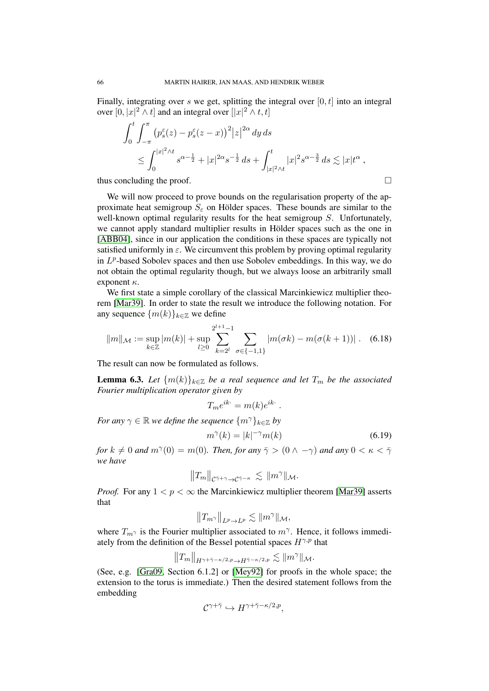Finally, integrating over s we get, splitting the integral over  $[0, t]$  into an integral over  $[0, |x|^2 \wedge t]$  and an integral over  $[|x|^2 \wedge t, t]$ 

$$
\int_0^t \int_{-\pi}^{\pi} (p_s^{\varepsilon}(z) - p_s^{\varepsilon}(z - x))^2 |z|^{2\alpha} dy ds
$$
  
 
$$
\leq \int_0^{|x|^2 \wedge t} s^{\alpha - \frac{1}{2}} + |x|^{2\alpha} s^{-\frac{1}{2}} ds + \int_{|x|^2 \wedge t}^t |x|^2 s^{\alpha - \frac{3}{2}} ds \lesssim |x| t^{\alpha} ,
$$

thus concluding the proof.  $\Box$ 

We will now proceed to prove bounds on the regularisation property of the approximate heat semigroup  $S_{\varepsilon}$  on Hölder spaces. These bounds are similar to the well-known optimal regularity results for the heat semigroup S. Unfortunately, we cannot apply standard multiplier results in Hölder spaces such as the one in [\[ABB04\]](#page-77-2), since in our application the conditions in these spaces are typically not satisfied uniformly in  $\varepsilon$ . We circumvent this problem by proving optimal regularity in  $L^p$ -based Sobolev spaces and then use Sobolev embeddings. In this way, we do not obtain the optimal regularity though, but we always loose an arbitrarily small exponent  $\kappa$ .

We first state a simple corollary of the classical Marcinkiewicz multiplier theorem [\[Mar39\]](#page-78-3). In order to state the result we introduce the following notation. For any sequence  ${m(k)}_{k \in \mathbb{Z}}$  we define

$$
||m||_{\mathcal{M}} := \sup_{k \in \mathbb{Z}} |m(k)| + \sup_{l \ge 0} \sum_{k=2^l}^{2^{l+1}-1} \sum_{\sigma \in \{-1,1\}} |m(\sigma k) - m(\sigma(k+1))| \,. \tag{6.18}
$$

The result can now be formulated as follows.

<span id="page-65-0"></span>**Lemma 6.3.** *Let*  $\{m(k)\}_{k\in\mathbb{Z}}$  *be a real sequence and let*  $T_m$  *be the associated Fourier multiplication operator given by*

<span id="page-65-2"></span>
$$
T_m e^{ik \cdot} = m(k) e^{ik \cdot} .
$$

*For any*  $\gamma \in \mathbb{R}$  *we define the sequence*  $\{m^{\gamma}\}_{{\mathbf{k}} \in \mathbb{Z}}$  *by* 

<span id="page-65-1"></span>
$$
m^{\gamma}(k) = |k|^{-\gamma} m(k) \tag{6.19}
$$

*for*  $k \neq 0$  *and*  $m^{\gamma}(0) = m(0)$ *. Then, for any*  $\bar{\gamma} > (0 \wedge -\gamma)$  *and any*  $0 < \kappa < \bar{\gamma}$ *we have*

$$
||T_m||_{\mathcal{C}^{\bar{\gamma}+\gamma}\to\mathcal{C}^{\bar{\gamma}-\kappa}} \lesssim ||m^{\gamma}||_{\mathcal{M}}.
$$

*Proof.* For any  $1 < p < \infty$  the Marcinkiewicz multiplier theorem [\[Mar39\]](#page-78-3) asserts that

$$
||T_{m^{\gamma}}||_{L^{p}\to L^{p}} \lesssim ||m^{\gamma}||_{\mathcal{M}},
$$

where  $T_{m}$  is the Fourier multiplier associated to  $m^{\gamma}$ . Hence, it follows immediately from the definition of the Bessel potential spaces  $H^{\gamma,p}$  that

$$
||T_m||_{H^{\gamma+\bar{\gamma}-\kappa/2,p}\to H^{\bar{\gamma}-\kappa/2,p}}\lesssim ||m^{\gamma}||_{\mathcal{M}}.
$$

(See, e.g. [\[Gra09,](#page-77-3) Section 6.1.2] or [\[Mey92\]](#page-78-4) for proofs in the whole space; the extension to the torus is immediate.) Then the desired statement follows from the embedding

$$
\mathcal{C}^{\gamma+\bar\gamma}\hookrightarrow H^{\gamma+\bar\gamma-\kappa/2,p},
$$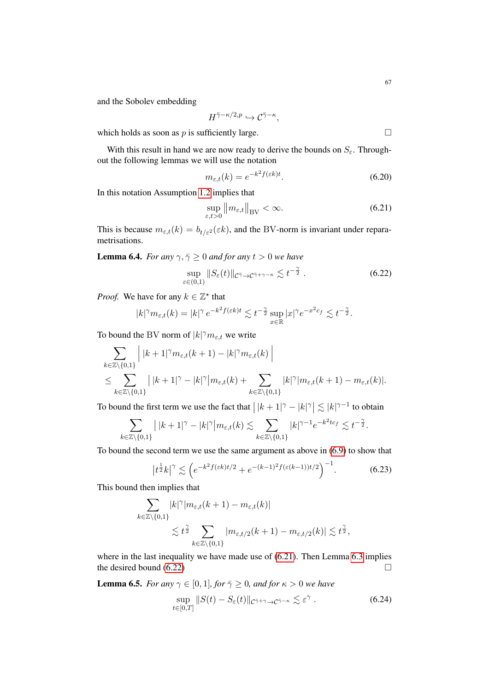and the Sobolev embedding

$$
H^{\bar{\gamma}-\kappa/2,p} \hookrightarrow \mathcal{C}^{\bar{\gamma}-\kappa},
$$

which holds as soon as p is sufficiently large.  $\square$ 

With this result in hand we are now ready to derive the bounds on  $S_{\varepsilon}$ . Throughout the following lemmas we will use the notation

<span id="page-66-3"></span>
$$
m_{\varepsilon,t}(k) = e^{-k^2 f(\varepsilon k)t}.\tag{6.20}
$$

In this notation Assumption [1.2](#page-3-3) implies that

<span id="page-66-2"></span><span id="page-66-1"></span>
$$
\sup_{\varepsilon,t>0} \|m_{\varepsilon,t}\|_{\text{BV}} < \infty. \tag{6.21}
$$

This is because  $m_{\varepsilon,t}(k) = b_{t/\varepsilon^2}(\varepsilon k)$ , and the BV-norm is invariant under reparametrisations.

<span id="page-66-0"></span>**Lemma 6.4.** *For any*  $\gamma$ ,  $\bar{\gamma} \geq 0$  *and for any*  $t > 0$  *we have* 

$$
\sup_{\varepsilon \in (0,1)} \|S_{\varepsilon}(t)\|_{\mathcal{C}^{\bar{\gamma}} \to \mathcal{C}^{\bar{\gamma}+\gamma-\kappa}} \lesssim t^{-\frac{\gamma}{2}}.
$$
\n(6.22)

*Proof.* We have for any  $k \in \mathbb{Z}^*$  that

$$
|k|^\gamma m_{\varepsilon,t}(k) = |k|^\gamma e^{-k^2 f(\varepsilon k)t} \lesssim t^{-\frac{\gamma}{2}} \sup_{x \in \mathbb{R}} |x|^\gamma e^{-x^2 c_f} \lesssim t^{-\frac{\gamma}{2}}.
$$

To bound the BV norm of  $|k|^{\gamma} m_{\varepsilon,t}$  we write

$$
\sum_{k \in \mathbb{Z} \setminus \{0,1\}} \left| \ |k+1|^{\gamma} m_{\varepsilon,t}(k+1) - |k|^{\gamma} m_{\varepsilon,t}(k) \ \right|
$$
\n
$$
\leq \sum_{k \in \mathbb{Z} \setminus \{0,1\}} \left| \ |k+1|^{\gamma} - |k|^{\gamma} \right| m_{\varepsilon,t}(k) + \sum_{k \in \mathbb{Z} \setminus \{0,1\}} |k|^{\gamma} |m_{\varepsilon,t}(k+1) - m_{\varepsilon,t}(k)|.
$$

To bound the first term we use the fact that  $\left| \, |k+1|^\gamma - |k|^\gamma \right| \lesssim |k|^{\gamma-1}$  to obtain

$$
\sum_{k\in\mathbb{Z}\backslash\{0,1\}}\big|\,|k+1|^\gamma-|k|^\gamma\big|m_{\varepsilon,t}(k)\lesssim \sum_{k\in\mathbb{Z}\backslash\{0,1\}}|k|^{\gamma-1}e^{-k^2t c_f}\lesssim t^{-\frac{\gamma}{2}}.
$$

To bound the second term we use the same argument as above in [\(6.9\)](#page-62-0) to show that

$$
|t^{\frac{1}{2}}k|^{\gamma} \lesssim \left(e^{-k^2 f(\varepsilon k)t/2} + e^{-(k-1)^2 f(\varepsilon(k-1))t/2}\right)^{-1}.
$$
 (6.23)

This bound then implies that

$$
\sum_{k \in \mathbb{Z} \setminus \{0,1\}} |k|^\gamma |m_{\varepsilon,t}(k+1) - m_{\varepsilon,t}(k)|
$$
  
\$\lesssim t^{\frac{\gamma}{2}} \sum\_{k \in \mathbb{Z} \setminus \{0,1\}} |m\_{\varepsilon,t/2}(k+1) - m\_{\varepsilon,t/2}(k)| \lesssim t^{\frac{\gamma}{2}},

where in the last inequality we have made use of  $(6.21)$ . Then Lemma [6.3](#page-65-0) implies the desired bound  $(6.22)$ 

<span id="page-66-5"></span>**Lemma 6.5.** *For any*  $\gamma \in [0, 1]$ *, for*  $\bar{\gamma} \ge 0$ *, and for*  $\kappa > 0$  *we have* 

<span id="page-66-4"></span>
$$
\sup_{t \in [0,T]} \|S(t) - S_{\varepsilon}(t)\|_{\mathcal{C}^{\bar{\gamma}+\gamma} \to \mathcal{C}^{\bar{\gamma}-\kappa}} \lesssim \varepsilon^{\gamma} . \tag{6.24}
$$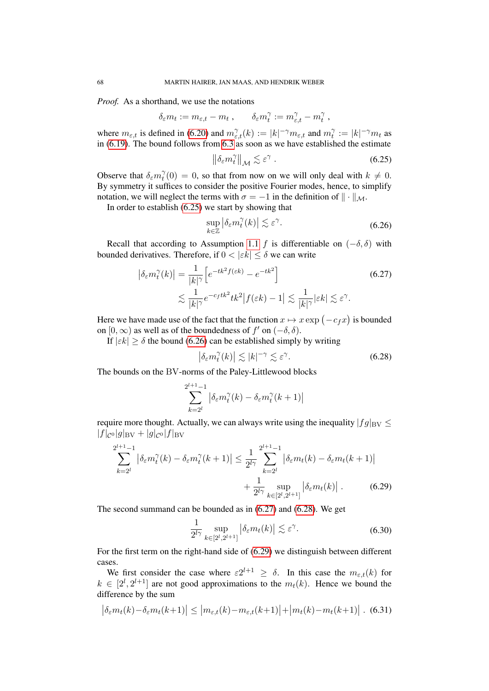*Proof.* As a shorthand, we use the notations

$$
\delta_{\varepsilon} m_t := m_{\varepsilon,t} - m_t \; , \qquad \delta_{\varepsilon} m_t^\gamma := m_{\varepsilon,t}^\gamma - m_t^\gamma \; ,
$$

where  $m_{\varepsilon,t}$  is defined in [\(6.20\)](#page-66-3) and  $m_{\varepsilon,t}^{\gamma}(k) := |k|^{-\gamma} m_{\varepsilon,t}$  and  $m_t^{\gamma}$  $t^{\gamma} := |k|^{-\gamma} m_t$  as in [\(6.19\)](#page-65-1). The bound follows from [6.3](#page-65-0) as soon as we have established the estimate

<span id="page-67-0"></span>
$$
\left\|\delta_{\varepsilon}m_t^{\gamma}\right\|_{\mathcal{M}}\lesssim \varepsilon^{\gamma}.
$$

Observe that  $\delta_{\varepsilon} m_t^{\gamma}$  $t<sub>t</sub><sup>\gamma</sup>(0) = 0$ , so that from now on we will only deal with  $k \neq 0$ . By symmetry it suffices to consider the positive Fourier modes, hence, to simplify notation, we will neglect the terms with  $\sigma = -1$  in the definition of  $\|\cdot\|_{\mathcal{M}}$ .

In order to establish [\(6.25\)](#page-67-0) we start by showing that

<span id="page-67-2"></span><span id="page-67-1"></span>
$$
\sup_{k \in \mathbb{Z}} \left| \delta_{\varepsilon} m_t^{\gamma}(k) \right| \lesssim \varepsilon^{\gamma}.
$$
\n(6.26)

Recall that according to Assumption [1.1](#page-3-0) f is differentiable on  $(-\delta, \delta)$  with bounded derivatives. Therefore, if  $0 < |\varepsilon k| \leq \delta$  we can write

$$
\left| \delta_{\varepsilon} m_t^{\gamma}(k) \right| = \frac{1}{|k|^{\gamma}} \left[ e^{-tk^2 f(\varepsilon k)} - e^{-tk^2} \right]
$$
  

$$
\lesssim \frac{1}{|k|^{\gamma}} e^{-c_f tk^2} tk^2 |f(\varepsilon k) - 1| \lesssim \frac{1}{|k|^{\gamma}} |\varepsilon k| \lesssim \varepsilon^{\gamma}.
$$
 (6.27)

Here we have made use of the fact that the function  $x \mapsto x \exp \left( -c_{f}x \right)$  is bounded on  $[0, \infty)$  as well as of the boundedness of  $f'$  on  $(-\delta, \delta)$ .

If  $|\varepsilon k| \ge \delta$  the bound [\(6.26\)](#page-67-1) can be established simply by writing

<span id="page-67-3"></span>
$$
\left|\delta_{\varepsilon}m_{t}^{\gamma}(k)\right|\lesssim|k|^{-\gamma}\lesssim\varepsilon^{\gamma}.\tag{6.28}
$$

The bounds on the BV-norms of the Paley-Littlewood blocks

$$
\sum_{k=2^l}^{2^{l+1}-1} \left| \delta_{\varepsilon} m_t^{\gamma}(k) - \delta_{\varepsilon} m_t^{\gamma}(k+1) \right|
$$

require more thought. Actually, we can always write using the inequality  $|fg|_{BV} \leq$  $|f|_{\mathcal{C}^{0}}|g|_{\mathrm{BV}}+|g|_{\mathcal{C}^{0}}|f|_{\mathrm{BV}}$ 

$$
\sum_{k=2^{l}}^{2^{l+1}-1} |\delta_{\varepsilon} m_{t}^{\gamma}(k) - \delta_{\varepsilon} m_{t}^{\gamma}(k+1)| \leq \frac{1}{2^{l\gamma}} \sum_{k=2^{l}}^{2^{l+1}-1} |\delta_{\varepsilon} m_{t}(k) - \delta_{\varepsilon} m_{t}(k+1)| + \frac{1}{2^{l\gamma}} \sup_{k \in [2^{l}, 2^{l+1}]} |\delta_{\varepsilon} m_{t}(k)|.
$$
 (6.29)

The second summand can be bounded as in [\(6.27\)](#page-67-2) and [\(6.28\)](#page-67-3). We get

<span id="page-67-5"></span><span id="page-67-4"></span>
$$
\frac{1}{2^{l\gamma}} \sup_{k \in [2^l, 2^{l+1}]} |\delta_{\varepsilon} m_t(k)| \lesssim \varepsilon^{\gamma}.
$$
 (6.30)

For the first term on the right-hand side of [\(6.29\)](#page-67-4) we distinguish between different cases.

We first consider the case where  $\varepsilon 2^{l+1} \geq \delta$ . In this case the  $m_{\varepsilon,t}(k)$  for  $k \in [2^l, 2^{l+1}]$  are not good approximations to the  $m_t(k)$ . Hence we bound the difference by the sum

$$
\left| \delta_{\varepsilon} m_t(k) - \delta_{\varepsilon} m_t(k+1) \right| \leq \left| m_{\varepsilon,t}(k) - m_{\varepsilon,t}(k+1) \right| + \left| m_t(k) - m_t(k+1) \right| . \tag{6.31}
$$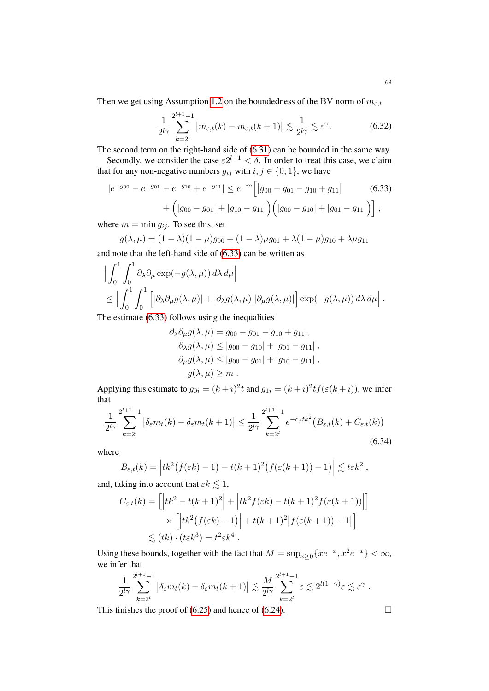Then we get using Assumption [1.2](#page-3-3) on the boundedness of the BV norm of  $m_{\varepsilon,t}$ 

<span id="page-68-0"></span>
$$
\frac{1}{2^{l\gamma}}\sum_{k=2^l}^{2^{l+1}-1} \left| m_{\varepsilon,t}(k) - m_{\varepsilon,t}(k+1) \right| \lesssim \frac{1}{2^{l\gamma}} \lesssim \varepsilon^{\gamma}.
$$
 (6.32)

The second term on the right-hand side of [\(6.31\)](#page-67-5) can be bounded in the same way.

Secondly, we consider the case  $\varepsilon 2^{l+1} < \delta$ . In order to treat this case, we claim that for any non-negative numbers  $g_{ij}$  with  $i, j \in \{0, 1\}$ , we have

$$
|e^{-g_{00}} - e^{-g_{01}} - e^{-g_{10}} + e^{-g_{11}}| \le e^{-m} \Big[ |g_{00} - g_{01} - g_{10} + g_{11}| \qquad (6.33)
$$

$$
+ \Big( |g_{00} - g_{01}| + |g_{10} - g_{11}| \Big) \Big( |g_{00} - g_{10}| + |g_{01} - g_{11}| \Big) \Big],
$$

where  $m = \min g_{ij}$ . To see this, set

 $g(\lambda, \mu) = (1 - \lambda)(1 - \mu)g_{00} + (1 - \lambda)\mu g_{01} + \lambda(1 - \mu)g_{10} + \lambda \mu g_{11}$ and note that the left-hand side of [\(6.33\)](#page-68-0) can be written as

$$
\left| \int_0^1 \int_0^1 \partial_\lambda \partial_\mu \exp(-g(\lambda, \mu)) d\lambda d\mu \right|
$$
  
\$\leq \left| \int\_0^1 \int\_0^1 \left[ |\partial\_\lambda \partial\_\mu g(\lambda, \mu)| + |\partial\_\lambda g(\lambda, \mu)| |\partial\_\mu g(\lambda, \mu)| \right] \exp(-g(\lambda, \mu)) d\lambda d\mu \right].

The estimate [\(6.33\)](#page-68-0) follows using the inequalities

$$
\partial_{\lambda} \partial_{\mu} g(\lambda, \mu) = g_{00} - g_{01} - g_{10} + g_{11} ,
$$
  
\n
$$
\partial_{\lambda} g(\lambda, \mu) \le |g_{00} - g_{10}| + |g_{01} - g_{11}| ,
$$
  
\n
$$
\partial_{\mu} g(\lambda, \mu) \le |g_{00} - g_{01}| + |g_{10} - g_{11}| ,
$$
  
\n
$$
g(\lambda, \mu) \ge m .
$$

Applying this estimate to  $g_{0i} = (k+i)^2 t$  and  $g_{1i} = (k+i)^2 t f(\varepsilon(k+i))$ , we infer that

$$
\frac{1}{2^{l\gamma}}\sum_{k=2^l}^{2^{l+1}-1} \left|\delta_{\varepsilon}m_t(k) - \delta_{\varepsilon}m_t(k+1)\right| \le \frac{1}{2^{l\gamma}}\sum_{k=2^l}^{2^{l+1}-1} e^{-c_ftk^2} \left(B_{\varepsilon,t}(k) + C_{\varepsilon,t}(k)\right)
$$
\n(6.34)

where

$$
B_{\varepsilon,t}(k) = \left| tk^2 \big(f(\varepsilon k) - 1\big) - t(k+1)^2 \big(f(\varepsilon (k+1)) - 1\big)\right| \lesssim t\varepsilon k^2,
$$

and, taking into account that  $\varepsilon k \lesssim 1$ ,

$$
C_{\varepsilon,t}(k) = \left[ \left| t k^2 - t(k+1)^2 \right| + \left| t k^2 f(\varepsilon k) - t(k+1)^2 f(\varepsilon (k+1)) \right| \right]
$$
  
 
$$
\times \left[ \left| t k^2 (f(\varepsilon k) - 1) \right| + t(k+1)^2 \left| f(\varepsilon (k+1)) - 1 \right| \right]
$$
  
 
$$
\lesssim (tk) \cdot (t \varepsilon k^3) = t^2 \varepsilon k^4.
$$

Using these bounds, together with the fact that  $M = \sup_{x \geq 0} \{xe^{-x}, x^2e^{-x}\} < \infty$ , we infer that

$$
\frac{1}{2^{l\gamma}}\sum_{k=2^l}^{2^{l+1}-1} \left|\delta_{\varepsilon}m_t(k)-\delta_{\varepsilon}m_t(k+1)\right| \lesssim \frac{M}{2^{l\gamma}}\sum_{k=2^l}^{2^{l+1}-1} \varepsilon \lesssim 2^{l(1-\gamma)}\varepsilon \lesssim \varepsilon^{\gamma} .
$$

This finishes the proof of  $(6.25)$  and hence of  $(6.24)$ .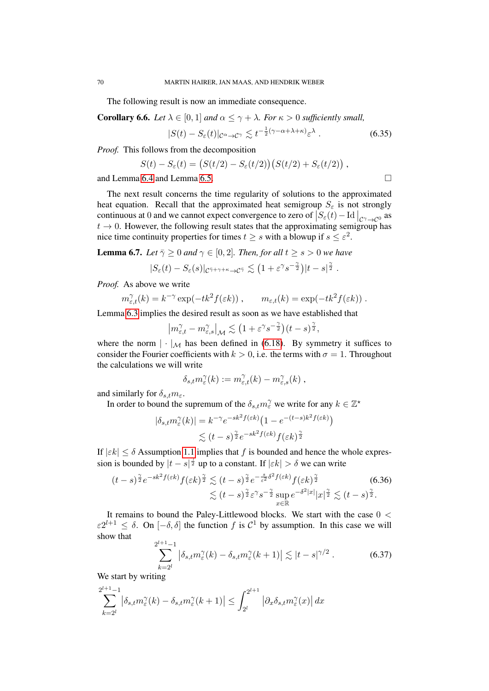The following result is now an immediate consequence.

<span id="page-69-0"></span>**Corollary 6.6.** *Let*  $\lambda \in [0, 1]$  *and*  $\alpha \leq \gamma + \lambda$ *. For*  $\kappa > 0$  *sufficiently small,* 

<span id="page-69-1"></span>
$$
|S(t) - S_{\varepsilon}(t)|_{\mathcal{C}^{\alpha} \to \mathcal{C}^{\gamma}} \lesssim t^{-\frac{1}{2}(\gamma - \alpha + \lambda + \kappa)} \varepsilon^{\lambda} \ . \tag{6.35}
$$

*Proof.* This follows from the decomposition

$$
S(t) - S_{\varepsilon}(t) = (S(t/2) - S_{\varepsilon}(t/2))(S(t/2) + S_{\varepsilon}(t/2)),
$$

and Lemma [6.4](#page-66-0) and Lemma [6.5.](#page-66-5)

The next result concerns the time regularity of solutions to the approximated heat equation. Recall that the approximated heat semigroup  $S_{\varepsilon}$  is not strongly continuous at 0 and we cannot expect convergence to zero of  $\left|S_{\varepsilon}(t) - \text{Id}\right|_{\mathcal{C}^{\gamma} \to \mathcal{C}^{0}}$  as  $t \rightarrow 0$ . However, the following result states that the approximating semigroup has nice time continuity properties for times  $t \geq s$  with a blowup if  $s \leq \varepsilon^2$ .

<span id="page-69-2"></span>**Lemma 6.7.** *Let*  $\overline{\gamma} \ge 0$  *and*  $\gamma \in [0, 2]$ *. Then, for all*  $t \ge s > 0$  *we have* 

$$
|S_{\varepsilon}(t)-S_{\varepsilon}(s)|_{\mathcal{C}^{\bar{\gamma}+\gamma+\kappa}\to\mathcal{C}^{\bar{\gamma}}}\lesssim \left(1+\varepsilon^{\gamma}s^{-\frac{\gamma}{2}}\right)|t-s|^{\frac{\gamma}{2}}\;.
$$

*Proof.* As above we write

$$
m_{\varepsilon,t}^{\gamma}(k) = k^{-\gamma} \exp(-tk^2 f(\varepsilon k)), \qquad m_{\varepsilon,t}(k) = \exp(-tk^2 f(\varepsilon k)).
$$

Lemma [6.3](#page-65-0) implies the desired result as soon as we have established that

$$
\left| m_{\varepsilon,t}^\gamma - m_{\varepsilon,s}^\gamma \right|_{\mathcal{M}} \lesssim \left( 1 + \varepsilon^\gamma s^{-\frac{\gamma}{2}} \right) (t-s)^{\frac{\gamma}{2}},
$$

where the norm  $|\cdot|_{\mathcal{M}}$  has been defined in [\(6.18\)](#page-65-2). By symmetry it suffices to consider the Fourier coefficients with  $k > 0$ , i.e. the terms with  $\sigma = 1$ . Throughout the calculations we will write

<span id="page-69-3"></span>
$$
\delta_{s,t} m_{\varepsilon}^{\gamma}(k) := m_{\varepsilon,t}^{\gamma}(k) - m_{\varepsilon,s}^{\gamma}(k) ,
$$

and similarly for  $\delta_{s,t} m_{\varepsilon}$ .

In order to bound the supremum of the  $\delta_{s,t} m_{\varepsilon}^{\gamma}$  we write for any  $k \in \mathbb{Z}^*$ 

$$
|\delta_{s,t}m_{\varepsilon}^{\gamma}(k)| = k^{-\gamma} e^{-sk^2 f(\varepsilon k)} \left(1 - e^{-(t-s)k^2 f(\varepsilon k)}\right)
$$
  

$$
\lesssim (t-s)^{\frac{\gamma}{2}} e^{-sk^2 f(\varepsilon k)} f(\varepsilon k)^{\frac{\gamma}{2}}
$$

If  $|\varepsilon k| \leq \delta$  Assumption [1.1](#page-3-0) implies that f is bounded and hence the whole expression is bounded by  $|t - s|^{\frac{\gamma}{2}}$  up to a constant. If  $|\varepsilon k| > \delta$  we can write

$$
(t-s)^{\frac{\gamma}{2}}e^{-sk^2f(\varepsilon k)}f(\varepsilon k)^{\frac{\gamma}{2}} \lesssim (t-s)^{\frac{\gamma}{2}}e^{-\frac{s}{\varepsilon^2}\delta^2f(\varepsilon k)}f(\varepsilon k)^{\frac{\gamma}{2}} \lesssim (t-s)^{\frac{\gamma}{2}}\varepsilon^{\gamma}s^{-\frac{\gamma}{2}}\sup_{x\in\mathbb{R}}e^{-\delta^2|x|}|x|^{\frac{\gamma}{2}} \lesssim (t-s)^{\frac{\gamma}{2}}.
$$
\n(6.36)

It remains to bound the Paley-Littlewood blocks. We start with the case 0 <  $\varepsilon 2^{l+1} \leq \delta$ . On  $[-\delta, \delta]$  the function f is  $\mathcal{C}^1$  by assumption. In this case we will show that

$$
\sum_{k=2^l}^{2^{l+1}-1} \left| \delta_{s,t} m_{\varepsilon}^{\gamma}(k) - \delta_{s,t} m_{\varepsilon}^{\gamma}(k+1) \right| \lesssim |t-s|^{\gamma/2} . \tag{6.37}
$$

We start by writing

$$
\sum_{k=2^l}^{2^{l+1}-1} \left| \delta_{s,t} m_{\varepsilon}^{\gamma}(k) - \delta_{s,t} m_{\varepsilon}^{\gamma}(k+1) \right| \leq \int_{2^l}^{2^{l+1}} \left| \partial_x \delta_{s,t} m_{\varepsilon}^{\gamma}(x) \right| dx
$$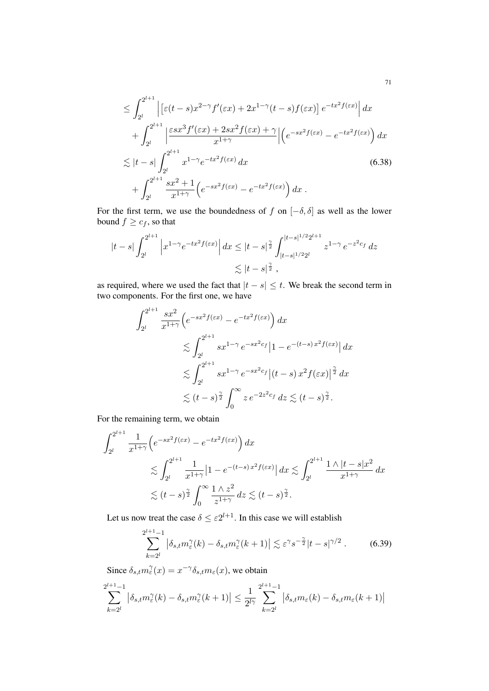$$
\leq \int_{2^l}^{2^{l+1}} \left| \left[ \varepsilon(t-s)x^{2-\gamma} f'(\varepsilon x) + 2x^{1-\gamma}(t-s)f(\varepsilon x) \right] e^{-tx^2 f(\varepsilon x)} \right| dx
$$
  
+ 
$$
\int_{2^l}^{2^{l+1}} \left| \frac{\varepsilon s x^3 f'(\varepsilon x) + 2s x^2 f(\varepsilon x) + \gamma}{x^{1+\gamma}} \right| \left( e^{-sx^2 f(\varepsilon x)} - e^{-tx^2 f(\varepsilon x)} \right) dx
$$
  

$$
\lesssim |t-s| \int_{2^l}^{2^{l+1}} x^{1-\gamma} e^{-tx^2 f(\varepsilon x)} dx
$$
  
+ 
$$
\int_{2^l}^{2^{l+1}} \frac{s x^2 + 1}{x^{1+\gamma}} \left( e^{-sx^2 f(\varepsilon x)} - e^{-tx^2 f(\varepsilon x)} \right) dx.
$$
 (6.38)

For the first term, we use the boundedness of f on  $[-\delta, \delta]$  as well as the lower bound  $f \geq c_f$ , so that

$$
|t-s|\int_{2^l}^{2^{l+1}} \left|x^{1-\gamma}e^{-tx^2f(\varepsilon x)}\right| dx \leq |t-s|^{\frac{\gamma}{2}}\int_{|t-s|^{1/2}2^l}^{|t-s|^{1/2}2^{l+1}} z^{1-\gamma}\,e^{-z^2c_f}\,dz
$$
  

$$
\lesssim |t-s|^{\frac{\gamma}{2}},
$$

as required, where we used the fact that  $|t - s| \leq t$ . We break the second term in two components. For the first one, we have

$$
\int_{2^{l}}^{2^{l+1}} \frac{sx^{2}}{x^{1+\gamma}} \left(e^{-sx^{2}f(\varepsilon x)} - e^{-tx^{2}f(\varepsilon x)}\right) dx
$$
  

$$
\lesssim \int_{2^{l}}^{2^{l+1}} s x^{1-\gamma} e^{-sx^{2}c_{f}} \left|1 - e^{-(t-s)x^{2}f(\varepsilon x)}\right| dx
$$
  

$$
\lesssim \int_{2^{l}}^{2^{l+1}} s x^{1-\gamma} e^{-sx^{2}c_{f}} \left|(t-s) x^{2}f(\varepsilon x)\right|^{2} dx
$$
  

$$
\lesssim (t-s)^{\frac{\gamma}{2}} \int_{0}^{\infty} z e^{-2z^{2}c_{f}} dz \lesssim (t-s)^{\frac{\gamma}{2}}.
$$

For the remaining term, we obtain

$$
\int_{2^l}^{2^{l+1}} \frac{1}{x^{1+\gamma}} \left(e^{-sx^2 f(\varepsilon x)} - e^{-tx^2 f(\varepsilon x)}\right) dx
$$
  
\$\lesssim \int\_{2^l}^{2^{l+1}} \frac{1}{x^{1+\gamma}} |1 - e^{-(t-s)x^2 f(\varepsilon x)}| dx \lesssim \int\_{2^l}^{2^{l+1}} \frac{1 \wedge |t-s|x^2}{x^{1+\gamma}} dx  
\$\lesssim (t-s)^{\frac{\gamma}{2}} \int\_0^\infty \frac{1 \wedge z^2}{z^{1+\gamma}} dz \lesssim (t-s)^{\frac{\gamma}{2}}.

Let us now treat the case  $\delta \leq \varepsilon 2^{l+1}$ . In this case we will establish

$$
\sum_{k=2^l}^{2^{l+1}-1} \left| \delta_{s,t} m_{\varepsilon}^{\gamma}(k) - \delta_{s,t} m_{\varepsilon}^{\gamma}(k+1) \right| \lesssim \varepsilon^{\gamma} s^{-\frac{\gamma}{2}} |t-s|^{\gamma/2} . \tag{6.39}
$$

Since  $\delta_{s,t} m_\varepsilon^\gamma(x) = x^{-\gamma} \delta_{s,t} m_\varepsilon(x)$ , we obtain

$$
\sum_{k=2^l}^{2^{l+1}-1} |\delta_{s,t} m_\varepsilon^\gamma(k) - \delta_{s,t} m_\varepsilon^\gamma(k+1)| \leq \frac{1}{2^{l\gamma}} \sum_{k=2^l}^{2^{l+1}-1} |\delta_{s,t} m_\varepsilon(k) - \delta_{s,t} m_\varepsilon(k+1)|
$$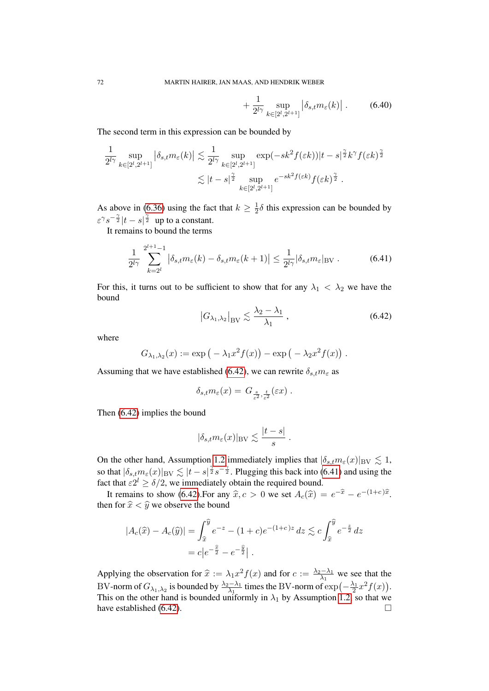$$
+\frac{1}{2^{l\gamma}}\sup_{k\in[2^l,2^{l+1}]} \left|\delta_{s,t}m_{\varepsilon}(k)\right|.
$$
 (6.40)

The second term in this expression can be bounded by

$$
\frac{1}{2^{l\gamma}} \sup_{k \in [2^l, 2^{l+1}]} \left| \delta_{s,t} m_{\varepsilon}(k) \right| \lesssim \frac{1}{2^{l\gamma}} \sup_{k \in [2^l, 2^{l+1}]} \exp(-sk^2 f(\varepsilon k)) |t - s|^{\frac{\gamma}{2}} k^{\gamma} f(\varepsilon k)^{\frac{\gamma}{2}} \lesssim |t - s|^{\frac{\gamma}{2}} \sup_{k \in [2^l, 2^{l+1}]} e^{-sk^2 f(\varepsilon k)} f(\varepsilon k)^{\frac{\gamma}{2}}.
$$

As above in [\(6.36\)](#page-69-3) using the fact that  $k \geq \frac{1}{2}$  $\frac{1}{2}\delta$  this expression can be bounded by  $\varepsilon^{\gamma} s^{-\frac{\gamma}{2}} |t-s|^{\frac{\gamma}{2}}$  up to a constant.

It remains to bound the terms

$$
\frac{1}{2^{l\gamma}}\sum_{k=2^l}^{2^{l+1}-1} \left| \delta_{s,t} m_\varepsilon(k) - \delta_{s,t} m_\varepsilon(k+1) \right| \le \frac{1}{2^{l\gamma}} |\delta_{s,t} m_\varepsilon|_{\text{BV}}.
$$
 (6.41)

For this, it turns out to be sufficient to show that for any  $\lambda_1 < \lambda_2$  we have the bound

<span id="page-71-1"></span><span id="page-71-0"></span>
$$
\left|G_{\lambda_1,\lambda_2}\right|_{\rm BV} \lesssim \frac{\lambda_2-\lambda_1}{\lambda_1} \,,\tag{6.42}
$$

where

$$
G_{\lambda_1,\lambda_2}(x) := \exp\left(-\lambda_1 x^2 f(x)\right) - \exp\left(-\lambda_2 x^2 f(x)\right).
$$

Assuming that we have established [\(6.42\)](#page-71-0), we can rewrite  $\delta_{s,t} m_{\varepsilon}$  as

$$
\delta_{s,t} m_\varepsilon(x) = G_{\frac{s}{\varepsilon^2},\frac{t}{\varepsilon^2}}(\varepsilon x) \; .
$$

Then [\(6.42\)](#page-71-0) implies the bound

$$
|\delta_{s,t} m_{\varepsilon}(x)|_{\text{BV}} \lesssim \frac{|t-s|}{s} .
$$

On the other hand, Assumption [1.2](#page-3-3) immediately implies that  $|\delta_{s,t}m_{\epsilon}(x)|_{BV}\lesssim 1$ , so that  $|\delta_{s,t}m_{\varepsilon}(x)|_{BV}\lesssim |t-s|^{\frac{\gamma}{2}}s^{-\frac{\gamma}{2}}$ . Plugging this back into [\(6.41\)](#page-71-1) and using the fact that  $\varepsilon 2^l \ge \delta/2$ , we immediately obtain the required bound.

It remains to show [\(6.42\)](#page-71-0).For any  $\hat{x}, c > 0$  we set  $A_c(\hat{x}) = e^{-\hat{x}} - e^{-(1+c)\hat{x}}$ . then for  $\hat{x} < \hat{y}$  we observe the bound

$$
|A_c(\hat{x}) - A_c(\hat{y})| = \int_{\hat{x}}^{\hat{y}} e^{-z} - (1+c)e^{-(1+c)z} dz \lesssim c \int_{\hat{x}}^{\hat{y}} e^{-\frac{z}{2}} dz
$$
  
=  $c|e^{-\frac{\hat{x}}{2}} - e^{-\frac{\hat{y}}{2}}|.$ 

Applying the observation for  $\hat{x} := \lambda_1 x^2 f(x)$  and for  $c := \frac{\lambda_2 - \lambda_1}{\lambda_1}$  we see that the BV-norm of  $G_{\lambda_1,\lambda_2}$  is bounded by  $\frac{\lambda_2-\lambda_1}{\lambda_1}$  times the BV-norm of  $\exp(-\frac{\lambda_1}{2}x^2f(x))$ . This on the other hand is bounded uniformly in  $\lambda_1$  by Assumption [1.2,](#page-3-3) so that we have established  $(6.42)$ .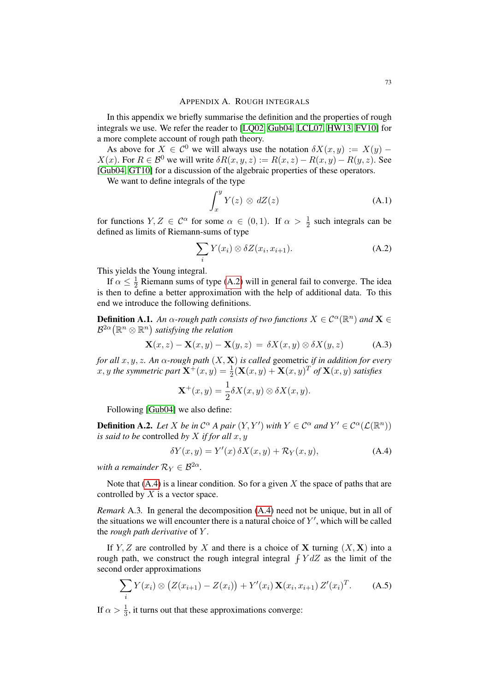In this appendix we briefly summarise the definition and the properties of rough integrals we use. We refer the reader to [\[LQ02,](#page-78-0) [Gub04,](#page-77-0) [LCL07,](#page-78-1) [HW13,](#page-78-2) [FV10\]](#page-77-1) for a more complete account of rough path theory.

As above for  $X \in C^0$  we will always use the notation  $\delta X(x, y) := X(y)$  –  $X(x)$ . For  $R \in \mathcal{B}^0$  we will write  $\delta R(x, y, z) := R(x, z) - R(x, y) - R(y, z)$ . See [\[Gub04,](#page-77-0) [GT10\]](#page-77-2) for a discussion of the algebraic properties of these operators.

We want to define integrals of the type

<span id="page-72-0"></span>
$$
\int_{x}^{y} Y(z) \otimes dZ(z) \tag{A.1}
$$

for functions  $Y, Z \in \mathcal{C}^{\alpha}$  for some  $\alpha \in (0, 1)$ . If  $\alpha > \frac{1}{2}$  such integrals can be defined as limits of Riemann-sums of type

$$
\sum_{i} Y(x_i) \otimes \delta Z(x_i, x_{i+1}). \tag{A.2}
$$

This yields the Young integral.

If  $\alpha \leq \frac{1}{2}$  $\frac{1}{2}$  Riemann sums of type [\(A.2\)](#page-72-0) will in general fail to converge. The idea is then to define a better approximation with the help of additional data. To this end we introduce the following definitions.

**Definition A.1.** An  $\alpha$ -rough path consists of two functions  $X \in C^{\alpha}(\mathbb{R}^n)$  and  $\mathbf{X} \in$  $B^{2\alpha}(\mathbb{R}^n \otimes \mathbb{R}^n)$  satisfying the relation

$$
\mathbf{X}(x,z) - \mathbf{X}(x,y) - \mathbf{X}(y,z) = \delta X(x,y) \otimes \delta X(y,z) \tag{A.3}
$$

*for all* x, y, z*. An* α*-rough path* (X, X) *is called* geometric *if in addition for every* x, y the symmetric part  $\mathbf{X}^+(x,y) = \frac{1}{2}(\mathbf{X}(x,y) + \mathbf{X}(x,y)^T$  of  $\mathbf{X}(x,y)$  satisfies

$$
\mathbf{X}^+(x,y) = \frac{1}{2}\delta X(x,y) \otimes \delta X(x,y).
$$

Following [\[Gub04\]](#page-77-0) we also define:

**Definition A.2.** Let X be in  $C^{\alpha}$  A pair  $(Y, Y')$  with  $Y \in C^{\alpha}$  and  $Y' \in C^{\alpha}(\mathcal{L}(\mathbb{R}^n))$ *is said to be* controlled *by* X *if for all* x, y

<span id="page-72-1"></span>
$$
\delta Y(x,y) = Y'(x)\,\delta X(x,y) + \mathcal{R}_Y(x,y),\tag{A.4}
$$

*with a remainder*  $R_Y \in \mathcal{B}^{2\alpha}$ .

Note that  $(A.4)$  is a linear condition. So for a given X the space of paths that are controlled by  $X$  is a vector space.

*Remark* A.3*.* In general the decomposition [\(A.4\)](#page-72-1) need not be unique, but in all of the situations we will encounter there is a natural choice of  $Y'$ , which will be called the *rough path derivative* of Y .

If Y, Z are controlled by X and there is a choice of X turning  $(X, X)$  into a rough path, we construct the rough integral integral  $\int Y dZ$  as the limit of the second order approximations

<span id="page-72-2"></span>
$$
\sum_{i} Y(x_i) \otimes (Z(x_{i+1}) - Z(x_i)) + Y'(x_i) \mathbf{X}(x_i, x_{i+1}) Z'(x_i)^T.
$$
 (A.5)

If  $\alpha > \frac{1}{3}$ , it turns out that these approximations converge: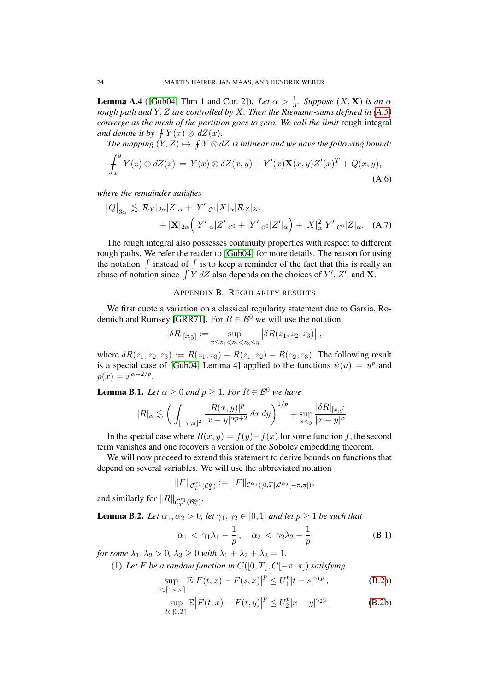**Lemma A.4** ([\[Gub04,](#page-77-0) Thm 1 and Cor. 2]). *Let*  $\alpha > \frac{1}{3}$ . *Suppose*  $(X, \mathbf{X})$  *is an*  $\alpha$ *rough path and* Y, Z *are controlled by* X*. Then the Riemann-sums defined in [\(A.5\)](#page-72-2) converge as the mesh of the partition goes to zero. We call the limit* rough integral *and denote it by*  $\int Y(x) \otimes dZ(x)$ *.* 

The mapping  $(Y, Z) \mapsto \int Y \otimes dZ$  is bilinear and we have the following bound:

$$
\int_x^y Y(z) \otimes dZ(z) = Y(x) \otimes \delta Z(x, y) + Y'(x) \mathbf{X}(x, y) Z'(x)^T + Q(x, y),
$$
\n(A.6)

*where the remainder satisfies*

$$
|Q|_{3\alpha} \lesssim |\mathcal{R}_Y|_{2\alpha}|Z|_{\alpha} + |Y'|_{\mathcal{C}^0}|X|_{\alpha}|\mathcal{R}_Z|_{2\alpha}
$$
  
+ 
$$
|\mathbf{X}|_{2\alpha} (|Y'|_{\alpha}|Z'|_{\mathcal{C}^0} + |Y'|_{\mathcal{C}^0}|Z'|_{\alpha}) + |X|_{\alpha}^2 |Y'|_{\mathcal{C}^0}|Z|_{\alpha}.
$$
 (A.7)

The rough integral also possesses continuity properties with respect to different rough paths. We refer the reader to [\[Gub04\]](#page-77-0) for more details. The reason for using the notation  $\int$  instead of  $\int$  is to keep a reminder of the fact that this is really an abuse of notation since  $\int \tilde{Y} dZ$  also depends on the choices of  $Y'$ ,  $Z'$ , and **X**.

## APPENDIX B. REGULARITY RESULTS

We first quote a variation on a classical regularity statement due to Garsia, Ro-demich and Rumsey [\[GRR71\]](#page-77-3). For  $R \in \mathcal{B}^0$  we will use the notation

$$
|\delta R|_{[x,y]} := \sup_{x \le z_1 < z_2 < z_3 \le y} |\delta R(z_1, z_2, z_3)| \,,
$$

where  $\delta R(z_1, z_2, z_3) := R(z_1, z_3) - R(z_1, z_2) - R(z_2, z_3)$ . The following result is a special case of [\[Gub04,](#page-77-0) Lemma 4] applied to the functions  $\psi(u) = u^p$  and  $p(x) = x^{\alpha+2/p}.$ 

<span id="page-73-1"></span>**Lemma B.1.** *Let*  $\alpha \geq 0$  *and*  $p \geq 1$ *. For*  $R \in \mathcal{B}^0$  *we have* 

$$
|R|_{\alpha} \lesssim \left( \int_{[-\pi,\pi]^2} \frac{|R(x,y)|^p}{|x-y|^{\alpha p+2}} \, dx \, dy \right)^{1/p} + \sup_{x < y} \frac{|\delta R|_{[x,y]}}{|x-y|^{\alpha}} \, .
$$

In the special case where  $R(x, y) = f(y) - f(x)$  for some function f, the second term vanishes and one recovers a version of the Sobolev embedding theorem.

We will now proceed to extend this statement to derive bounds on functions that depend on several variables. We will use the abbreviated notation

$$
||F||_{\mathcal{C}^{\alpha_1}_{T}(\mathcal{C}^{\alpha}_2)} := ||F||_{\mathcal{C}^{\alpha_1}([0,T],\mathcal{C}^{\alpha_2}[-\pi,\pi])},
$$

and similarly for  $\|R\|_{\mathcal{C}^{\alpha_1}_{T}(\mathcal{B}^{\alpha}_2)}$ .

**Lemma B.2.** *Let*  $\alpha_1, \alpha_2 > 0$ , *let*  $\gamma_1, \gamma_2 \in [0, 1]$  *and let*  $p \ge 1$  *be such that* 

<span id="page-73-2"></span>
$$
\alpha_1 < \gamma_1 \lambda_1 - \frac{1}{p}, \quad \alpha_2 < \gamma_2 \lambda_2 - \frac{1}{p} \tag{B.1}
$$

<span id="page-73-0"></span>*for some*  $\lambda_1, \lambda_2 > 0, \lambda_3 > 0$  *with*  $\lambda_1 + \lambda_2 + \lambda_3 = 1$ *.* 

(1) Let F be a random function in  $C([0, T], C[-\pi, \pi])$  satisfying

$$
\sup_{x \in [-\pi,\pi]} \mathbb{E} |F(t,x) - F(s,x)|^p \le U_1^p |t - s|^{\gamma_1 p} ,\tag{B.2a}
$$

$$
\sup_{t \in [0,T]} \mathbb{E} |F(t,x) - F(t,y)|^p \le U_2^p |x - y|^{\gamma_2 p}, \tag{B.2b}
$$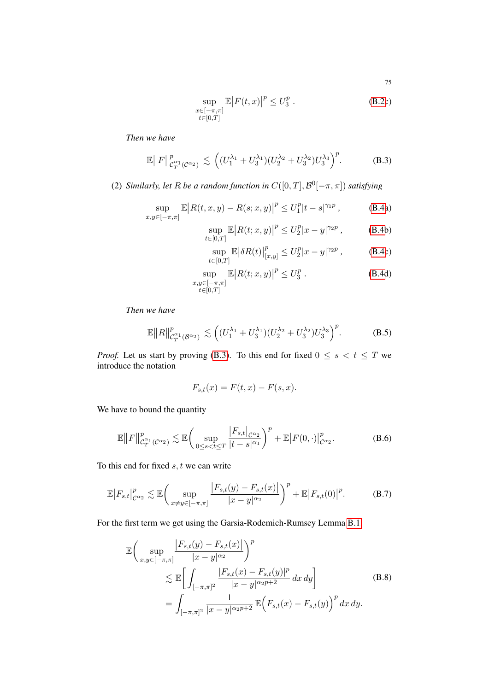$$
\sup_{\substack{x \in [-\pi,\pi] \\ t \in [0,T]}} \mathbb{E} |F(t,x)|^p \le U_3^p.
$$
\n(B.2c)

*Then we have*

$$
\mathbb{E}||F||_{\mathcal{C}_T^{\alpha_1}(\mathcal{C}^{\alpha_2})}^p \lesssim \left( (U_1^{\lambda_1} + U_3^{\lambda_1})(U_2^{\lambda_2} + U_3^{\lambda_2})U_3^{\lambda_3} \right)^p. \tag{B.3}
$$

<span id="page-74-0"></span>(2) *Similarly, let* R *be a random function in*  $C([0, T], \mathcal{B}^0[-\pi, \pi])$  *satisfying* 

$$
\sup_{x,y \in [-\pi,\pi]} \mathbb{E} |R(t,x,y) - R(s;x,y)|^p \le U_1^p |t-s|^{\gamma_1 p} ,\tag{B.4a}
$$

$$
\sup_{t \in [0,T]} \mathbb{E} |R(t; x, y)|^p \le U_2^p |x - y|^{\gamma_2 p}, \quad \text{(B.4b)}
$$

<span id="page-74-4"></span>
$$
\sup_{t \in [0,T]} \mathbb{E} |\delta R(t)|_{[x,y]}^p \le U_2^p |x-y|^{\gamma_2 p} ,\tag{B.4c}
$$

$$
\sup_{\substack{x,y \in [-\pi,\pi] \\ t \in [0,T]}} \mathbb{E} |R(t;x,y)|^p \le U_3^p.
$$
 (B.4d)

*Then we have*

$$
\mathbb{E}||R||_{\mathcal{C}_T^{\alpha_1}(\mathcal{B}^{\alpha_2})}^p \lesssim \left( (U_1^{\lambda_1} + U_3^{\lambda_1})(U_2^{\lambda_2} + U_3^{\lambda_2})U_3^{\lambda_3} \right)^p. \tag{B.5}
$$

*Proof.* Let us start by proving [\(B.3\)](#page-74-1). To this end for fixed  $0 \le s < t \le T$  we introduce the notation

<span id="page-74-3"></span><span id="page-74-2"></span>
$$
F_{s,t}(x) = F(t,x) - F(s,x).
$$

We have to bound the quantity

$$
\mathbb{E}||F||_{\mathcal{C}_T^{\alpha_1}(\mathcal{C}^{\alpha_2})}^p \lesssim \mathbb{E}\bigg(\sup_{0\leq s
$$

To this end for fixed  $s, t$  we can write

$$
\mathbb{E}\big|F_{s,t}\big|_{\mathcal{C}^{\alpha_2}}^p \lesssim \mathbb{E}\bigg(\sup_{x \neq y \in [-\pi,\pi]} \frac{\big|F_{s,t}(y) - F_{s,t}(x)\big|}{|x - y|^{\alpha_2}}\bigg)^p + \mathbb{E}\big|F_{s,t}(0)\big|^p. \tag{B.7}
$$

For the first term we get using the Garsia-Rodemich-Rumsey Lemma [B.1,](#page-73-1)

<span id="page-74-5"></span>
$$
\mathbb{E}\left(\sup_{x,y\in[-\pi,\pi]} \frac{|F_{s,t}(y) - F_{s,t}(x)|}{|x - y|^{\alpha_2}}\right)^p \n\lesssim \mathbb{E}\left[\int_{[-\pi,\pi]^2} \frac{|F_{s,t}(x) - F_{s,t}(y)|^p}{|x - y|^{\alpha_2 p + 2}} dx dy\right] \n= \int_{[-\pi,\pi]^2} \frac{1}{|x - y|^{\alpha_2 p + 2}} \mathbb{E}\left(F_{s,t}(x) - F_{s,t}(y)\right)^p dx dy.
$$
\n(B.8)

<span id="page-74-1"></span>75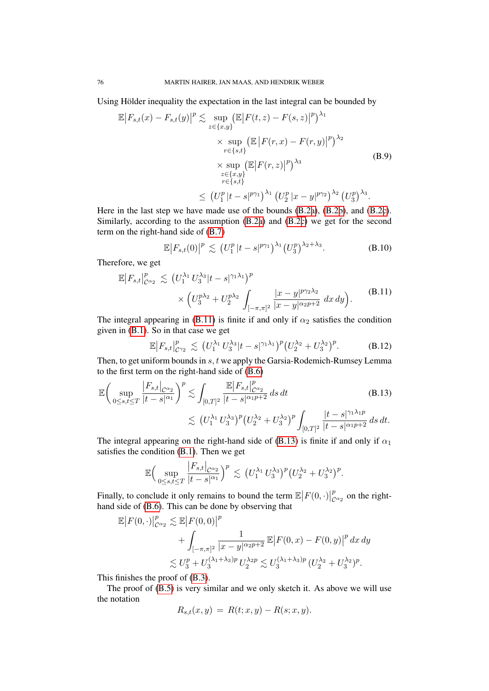Using Hölder inequality the expectation in the last integral can be bounded by

$$
\mathbb{E}|F_{s,t}(x) - F_{s,t}(y)|^p \lesssim \sup_{z \in \{x,y\}} (\mathbb{E}|F(t,z) - F(s,z)|^p)^{\lambda_1} \times \sup_{r \in \{s,t\}} (\mathbb{E}|F(r,x) - F(r,y)|^p)^{\lambda_2} \times \sup_{z \in \{x,y\}} (\mathbb{E}|F(r,z)|^p)^{\lambda_3} \times \sup_{\substack{z \in \{x,y\} \\ r \in \{s,t\}}} (\mathbb{E}|F(r,z)|^p)^{\lambda_3} \le (U_1^p|t-s|^{p\gamma_1})^{\lambda_1} (U_2^p|x-y|^{p\gamma_2})^{\lambda_2} (U_3^p)^{\lambda_3}.
$$
\n(B.9)

Here in the last step we have made use of the bounds [\(B.2a\)](#page-3-0), [\(B.2b\)](#page-3-1), and [\(B.2c\)](#page-3-2). Similarly, according to the assumption [\(B.2a\)](#page-3-0) and [\(B.2c\)](#page-3-2) we get for the second term on the right-hand side of [\(B.7\)](#page-74-2)

<span id="page-75-2"></span><span id="page-75-0"></span>
$$
\mathbb{E}\big|F_{s,t}(0)\big|^p \lesssim \left(U_1^p\,|t-s|^{p\gamma_1}\right)^{\lambda_1} \left(U_3^p\right)^{\lambda_2+\lambda_3}.\tag{B.10}
$$

Therefore, we get

$$
\mathbb{E}\big|F_{s,t}\big|_{\mathcal{C}^{\alpha_2}}^p \lesssim \left(U_1^{\lambda_1} U_3^{\lambda_3} |t-s|^{\gamma_1 \lambda_1}\right)^p \times \left(U_3^{p\lambda_2} + U_2^{p\lambda_2}\right)_{[-\pi,\pi]^2} \frac{|x-y|^{p\gamma_2 \lambda_2}}{|x-y|^{\alpha_2 p+2}} dx dy\Big).
$$
 (B.11)

The integral appearing in [\(B.11\)](#page-75-0) is finite if and only if  $\alpha_2$  satisfies the condition given in [\(B.1\)](#page-73-2). So in that case we get

<span id="page-75-1"></span>
$$
\mathbb{E}\big|F_{s,t}\big|_{C_{12}}^p \lesssim (U_1^{\lambda_1} U_3^{\lambda_3}|t-s|^{\gamma_1\lambda_1})^p (U_2^{\lambda_2} + U_3^{\lambda_2})^p. \tag{B.12}
$$

Then, to get uniform bounds in s, t we apply the Garsia-Rodemich-Rumsey Lemma to the first term on the right-hand side of [\(B.6\)](#page-74-3)

$$
\mathbb{E}\bigg(\sup_{0\leq s,t\leq T} \frac{|F_{s,t}|_{\mathcal{C}^{\alpha_2}}}{|t-s|^{\alpha_1}}\bigg)^p \lesssim \int_{[0,T]^2} \frac{\mathbb{E}|F_{s,t}|_{\mathcal{C}^{\alpha_2}}^p}{|t-s|^{\alpha_1 p+2}} ds dt \qquad (B.13)
$$
  

$$
\lesssim (U_1^{\lambda_1} U_3^{\lambda_3})^p (U_2^{\lambda_2} + U_3^{\lambda_2})^p \int_{[0,T]^2} \frac{|t-s|^{\gamma_1 \lambda_1 p}}{|t-s|^{\alpha_1 p+2}} ds dt.
$$

The integral appearing on the right-hand side of [\(B.13\)](#page-75-1) is finite if and only if  $\alpha_1$ satisfies the condition [\(B.1\)](#page-73-2). Then we get

$$
\mathbb{E}\Big(\sup_{0\leq s,t\leq T}\frac{\left|F_{s,t}\right|_{\mathcal{C}^{\alpha_2}}}{|t-s|^{\alpha_1}}\Big)^p\lesssim (U_1^{\lambda_1}U_3^{\lambda_3})^p(U_2^{\lambda_2}+U_3^{\lambda_2})^p.
$$

Finally, to conclude it only remains to bound the term  $\mathbb{E}|F(0, \cdot)|$ p  $\int_{\alpha_2}^p$  on the righthand side of [\(B.6\)](#page-74-3). This can be done by observing that

$$
\mathbb{E}|F(0,\cdot)|_{\mathcal{C}^{\alpha_2}}^p \lesssim \mathbb{E}|F(0,0)|^p
$$
  
+ 
$$
\int_{[-\pi,\pi]^2} \frac{1}{|x-y|^{\alpha_2 p+2}} \mathbb{E}|F(0,x) - F(0,y)|^p dx dy
$$
  

$$
\lesssim U_3^p + U_3^{(\lambda_1 + \lambda_3)p} U_2^{\lambda_2 p} \lesssim U_3^{(\lambda_1 + \lambda_3)p} (U_2^{\lambda_2} + U_3^{\lambda_2})^p.
$$

This finishes the proof of [\(B.3\)](#page-74-1).

The proof of [\(B.5\)](#page-74-4) is very similar and we only sketch it. As above we will use the notation

$$
R_{s,t}(x,y) = R(t;x,y) - R(s;x,y).
$$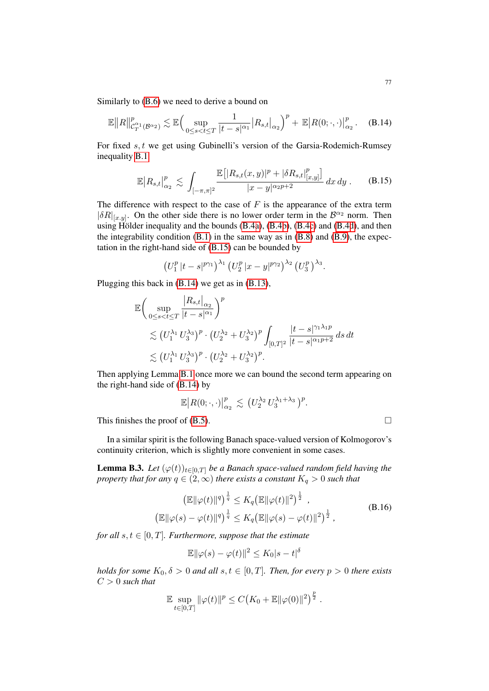Similarly to [\(B.6\)](#page-74-3) we need to derive a bound on

$$
\mathbb{E}||R||_{\mathcal{C}_T^{\alpha_1}(\mathcal{B}^{\alpha_2})}^p \lesssim \mathbb{E}\Big(\sup_{0\leq s
$$

For fixed s, t we get using Gubinelli's version of the Garsia-Rodemich-Rumsey inequality [B.1](#page-73-1)

<span id="page-76-1"></span>
$$
\mathbb{E}|R_{s,t}|_{\alpha_2}^p \lesssim \int_{[-\pi,\pi]^2} \frac{\mathbb{E}\big[|R_{s,t}(x,y)|^p + |\delta R_{s,t}|_{[x,y]}^p\big]}{|x-y|^{\alpha_2 p + 2}} \, dx \, dy \,. \tag{B.15}
$$

The difference with respect to the case of  $F$  is the appearance of the extra term  $|\delta R|_{x,y}$ . On the other side there is no lower order term in the  $\mathcal{B}^{\alpha_2}$  norm. Then using Hölder inequality and the bounds  $(B.4a)$ ,  $(B.4b)$ ,  $(B.4c)$  and  $(B.4d)$ , and then the integrability condition [\(B.1\)](#page-73-2) in the same way as in [\(B.8\)](#page-74-5) and [\(B.9\)](#page-75-2), the expectation in the right-hand side of [\(B.15\)](#page-76-0) can be bounded by

<span id="page-76-0"></span>
$$
(U_1^p |t-s|^{p\gamma_1})^{\lambda_1} (U_2^p |x-y|^{p\gamma_2})^{\lambda_2} (U_3^p)^{\lambda_3}.
$$

Plugging this back in [\(B.14\)](#page-76-1) we get as in [\(B.13\)](#page-75-1),

$$
\mathbb{E}\bigg(\sup_{0\leq s  
$\lesssim (U_1^{\lambda_1} U_3^{\lambda_3})^p \cdot (U_2^{\lambda_2} + U_3^{\lambda_2})^p \int_{[0,T]^2} \frac{|t-s|^{\gamma_1\lambda_1 p}}{|t-s|^{\alpha_1 p+2}} ds dt$  
$\lesssim (U_1^{\lambda_1} U_3^{\lambda_3})^p \cdot (U_2^{\lambda_2} + U_3^{\lambda_2})^p.\bigg]
$$

Then applying Lemma [B.1](#page-73-1) once more we can bound the second term appearing on the right-hand side of [\(B.14\)](#page-76-1) by

$$
\mathbb{E}\big|R(0;\cdot,\cdot)\big|_{\alpha_2}^p\big|\lesssim (U_2^{\lambda_2}U_3^{\lambda_1+\lambda_3})^p.
$$

This finishes the proof of  $(B.5)$ .

In a similar spirit is the following Banach space-valued version of Kolmogorov's continuity criterion, which is slightly more convenient in some cases.

**Lemma B.3.** *Let*  $(\varphi(t))_{t\in[0,T]}$  *be a Banach space-valued random field having the property that for any*  $q \in (2, \infty)$  *there exists a constant*  $K_q > 0$  *such that* 

<span id="page-76-2"></span>
$$
\left(\mathbb{E} \|\varphi(t)\|^q\right)^{\frac{1}{q}} \le K_q \left(\mathbb{E} \|\varphi(t)\|^2\right)^{\frac{1}{2}},
$$
\n
$$
\left(\mathbb{E} \|\varphi(s) - \varphi(t)\|^q\right)^{\frac{1}{q}} \le K_q \left(\mathbb{E} \|\varphi(s) - \varphi(t)\|^2\right)^{\frac{1}{2}},
$$
\n(B.16)

*for all*  $s, t \in [0, T]$ *. Furthermore, suppose that the estimate* 

$$
\mathbb{E} \|\varphi(s) - \varphi(t)\|^2 \le K_0 |s - t|^\delta
$$

*holds for some*  $K_0$ ,  $\delta > 0$  *and all*  $s, t \in [0, T]$ *. Then, for every*  $p > 0$  *there exists* C > 0 *such that*

$$
\mathbb{E} \sup_{t \in [0,T]} \|\varphi(t)\|^p \le C\big(K_0 + \mathbb{E} \|\varphi(0)\|^2\big)^{\frac{p}{2}}.
$$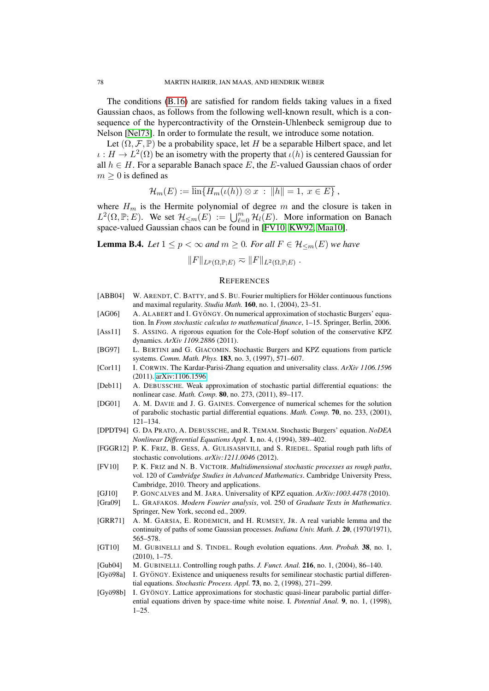The conditions [\(B.16\)](#page-76-2) are satisfied for random fields taking values in a fixed Gaussian chaos, as follows from the following well-known result, which is a consequence of the hypercontractivity of the Ornstein-Uhlenbeck semigroup due to Nelson [\[Nel73\]](#page-78-3). In order to formulate the result, we introduce some notation.

Let  $(\Omega, \mathcal{F}, \mathbb{P})$  be a probability space, let H be a separable Hilbert space, and let  $\iota: H \to L^2(\Omega)$  be an isometry with the property that  $\iota(h)$  is centered Gaussian for all  $h \in H$ . For a separable Banach space E, the E-valued Gaussian chaos of order  $m \geq 0$  is defined as

$$
\mathcal{H}_m(E) := \overline{\mathrm{lin}\{H_m(\iota(h)) \otimes x \,:\, \|h\| = 1, \, x \in E\}}\,,
$$

where  $H_m$  is the Hermite polynomial of degree m and the closure is taken in  $L^2(\Omega, \mathbb{P}; E)$ . We set  $\mathcal{H}_{\leq m}(E) := \bigcup_{\ell=0}^m \mathcal{H}_{\ell}(E)$ . More information on Banach space-valued Gaussian chaos can be found in [\[FV10,](#page-77-1) [KW92,](#page-78-4) [Maa10\]](#page-78-5).

**Lemma B.4.** *Let*  $1 \leq p < \infty$  *and*  $m \geq 0$ *. For all*  $F \in \mathcal{H}_{\leq m}(E)$  *we have* 

 $||F||_{L^p(\Omega,\mathbb{P};E)} \eqsim ||F||_{L^2(\Omega,\mathbb{P};E)}$ .

## **REFERENCES**

- [ABB04] W. ARENDT, C. BATTY, and S. BU. Fourier multipliers for Hölder continuous functions and maximal regularity. *Studia Math.* 160, no. 1, (2004), 23–51.
- [AG06] A. ALABERT and I. GYÖNGY. On numerical approximation of stochastic Burgers' equation. In *From stochastic calculus to mathematical finance*, 1–15. Springer, Berlin, 2006.
- [Ass11] S. ASSING. A rigorous equation for the Cole-Hopf solution of the conservative KPZ dynamics. *ArXiv 1109.2886* (2011).
- [BG97] L. BERTINI and G. GIACOMIN. Stochastic Burgers and KPZ equations from particle systems. *Comm. Math. Phys.* 183, no. 3, (1997), 571–607.
- [Cor11] I. CORWIN. The Kardar-Parisi-Zhang equation and universality class. *ArXiv 1106.1596* (2011). [arXiv:1106.1596.](http://arxiv.org/abs/1106.1596)
- [Deb11] A. DEBUSSCHE. Weak approximation of stochastic partial differential equations: the nonlinear case. *Math. Comp.* 80, no. 273, (2011), 89–117.
- [DG01] A. M. DAVIE and J. G. GAINES. Convergence of numerical schemes for the solution of parabolic stochastic partial differential equations. *Math. Comp.* 70, no. 233, (2001), 121–134.
- [DPDT94] G. DA PRATO, A. DEBUSSCHE, and R. TEMAM. Stochastic Burgers' equation. *NoDEA Nonlinear Differential Equations Appl.* 1, no. 4, (1994), 389–402.
- [FGGR12] P. K. FRIZ, B. GESS, A. GULISASHVILI, and S. RIEDEL. Spatial rough path lifts of stochastic convolutions. *arXiv:1211.0046* (2012).
- <span id="page-77-1"></span>[FV10] P. K. FRIZ and N. B. VICTOIR. *Multidimensional stochastic processes as rough paths*, vol. 120 of *Cambridge Studies in Advanced Mathematics*. Cambridge University Press, Cambridge, 2010. Theory and applications.
- [GJ10] P. GONCALVES and M. JARA. Universality of KPZ equation. *ArXiv:1003.4478* (2010).
- [Gra09] L. GRAFAKOS. *Modern Fourier analysis*, vol. 250 of *Graduate Texts in Mathematics*. Springer, New York, second ed., 2009.
- <span id="page-77-3"></span>[GRR71] A. M. GARSIA, E. RODEMICH, and H. RUMSEY, JR. A real variable lemma and the continuity of paths of some Gaussian processes. *Indiana Univ. Math. J.* 20, (1970/1971), 565–578.
- <span id="page-77-2"></span>[GT10] M. GUBINELLI and S. TINDEL. Rough evolution equations. *Ann. Probab.* 38, no. 1, (2010), 1–75.
- <span id="page-77-0"></span>[Gub04] M. GUBINELLI. Controlling rough paths. *J. Funct. Anal.* 216, no. 1, (2004), 86–140.
- [Gyö98a] I. GYÖNGY. Existence and uniqueness results for semilinear stochastic partial differential equations. *Stochastic Process. Appl.* 73, no. 2, (1998), 271–299.
- [Gyö98b] I. GYÖNGY. Lattice approximations for stochastic quasi-linear parabolic partial differential equations driven by space-time white noise. I. *Potential Anal.* 9, no. 1, (1998), 1–25.